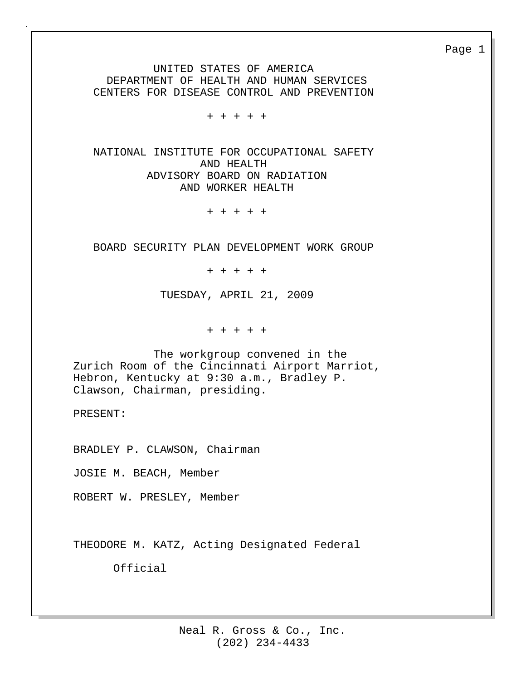UNITED STATES OF AMERICA DEPARTMENT OF HEALTH AND HUMAN SERVICES CENTERS FOR DISEASE CONTROL AND PREVENTION

+ + + + +

 NATIONAL INSTITUTE FOR OCCUPATIONAL SAFETY AND HEALTH ADVISORY BOARD ON RADIATION AND WORKER HEALTH

+ + + + +

BOARD SECURITY PLAN DEVELOPMENT WORK GROUP

+ + + + +

TUESDAY, APRIL 21, 2009

+ + + + +

 The workgroup convened in the Zurich Room of the Cincinnati Airport Marriot, Hebron, Kentucky at 9:30 a.m., Bradley P. Clawson, Chairman, presiding.

PRESENT:

BRADLEY P. CLAWSON, Chairman

JOSIE M. BEACH, Member

ROBERT W. PRESLEY, Member

THEODORE M. KATZ, Acting Designated Federal

Official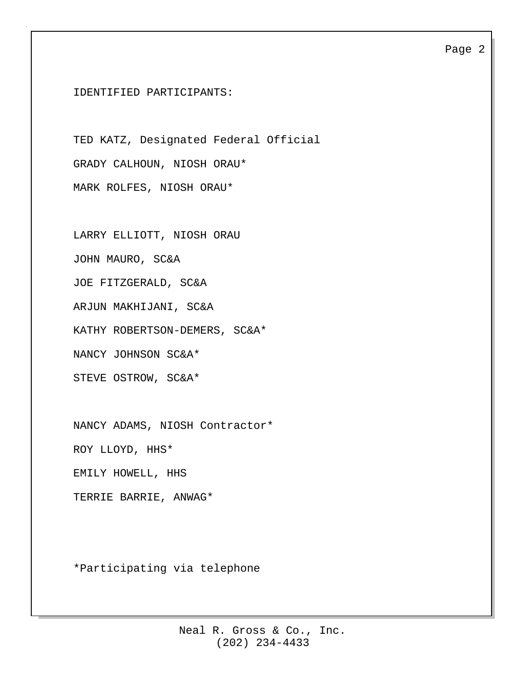IDENTIFIED PARTICIPANTS:

TED KATZ, Designated Federal Official GRADY CALHOUN, NIOSH ORAU\* MARK ROLFES, NIOSH ORAU\*

LARRY ELLIOTT, NIOSH ORAU JOHN MAURO, SC&A JOE FITZGERALD, SC&A ARJUN MAKHIJANI, SC&A KATHY ROBERTSON-DEMERS, SC&A\* NANCY JOHNSON SC&A\* STEVE OSTROW, SC&A\*

NANCY ADAMS, NIOSH Contractor\*

ROY LLOYD, HHS\*

EMILY HOWELL, HHS

TERRIE BARRIE, ANWAG\*

\*Participating via telephone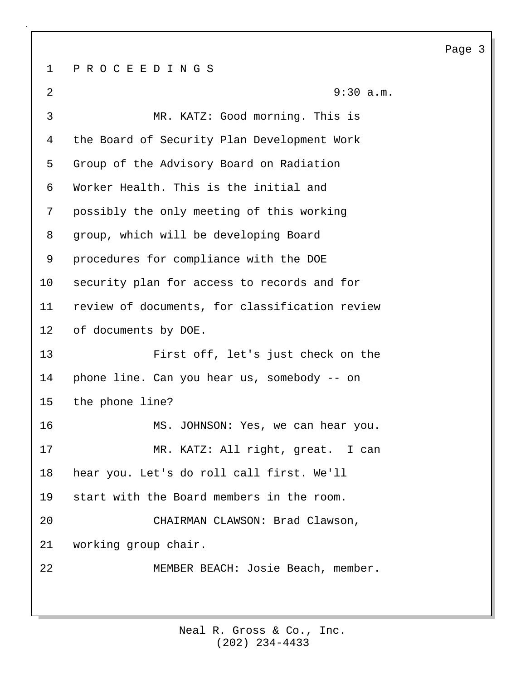1 P R O C E E D I N G S 2 9:30 a.m. 3 MR. KATZ: Good morning. This is 4 the Board of Security Plan Development Work 5 Group of the Advisory Board on Radiation 6 Worker Health. This is the initial and 7 possibly the only meeting of this working 8 group, which will be developing Board 9 procedures for compliance with the DOE 10 security plan for access to records and for 11 review of documents, for classification review 12 of documents by DOE. 13 First off, let's just check on the 14 phone line. Can you hear us, somebody -- on 15 the phone line? 16 MS. JOHNSON: Yes, we can hear you. 17 MR. KATZ: All right, great. I can 18 hear you. Let's do roll call first. We'll 19 start with the Board members in the room. 20 CHAIRMAN CLAWSON: Brad Clawson, 21 working group chair. 22 MEMBER BEACH: Josie Beach, member.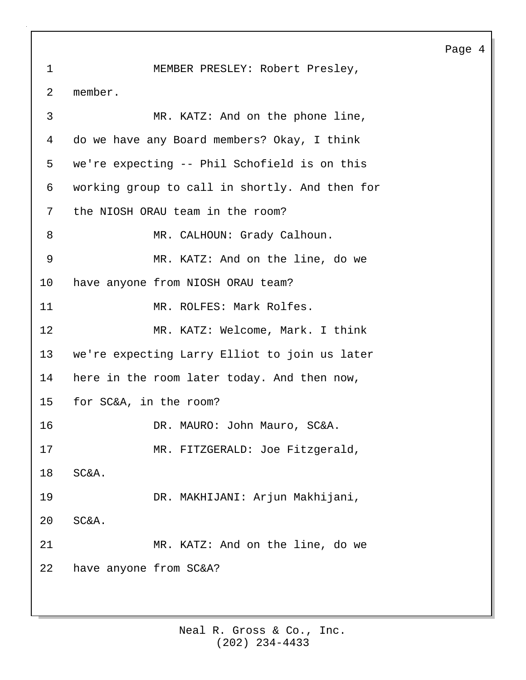1 MEMBER PRESLEY: Robert Presley, 2 member. 3 MR. KATZ: And on the phone line, 4 do we have any Board members? Okay, I think 5 we're expecting -- Phil Schofield is on this 6 working group to call in shortly. And then for 7 the NIOSH ORAU team in the room? 8 MR. CALHOUN: Grady Calhoun. 9 MR. KATZ: And on the line, do we 10 have anyone from NIOSH ORAU team? 11 MR. ROLFES: Mark Rolfes. 12 MR. KATZ: Welcome, Mark. I think 13 we're expecting Larry Elliot to join us later 14 here in the room later today. And then now, 15 for SC&A, in the room? 16 DR. MAURO: John Mauro, SC&A. 17 MR. FITZGERALD: Joe Fitzgerald, 18 SC&A. 19 DR. MAKHIJANI: Arjun Makhijani, 20 SC&A. 21 MR. KATZ: And on the line, do we 22 have anyone from SC&A?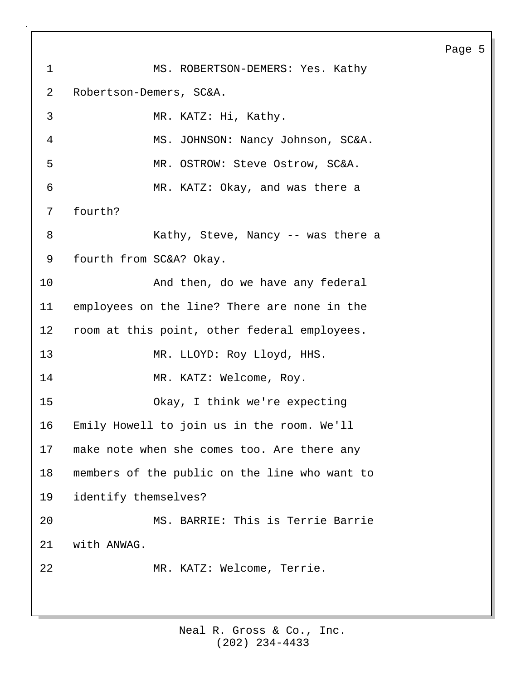1 MS. ROBERTSON-DEMERS: Yes. Kathy 2 Robertson-Demers, SC&A. 3 MR. KATZ: Hi, Kathy. 4 MS. JOHNSON: Nancy Johnson, SC&A. 5 MR. OSTROW: Steve Ostrow, SC&A. 6 MR. KATZ: Okay, and was there a 7 fourth? 8 Kathy, Steve, Nancy -- was there a 9 fourth from SC&A? Okay. 10 And then, do we have any federal 11 employees on the line? There are none in the 12 room at this point, other federal employees. 13 MR. LLOYD: Roy Lloyd, HHS. 14 MR. KATZ: Welcome, Roy. 15 Okay, I think we're expecting 16 Emily Howell to join us in the room. We'll 17 make note when she comes too. Are there any 18 members of the public on the line who want to 19 identify themselves? 20 MS. BARRIE: This is Terrie Barrie 21 with ANWAG. 22 MR. KATZ: Welcome, Terrie.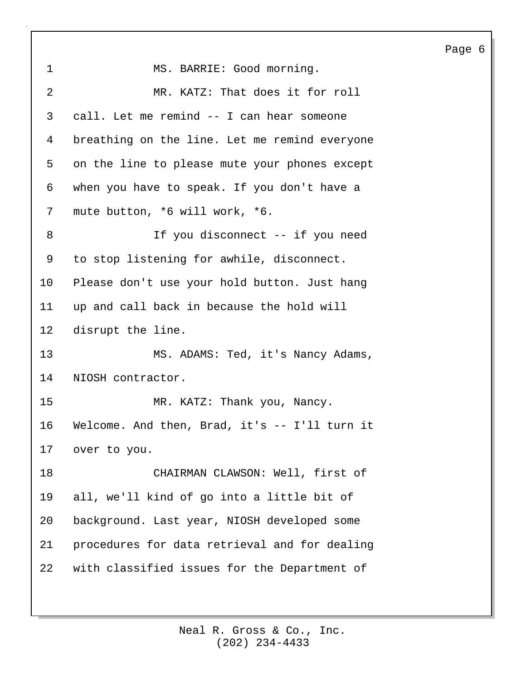| 1               | MS. BARRIE: Good morning.                      |
|-----------------|------------------------------------------------|
| 2               | MR. KATZ: That does it for roll                |
| 3               | call. Let me remind -- I can hear someone      |
| 4               | breathing on the line. Let me remind everyone  |
| 5               | on the line to please mute your phones except  |
| 6               | when you have to speak. If you don't have a    |
| 7               | mute button, *6 will work, *6.                 |
| 8               | If you disconnect -- if you need               |
| 9               | to stop listening for awhile, disconnect.      |
| 10              | Please don't use your hold button. Just hang   |
| 11              | up and call back in because the hold will      |
| 12 <sub>1</sub> | disrupt the line.                              |
| 13              | MS. ADAMS: Ted, it's Nancy Adams,              |
| 14              | NIOSH contractor.                              |
| 15              | MR. KATZ: Thank you, Nancy.                    |
| 16              | Welcome. And then, Brad, it's $-$ I'll turn it |
|                 | 17 over to you.                                |
| 18              | CHAIRMAN CLAWSON: Well, first of               |
| 19              | all, we'll kind of go into a little bit of     |
| 20              | background. Last year, NIOSH developed some    |
| 21              | procedures for data retrieval and for dealing  |
| 22              | with classified issues for the Department of   |
|                 |                                                |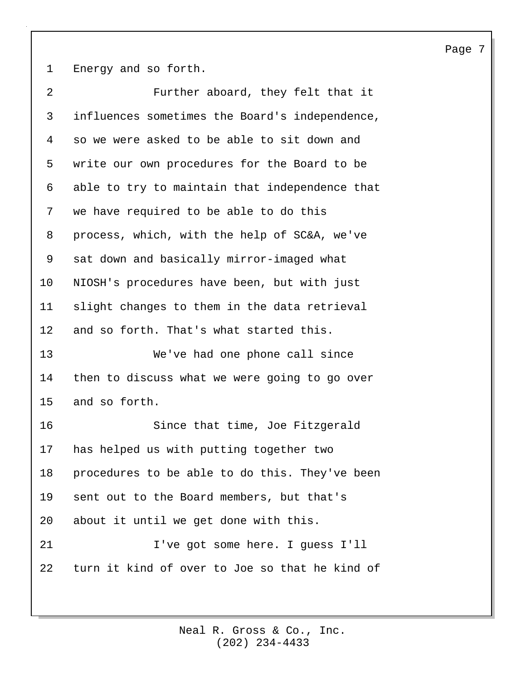1 Energy and so forth.

| $\overline{2}$ | Further aboard, they felt that it              |
|----------------|------------------------------------------------|
| 3              | influences sometimes the Board's independence, |
| 4              | so we were asked to be able to sit down and    |
| 5              | write our own procedures for the Board to be   |
| 6              | able to try to maintain that independence that |
| 7              | we have required to be able to do this         |
| 8              | process, which, with the help of SC&A, we've   |
| 9              | sat down and basically mirror-imaged what      |
| 10             | NIOSH's procedures have been, but with just    |
| 11             | slight changes to them in the data retrieval   |
| 12             | and so forth. That's what started this.        |
| 13             | We've had one phone call since                 |
| 14             | then to discuss what we were going to go over  |
| 15             | and so forth.                                  |
| 16             | Since that time, Joe Fitzgerald                |
| 17             |                                                |
|                | has helped us with putting together two        |
| 18             | procedures to be able to do this. They've been |
| 19             | sent out to the Board members, but that's      |
| 20             | about it until we get done with this.          |
| 21             | I've got some here. I guess I'll               |
| 22             | turn it kind of over to Joe so that he kind of |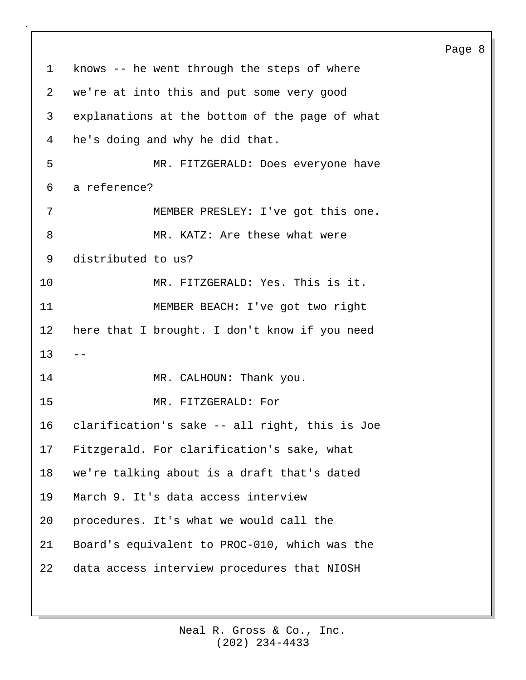1 knows -- he went through the steps of where 2 we're at into this and put some very good 3 explanations at the bottom of the page of what 4 he's doing and why he did that. 5 MR. FITZGERALD: Does everyone have 6 a reference? 7 MEMBER PRESLEY: I've got this one. 8 MR. KATZ: Are these what were 9 distributed to us? 10 MR. FITZGERALD: Yes. This is it. 11 MEMBER BEACH: I've got two right 12 here that I brought. I don't know if you need  $13$ 14 MR. CALHOUN: Thank you. 15 MR. FITZGERALD: For 16 clarification's sake -- all right, this is Joe 17 Fitzgerald. For clarification's sake, what 18 we're talking about is a draft that's dated 19 March 9. It's data access interview 20 procedures. It's what we would call the 21 Board's equivalent to PROC-010, which was the 22 data access interview procedures that NIOSH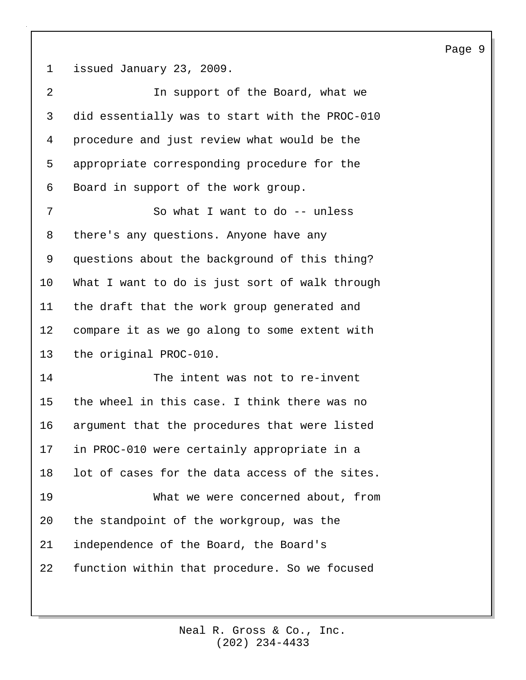1 issued January 23, 2009.

| 2  | In support of the Board, what we               |
|----|------------------------------------------------|
| 3  | did essentially was to start with the PROC-010 |
| 4  | procedure and just review what would be the    |
| 5  | appropriate corresponding procedure for the    |
| 6  | Board in support of the work group.            |
| 7  | So what I want to do -- unless                 |
| 8  | there's any questions. Anyone have any         |
| 9  | questions about the background of this thing?  |
| 10 | What I want to do is just sort of walk through |
| 11 | the draft that the work group generated and    |
| 12 | compare it as we go along to some extent with  |
| 13 | the original PROC-010.                         |
| 14 | The intent was not to re-invent                |
| 15 | the wheel in this case. I think there was no   |
| 16 | argument that the procedures that were listed  |
| 17 | in PROC-010 were certainly appropriate in a    |
| 18 | lot of cases for the data access of the sites. |
| 19 | What we were concerned about, from             |
| 20 | the standpoint of the workgroup, was the       |
| 21 | independence of the Board, the Board's         |
| 22 | function within that procedure. So we focused  |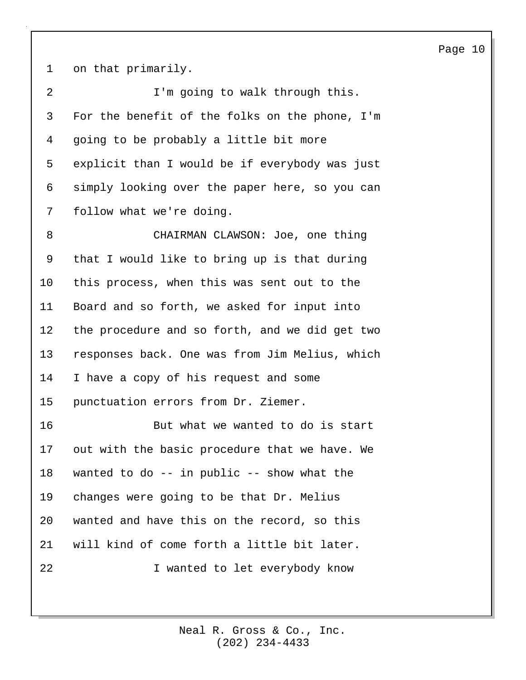1 on that primarily.

2 I'm going to walk through this. 3 For the benefit of the folks on the phone, I'm 4 going to be probably a little bit more 5 explicit than I would be if everybody was just 6 simply looking over the paper here, so you can 7 follow what we're doing.

8 CHAIRMAN CLAWSON: Joe, one thing 9 that I would like to bring up is that during 10 this process, when this was sent out to the 11 Board and so forth, we asked for input into 12 the procedure and so forth, and we did get two 13 responses back. One was from Jim Melius, which 14 I have a copy of his request and some 15 punctuation errors from Dr. Ziemer.

16 But what we wanted to do is start 17 out with the basic procedure that we have. We 18 wanted to do -- in public -- show what the 19 changes were going to be that Dr. Melius 20 wanted and have this on the record, so this 21 will kind of come forth a little bit later. 22 I wanted to let everybody know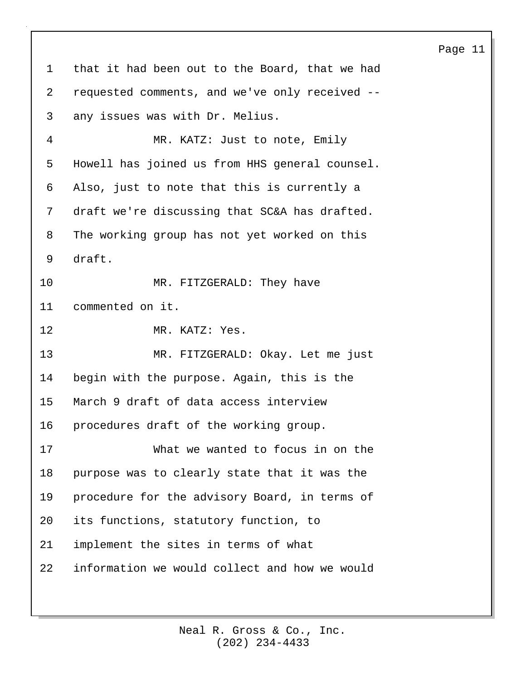1 that it had been out to the Board, that we had 2 requested comments, and we've only received -- 3 any issues was with Dr. Melius. 4 MR. KATZ: Just to note, Emily 5 Howell has joined us from HHS general counsel. 6 Also, just to note that this is currently a 7 draft we're discussing that SC&A has drafted. 8 The working group has not yet worked on this 9 draft. 10 MR. FITZGERALD: They have 11 commented on it. 12 MR. KATZ: Yes. 13 MR. FITZGERALD: Okay. Let me just 14 begin with the purpose. Again, this is the 15 March 9 draft of data access interview 16 procedures draft of the working group. 17 What we wanted to focus in on the 18 purpose was to clearly state that it was the 19 procedure for the advisory Board, in terms of 20 its functions, statutory function, to 21 implement the sites in terms of what 22 information we would collect and how we would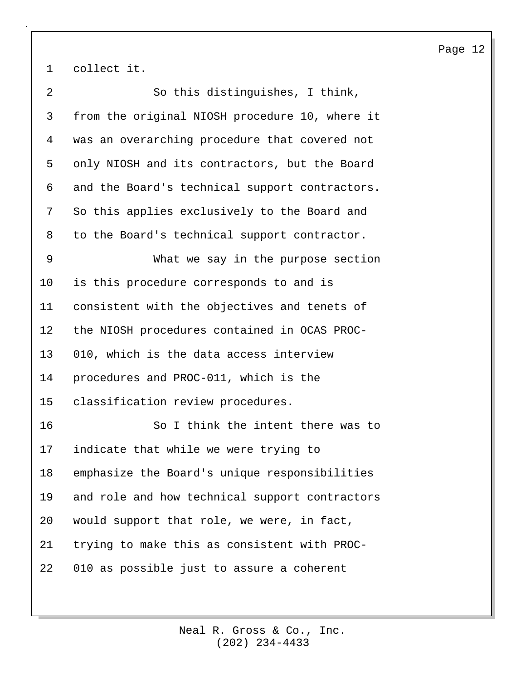1 collect it.

| $\overline{a}$ | So this distinguishes, I think,                |
|----------------|------------------------------------------------|
| 3              | from the original NIOSH procedure 10, where it |
| 4              | was an overarching procedure that covered not  |
| 5              | only NIOSH and its contractors, but the Board  |
| 6              | and the Board's technical support contractors. |
| 7              | So this applies exclusively to the Board and   |
| 8              | to the Board's technical support contractor.   |
| 9              | What we say in the purpose section             |
| 10             | is this procedure corresponds to and is        |
| 11             | consistent with the objectives and tenets of   |
| 12             | the NIOSH procedures contained in OCAS PROC-   |
| 13             | 010, which is the data access interview        |
| 14             | procedures and PROC-011, which is the          |
| 15             | classification review procedures.              |
| 16             | So I think the intent there was to             |
| 17             | indicate that while we were trying to          |
| 18             | emphasize the Board's unique responsibilities  |
| 19             | and role and how technical support contractors |
| 20             | would support that role, we were, in fact,     |
| 21             | trying to make this as consistent with PROC-   |
| 22             | 010 as possible just to assure a coherent      |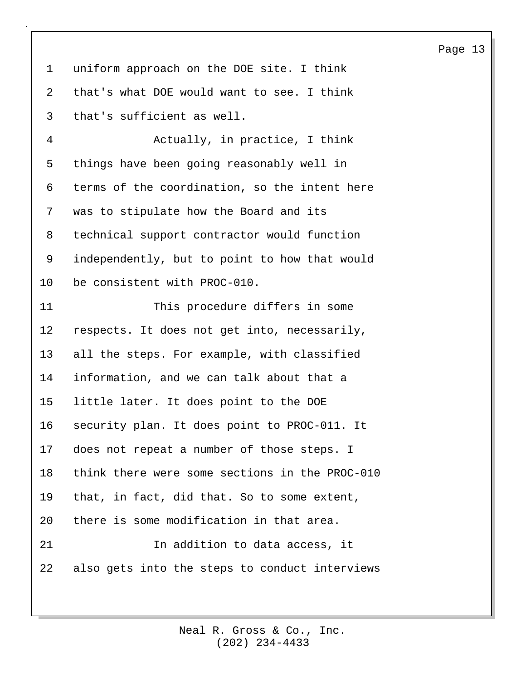1 uniform approach on the DOE site. I think 2 that's what DOE would want to see. I think 3 that's sufficient as well.

4 Actually, in practice, I think 5 things have been going reasonably well in 6 terms of the coordination, so the intent here 7 was to stipulate how the Board and its 8 technical support contractor would function 9 independently, but to point to how that would 10 be consistent with PROC-010.

11 This procedure differs in some 12 respects. It does not get into, necessarily, 13 all the steps. For example, with classified 14 information, and we can talk about that a 15 little later. It does point to the DOE 16 security plan. It does point to PROC-011. It 17 does not repeat a number of those steps. I 18 think there were some sections in the PROC-010 19 that, in fact, did that. So to some extent, 20 there is some modification in that area. 21 In addition to data access, it 22 also gets into the steps to conduct interviews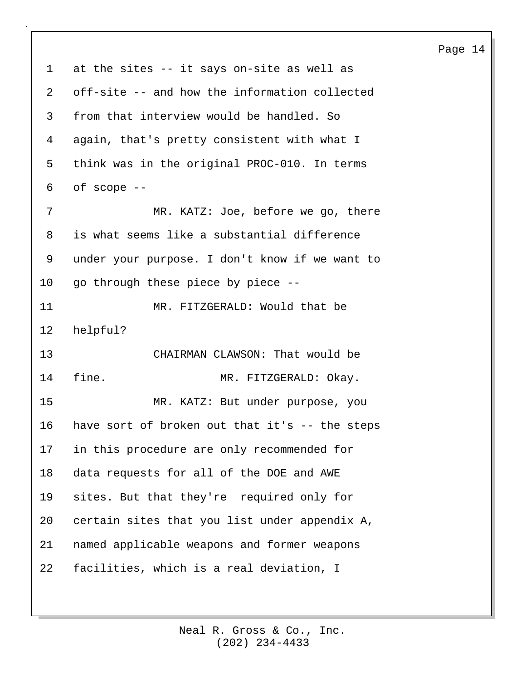1 at the sites -- it says on-site as well as 2 off-site -- and how the information collected 3 from that interview would be handled. So 4 again, that's pretty consistent with what I 5 think was in the original PROC-010. In terms 6 of scope -- 7 MR. KATZ: Joe, before we go, there 8 is what seems like a substantial difference 9 under your purpose. I don't know if we want to 10 go through these piece by piece -- 11 MR. FITZGERALD: Would that be 12 helpful? 13 CHAIRMAN CLAWSON: That would be 14 fine. MR. FITZGERALD: Okay. 15 MR. KATZ: But under purpose, you 16 have sort of broken out that it's -- the steps 17 in this procedure are only recommended for 18 data requests for all of the DOE and AWE 19 sites. But that they're required only for 20 certain sites that you list under appendix A, 21 named applicable weapons and former weapons 22 facilities, which is a real deviation, I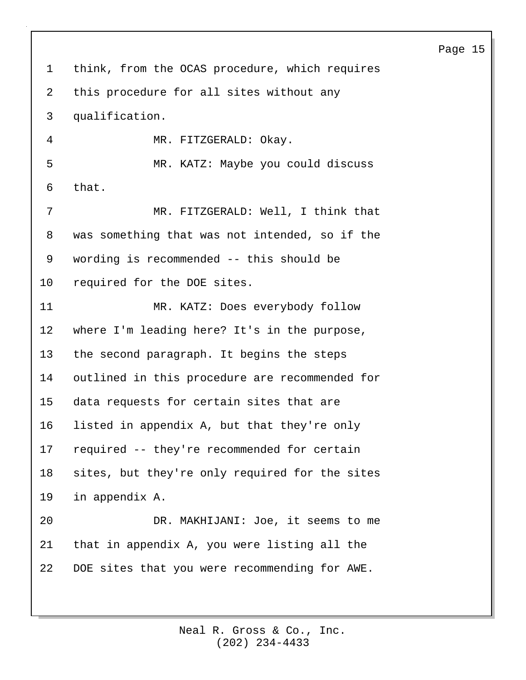1 think, from the OCAS procedure, which requires 2 this procedure for all sites without any 3 qualification. 4 MR. FITZGERALD: Okay. 5 MR. KATZ: Maybe you could discuss 6 that. 7 MR. FITZGERALD: Well, I think that 8 was something that was not intended, so if the 9 wording is recommended -- this should be 10 required for the DOE sites. 11 MR. KATZ: Does everybody follow 12 where I'm leading here? It's in the purpose, 13 the second paragraph. It begins the steps 14 outlined in this procedure are recommended for 15 data requests for certain sites that are 16 listed in appendix A, but that they're only 17 required -- they're recommended for certain 18 sites, but they're only required for the sites 19 in appendix A. 20 DR. MAKHIJANI: Joe, it seems to me 21 that in appendix A, you were listing all the 22 DOE sites that you were recommending for AWE.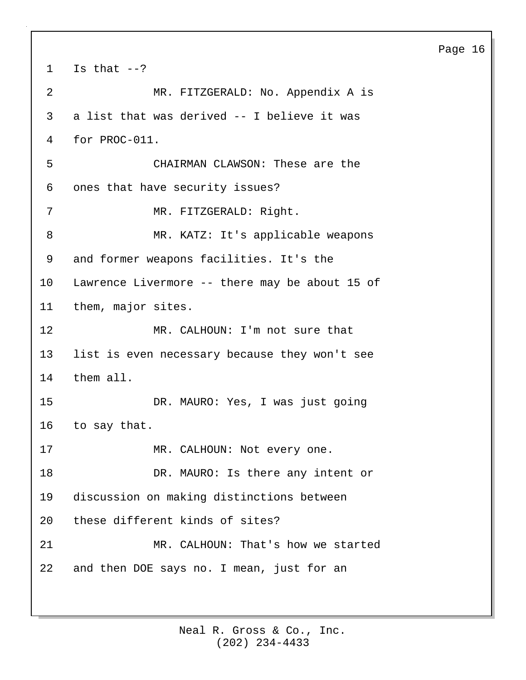1 Is that  $--?$ 2 MR. FITZGERALD: No. Appendix A is 3 a list that was derived -- I believe it was 4 for PROC-011. 5 CHAIRMAN CLAWSON: These are the 6 ones that have security issues? 7 MR. FITZGERALD: Right. 8 MR. KATZ: It's applicable weapons 9 and former weapons facilities. It's the 10 Lawrence Livermore -- there may be about 15 of 11 them, major sites. 12 MR. CALHOUN: I'm not sure that 13 list is even necessary because they won't see 14 them all. 15 DR. MAURO: Yes, I was just going 16 to say that. 17 MR. CALHOUN: Not every one. 18 DR. MAURO: Is there any intent or 19 discussion on making distinctions between 20 these different kinds of sites? 21 MR. CALHOUN: That's how we started 22 and then DOE says no. I mean, just for an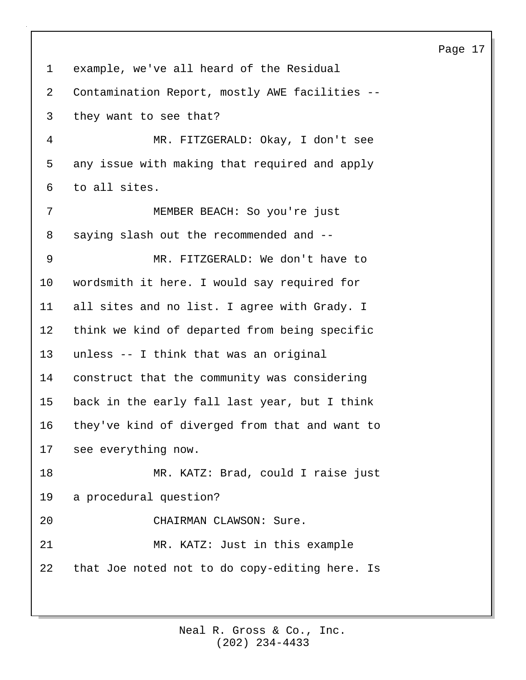| $\mathbf 1$ | example, we've all heard of the Residual          |
|-------------|---------------------------------------------------|
| 2           | Contamination Report, mostly AWE facilities --    |
| 3           | they want to see that?                            |
| 4           | MR. FITZGERALD: Okay, I don't see                 |
| 5           | any issue with making that required and apply     |
| 6           | to all sites.                                     |
| 7           | MEMBER BEACH: So you're just                      |
| 8           | saying slash out the recommended and --           |
| 9           | MR. FITZGERALD: We don't have to                  |
| $10 \,$     | wordsmith it here. I would say required for       |
| 11          | all sites and no list. I agree with Grady. I      |
| 12          | think we kind of departed from being specific     |
| 13          | unless -- I think that was an original            |
| 14          | construct that the community was considering      |
| 15          | back in the early fall last year, but I think     |
| 16          | they've kind of diverged from that and want to    |
|             | 17 see everything now.                            |
| 18          | MR. KATZ: Brad, could I raise just                |
| 19          | a procedural question?                            |
| 20          | CHAIRMAN CLAWSON: Sure.                           |
| 21          | MR. KATZ: Just in this example                    |
|             | 22 that Joe noted not to do copy-editing here. Is |
|             |                                                   |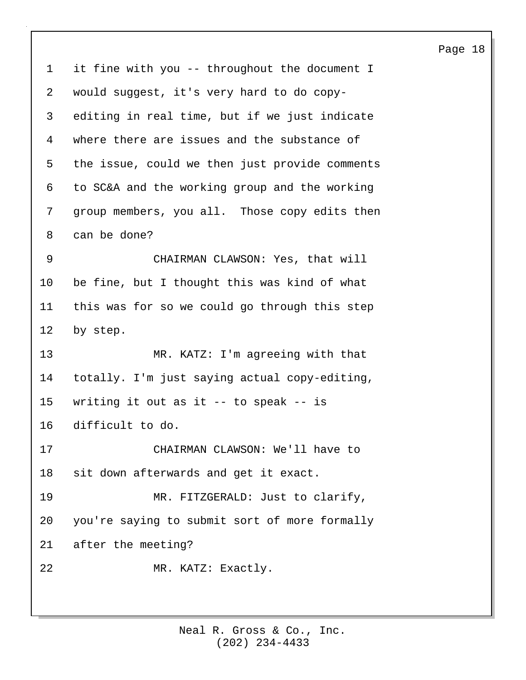1 it fine with you -- throughout the document I 2 would suggest, it's very hard to do copy-3 editing in real time, but if we just indicate 4 where there are issues and the substance of 5 the issue, could we then just provide comments 6 to SC&A and the working group and the working 7 group members, you all. Those copy edits then 8 can be done? 9 CHAIRMAN CLAWSON: Yes, that will 10 be fine, but I thought this was kind of what 11 this was for so we could go through this step 12 by step. 13 MR. KATZ: I'm agreeing with that 14 totally. I'm just saying actual copy-editing, 15 writing it out as it -- to speak -- is 16 difficult to do. 17 CHAIRMAN CLAWSON: We'll have to 18 sit down afterwards and get it exact. 19 MR. FITZGERALD: Just to clarify, 20 you're saying to submit sort of more formally 21 after the meeting? 22 MR. KATZ: Exactly.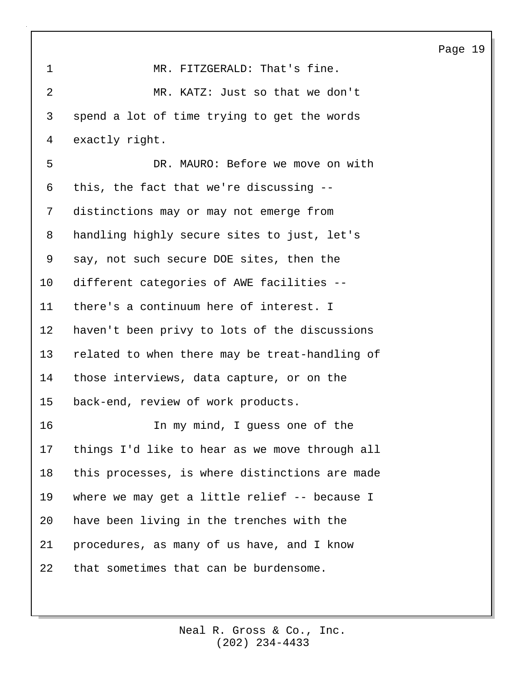| $\mathbf{1}$   | MR. FITZGERALD: That's fine.                   |
|----------------|------------------------------------------------|
| $\overline{a}$ | MR. KATZ: Just so that we don't                |
| 3              | spend a lot of time trying to get the words    |
| 4              | exactly right.                                 |
| 5              | DR. MAURO: Before we move on with              |
| 6              | this, the fact that we're discussing --        |
| 7              | distinctions may or may not emerge from        |
| 8              | handling highly secure sites to just, let's    |
| 9              | say, not such secure DOE sites, then the       |
| $10 \,$        | different categories of AWE facilities --      |
| 11             | there's a continuum here of interest. I        |
| 12             | haven't been privy to lots of the discussions  |
| 13             | related to when there may be treat-handling of |
| 14             | those interviews, data capture, or on the      |
| 15             | back-end, review of work products.             |
| 16             | In my mind, I guess one of the                 |
| 17             | things I'd like to hear as we move through all |
| 18             | this processes, is where distinctions are made |
| 19             | where we may get a little relief -- because I  |
| 20             | have been living in the trenches with the      |
| 21             | procedures, as many of us have, and I know     |
| 22             | that sometimes that can be burdensome.         |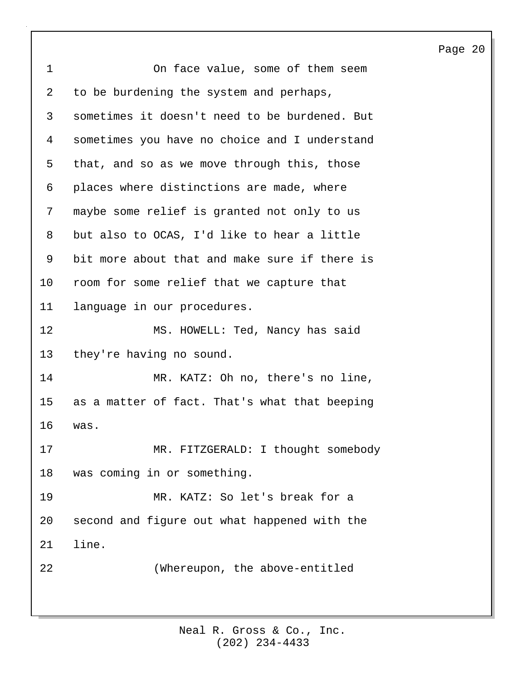| 'aae | Ω |
|------|---|
|------|---|

| $\mathbf 1$    | On face value, some of them seem              |
|----------------|-----------------------------------------------|
| $\overline{a}$ | to be burdening the system and perhaps,       |
| 3              | sometimes it doesn't need to be burdened. But |
| 4              | sometimes you have no choice and I understand |
| 5              | that, and so as we move through this, those   |
| 6              | places where distinctions are made, where     |
| 7              | maybe some relief is granted not only to us   |
| 8              | but also to OCAS, I'd like to hear a little   |
| 9              | bit more about that and make sure if there is |
| 10             | room for some relief that we capture that     |
| 11             | language in our procedures.                   |
| 12             | MS. HOWELL: Ted, Nancy has said               |
| 13             | they're having no sound.                      |
| 14             | MR. KATZ: Oh no, there's no line,             |
| 15             | as a matter of fact. That's what that beeping |
| 16             | was.                                          |
| 17             | MR. FITZGERALD: I thought somebody            |
| 18             | was coming in or something.                   |
| 19             | MR. KATZ: So let's break for a                |
| 20             | second and figure out what happened with the  |
| 21             | line.                                         |
| 22             | (Whereupon, the above-entitled                |
|                |                                               |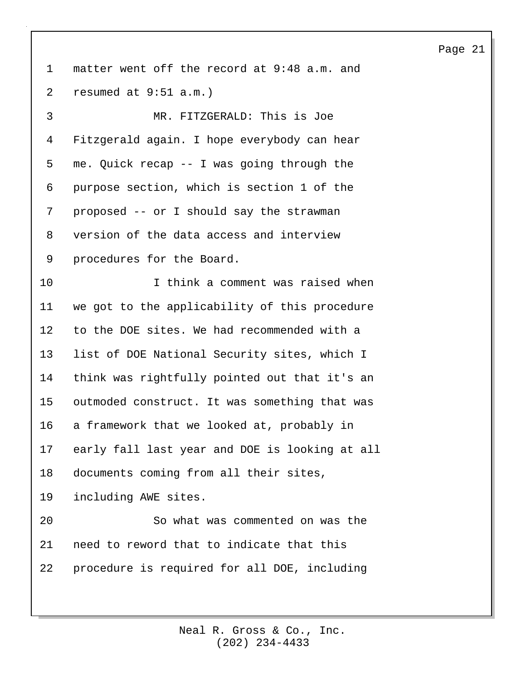1 matter went off the record at 9:48 a.m. and 2 resumed at 9:51 a.m.) 3 MR. FITZGERALD: This is Joe 4 Fitzgerald again. I hope everybody can hear 5 me. Quick recap -- I was going through the 6 purpose section, which is section 1 of the 7 proposed -- or I should say the strawman 8 version of the data access and interview 9 procedures for the Board. 10 I think a comment was raised when 11 we got to the applicability of this procedure 12 to the DOE sites. We had recommended with a 13 list of DOE National Security sites, which I 14 think was rightfully pointed out that it's an 15 outmoded construct. It was something that was 16 a framework that we looked at, probably in 17 early fall last year and DOE is looking at all 18 documents coming from all their sites, 19 including AWE sites. 20 So what was commented on was the 21 need to reword that to indicate that this 22 procedure is required for all DOE, including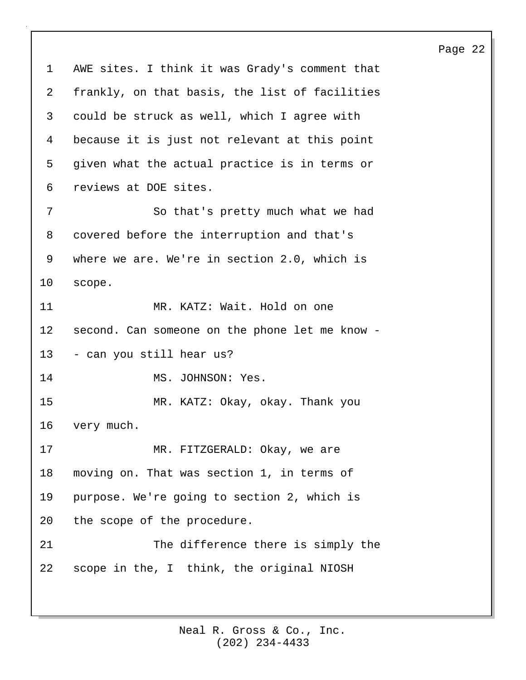1 AWE sites. I think it was Grady's comment that 2 frankly, on that basis, the list of facilities 3 could be struck as well, which I agree with 4 because it is just not relevant at this point 5 given what the actual practice is in terms or 6 reviews at DOE sites. 7 So that's pretty much what we had 8 covered before the interruption and that's 9 where we are. We're in section 2.0, which is 10 scope. 11 MR. KATZ: Wait. Hold on one 12 second. Can someone on the phone let me know - 13 - can you still hear us? 14 MS. JOHNSON: Yes. 15 MR. KATZ: Okay, okay. Thank you 16 very much. 17 MR. FITZGERALD: Okay, we are 18 moving on. That was section 1, in terms of 19 purpose. We're going to section 2, which is 20 the scope of the procedure. 21 The difference there is simply the 22 scope in the, I think, the original NIOSH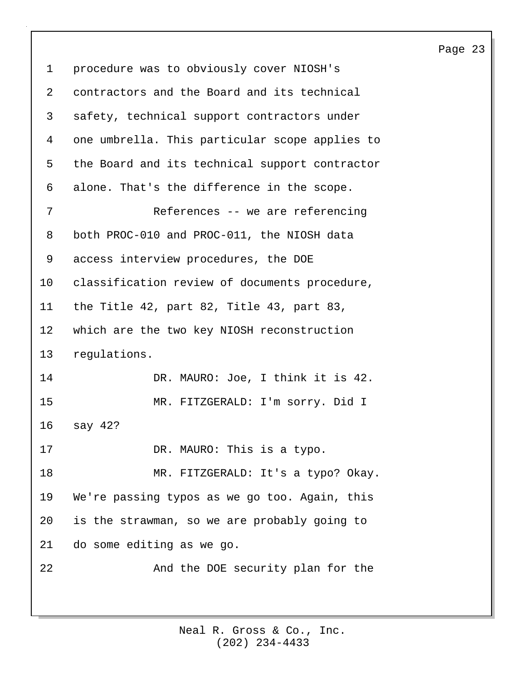| $\mathbf 1$ | procedure was to obviously cover NIOSH's       |
|-------------|------------------------------------------------|
| 2           | contractors and the Board and its technical    |
| 3           | safety, technical support contractors under    |
| 4           | one umbrella. This particular scope applies to |
| 5           | the Board and its technical support contractor |
| 6           | alone. That's the difference in the scope.     |
| 7           | References -- we are referencing               |
| 8           | both PROC-010 and PROC-011, the NIOSH data     |
| 9           | access interview procedures, the DOE           |
| 10          | classification review of documents procedure,  |
| 11          | the Title 42, part 82, Title 43, part 83,      |
| 12          | which are the two key NIOSH reconstruction     |
| 13          | regulations.                                   |
| 14          | DR. MAURO: Joe, I think it is 42.              |
| 15          | MR. FITZGERALD: I'm sorry. Did I               |
| 16          | say 42?                                        |
| 17          | DR. MAURO: This is a typo.                     |
| 18          | MR. FITZGERALD: It's a typo? Okay.             |
| 19          | We're passing typos as we go too. Again, this  |
| 20          | is the strawman, so we are probably going to   |
| 21          | do some editing as we go.                      |
| 22          | And the DOE security plan for the              |
|             |                                                |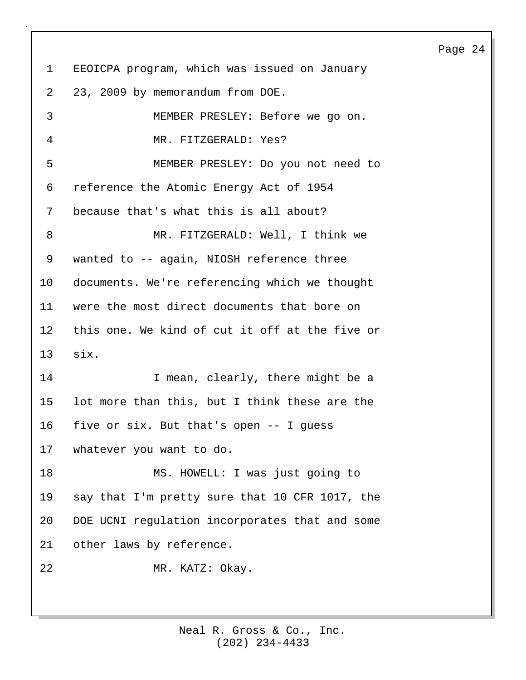1 EEOICPA program, which was issued on January 2 23, 2009 by memorandum from DOE. 3 MEMBER PRESLEY: Before we go on. 4 MR. FITZGERALD: Yes? 5 MEMBER PRESLEY: Do you not need to 6 reference the Atomic Energy Act of 1954 7 because that's what this is all about? 8 MR. FITZGERALD: Well, I think we 9 wanted to -- again, NIOSH reference three 10 documents. We're referencing which we thought 11 were the most direct documents that bore on 12 this one. We kind of cut it off at the five or 13 six. 14 I mean, clearly, there might be a 15 lot more than this, but I think these are the 16 five or six. But that's open -- I guess 17 whatever you want to do. 18 MS. HOWELL: I was just going to 19 say that I'm pretty sure that 10 CFR 1017, the 20 DOE UCNI regulation incorporates that and some 21 other laws by reference. 22 MR. KATZ: Okay.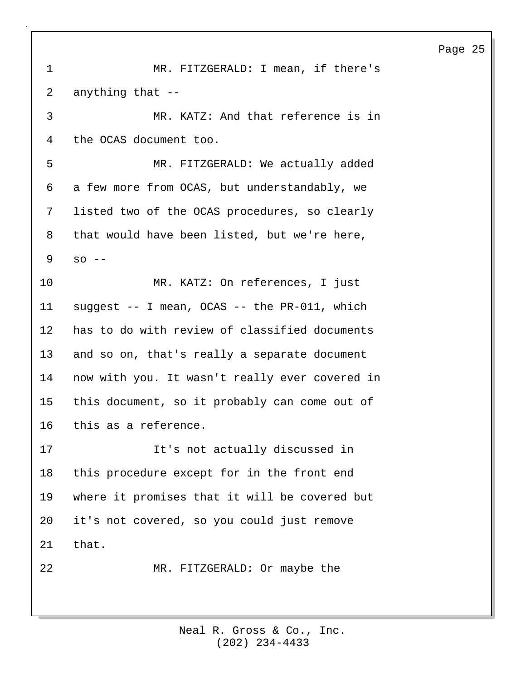1 MR. FITZGERALD: I mean, if there's 2 anything that -- 3 MR. KATZ: And that reference is in 4 the OCAS document too. 5 MR. FITZGERALD: We actually added 6 a few more from OCAS, but understandably, we 7 listed two of the OCAS procedures, so clearly 8 that would have been listed, but we're here,  $9$  so  $-$ 10 MR. KATZ: On references, I just 11 suggest -- I mean, OCAS -- the PR-011, which 12 has to do with review of classified documents 13 and so on, that's really a separate document 14 now with you. It wasn't really ever covered in 15 this document, so it probably can come out of 16 this as a reference. 17 It's not actually discussed in 18 this procedure except for in the front end 19 where it promises that it will be covered but 20 it's not covered, so you could just remove 21 that. 22 MR. FITZGERALD: Or maybe the

> (202) 234-4433 Neal R. Gross & Co., Inc.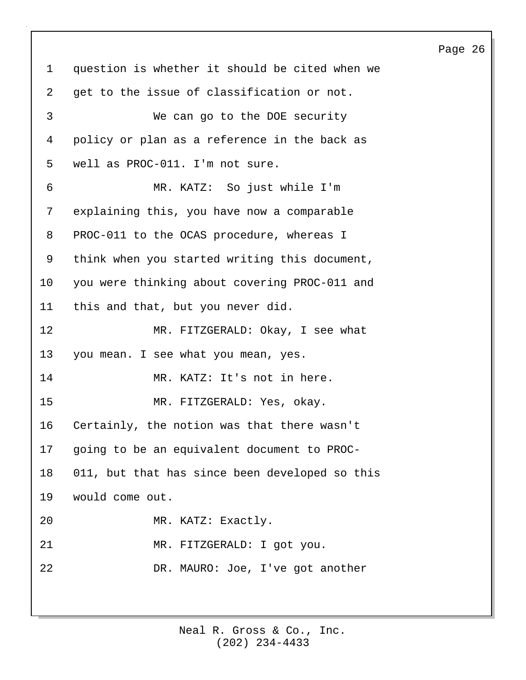1 question is whether it should be cited when we 2 get to the issue of classification or not. 3 We can go to the DOE security 4 policy or plan as a reference in the back as 5 well as PROC-011. I'm not sure. 6 MR. KATZ: So just while I'm 7 explaining this, you have now a comparable 8 PROC-011 to the OCAS procedure, whereas I 9 think when you started writing this document, 10 you were thinking about covering PROC-011 and 11 this and that, but you never did. 12 MR. FITZGERALD: Okay, I see what 13 you mean. I see what you mean, yes. 14 MR. KATZ: It's not in here. 15 MR. FITZGERALD: Yes, okay. 16 Certainly, the notion was that there wasn't 17 going to be an equivalent document to PROC-18 011, but that has since been developed so this 19 would come out. 20 MR. KATZ: Exactly. 21 MR. FITZGERALD: I got you. 22 DR. MAURO: Joe, I've got another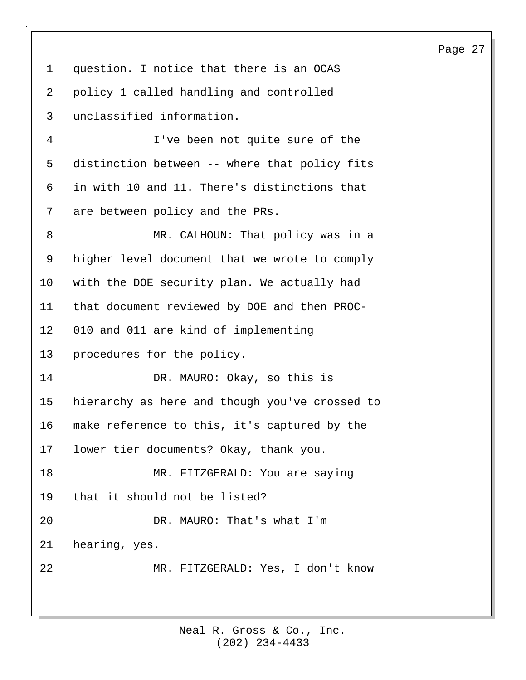1 question. I notice that there is an OCAS 2 policy 1 called handling and controlled 3 unclassified information. 4 I've been not quite sure of the 5 distinction between -- where that policy fits 6 in with 10 and 11. There's distinctions that 7 are between policy and the PRs. 8 MR. CALHOUN: That policy was in a 9 higher level document that we wrote to comply 10 with the DOE security plan. We actually had 11 that document reviewed by DOE and then PROC-12 010 and 011 are kind of implementing 13 procedures for the policy. 14 DR. MAURO: Okay, so this is 15 hierarchy as here and though you've crossed to 16 make reference to this, it's captured by the 17 lower tier documents? Okay, thank you. 18 MR. FITZGERALD: You are saying 19 that it should not be listed? 20 DR. MAURO: That's what I'm 21 hearing, yes. 22 MR. FITZGERALD: Yes, I don't know

> (202) 234-4433 Neal R. Gross & Co., Inc.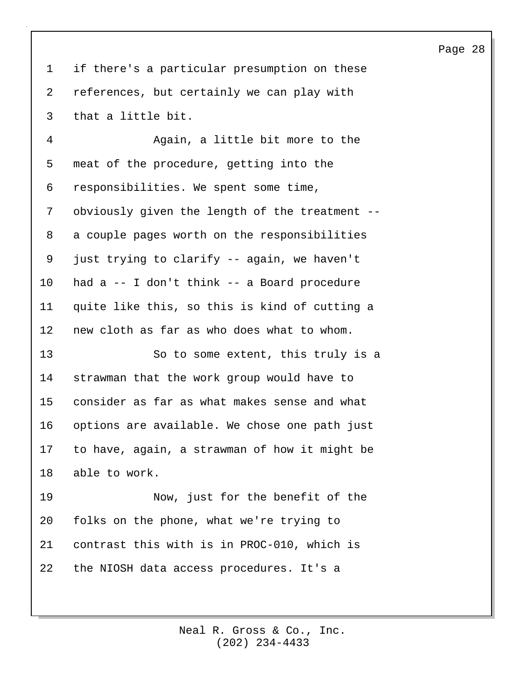1 if there's a particular presumption on these 2 references, but certainly we can play with 3 that a little bit.

4 Again, a little bit more to the 5 meat of the procedure, getting into the 6 responsibilities. We spent some time, 7 obviously given the length of the treatment -- 8 a couple pages worth on the responsibilities 9 just trying to clarify -- again, we haven't 10 had a -- I don't think -- a Board procedure 11 quite like this, so this is kind of cutting a 12 new cloth as far as who does what to whom. 13 So to some extent, this truly is a

14 strawman that the work group would have to 15 consider as far as what makes sense and what 16 options are available. We chose one path just 17 to have, again, a strawman of how it might be 18 able to work.

19 Now, just for the benefit of the 20 folks on the phone, what we're trying to 21 contrast this with is in PROC-010, which is 22 the NIOSH data access procedures. It's a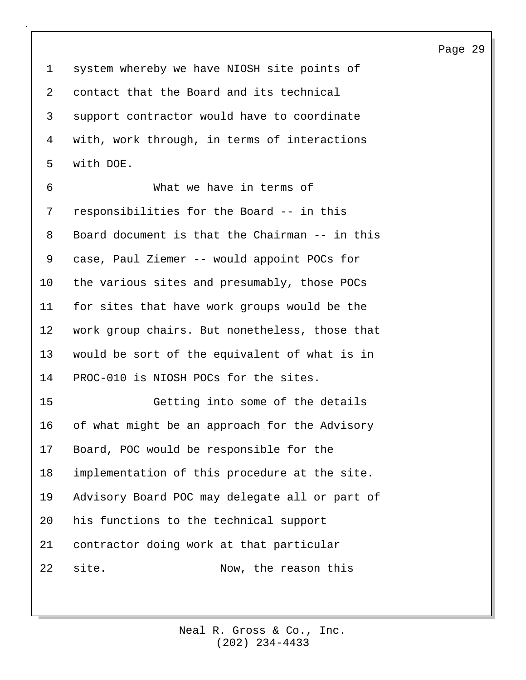1 system whereby we have NIOSH site points of 2 contact that the Board and its technical 3 support contractor would have to coordinate 4 with, work through, in terms of interactions 5 with DOE.

6 What we have in terms of 7 responsibilities for the Board -- in this 8 Board document is that the Chairman -- in this 9 case, Paul Ziemer -- would appoint POCs for 10 the various sites and presumably, those POCs 11 for sites that have work groups would be the 12 work group chairs. But nonetheless, those that 13 would be sort of the equivalent of what is in 14 PROC-010 is NIOSH POCs for the sites.

15 Getting into some of the details 16 of what might be an approach for the Advisory 17 Board, POC would be responsible for the 18 implementation of this procedure at the site. 19 Advisory Board POC may delegate all or part of 20 his functions to the technical support 21 contractor doing work at that particular 22 site. Now, the reason this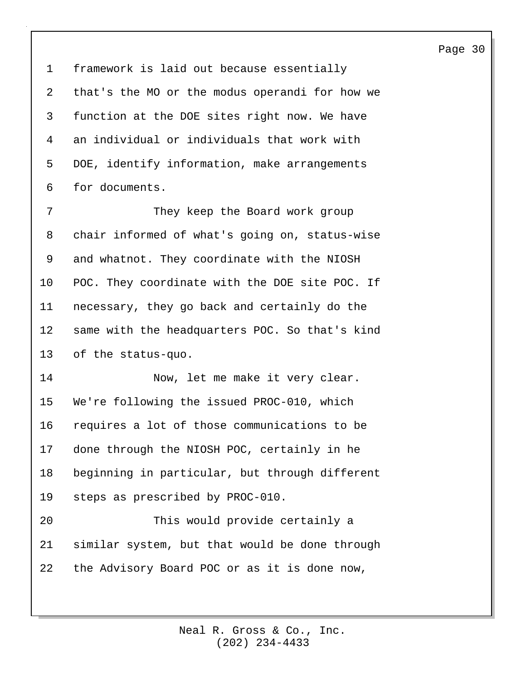1 framework is laid out because essentially 2 that's the MO or the modus operandi for how we 3 function at the DOE sites right now. We have 4 an individual or individuals that work with 5 DOE, identify information, make arrangements 6 for documents.

7 They keep the Board work group 8 chair informed of what's going on, status-wise 9 and whatnot. They coordinate with the NIOSH 10 POC. They coordinate with the DOE site POC. If 11 necessary, they go back and certainly do the 12 same with the headquarters POC. So that's kind 13 of the status-quo.

14 Now, let me make it very clear. 15 We're following the issued PROC-010, which 16 requires a lot of those communications to be 17 done through the NIOSH POC, certainly in he 18 beginning in particular, but through different 19 steps as prescribed by PROC-010. 20 This would provide certainly a

22 the Advisory Board POC or as it is done now,

21 similar system, but that would be done through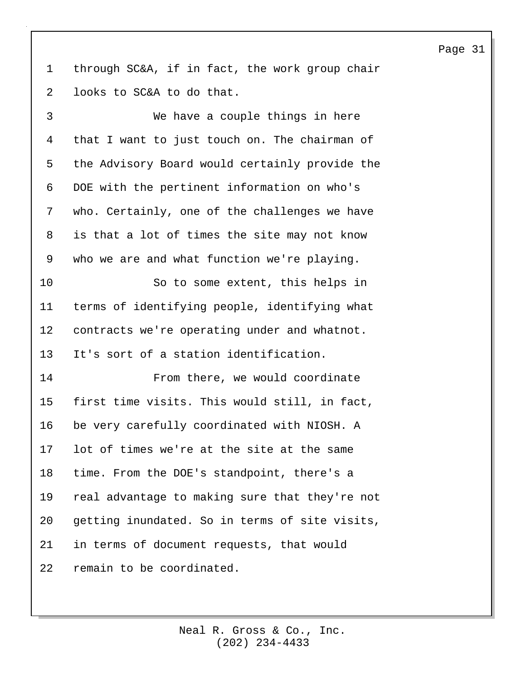1 through SC&A, if in fact, the work group chair 2 looks to SC&A to do that.

3 We have a couple things in here 4 that I want to just touch on. The chairman of 5 the Advisory Board would certainly provide the 6 DOE with the pertinent information on who's 7 who. Certainly, one of the challenges we have 8 is that a lot of times the site may not know 9 who we are and what function we're playing. 10 So to some extent, this helps in

11 terms of identifying people, identifying what 12 contracts we're operating under and whatnot. 13 It's sort of a station identification.

14 From there, we would coordinate 15 first time visits. This would still, in fact, 16 be very carefully coordinated with NIOSH. A 17 lot of times we're at the site at the same 18 time. From the DOE's standpoint, there's a 19 real advantage to making sure that they're not 20 getting inundated. So in terms of site visits, 21 in terms of document requests, that would 22 remain to be coordinated.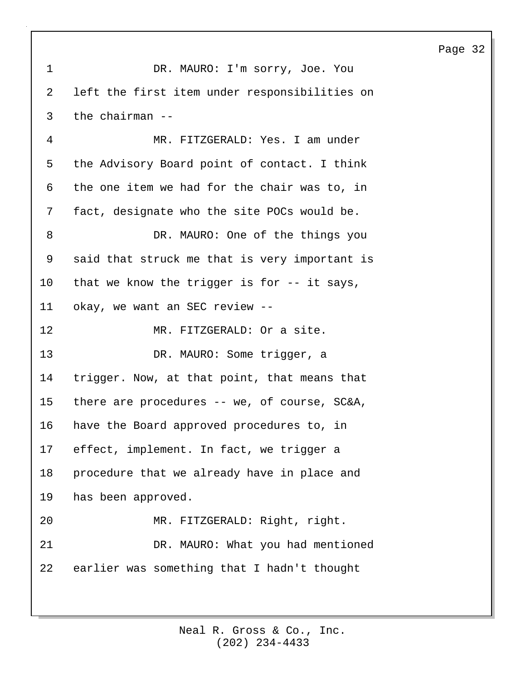1 DR. MAURO: I'm sorry, Joe. You 2 left the first item under responsibilities on 3 the chairman -- 4 MR. FITZGERALD: Yes. I am under 5 the Advisory Board point of contact. I think 6 the one item we had for the chair was to, in 7 fact, designate who the site POCs would be. 8 DR. MAURO: One of the things you 9 said that struck me that is very important is 10 that we know the trigger is for -- it says, 11 okay, we want an SEC review -- 12 MR. FITZGERALD: Or a site. 13 DR. MAURO: Some trigger, a 14 trigger. Now, at that point, that means that 15 there are procedures -- we, of course, SC&A, 16 have the Board approved procedures to, in 17 effect, implement. In fact, we trigger a 18 procedure that we already have in place and 19 has been approved. 20 MR. FITZGERALD: Right, right. 21 DR. MAURO: What you had mentioned 22 earlier was something that I hadn't thought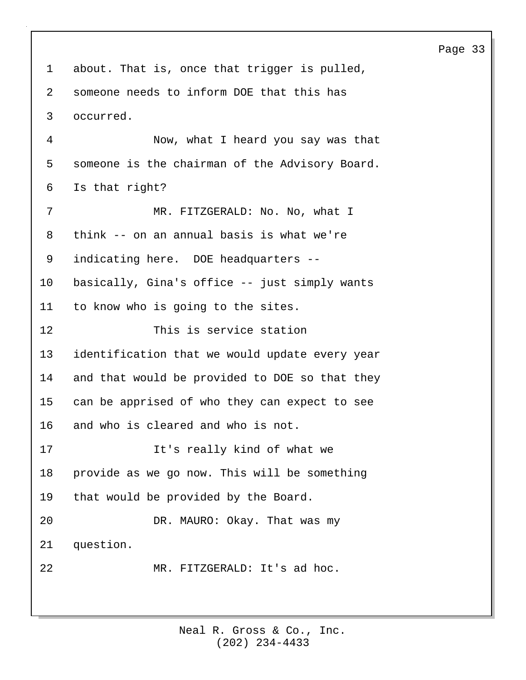| 1  | about. That is, once that trigger is pulled,   |
|----|------------------------------------------------|
| 2  | someone needs to inform DOE that this has      |
| 3  | occurred.                                      |
| 4  | Now, what I heard you say was that             |
| 5  | someone is the chairman of the Advisory Board. |
| 6  | Is that right?                                 |
| 7  | MR. FITZGERALD: No. No, what I                 |
| 8  | think -- on an annual basis is what we're      |
| 9  | indicating here. DOE headquarters --           |
| 10 | basically, Gina's office -- just simply wants  |
| 11 | to know who is going to the sites.             |
| 12 | This is service station                        |
| 13 | identification that we would update every year |
| 14 | and that would be provided to DOE so that they |
| 15 | can be apprised of who they can expect to see  |
| 16 | and who is cleared and who is not.             |
| 17 | It's really kind of what we                    |
| 18 | provide as we go now. This will be something   |
| 19 | that would be provided by the Board.           |
| 20 | DR. MAURO: Okay. That was my                   |
| 21 | question.                                      |
| 22 | MR. FITZGERALD: It's ad hoc.                   |
|    |                                                |

(202) 234-4433 Neal R. Gross & Co., Inc.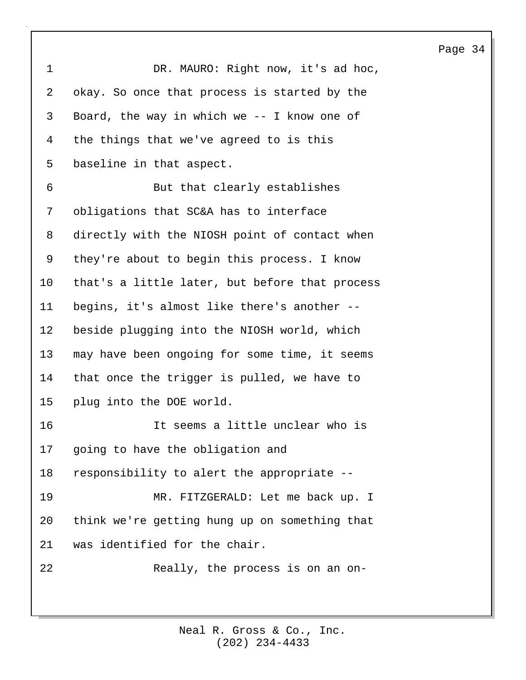| 1  | DR. MAURO: Right now, it's ad hoc,             |
|----|------------------------------------------------|
| 2  | okay. So once that process is started by the   |
| 3  | Board, the way in which we $-$ - I know one of |
| 4  | the things that we've agreed to is this        |
| 5  | baseline in that aspect.                       |
| 6  | But that clearly establishes                   |
| 7  | obligations that SC&A has to interface         |
| 8  | directly with the NIOSH point of contact when  |
| 9  | they're about to begin this process. I know    |
| 10 | that's a little later, but before that process |
| 11 | begins, it's almost like there's another --    |
| 12 | beside plugging into the NIOSH world, which    |
| 13 | may have been ongoing for some time, it seems  |
| 14 | that once the trigger is pulled, we have to    |
| 15 | plug into the DOE world.                       |
| 16 | It seems a little unclear who is               |
| 17 | going to have the obligation and               |
| 18 | responsibility to alert the appropriate --     |
| 19 | MR. FITZGERALD: Let me back up. I              |
| 20 | think we're getting hung up on something that  |
| 21 | was identified for the chair.                  |
| 22 | Really, the process is on an on-               |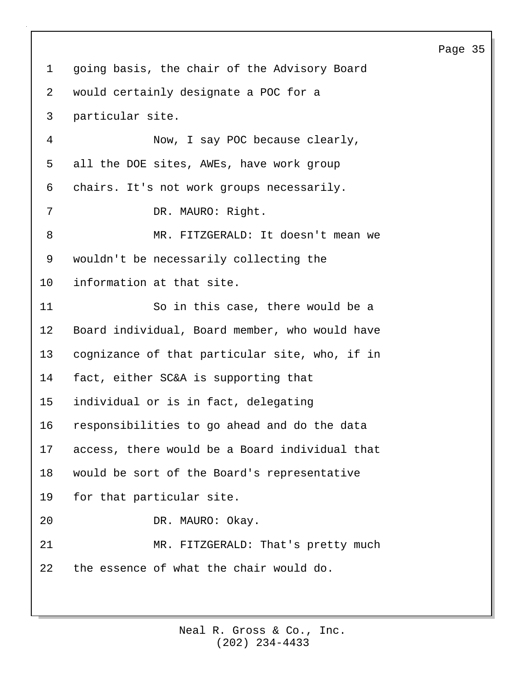1 going basis, the chair of the Advisory Board 2 would certainly designate a POC for a 3 particular site. 4 Now, I say POC because clearly, 5 all the DOE sites, AWEs, have work group 6 chairs. It's not work groups necessarily. 7 DR. MAURO: Right. 8 MR. FITZGERALD: It doesn't mean we 9 wouldn't be necessarily collecting the 10 information at that site. 11 So in this case, there would be a 12 Board individual, Board member, who would have 13 cognizance of that particular site, who, if in 14 fact, either SC&A is supporting that 15 individual or is in fact, delegating 16 responsibilities to go ahead and do the data 17 access, there would be a Board individual that 18 would be sort of the Board's representative 19 for that particular site. 20 DR. MAURO: Okay. 21 MR. FITZGERALD: That's pretty much 22 the essence of what the chair would do.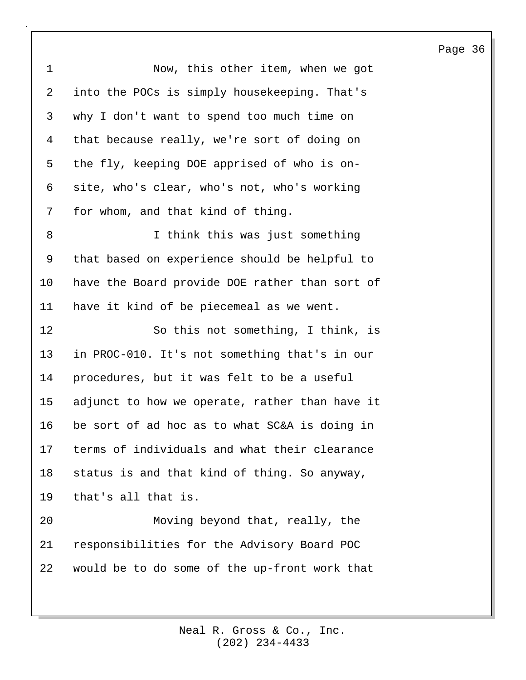| $\mathbf 1$ | Now, this other item, when we got              |
|-------------|------------------------------------------------|
| 2           | into the POCs is simply housekeeping. That's   |
| 3           | why I don't want to spend too much time on     |
| 4           | that because really, we're sort of doing on    |
| 5           | the fly, keeping DOE apprised of who is on-    |
| 6           | site, who's clear, who's not, who's working    |
| 7           | for whom, and that kind of thing.              |
| 8           | I think this was just something                |
| 9           | that based on experience should be helpful to  |
| 10          | have the Board provide DOE rather than sort of |
| 11          | have it kind of be piecemeal as we went.       |
| 12          | So this not something, I think, is             |
| 13          | in PROC-010. It's not something that's in our  |
| 14          | procedures, but it was felt to be a useful     |
| 15          | adjunct to how we operate, rather than have it |
| 16          | be sort of ad hoc as to what SC&A is doing in  |
| 17          | terms of individuals and what their clearance  |
| 18          | status is and that kind of thing. So anyway,   |
| 19          | that's all that is.                            |
| 20          | Moving beyond that, really, the                |
| 21          | responsibilities for the Advisory Board POC    |
| 22          | would be to do some of the up-front work that  |
|             |                                                |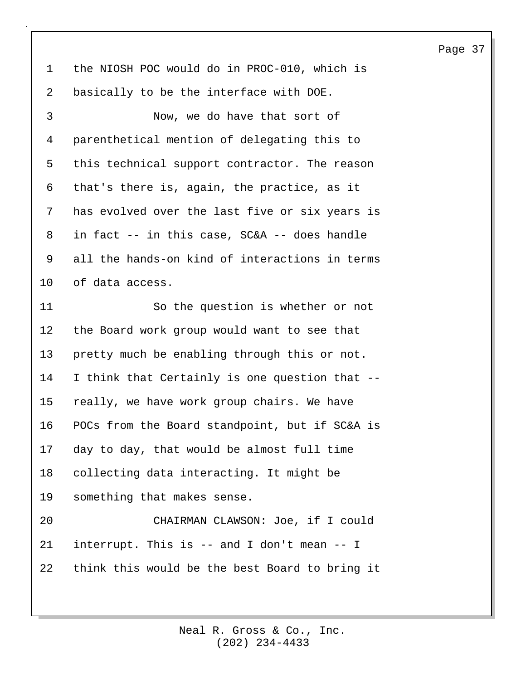1 the NIOSH POC would do in PROC-010, which is 2 basically to be the interface with DOE. 3 Now, we do have that sort of 4 parenthetical mention of delegating this to 5 this technical support contractor. The reason 6 that's there is, again, the practice, as it 7 has evolved over the last five or six years is 8 in fact -- in this case, SC&A -- does handle 9 all the hands-on kind of interactions in terms 10 of data access. 11 So the question is whether or not 12 the Board work group would want to see that 13 pretty much be enabling through this or not. 14 I think that Certainly is one question that -- 15 really, we have work group chairs. We have 16 POCs from the Board standpoint, but if SC&A is 17 day to day, that would be almost full time 18 collecting data interacting. It might be 19 something that makes sense. 20 CHAIRMAN CLAWSON: Joe, if I could 21 interrupt. This is -- and I don't mean -- I

> (202) 234-4433 Neal R. Gross & Co., Inc.

22 think this would be the best Board to bring it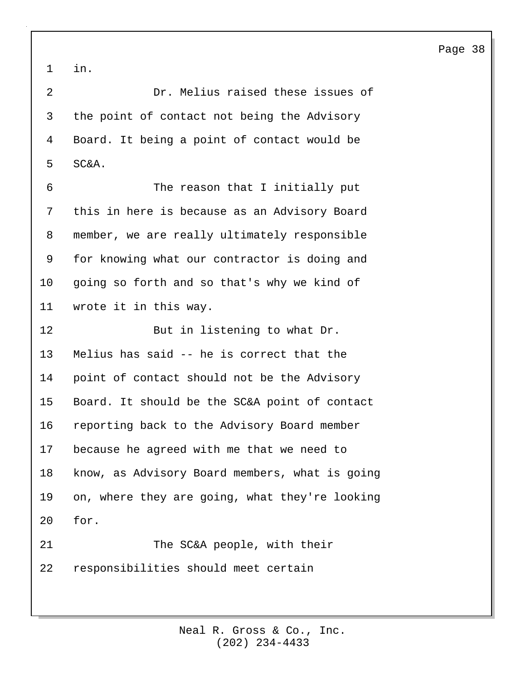1 in.

2 Dr. Melius raised these issues of 3 the point of contact not being the Advisory 4 Board. It being a point of contact would be 5 SC&A.

6 The reason that I initially put 7 this in here is because as an Advisory Board 8 member, we are really ultimately responsible 9 for knowing what our contractor is doing and 10 going so forth and so that's why we kind of 11 wrote it in this way.

12 But in listening to what Dr. 13 Melius has said -- he is correct that the 14 point of contact should not be the Advisory 15 Board. It should be the SC&A point of contact 16 reporting back to the Advisory Board member 17 because he agreed with me that we need to 18 know, as Advisory Board members, what is going 19 on, where they are going, what they're looking 20 for.

21 The SC&A people, with their 22 responsibilities should meet certain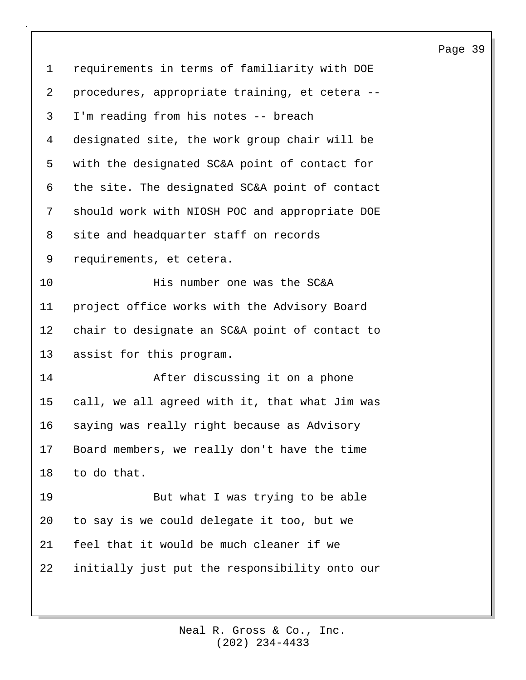| $\mathbf 1$ | requirements in terms of familiarity with DOE  |
|-------------|------------------------------------------------|
| 2           | procedures, appropriate training, et cetera -- |
| 3           | I'm reading from his notes -- breach           |
| 4           | designated site, the work group chair will be  |
| 5           | with the designated SC&A point of contact for  |
| 6           | the site. The designated SC&A point of contact |
| 7           | should work with NIOSH POC and appropriate DOE |
| 8           | site and headquarter staff on records          |
| 9           | requirements, et cetera.                       |
| 10          | His number one was the SC&A                    |
| 11          | project office works with the Advisory Board   |
| 12          | chair to designate an SC&A point of contact to |
| 13          | assist for this program.                       |
| 14          | After discussing it on a phone                 |
| 15          | call, we all agreed with it, that what Jim was |
| 16          | saying was really right because as Advisory    |
| 17          | Board members, we really don't have the time   |
| 18          | to do that.                                    |
| 19          | But what I was trying to be able               |
| 20          | to say is we could delegate it too, but we     |
| 21          | feel that it would be much cleaner if we       |
| 22          | initially just put the responsibility onto our |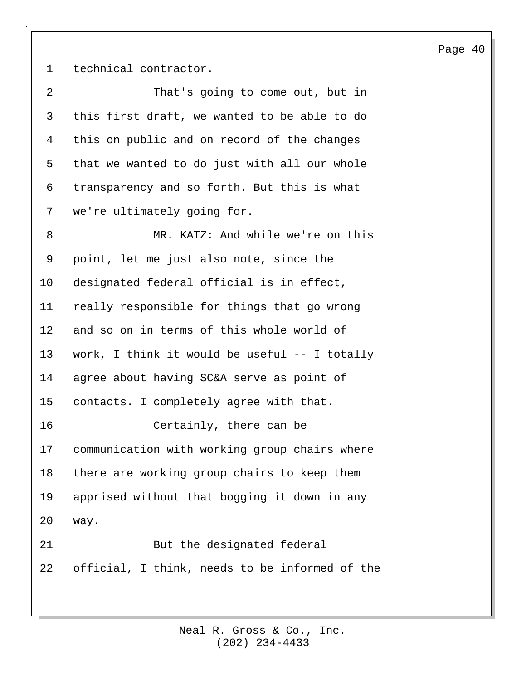1 technical contractor.

| 2       | That's going to come out, but in                |
|---------|-------------------------------------------------|
| 3       | this first draft, we wanted to be able to do    |
| 4       | this on public and on record of the changes     |
| 5       | that we wanted to do just with all our whole    |
| 6       | transparency and so forth. But this is what     |
| 7       | we're ultimately going for.                     |
| 8       | MR. KATZ: And while we're on this               |
| 9       | point, let me just also note, since the         |
| $10 \,$ | designated federal official is in effect,       |
| 11      | really responsible for things that go wrong     |
| 12      | and so on in terms of this whole world of       |
| 13      | work, I think it would be useful $--$ I totally |
| 14      | agree about having SC&A serve as point of       |
| 15      | contacts. I completely agree with that.         |
| 16      | Certainly, there can be                         |
| 17      | communication with working group chairs where   |
| 18      | there are working group chairs to keep them     |
| 19      | apprised without that bogging it down in any    |
| 20      | way.                                            |
| 21      | But the designated federal                      |
| 22      | official, I think, needs to be informed of the  |
|         |                                                 |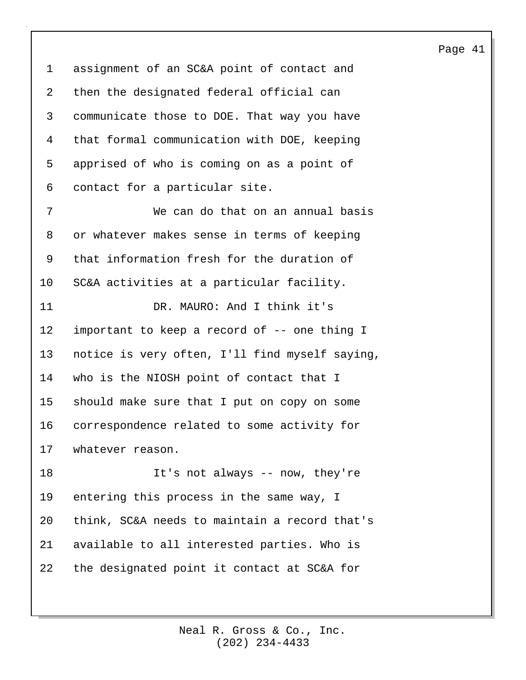1 assignment of an SC&A point of contact and 2 then the designated federal official can 3 communicate those to DOE. That way you have 4 that formal communication with DOE, keeping 5 apprised of who is coming on as a point of 6 contact for a particular site. 7 We can do that on an annual basis 8 or whatever makes sense in terms of keeping 9 that information fresh for the duration of 10 SC&A activities at a particular facility. 11 DR. MAURO: And I think it's 12 important to keep a record of -- one thing I 13 notice is very often, I'll find myself saying, 14 who is the NIOSH point of contact that I 15 should make sure that I put on copy on some 16 correspondence related to some activity for 17 whatever reason. 18 It's not always -- now, they're 19 entering this process in the same way, I 20 think, SC&A needs to maintain a record that's

21 available to all interested parties. Who is 22 the designated point it contact at SC&A for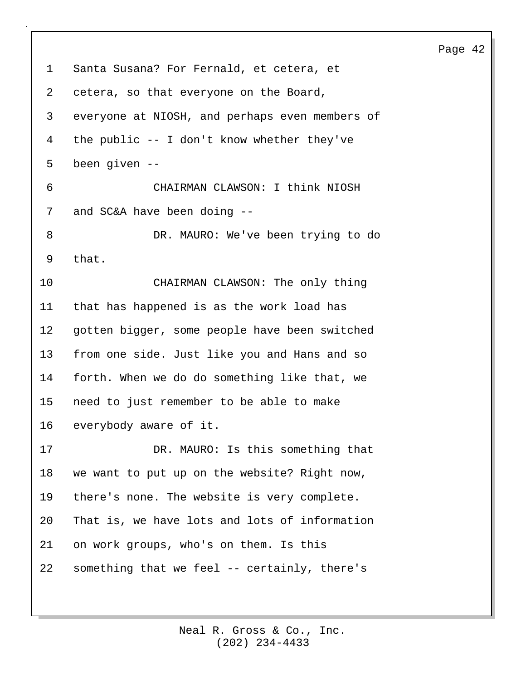1 Santa Susana? For Fernald, et cetera, et 2 cetera, so that everyone on the Board, 3 everyone at NIOSH, and perhaps even members of 4 the public -- I don't know whether they've 5 been given -- 6 CHAIRMAN CLAWSON: I think NIOSH 7 and SC&A have been doing --8 DR. MAURO: We've been trying to do 9 that. 10 CHAIRMAN CLAWSON: The only thing 11 that has happened is as the work load has 12 gotten bigger, some people have been switched 13 from one side. Just like you and Hans and so 14 forth. When we do do something like that, we 15 need to just remember to be able to make 16 everybody aware of it. 17 DR. MAURO: Is this something that 18 we want to put up on the website? Right now, 19 there's none. The website is very complete. 20 That is, we have lots and lots of information 21 on work groups, who's on them. Is this 22 something that we feel -- certainly, there's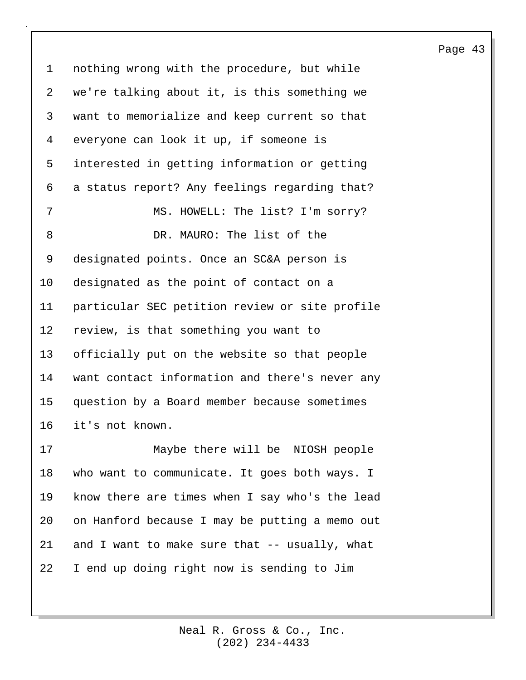1 nothing wrong with the procedure, but while 2 we're talking about it, is this something we 3 want to memorialize and keep current so that 4 everyone can look it up, if someone is 5 interested in getting information or getting 6 a status report? Any feelings regarding that? 7 MS. HOWELL: The list? I'm sorry? 8 DR. MAURO: The list of the 9 designated points. Once an SC&A person is 10 designated as the point of contact on a 11 particular SEC petition review or site profile 12 review, is that something you want to 13 officially put on the website so that people 14 want contact information and there's never any 15 question by a Board member because sometimes 16 it's not known. 17 Maybe there will be NIOSH people 18 who want to communicate. It goes both ways. I 19 know there are times when I say who's the lead 20 on Hanford because I may be putting a memo out 21 and I want to make sure that -- usually, what 22 I end up doing right now is sending to Jim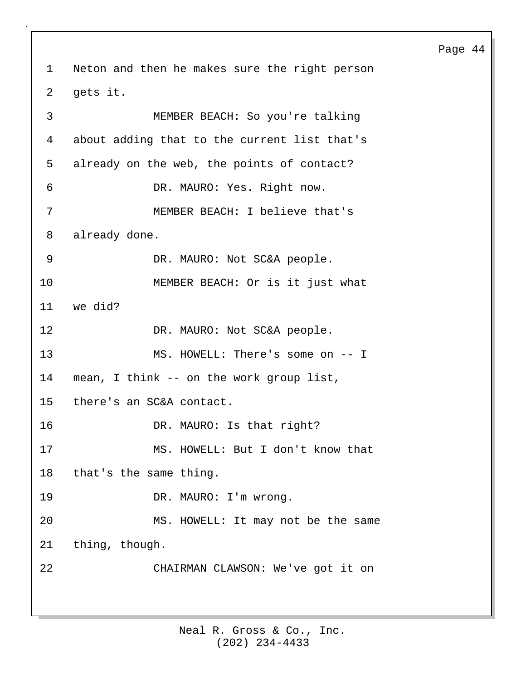1 Neton and then he makes sure the right person 2 gets it. 3 MEMBER BEACH: So you're talking 4 about adding that to the current list that's 5 already on the web, the points of contact? 6 DR. MAURO: Yes. Right now. 7 MEMBER BEACH: I believe that's 8 already done. 9 DR. MAURO: Not SC&A people. 10 MEMBER BEACH: Or is it just what 11 we did? 12 DR. MAURO: Not SC&A people. 13 MS. HOWELL: There's some on -- I 14 mean, I think -- on the work group list, 15 there's an SC&A contact. 16 DR. MAURO: Is that right? 17 MS. HOWELL: But I don't know that 18 that's the same thing. 19 DR. MAURO: I'm wrong. 20 MS. HOWELL: It may not be the same 21 thing, though. 22 CHAIRMAN CLAWSON: We've got it on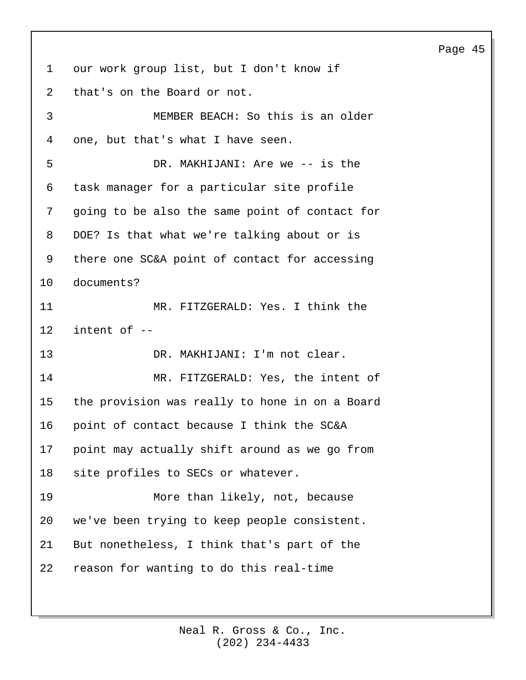1 our work group list, but I don't know if 2 that's on the Board or not. 3 MEMBER BEACH: So this is an older

4 one, but that's what I have seen. 5 DR. MAKHIJANI: Are we -- is the 6 task manager for a particular site profile 7 going to be also the same point of contact for 8 DOE? Is that what we're talking about or is 9 there one SC&A point of contact for accessing 10 documents?

11 MR. FITZGERALD: Yes. I think the 12 intent of --

13 DR. MAKHIJANI: I'm not clear.

14 MR. FITZGERALD: Yes, the intent of 15 the provision was really to hone in on a Board 16 point of contact because I think the SC&A 17 point may actually shift around as we go from 18 site profiles to SECs or whatever.

19 More than likely, not, because 20 we've been trying to keep people consistent. 21 But nonetheless, I think that's part of the 22 reason for wanting to do this real-time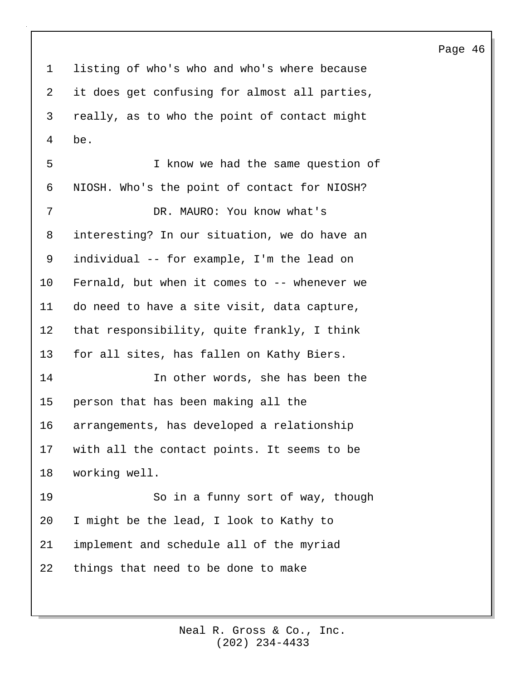1 listing of who's who and who's where because 2 it does get confusing for almost all parties, 3 really, as to who the point of contact might 4 be. 5 I know we had the same question of 6 NIOSH. Who's the point of contact for NIOSH? 7 DR. MAURO: You know what's 8 interesting? In our situation, we do have an 9 individual -- for example, I'm the lead on 10 Fernald, but when it comes to -- whenever we 11 do need to have a site visit, data capture, 12 that responsibility, quite frankly, I think 13 for all sites, has fallen on Kathy Biers. 14 In other words, she has been the 15 person that has been making all the 16 arrangements, has developed a relationship 17 with all the contact points. It seems to be 18 working well. 19 So in a funny sort of way, though

20 I might be the lead, I look to Kathy to 21 implement and schedule all of the myriad

22 things that need to be done to make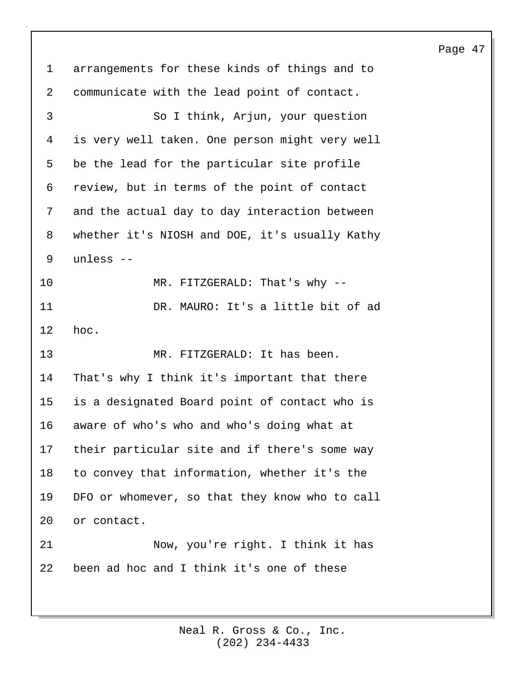1 arrangements for these kinds of things and to 2 communicate with the lead point of contact. 3 So I think, Arjun, your question 4 is very well taken. One person might very well 5 be the lead for the particular site profile 6 review, but in terms of the point of contact 7 and the actual day to day interaction between 8 whether it's NIOSH and DOE, it's usually Kathy 9 unless -- 10 MR. FITZGERALD: That's why --11 DR. MAURO: It's a little bit of ad 12 hoc. 13 MR. FITZGERALD: It has been. 14 That's why I think it's important that there 15 is a designated Board point of contact who is 16 aware of who's who and who's doing what at 17 their particular site and if there's some way 18 to convey that information, whether it's the 19 DFO or whomever, so that they know who to call 20 or contact. 21 Now, you're right. I think it has 22 been ad hoc and I think it's one of these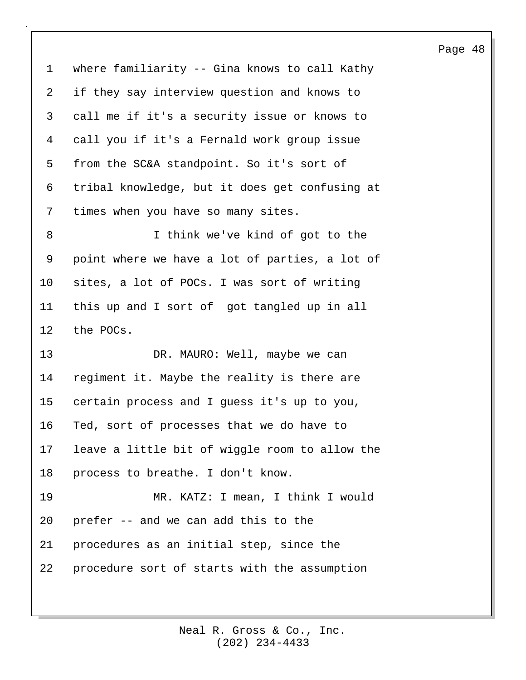1 where familiarity -- Gina knows to call Kathy 2 if they say interview question and knows to 3 call me if it's a security issue or knows to 4 call you if it's a Fernald work group issue 5 from the SC&A standpoint. So it's sort of 6 tribal knowledge, but it does get confusing at 7 times when you have so many sites. 8 I think we've kind of got to the 9 point where we have a lot of parties, a lot of 10 sites, a lot of POCs. I was sort of writing 11 this up and I sort of got tangled up in all 12 the POCs. 13 DR. MAURO: Well, maybe we can 14 regiment it. Maybe the reality is there are 15 certain process and I guess it's up to you, 16 Ted, sort of processes that we do have to 17 leave a little bit of wiggle room to allow the 18 process to breathe. I don't know. 19 MR. KATZ: I mean, I think I would 20 prefer -- and we can add this to the 21 procedures as an initial step, since the 22 procedure sort of starts with the assumption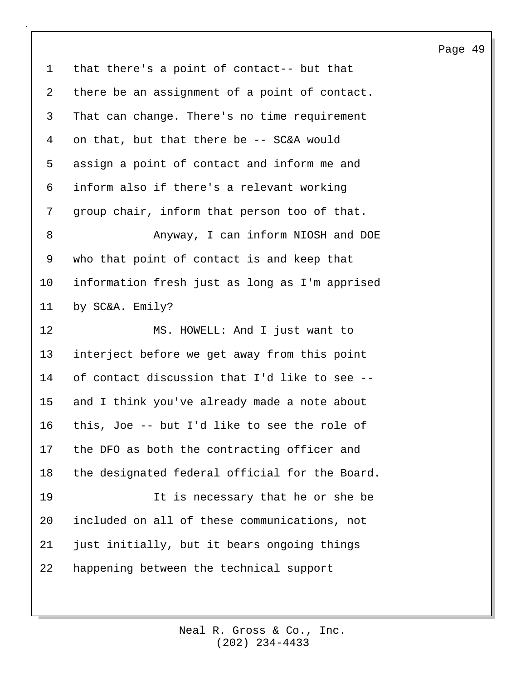1 that there's a point of contact-- but that 2 there be an assignment of a point of contact. 3 That can change. There's no time requirement 4 on that, but that there be -- SC&A would 5 assign a point of contact and inform me and 6 inform also if there's a relevant working 7 group chair, inform that person too of that. 8 **Anyway, I can inform NIOSH and DOE** 9 who that point of contact is and keep that 10 information fresh just as long as I'm apprised 11 by SC&A. Emily? 12 MS. HOWELL: And I just want to 13 interject before we get away from this point 14 of contact discussion that I'd like to see -- 15 and I think you've already made a note about 16 this, Joe -- but I'd like to see the role of 17 the DFO as both the contracting officer and 18 the designated federal official for the Board. 19 It is necessary that he or she be 20 included on all of these communications, not 21 just initially, but it bears ongoing things 22 happening between the technical support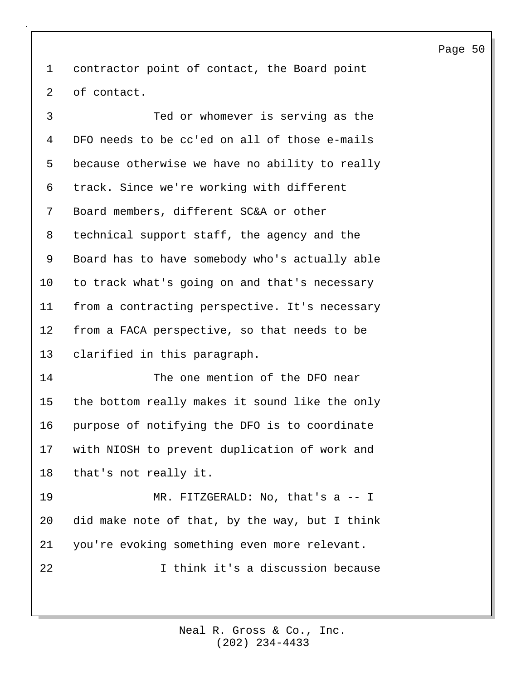1 contractor point of contact, the Board point 2 of contact.

3 Ted or whomever is serving as the 4 DFO needs to be cc'ed on all of those e-mails 5 because otherwise we have no ability to really 6 track. Since we're working with different 7 Board members, different SC&A or other 8 technical support staff, the agency and the 9 Board has to have somebody who's actually able 10 to track what's going on and that's necessary 11 from a contracting perspective. It's necessary 12 from a FACA perspective, so that needs to be 13 clarified in this paragraph.

14 The one mention of the DFO near 15 the bottom really makes it sound like the only 16 purpose of notifying the DFO is to coordinate 17 with NIOSH to prevent duplication of work and 18 that's not really it.

19 MR. FITZGERALD: No, that's a -- I 20 did make note of that, by the way, but I think 21 you're evoking something even more relevant. 22 I think it's a discussion because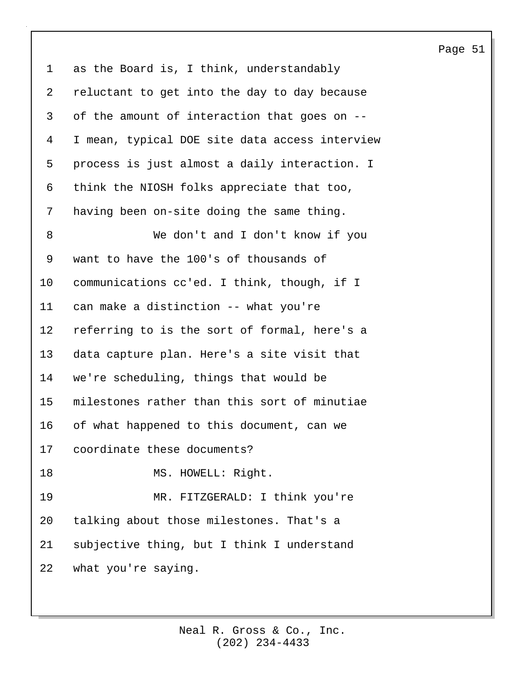1 as the Board is, I think, understandably 2 reluctant to get into the day to day because 3 of the amount of interaction that goes on -- 4 I mean, typical DOE site data access interview 5 process is just almost a daily interaction. I 6 think the NIOSH folks appreciate that too, 7 having been on-site doing the same thing. 8 We don't and I don't know if you 9 want to have the 100's of thousands of 10 communications cc'ed. I think, though, if I 11 can make a distinction -- what you're 12 referring to is the sort of formal, here's a 13 data capture plan. Here's a site visit that 14 we're scheduling, things that would be 15 milestones rather than this sort of minutiae 16 of what happened to this document, can we 17 coordinate these documents? 18 MS. HOWELL: Right. 19 MR. FITZGERALD: I think you're

20 talking about those milestones. That's a 21 subjective thing, but I think I understand 22 what you're saying.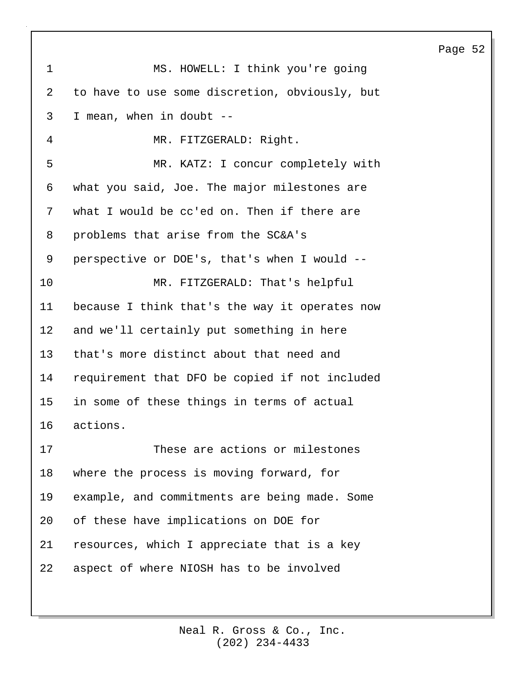| $\mathbf{1}$   | MS. HOWELL: I think you're going               |
|----------------|------------------------------------------------|
| $\overline{2}$ | to have to use some discretion, obviously, but |
| 3              | I mean, when in doubt --                       |
| 4              | MR. FITZGERALD: Right.                         |
| 5              | MR. KATZ: I concur completely with             |
| 6              | what you said, Joe. The major milestones are   |
| 7              | what I would be cc'ed on. Then if there are    |
| 8              | problems that arise from the SC&A's            |
| 9              | perspective or DOE's, that's when I would --   |
| 10             | MR. FITZGERALD: That's helpful                 |
| 11             | because I think that's the way it operates now |
| 12             | and we'll certainly put something in here      |
| 13             | that's more distinct about that need and       |
| 14             | requirement that DFO be copied if not included |
| 15             | in some of these things in terms of actual     |
| 16             | actions.                                       |
| 17             | These are actions or milestones                |
| 18             | where the process is moving forward, for       |
| 19             | example, and commitments are being made. Some  |
| 20             | of these have implications on DOE for          |
| 21             | resources, which I appreciate that is a key    |
| 22             | aspect of where NIOSH has to be involved       |
|                |                                                |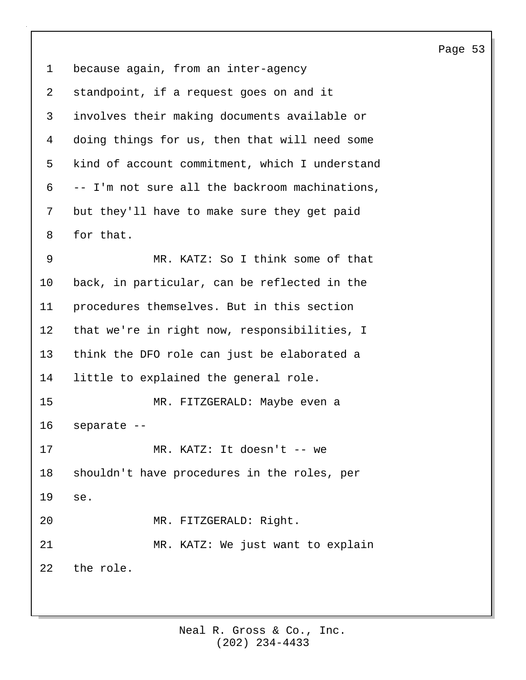1 because again, from an inter-agency 2 standpoint, if a request goes on and it 3 involves their making documents available or 4 doing things for us, then that will need some 5 kind of account commitment, which I understand 6 -- I'm not sure all the backroom machinations, 7 but they'll have to make sure they get paid 8 for that. 9 MR. KATZ: So I think some of that 10 back, in particular, can be reflected in the 11 procedures themselves. But in this section 12 that we're in right now, responsibilities, I 13 think the DFO role can just be elaborated a 14 little to explained the general role. 15 MR. FITZGERALD: Maybe even a 16 separate -- 17 MR. KATZ: It doesn't -- we 18 shouldn't have procedures in the roles, per 19 se. 20 MR. FITZGERALD: Right. 21 MR. KATZ: We just want to explain 22 the role.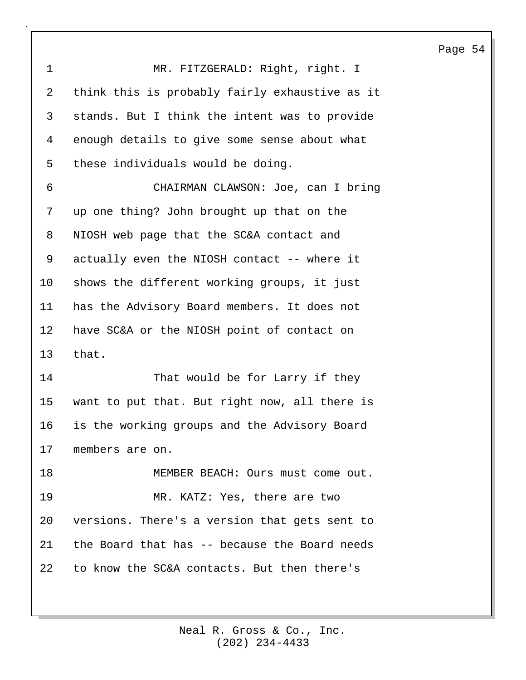| $\mathbf 1$     | MR. FITZGERALD: Right, right. I                  |
|-----------------|--------------------------------------------------|
| 2               | think this is probably fairly exhaustive as it   |
| 3               | stands. But I think the intent was to provide    |
| 4               | enough details to give some sense about what     |
| 5               | these individuals would be doing.                |
| 6               | CHAIRMAN CLAWSON: Joe, can I bring               |
| 7               | up one thing? John brought up that on the        |
| 8               | NIOSH web page that the SC&A contact and         |
| 9               | actually even the NIOSH contact -- where it      |
| 10              | shows the different working groups, it just      |
| 11              | has the Advisory Board members. It does not      |
| 12              | have SC&A or the NIOSH point of contact on       |
| 13              | that.                                            |
| 14              | That would be for Larry if they                  |
| 15 <sub>2</sub> | want to put that. But right now, all there is    |
|                 | 16 is the working groups and the Advisory Board  |
|                 | 17 members are on.                               |
| 18              | MEMBER BEACH: Ours must come out.                |
| 19              | MR. KATZ: Yes, there are two                     |
| 20              | versions. There's a version that gets sent to    |
|                 | 21 the Board that has -- because the Board needs |
| 22              | to know the SC&A contacts. But then there's      |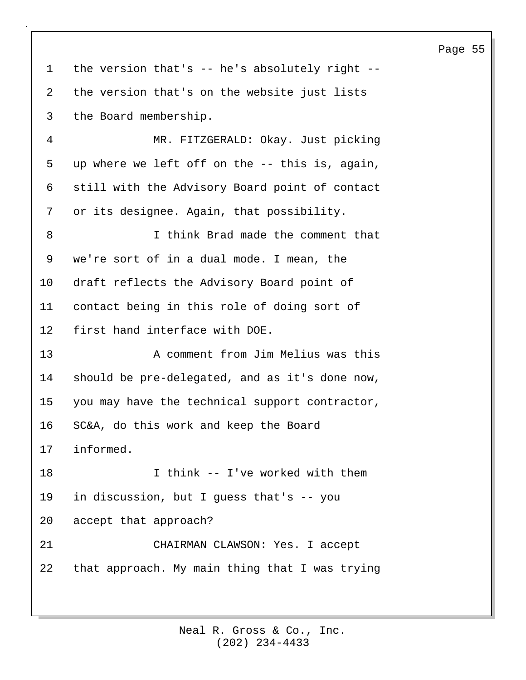1 the version that's -- he's absolutely right -- 2 the version that's on the website just lists 3 the Board membership. 4 MR. FITZGERALD: Okay. Just picking 5 up where we left off on the -- this is, again, 6 still with the Advisory Board point of contact 7 or its designee. Again, that possibility. 8 I think Brad made the comment that 9 we're sort of in a dual mode. I mean, the 10 draft reflects the Advisory Board point of 11 contact being in this role of doing sort of 12 first hand interface with DOE. 13 A comment from Jim Melius was this 14 should be pre-delegated, and as it's done now, 15 you may have the technical support contractor, 16 SC&A, do this work and keep the Board 17 informed.

18 I think -- I've worked with them 19 in discussion, but I guess that's -- you 20 accept that approach? 21 CHAIRMAN CLAWSON: Yes. I accept 22 that approach. My main thing that I was trying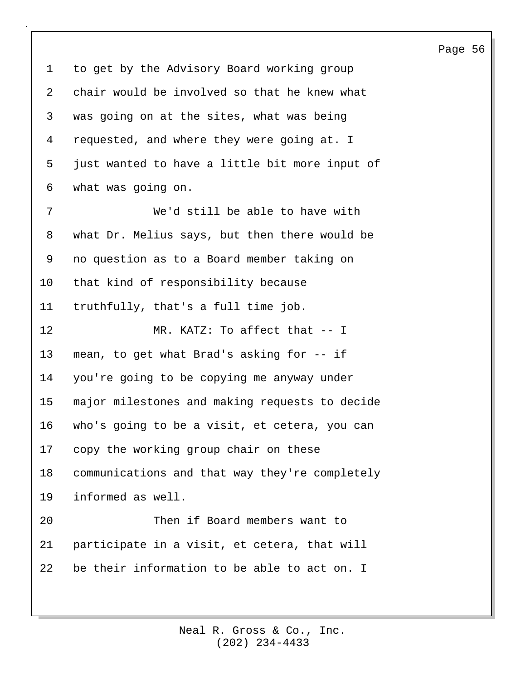1 to get by the Advisory Board working group 2 chair would be involved so that he knew what 3 was going on at the sites, what was being 4 requested, and where they were going at. I 5 just wanted to have a little bit more input of 6 what was going on. 7 We'd still be able to have with 8 what Dr. Melius says, but then there would be 9 no question as to a Board member taking on 10 that kind of responsibility because 11 truthfully, that's a full time job. 12 MR. KATZ: To affect that -- I 13 mean, to get what Brad's asking for -- if 14 you're going to be copying me anyway under 15 major milestones and making requests to decide 16 who's going to be a visit, et cetera, you can 17 copy the working group chair on these 18 communications and that way they're completely 19 informed as well. 20 Then if Board members want to

22 be their information to be able to act on. I

21 participate in a visit, et cetera, that will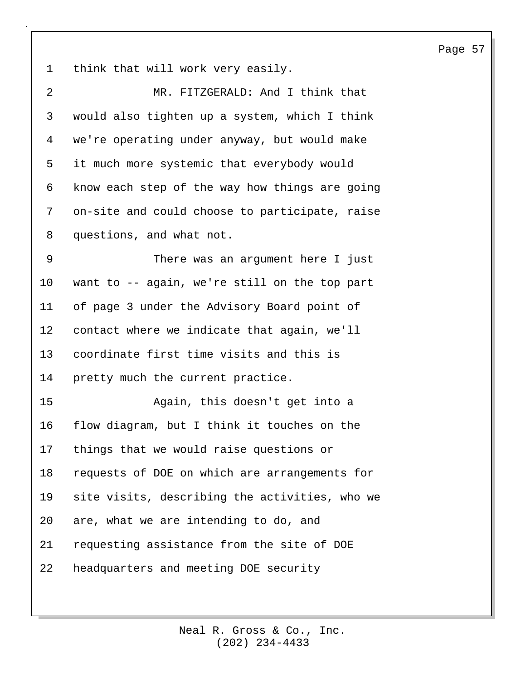1 think that will work very easily.

| $\overline{2}$ | MR. FITZGERALD: And I think that               |
|----------------|------------------------------------------------|
| 3              | would also tighten up a system, which I think  |
| 4              | we're operating under anyway, but would make   |
| 5              | it much more systemic that everybody would     |
| 6              | know each step of the way how things are going |
| 7              | on-site and could choose to participate, raise |
| 8              | questions, and what not.                       |
| 9              | There was an argument here I just              |
| 10             | want to -- again, we're still on the top part  |
| 11             | of page 3 under the Advisory Board point of    |
| 12             | contact where we indicate that again, we'll    |
| 13             | coordinate first time visits and this is       |
| 14             | pretty much the current practice.              |
| 15             | Again, this doesn't get into a                 |
| 16             | flow diagram, but I think it touches on the    |
| 17             | things that we would raise questions or        |
| 18             | requests of DOE on which are arrangements for  |
| 19             | site visits, describing the activities, who we |
| 20             | are, what we are intending to do, and          |
| 21             | requesting assistance from the site of DOE     |
| 22             | headquarters and meeting DOE security          |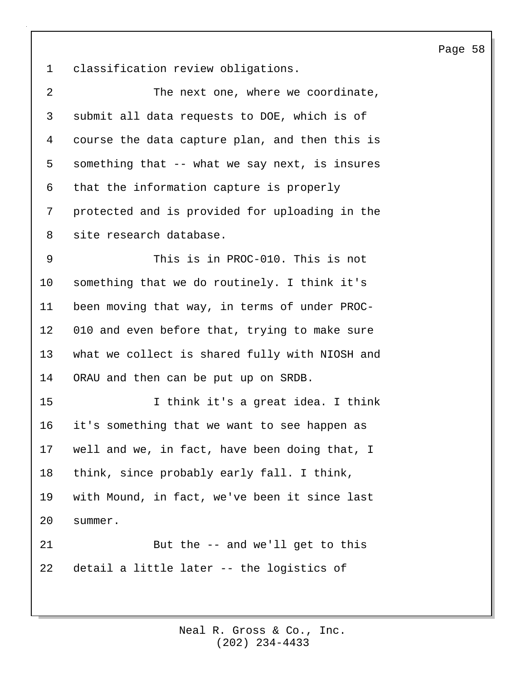1 classification review obligations.

| $\overline{2}$  | The next one, where we coordinate,             |
|-----------------|------------------------------------------------|
| 3               | submit all data requests to DOE, which is of   |
| 4               | course the data capture plan, and then this is |
| 5               | something that -- what we say next, is insures |
| 6               | that the information capture is properly       |
| 7               | protected and is provided for uploading in the |
| 8               | site research database.                        |
| 9               | This is in PROC-010. This is not               |
| $10 \,$         | something that we do routinely. I think it's   |
| 11              | been moving that way, in terms of under PROC-  |
| 12 <sub>1</sub> | 010 and even before that, trying to make sure  |
| 13              | what we collect is shared fully with NIOSH and |
| 14              | ORAU and then can be put up on SRDB.           |
| 15              | I think it's a great idea. I think             |
| 16              | it's something that we want to see happen as   |
| 17              | well and we, in fact, have been doing that, I  |
| 18              | think, since probably early fall. I think,     |
| 19              | with Mound, in fact, we've been it since last  |
| 20              | summer.                                        |
| 21              | But the -- and we'll get to this               |
| 22              | detail a little later -- the logistics of      |
|                 |                                                |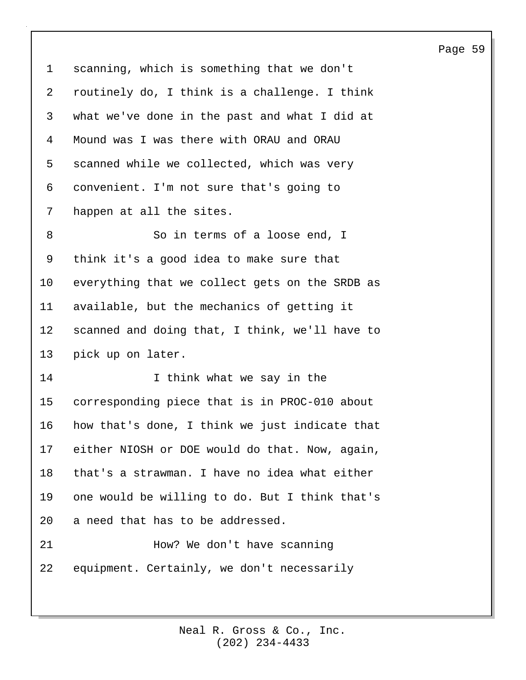1 scanning, which is something that we don't 2 routinely do, I think is a challenge. I think 3 what we've done in the past and what I did at 4 Mound was I was there with ORAU and ORAU 5 scanned while we collected, which was very 6 convenient. I'm not sure that's going to 7 happen at all the sites. 8 So in terms of a loose end, I 9 think it's a good idea to make sure that 10 everything that we collect gets on the SRDB as 11 available, but the mechanics of getting it 12 scanned and doing that, I think, we'll have to 13 pick up on later. 14 T think what we say in the 15 corresponding piece that is in PROC-010 about 16 how that's done, I think we just indicate that 17 either NIOSH or DOE would do that. Now, again, 18 that's a strawman. I have no idea what either 19 one would be willing to do. But I think that's 20 a need that has to be addressed. 21 How? We don't have scanning 22 equipment. Certainly, we don't necessarily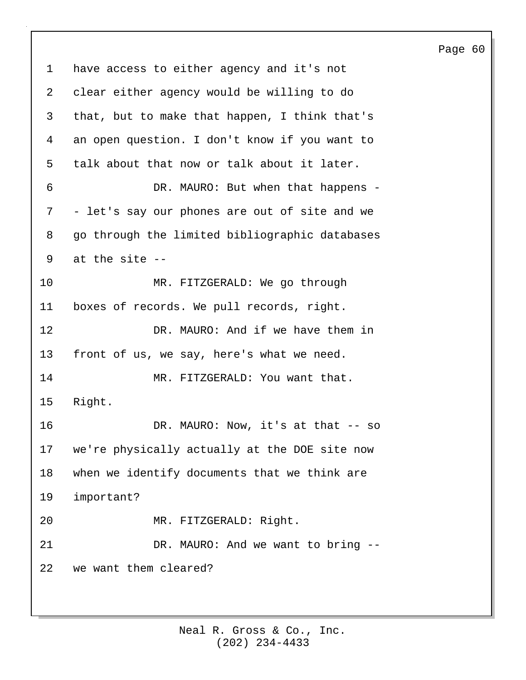1 have access to either agency and it's not 2 clear either agency would be willing to do 3 that, but to make that happen, I think that's 4 an open question. I don't know if you want to 5 talk about that now or talk about it later. 6 DR. MAURO: But when that happens - 7 - let's say our phones are out of site and we 8 go through the limited bibliographic databases 9 at the site -- 10 MR. FITZGERALD: We go through 11 boxes of records. We pull records, right. 12 DR. MAURO: And if we have them in 13 front of us, we say, here's what we need. 14 MR. FITZGERALD: You want that. 15 Right. 16 DR. MAURO: Now, it's at that -- so 17 we're physically actually at the DOE site now 18 when we identify documents that we think are 19 important? 20 MR. FITZGERALD: Right. 21 DR. MAURO: And we want to bring --22 we want them cleared?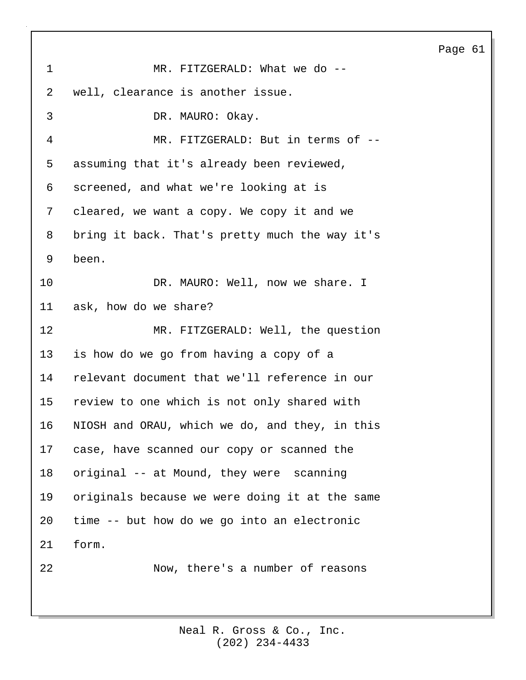1 MR. FITZGERALD: What we do --2 well, clearance is another issue. 3 DR. MAURO: Okay. 4 MR. FITZGERALD: But in terms of -- 5 assuming that it's already been reviewed, 6 screened, and what we're looking at is 7 cleared, we want a copy. We copy it and we 8 bring it back. That's pretty much the way it's 9 been. 10 DR. MAURO: Well, now we share. I 11 ask, how do we share? 12 MR. FITZGERALD: Well, the question 13 is how do we go from having a copy of a 14 relevant document that we'll reference in our 15 review to one which is not only shared with 16 NIOSH and ORAU, which we do, and they, in this 17 case, have scanned our copy or scanned the 18 original -- at Mound, they were scanning 19 originals because we were doing it at the same 20 time -- but how do we go into an electronic 21 form. 22 Now, there's a number of reasons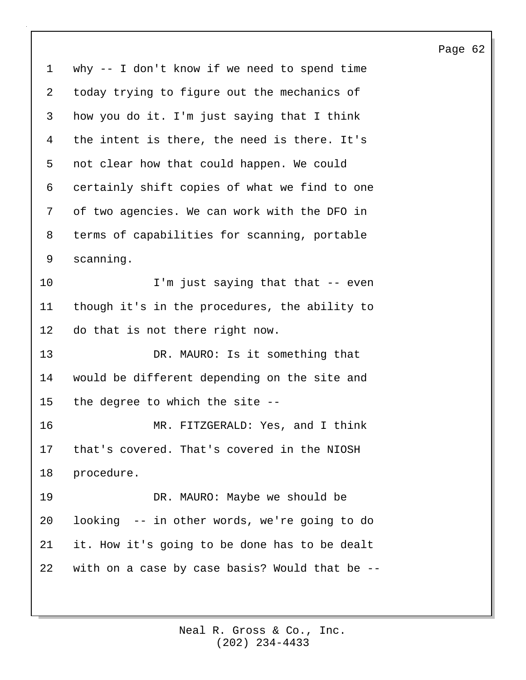1 why -- I don't know if we need to spend time 2 today trying to figure out the mechanics of 3 how you do it. I'm just saying that I think 4 the intent is there, the need is there. It's 5 not clear how that could happen. We could 6 certainly shift copies of what we find to one 7 of two agencies. We can work with the DFO in 8 terms of capabilities for scanning, portable 9 scanning. 10 I'm just saying that that -- even 11 though it's in the procedures, the ability to 12 do that is not there right now. 13 DR. MAURO: Is it something that 14 would be different depending on the site and 15 the degree to which the site -- 16 MR. FITZGERALD: Yes, and I think 17 that's covered. That's covered in the NIOSH 18 procedure. 19 DR. MAURO: Maybe we should be 20 looking -- in other words, we're going to do 21 it. How it's going to be done has to be dealt 22 with on a case by case basis? Would that be --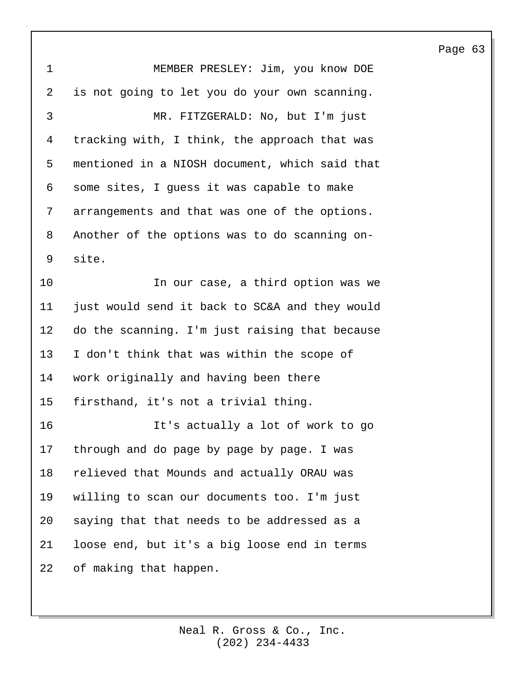1 MEMBER PRESLEY: Jim, you know DOE 2 is not going to let you do your own scanning. 3 MR. FITZGERALD: No, but I'm just 4 tracking with, I think, the approach that was 5 mentioned in a NIOSH document, which said that 6 some sites, I guess it was capable to make 7 arrangements and that was one of the options. 8 Another of the options was to do scanning on-9 site. 10 In our case, a third option was we 11 just would send it back to SC&A and they would 12 do the scanning. I'm just raising that because 13 I don't think that was within the scope of 14 work originally and having been there 15 firsthand, it's not a trivial thing. 16 It's actually a lot of work to go 17 through and do page by page by page. I was 18 relieved that Mounds and actually ORAU was 19 willing to scan our documents too. I'm just 20 saying that that needs to be addressed as a 21 loose end, but it's a big loose end in terms 22 of making that happen.

## Page 63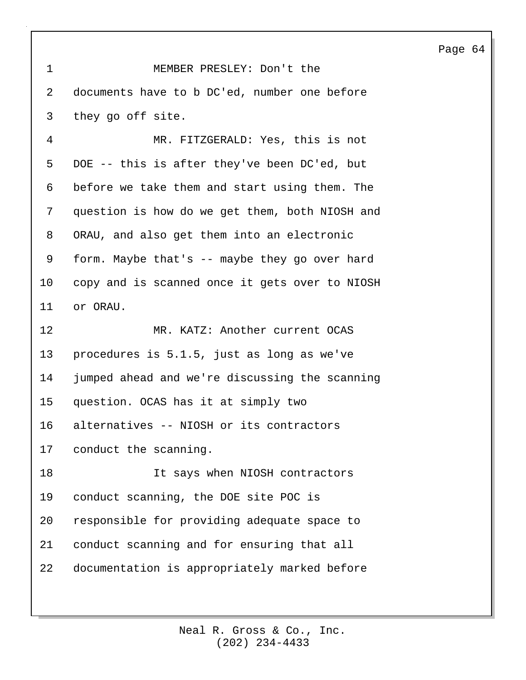1 MEMBER PRESLEY: Don't the 2 documents have to b DC'ed, number one before 3 they go off site. 4 MR. FITZGERALD: Yes, this is not 5 DOE -- this is after they've been DC'ed, but 6 before we take them and start using them. The 7 question is how do we get them, both NIOSH and 8 ORAU, and also get them into an electronic 9 form. Maybe that's -- maybe they go over hard 10 copy and is scanned once it gets over to NIOSH 11 or ORAU. 12 MR. KATZ: Another current OCAS 13 procedures is 5.1.5, just as long as we've 14 jumped ahead and we're discussing the scanning 15 question. OCAS has it at simply two 16 alternatives -- NIOSH or its contractors 17 conduct the scanning. 18 It says when NIOSH contractors 19 conduct scanning, the DOE site POC is 20 responsible for providing adequate space to 21 conduct scanning and for ensuring that all 22 documentation is appropriately marked before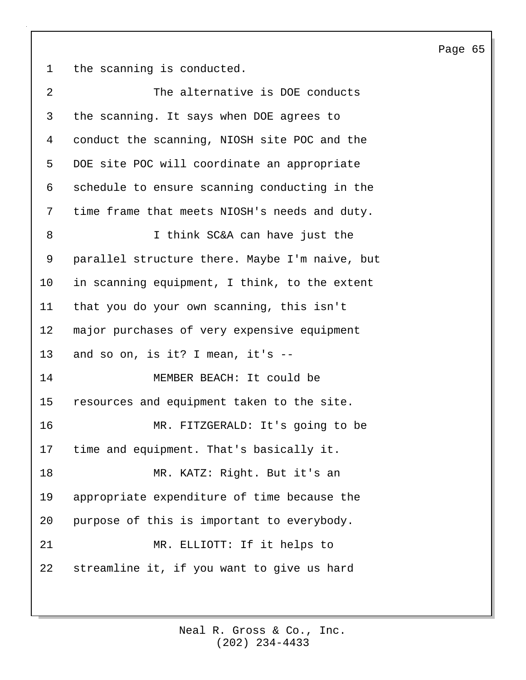1 the scanning is conducted.

2 The alternative is DOE conducts 3 the scanning. It says when DOE agrees to 4 conduct the scanning, NIOSH site POC and the 5 DOE site POC will coordinate an appropriate 6 schedule to ensure scanning conducting in the 7 time frame that meets NIOSH's needs and duty. 8 I think SC&A can have just the 9 parallel structure there. Maybe I'm naive, but 10 in scanning equipment, I think, to the extent 11 that you do your own scanning, this isn't 12 major purchases of very expensive equipment 13 and so on, is it? I mean, it's -- 14 MEMBER BEACH: It could be 15 resources and equipment taken to the site. 16 MR. FITZGERALD: It's going to be 17 time and equipment. That's basically it. 18 MR. KATZ: Right. But it's an 19 appropriate expenditure of time because the 20 purpose of this is important to everybody. 21 MR. ELLIOTT: If it helps to 22 streamline it, if you want to give us hard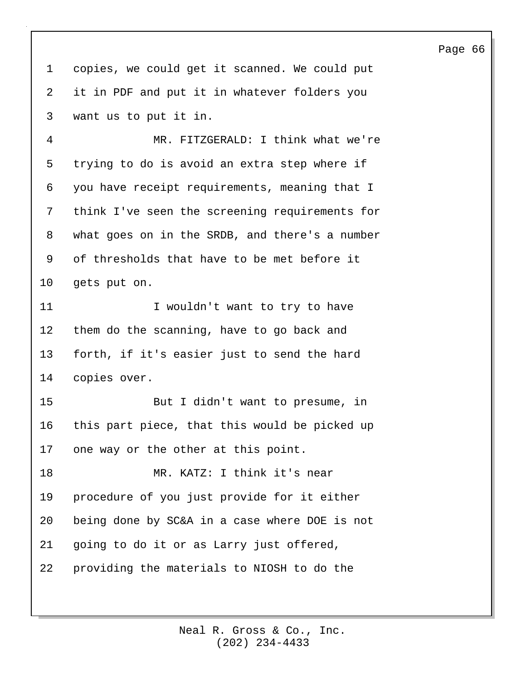1 copies, we could get it scanned. We could put 2 it in PDF and put it in whatever folders you 3 want us to put it in.

4 MR. FITZGERALD: I think what we're 5 trying to do is avoid an extra step where if 6 you have receipt requirements, meaning that I 7 think I've seen the screening requirements for 8 what goes on in the SRDB, and there's a number 9 of thresholds that have to be met before it 10 gets put on.

11 I wouldn't want to try to have 12 them do the scanning, have to go back and 13 forth, if it's easier just to send the hard 14 copies over.

15 But I didn't want to presume, in 16 this part piece, that this would be picked up 17 one way or the other at this point.

18 MR. KATZ: I think it's near 19 procedure of you just provide for it either 20 being done by SC&A in a case where DOE is not 21 going to do it or as Larry just offered, 22 providing the materials to NIOSH to do the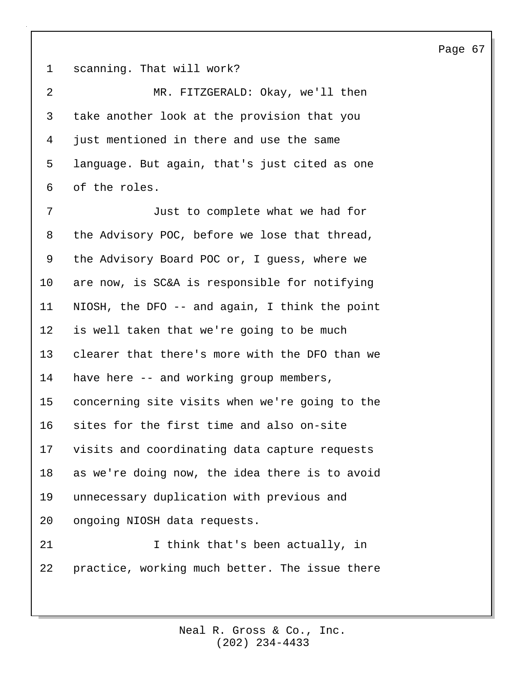1 scanning. That will work?

2 MR. FITZGERALD: Okay, we'll then 3 take another look at the provision that you 4 just mentioned in there and use the same 5 language. But again, that's just cited as one 6 of the roles.

7 Just to complete what we had for 8 the Advisory POC, before we lose that thread, 9 the Advisory Board POC or, I guess, where we 10 are now, is SC&A is responsible for notifying 11 NIOSH, the DFO -- and again, I think the point 12 is well taken that we're going to be much 13 clearer that there's more with the DFO than we 14 have here -- and working group members, 15 concerning site visits when we're going to the 16 sites for the first time and also on-site 17 visits and coordinating data capture requests 18 as we're doing now, the idea there is to avoid 19 unnecessary duplication with previous and 20 ongoing NIOSH data requests.

21 1 I think that's been actually, in 22 practice, working much better. The issue there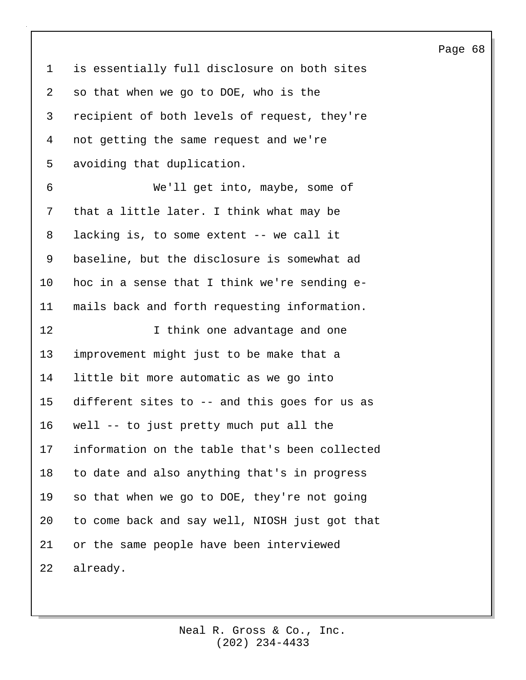1 is essentially full disclosure on both sites 2 so that when we go to DOE, who is the 3 recipient of both levels of request, they're 4 not getting the same request and we're 5 avoiding that duplication. 6 We'll get into, maybe, some of 7 that a little later. I think what may be 8 lacking is, to some extent -- we call it 9 baseline, but the disclosure is somewhat ad 10 hoc in a sense that I think we're sending e-11 mails back and forth requesting information. 12 **I** think one advantage and one 13 improvement might just to be make that a 14 little bit more automatic as we go into 15 different sites to -- and this goes for us as 16 well -- to just pretty much put all the 17 information on the table that's been collected 18 to date and also anything that's in progress 19 so that when we go to DOE, they're not going 20 to come back and say well, NIOSH just got that 21 or the same people have been interviewed 22 already.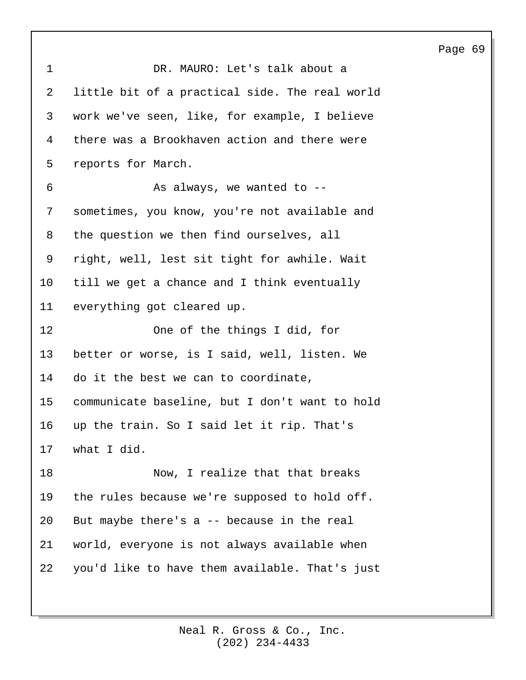| 1               | DR. MAURO: Let's talk about a                  |
|-----------------|------------------------------------------------|
| 2               | little bit of a practical side. The real world |
| 3               | work we've seen, like, for example, I believe  |
| 4               | there was a Brookhaven action and there were   |
| 5               | reports for March.                             |
| 6               | As always, we wanted to --                     |
| 7               | sometimes, you know, you're not available and  |
| 8               | the question we then find ourselves, all       |
| 9               | right, well, lest sit tight for awhile. Wait   |
| 10              | till we get a chance and I think eventually    |
| 11              | everything got cleared up.                     |
| 12              | One of the things I did, for                   |
| 13              | better or worse, is I said, well, listen. We   |
| 14              | do it the best we can to coordinate,           |
| 15 <sub>1</sub> | communicate baseline, but I don't want to hold |
| 16              | up the train. So I said let it rip. That's     |
| 17              | what I did.                                    |
|                 |                                                |
| 18              | Now, I realize that that breaks                |
| 19              | the rules because we're supposed to hold off.  |
| 20              | But maybe there's a -- because in the real     |
| 21              | world, everyone is not always available when   |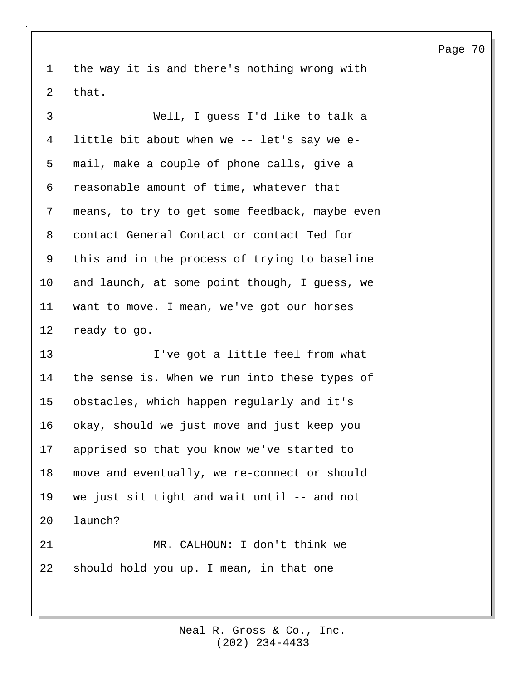1 the way it is and there's nothing wrong with 2 that.

3 Well, I guess I'd like to talk a 4 little bit about when we -- let's say we e-5 mail, make a couple of phone calls, give a 6 reasonable amount of time, whatever that 7 means, to try to get some feedback, maybe even 8 contact General Contact or contact Ted for 9 this and in the process of trying to baseline 10 and launch, at some point though, I guess, we 11 want to move. I mean, we've got our horses 12 ready to go.

13 I've got a little feel from what 14 the sense is. When we run into these types of 15 obstacles, which happen regularly and it's 16 okay, should we just move and just keep you 17 apprised so that you know we've started to 18 move and eventually, we re-connect or should 19 we just sit tight and wait until -- and not 20 launch? 21 MR. CALHOUN: I don't think we

22 should hold you up. I mean, in that one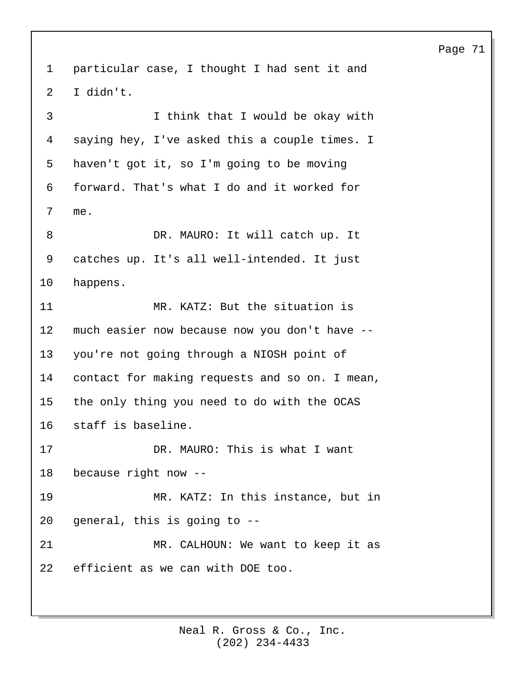1 particular case, I thought I had sent it and 2 I didn't. 3 I think that I would be okay with 4 saying hey, I've asked this a couple times. I 5 haven't got it, so I'm going to be moving 6 forward. That's what I do and it worked for 7 me. 8 DR. MAURO: It will catch up. It 9 catches up. It's all well-intended. It just 10 happens. 11 MR. KATZ: But the situation is 12 much easier now because now you don't have -- 13 you're not going through a NIOSH point of 14 contact for making requests and so on. I mean, 15 the only thing you need to do with the OCAS 16 staff is baseline. 17 DR. MAURO: This is what I want 18 because right now -- 19 MR. KATZ: In this instance, but in 20 general, this is going to -- 21 MR. CALHOUN: We want to keep it as 22 efficient as we can with DOE too.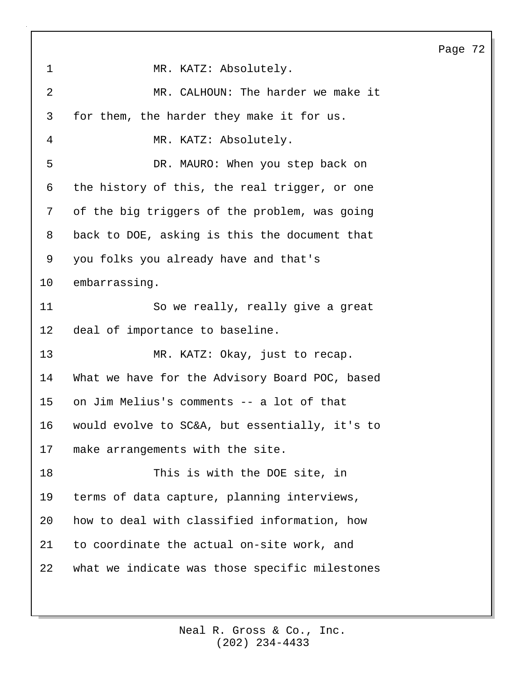1 MR. KATZ: Absolutely. 2 MR. CALHOUN: The harder we make it 3 for them, the harder they make it for us. 4 MR. KATZ: Absolutely. 5 DR. MAURO: When you step back on 6 the history of this, the real trigger, or one 7 of the big triggers of the problem, was going 8 back to DOE, asking is this the document that 9 you folks you already have and that's 10 embarrassing. 11 So we really, really give a great 12 deal of importance to baseline. 13 MR. KATZ: Okay, just to recap. 14 What we have for the Advisory Board POC, based 15 on Jim Melius's comments -- a lot of that 16 would evolve to SC&A, but essentially, it's to 17 make arrangements with the site. 18 This is with the DOE site, in 19 terms of data capture, planning interviews, 20 how to deal with classified information, how 21 to coordinate the actual on-site work, and 22 what we indicate was those specific milestones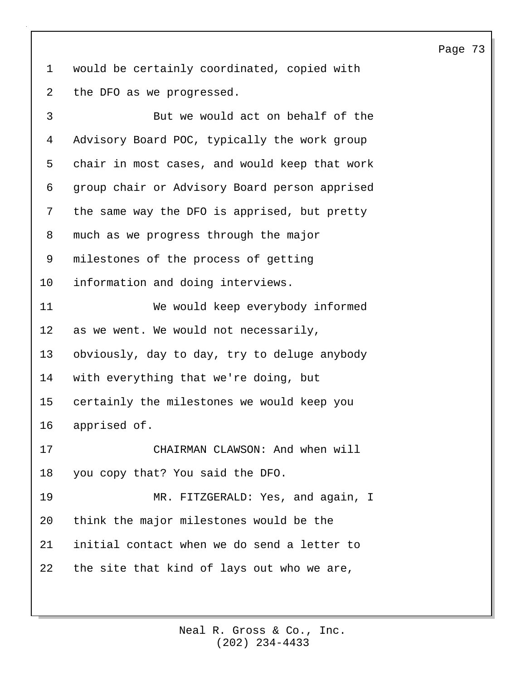1 would be certainly coordinated, copied with 2 the DFO as we progressed.

3 But we would act on behalf of the 4 Advisory Board POC, typically the work group 5 chair in most cases, and would keep that work 6 group chair or Advisory Board person apprised 7 the same way the DFO is apprised, but pretty 8 much as we progress through the major 9 milestones of the process of getting 10 information and doing interviews. 11 We would keep everybody informed 12 as we went. We would not necessarily, 13 obviously, day to day, try to deluge anybody 14 with everything that we're doing, but 15 certainly the milestones we would keep you 16 apprised of. 17 CHAIRMAN CLAWSON: And when will 18 you copy that? You said the DFO. 19 MR. FITZGERALD: Yes, and again, I 20 think the major milestones would be the 21 initial contact when we do send a letter to 22 the site that kind of lays out who we are,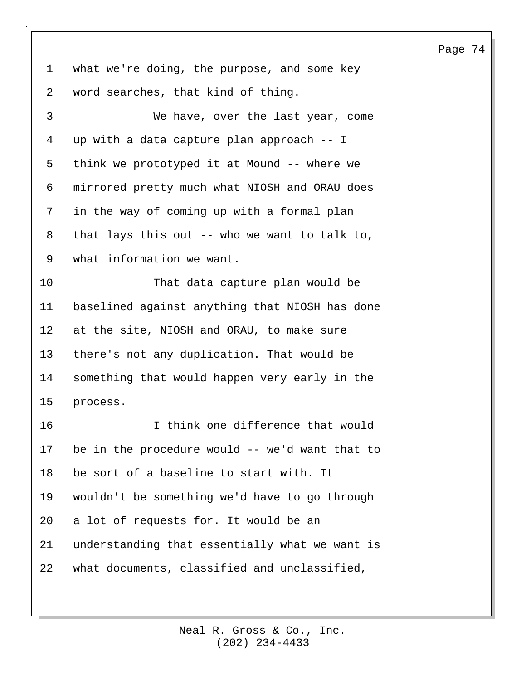1 what we're doing, the purpose, and some key 2 word searches, that kind of thing.

3 We have, over the last year, come 4 up with a data capture plan approach -- I 5 think we prototyped it at Mound -- where we 6 mirrored pretty much what NIOSH and ORAU does 7 in the way of coming up with a formal plan 8 that lays this out -- who we want to talk to, 9 what information we want. 10 That data capture plan would be 11 baselined against anything that NIOSH has done 12 at the site, NIOSH and ORAU, to make sure 13 there's not any duplication. That would be 14 something that would happen very early in the 15 process. 16 I think one difference that would 17 be in the procedure would -- we'd want that to 18 be sort of a baseline to start with. It 19 wouldn't be something we'd have to go through 20 a lot of requests for. It would be an 21 understanding that essentially what we want is 22 what documents, classified and unclassified,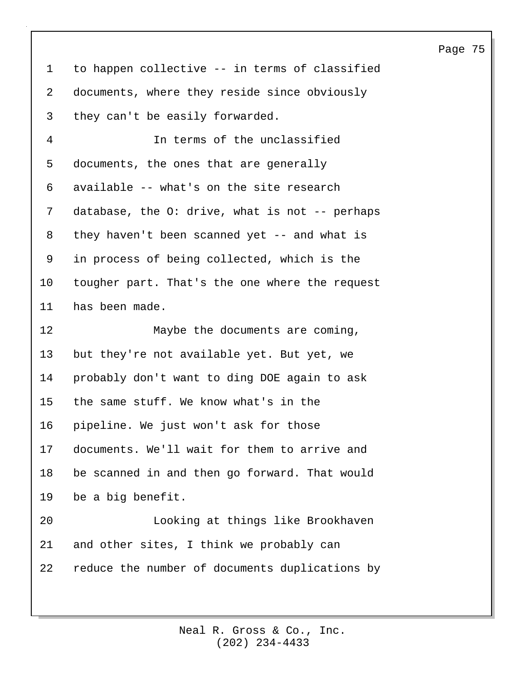| $\mathbf{1}$ | to happen collective -- in terms of classified |
|--------------|------------------------------------------------|
| 2            | documents, where they reside since obviously   |
| 3            | they can't be easily forwarded.                |
| 4            | In terms of the unclassified                   |
| 5            | documents, the ones that are generally         |
| 6            | available -- what's on the site research       |
| 7            | database, the O: drive, what is not -- perhaps |
| 8            | they haven't been scanned yet $-$ and what is  |
| 9            | in process of being collected, which is the    |
| 10           | tougher part. That's the one where the request |
| 11           | has been made.                                 |
|              |                                                |
| 12           | Maybe the documents are coming,                |
| 13           | but they're not available yet. But yet, we     |
| 14           | probably don't want to ding DOE again to ask   |
| 15           | the same stuff. We know what's in the          |
| 16           | pipeline. We just won't ask for those          |
| 17           | documents. We'll wait for them to arrive and   |
| 18           | be scanned in and then go forward. That would  |
| 19           | be a big benefit.                              |
| 20           | Looking at things like Brookhaven              |
| 21           | and other sites, I think we probably can       |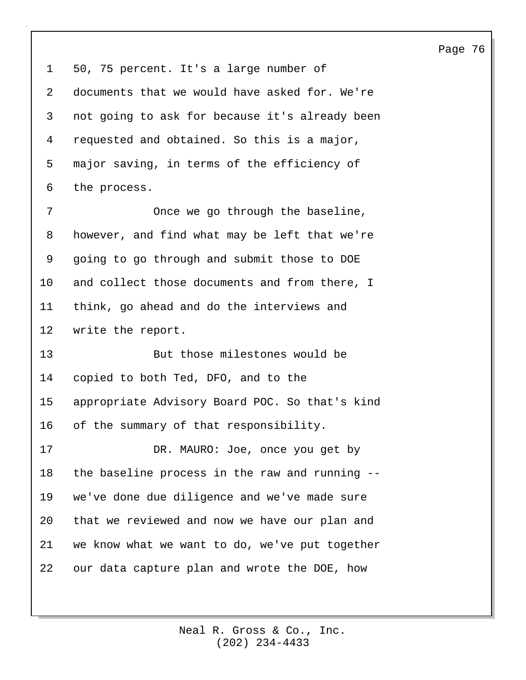1 50, 75 percent. It's a large number of 2 documents that we would have asked for. We're 3 not going to ask for because it's already been 4 requested and obtained. So this is a major, 5 major saving, in terms of the efficiency of 6 the process.

7 Once we go through the baseline, 8 however, and find what may be left that we're 9 going to go through and submit those to DOE 10 and collect those documents and from there, I 11 think, go ahead and do the interviews and 12 write the report.

13 But those milestones would be 14 copied to both Ted, DFO, and to the 15 appropriate Advisory Board POC. So that's kind 16 of the summary of that responsibility.

17 DR. MAURO: Joe, once you get by 18 the baseline process in the raw and running -- 19 we've done due diligence and we've made sure 20 that we reviewed and now we have our plan and 21 we know what we want to do, we've put together 22 our data capture plan and wrote the DOE, how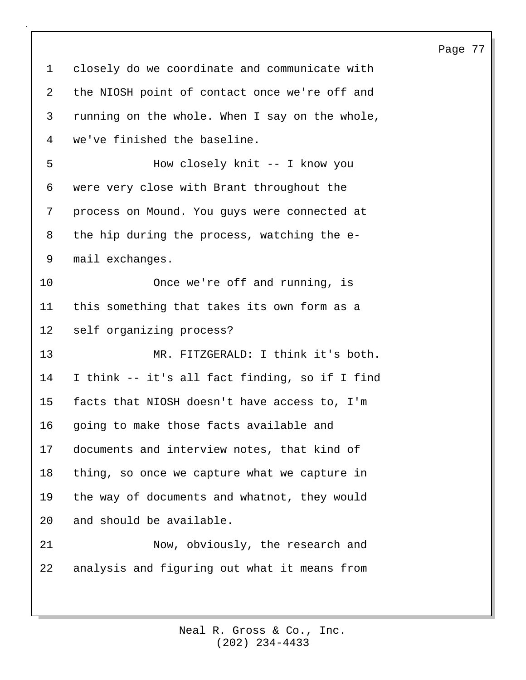1 closely do we coordinate and communicate with 2 the NIOSH point of contact once we're off and 3 running on the whole. When I say on the whole, 4 we've finished the baseline. 5 How closely knit -- I know you 6 were very close with Brant throughout the 7 process on Mound. You guys were connected at 8 the hip during the process, watching the e-9 mail exchanges. 10 Once we're off and running, is 11 this something that takes its own form as a 12 self organizing process? 13 MR. FITZGERALD: I think it's both. 14 I think -- it's all fact finding, so if I find 15 facts that NIOSH doesn't have access to, I'm 16 going to make those facts available and 17 documents and interview notes, that kind of 18 thing, so once we capture what we capture in 19 the way of documents and whatnot, they would 20 and should be available. 21 Now, obviously, the research and 22 analysis and figuring out what it means from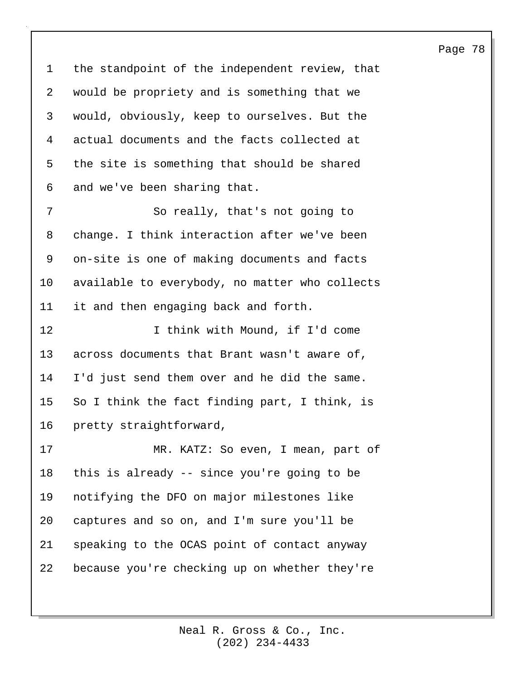1 the standpoint of the independent review, that 2 would be propriety and is something that we 3 would, obviously, keep to ourselves. But the 4 actual documents and the facts collected at 5 the site is something that should be shared 6 and we've been sharing that. 7 So really, that's not going to 8 change. I think interaction after we've been

9 on-site is one of making documents and facts 10 available to everybody, no matter who collects 11 it and then engaging back and forth.

12 12 I think with Mound, if I'd come 13 across documents that Brant wasn't aware of, 14 I'd just send them over and he did the same. 15 So I think the fact finding part, I think, is 16 pretty straightforward,

17 MR. KATZ: So even, I mean, part of 18 this is already -- since you're going to be 19 notifying the DFO on major milestones like 20 captures and so on, and I'm sure you'll be 21 speaking to the OCAS point of contact anyway 22 because you're checking up on whether they're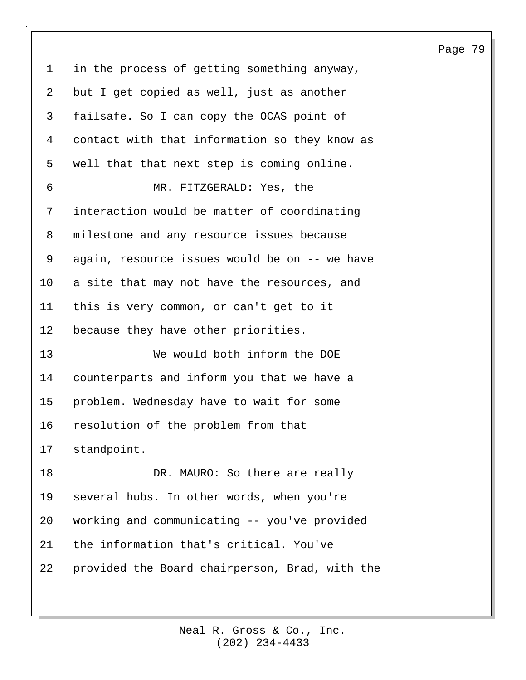1 in the process of getting something anyway, 2 but I get copied as well, just as another 3 failsafe. So I can copy the OCAS point of 4 contact with that information so they know as 5 well that that next step is coming online. 6 MR. FITZGERALD: Yes, the 7 interaction would be matter of coordinating 8 milestone and any resource issues because 9 again, resource issues would be on -- we have 10 a site that may not have the resources, and 11 this is very common, or can't get to it 12 because they have other priorities. 13 We would both inform the DOE 14 counterparts and inform you that we have a 15 problem. Wednesday have to wait for some 16 resolution of the problem from that 17 standpoint. 18 DR. MAURO: So there are really 19 several hubs. In other words, when you're 20 working and communicating -- you've provided 21 the information that's critical. You've 22 provided the Board chairperson, Brad, with the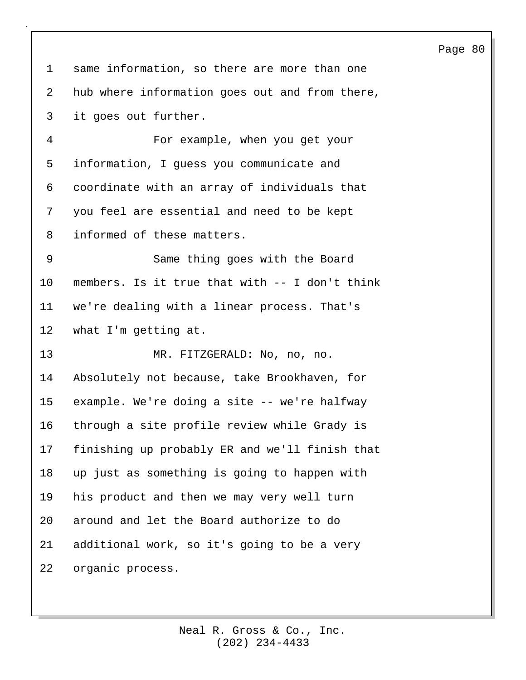|                |                                                | ray |
|----------------|------------------------------------------------|-----|
| $\mathbf 1$    | same information, so there are more than one   |     |
| 2              | hub where information goes out and from there, |     |
| 3              | it goes out further.                           |     |
| 4              | For example, when you get your                 |     |
| 5              | information, I guess you communicate and       |     |
| 6              | coordinate with an array of individuals that   |     |
| 7              | you feel are essential and need to be kept     |     |
| 8              | informed of these matters.                     |     |
| $\overline{9}$ | Same thing goes with the Board                 |     |
| $10 \,$        | members. Is it true that with -- I don't think |     |
| 11             | we're dealing with a linear process. That's    |     |
| 12             | what I'm getting at.                           |     |
| 13             | MR. FITZGERALD: No, no, no.                    |     |
| 14             | Absolutely not because, take Brookhaven, for   |     |
| $15 \,$        | example. We're doing a site -- we're halfway   |     |
| 16             | through a site profile review while Grady is   |     |
| 17             | finishing up probably ER and we'll finish that |     |
| 18             | up just as something is going to happen with   |     |
| 19             | his product and then we may very well turn     |     |
| 20             | around and let the Board authorize to do       |     |
| 21             | additional work, so it's going to be a very    |     |
| 22             | organic process.                               |     |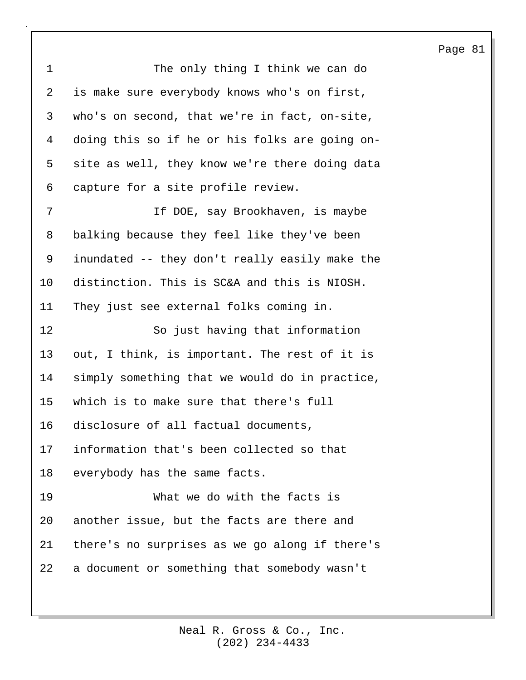| $\mathbf 1$ | The only thing I think we can do               |
|-------------|------------------------------------------------|
| 2           | is make sure everybody knows who's on first,   |
| 3           | who's on second, that we're in fact, on-site,  |
| 4           | doing this so if he or his folks are going on- |
| 5           | site as well, they know we're there doing data |
| 6           | capture for a site profile review.             |
| 7           | If DOE, say Brookhaven, is maybe               |
| 8           | balking because they feel like they've been    |
| 9           | inundated -- they don't really easily make the |
| 10          | distinction. This is SC&A and this is NIOSH.   |
| 11          | They just see external folks coming in.        |
|             |                                                |
| 12          | So just having that information                |
| 13          | out, I think, is important. The rest of it is  |
| 14          | simply something that we would do in practice, |
| 15          | which is to make sure that there's full        |
| 16          | disclosure of all factual documents,           |
| 17          | information that's been collected so that      |
| 18          | everybody has the same facts.                  |
| 19          | What we do with the facts is                   |
| 20          | another issue, but the facts are there and     |
| 21          | there's no surprises as we go along if there's |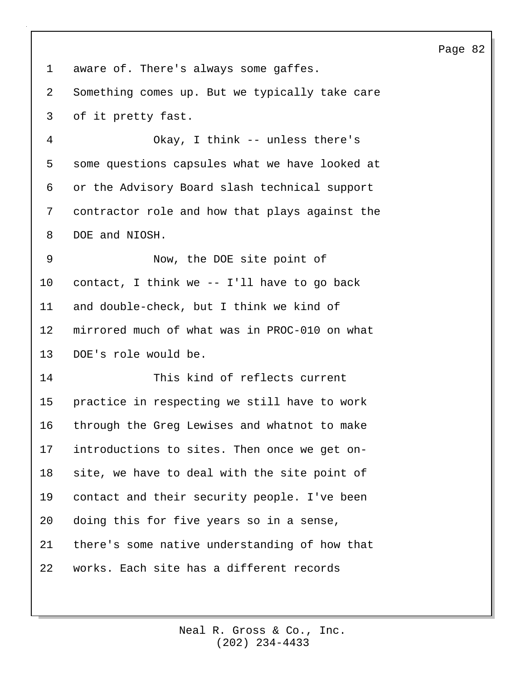1 aware of. There's always some gaffes. 2 Something comes up. But we typically take care 3 of it pretty fast. 4 Okay, I think -- unless there's 5 some questions capsules what we have looked at 6 or the Advisory Board slash technical support 7 contractor role and how that plays against the 8 DOE and NIOSH. 9 Now, the DOE site point of 10 contact, I think we -- I'll have to go back 11 and double-check, but I think we kind of 12 mirrored much of what was in PROC-010 on what 13 DOE's role would be. 14 This kind of reflects current 15 practice in respecting we still have to work 16 through the Greg Lewises and whatnot to make 17 introductions to sites. Then once we get on-18 site, we have to deal with the site point of 19 contact and their security people. I've been 20 doing this for five years so in a sense, 21 there's some native understanding of how that 22 works. Each site has a different records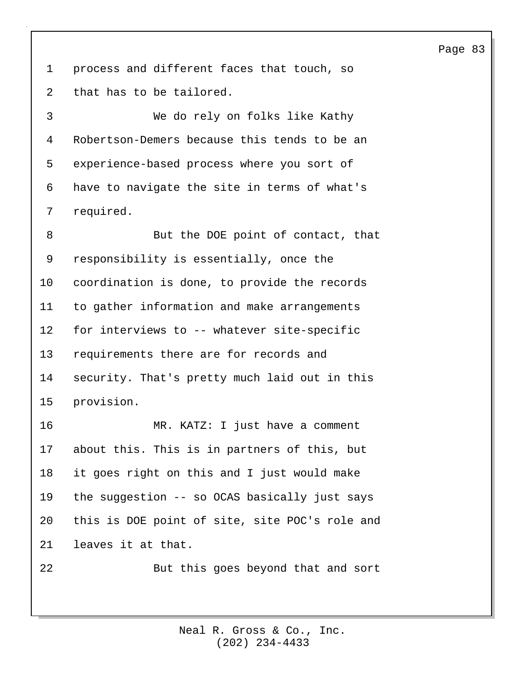1 process and different faces that touch, so 2 that has to be tailored.

3 We do rely on folks like Kathy 4 Robertson-Demers because this tends to be an 5 experience-based process where you sort of 6 have to navigate the site in terms of what's 7 required.

8 But the DOE point of contact, that 9 responsibility is essentially, once the 10 coordination is done, to provide the records 11 to gather information and make arrangements 12 for interviews to -- whatever site-specific 13 requirements there are for records and 14 security. That's pretty much laid out in this 15 provision.

16 MR. KATZ: I just have a comment 17 about this. This is in partners of this, but 18 it goes right on this and I just would make 19 the suggestion -- so OCAS basically just says 20 this is DOE point of site, site POC's role and 21 leaves it at that.

22 But this goes beyond that and sort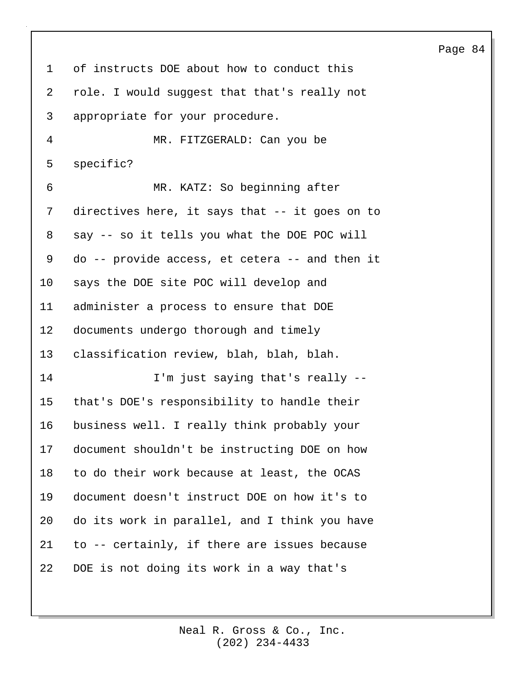1 of instructs DOE about how to conduct this 2 role. I would suggest that that's really not 3 appropriate for your procedure. 4 MR. FITZGERALD: Can you be 5 specific? 6 MR. KATZ: So beginning after 7 directives here, it says that -- it goes on to 8 say -- so it tells you what the DOE POC will 9 do -- provide access, et cetera -- and then it 10 says the DOE site POC will develop and 11 administer a process to ensure that DOE 12 documents undergo thorough and timely 13 classification review, blah, blah, blah. 14 I'm just saying that's really -- 15 that's DOE's responsibility to handle their 16 business well. I really think probably your 17 document shouldn't be instructing DOE on how 18 to do their work because at least, the OCAS 19 document doesn't instruct DOE on how it's to 20 do its work in parallel, and I think you have 21 to -- certainly, if there are issues because 22 DOE is not doing its work in a way that's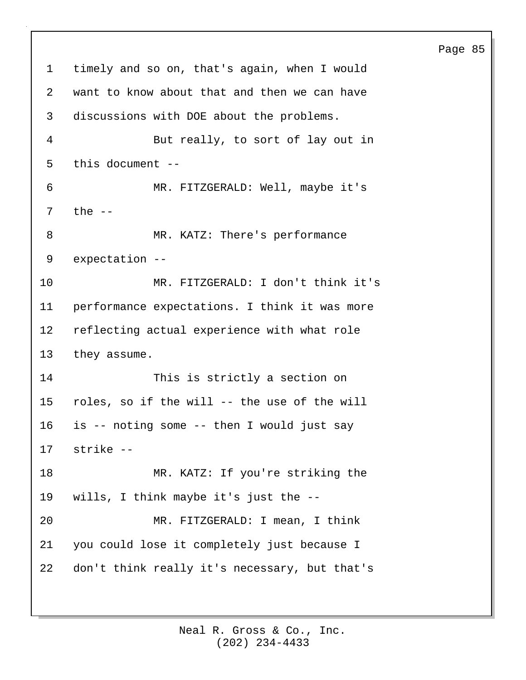1 timely and so on, that's again, when I would 2 want to know about that and then we can have 3 discussions with DOE about the problems. 4 But really, to sort of lay out in 5 this document -- 6 MR. FITZGERALD: Well, maybe it's 7 the -- 8 MR. KATZ: There's performance 9 expectation -- 10 MR. FITZGERALD: I don't think it's 11 performance expectations. I think it was more 12 reflecting actual experience with what role 13 they assume. 14 This is strictly a section on 15 roles, so if the will -- the use of the will 16 is -- noting some -- then I would just say 17 strike -- 18 MR. KATZ: If you're striking the 19 wills, I think maybe it's just the -- 20 MR. FITZGERALD: I mean, I think 21 you could lose it completely just because I 22 don't think really it's necessary, but that's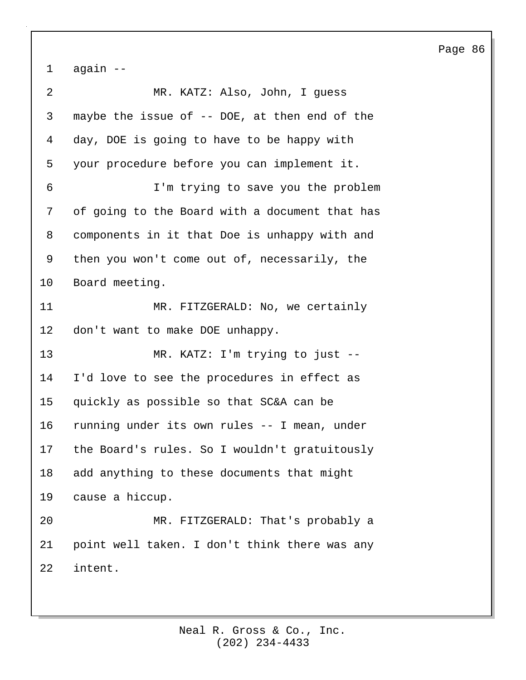1 again -- 2 MR. KATZ: Also, John, I guess 3 maybe the issue of -- DOE, at then end of the 4 day, DOE is going to have to be happy with 5 your procedure before you can implement it. 6 I'm trying to save you the problem 7 of going to the Board with a document that has 8 components in it that Doe is unhappy with and 9 then you won't come out of, necessarily, the 10 Board meeting. 11 MR. FITZGERALD: No, we certainly 12 don't want to make DOE unhappy. 13 MR. KATZ: I'm trying to just -- 14 I'd love to see the procedures in effect as 15 quickly as possible so that SC&A can be 16 running under its own rules -- I mean, under 17 the Board's rules. So I wouldn't gratuitously 18 add anything to these documents that might 19 cause a hiccup. 20 MR. FITZGERALD: That's probably a 21 point well taken. I don't think there was any 22 intent.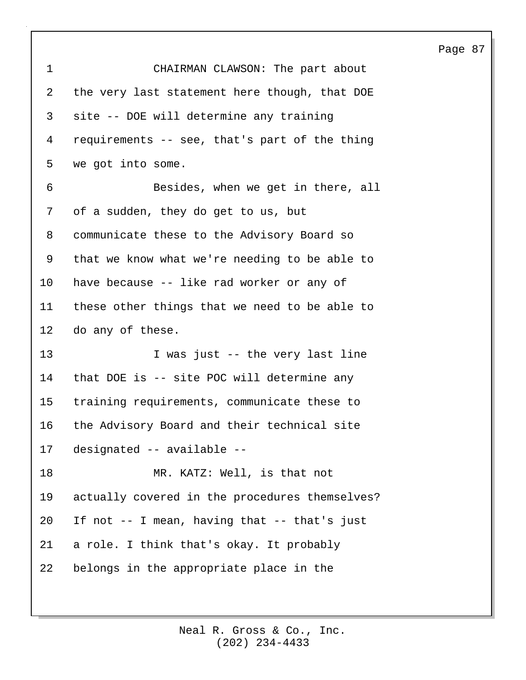| $\mathbf 1$ | CHAIRMAN CLAWSON: The part about               |
|-------------|------------------------------------------------|
| 2           | the very last statement here though, that DOE  |
| 3           | site -- DOE will determine any training        |
| 4           | requirements -- see, that's part of the thing  |
| 5           | we got into some.                              |
| 6           | Besides, when we get in there, all             |
| 7           | of a sudden, they do get to us, but            |
| 8           | communicate these to the Advisory Board so     |
| 9           | that we know what we're needing to be able to  |
| $10 \,$     | have because -- like rad worker or any of      |
| 11          | these other things that we need to be able to  |
| 12          | do any of these.                               |
| 13          | I was just -- the very last line               |
| 14          | that DOE is -- site POC will determine any     |
| 15          | training requirements, communicate these to    |
| 16          | the Advisory Board and their technical site    |
| 17          | designated -- available --                     |
| 18          | MR. KATZ: Well, is that not                    |
| 19          | actually covered in the procedures themselves? |
| 20          | If not -- I mean, having that -- that's just   |
| 21          | a role. I think that's okay. It probably       |
| 22          | belongs in the appropriate place in the        |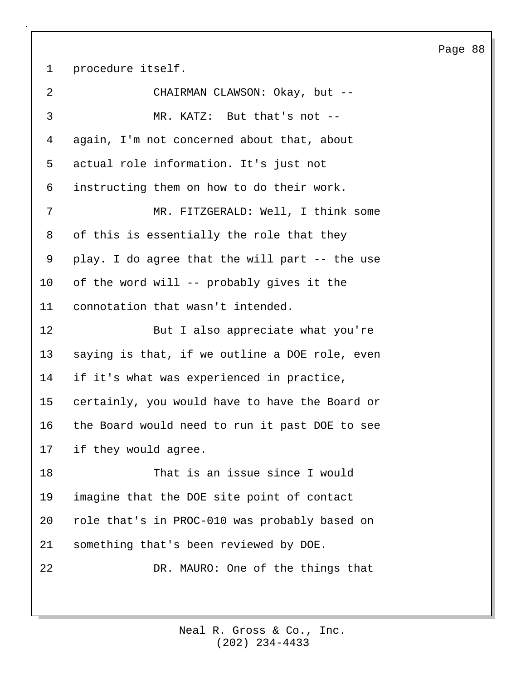1 procedure itself.

| MR. FITZGERALD: Well, I think some             |
|------------------------------------------------|
|                                                |
|                                                |
|                                                |
|                                                |
|                                                |
|                                                |
| play. I do agree that the will part -- the use |
|                                                |
|                                                |
| But I also appreciate what you're              |
| saying is that, if we outline a DOE role, even |
|                                                |
| certainly, you would have to have the Board or |
| the Board would need to run it past DOE to see |
|                                                |
|                                                |
|                                                |
|                                                |
| role that's in PROC-010 was probably based on  |
|                                                |
|                                                |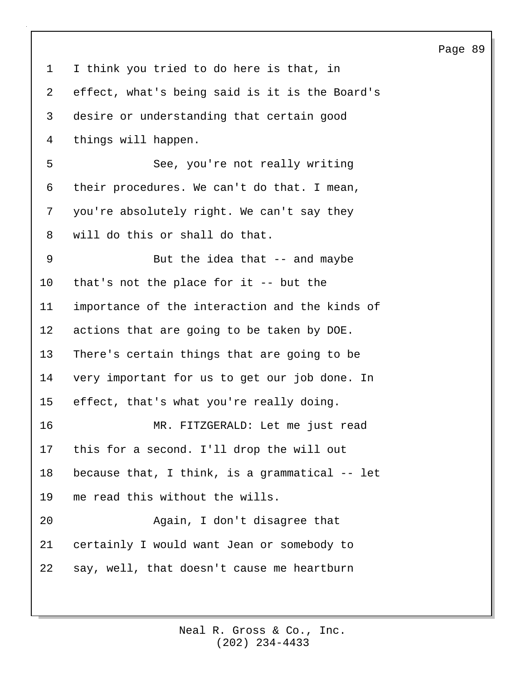1 I think you tried to do here is that, in 2 effect, what's being said is it is the Board's 3 desire or understanding that certain good 4 things will happen. 5 See, you're not really writing 6 their procedures. We can't do that. I mean, 7 you're absolutely right. We can't say they 8 will do this or shall do that. 9 But the idea that -- and maybe 10 that's not the place for it -- but the 11 importance of the interaction and the kinds of 12 actions that are going to be taken by DOE. 13 There's certain things that are going to be 14 very important for us to get our job done. In 15 effect, that's what you're really doing. 16 MR. FITZGERALD: Let me just read 17 this for a second. I'll drop the will out 18 because that, I think, is a grammatical -- let 19 me read this without the wills. 20 Again, I don't disagree that 21 certainly I would want Jean or somebody to 22 say, well, that doesn't cause me heartburn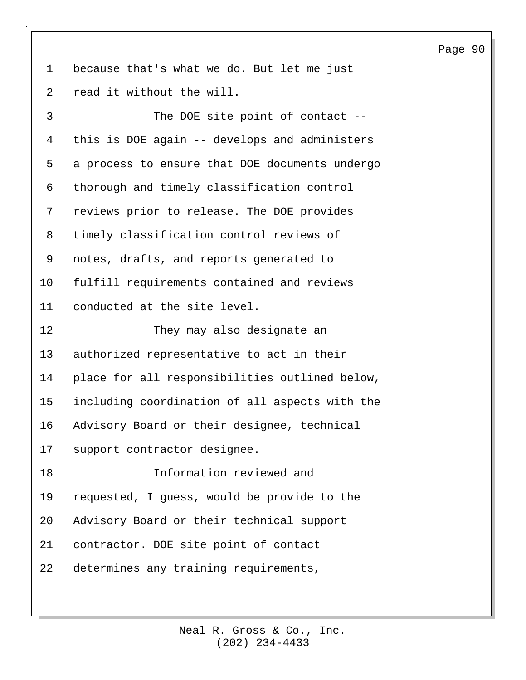1 because that's what we do. But let me just 2 read it without the will.

3 The DOE site point of contact -- 4 this is DOE again -- develops and administers 5 a process to ensure that DOE documents undergo 6 thorough and timely classification control 7 reviews prior to release. The DOE provides 8 timely classification control reviews of 9 notes, drafts, and reports generated to 10 fulfill requirements contained and reviews 11 conducted at the site level. 12 They may also designate an 13 authorized representative to act in their 14 place for all responsibilities outlined below, 15 including coordination of all aspects with the 16 Advisory Board or their designee, technical 17 support contractor designee. 18 Information reviewed and 19 requested, I guess, would be provide to the 20 Advisory Board or their technical support 21 contractor. DOE site point of contact 22 determines any training requirements,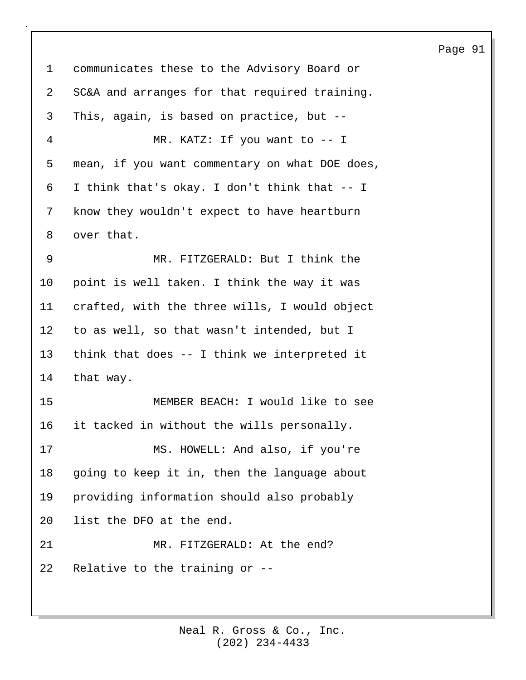## 1 communicates these to the Advisory Board or 2 SC&A and arranges for that required training. 3 This, again, is based on practice, but -- 4 MR. KATZ: If you want to -- I 5 mean, if you want commentary on what DOE does, 6 I think that's okay. I don't think that -- I 7 know they wouldn't expect to have heartburn 8 over that. 9 MR. FITZGERALD: But I think the 10 point is well taken. I think the way it was 11 crafted, with the three wills, I would object 12 to as well, so that wasn't intended, but I 13 think that does -- I think we interpreted it 14 that way. 15 MEMBER BEACH: I would like to see 16 it tacked in without the wills personally. 17 MS. HOWELL: And also, if you're 18 going to keep it in, then the language about 19 providing information should also probably 20 list the DFO at the end. 21 MR. FITZGERALD: At the end? 22 Relative to the training or --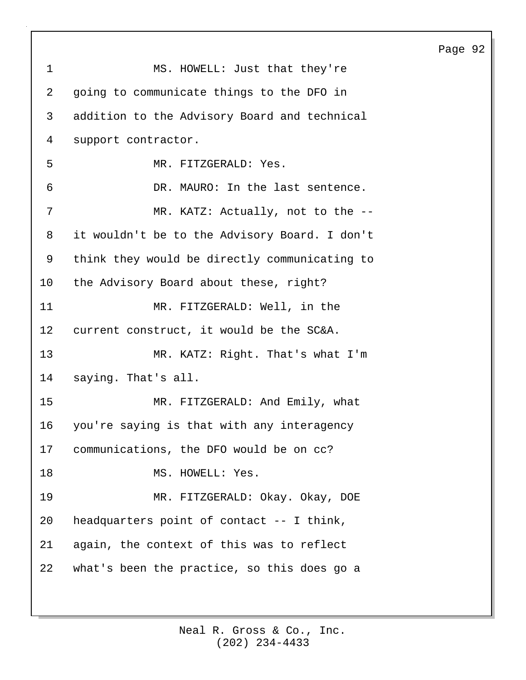1 MS. HOWELL: Just that they're 2 going to communicate things to the DFO in 3 addition to the Advisory Board and technical 4 support contractor. 5 MR. FITZGERALD: Yes. 6 DR. MAURO: In the last sentence. 7 MR. KATZ: Actually, not to the --8 it wouldn't be to the Advisory Board. I don't 9 think they would be directly communicating to 10 the Advisory Board about these, right? 11 MR. FITZGERALD: Well, in the 12 current construct, it would be the SC&A. 13 MR. KATZ: Right. That's what I'm 14 saying. That's all. 15 MR. FITZGERALD: And Emily, what 16 you're saying is that with any interagency 17 communications, the DFO would be on cc? 18 MS. HOWELL: Yes. 19 MR. FITZGERALD: Okay. Okay, DOE 20 headquarters point of contact -- I think, 21 again, the context of this was to reflect 22 what's been the practice, so this does go a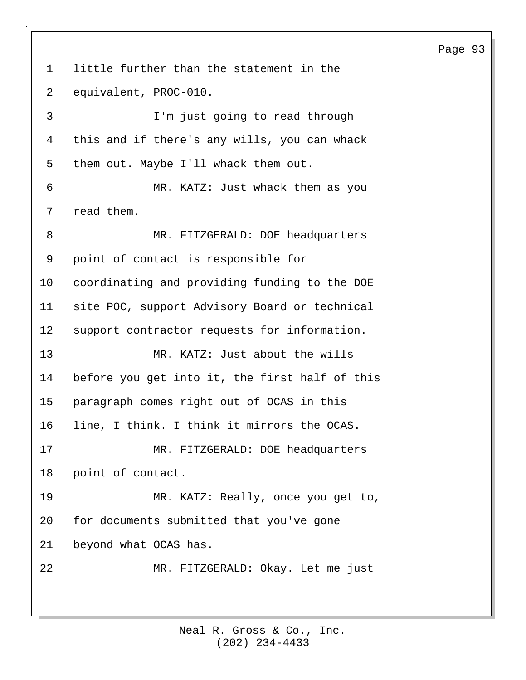# 1 little further than the statement in the 2 equivalent, PROC-010. 3 I'm just going to read through 4 this and if there's any wills, you can whack 5 them out. Maybe I'll whack them out. 6 MR. KATZ: Just whack them as you 7 read them. 8 MR. FITZGERALD: DOE headquarters 9 point of contact is responsible for 10 coordinating and providing funding to the DOE 11 site POC, support Advisory Board or technical 12 support contractor requests for information. 13 MR. KATZ: Just about the wills 14 before you get into it, the first half of this 15 paragraph comes right out of OCAS in this 16 line, I think. I think it mirrors the OCAS. 17 MR. FITZGERALD: DOE headquarters 18 point of contact. 19 MR. KATZ: Really, once you get to, 20 for documents submitted that you've gone 21 beyond what OCAS has. 22 MR. FITZGERALD: Okay. Let me just

(202) 234-4433 Neal R. Gross & Co., Inc.

### Page 93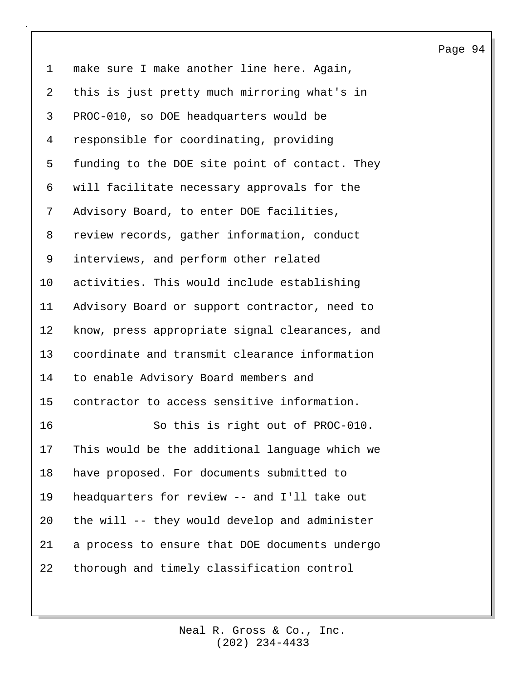1 make sure I make another line here. Again, 2 this is just pretty much mirroring what's in 3 PROC-010, so DOE headquarters would be 4 responsible for coordinating, providing 5 funding to the DOE site point of contact. They 6 will facilitate necessary approvals for the 7 Advisory Board, to enter DOE facilities, 8 review records, gather information, conduct 9 interviews, and perform other related 10 activities. This would include establishing 11 Advisory Board or support contractor, need to 12 know, press appropriate signal clearances, and 13 coordinate and transmit clearance information 14 to enable Advisory Board members and 15 contractor to access sensitive information. 16 So this is right out of PROC-010. 17 This would be the additional language which we 18 have proposed. For documents submitted to 19 headquarters for review -- and I'll take out 20 the will -- they would develop and administer 21 a process to ensure that DOE documents undergo 22 thorough and timely classification control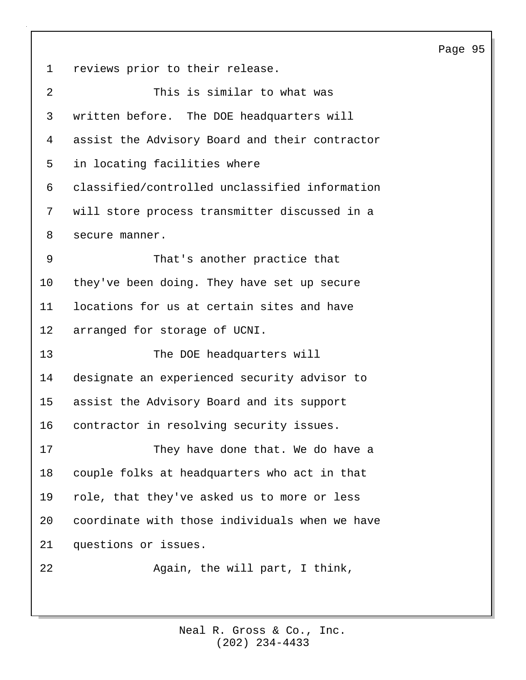1 reviews prior to their release. 2 This is similar to what was 3 written before. The DOE headquarters will 4 assist the Advisory Board and their contractor 5 in locating facilities where 6 classified/controlled unclassified information 7 will store process transmitter discussed in a 8 secure manner. 9 That's another practice that 10 they've been doing. They have set up secure 11 locations for us at certain sites and have 12 arranged for storage of UCNI. 13 The DOE headquarters will 14 designate an experienced security advisor to 15 assist the Advisory Board and its support 16 contractor in resolving security issues. 17 They have done that. We do have a 18 couple folks at headquarters who act in that 19 role, that they've asked us to more or less 20 coordinate with those individuals when we have 21 questions or issues. 22 Again, the will part, I think,

> (202) 234-4433 Neal R. Gross & Co., Inc.

## Page 95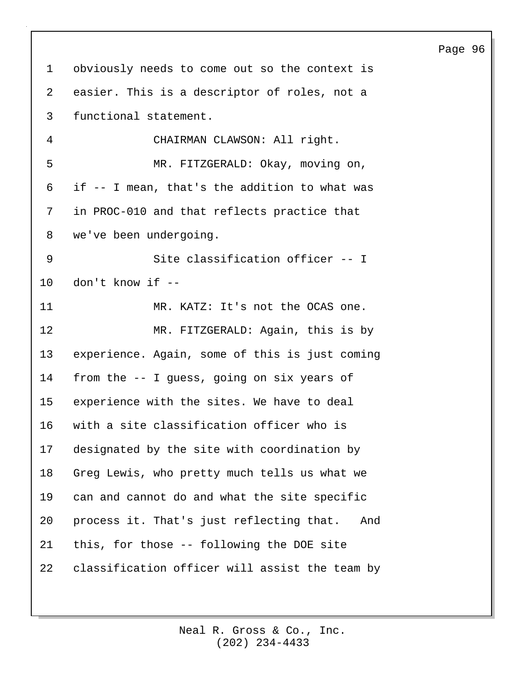1 obviously needs to come out so the context is 2 easier. This is a descriptor of roles, not a 3 functional statement. 4 CHAIRMAN CLAWSON: All right. 5 MR. FITZGERALD: Okay, moving on, 6 if -- I mean, that's the addition to what was 7 in PROC-010 and that reflects practice that 8 we've been undergoing. 9 Site classification officer -- I 10 don't know if -- 11 MR. KATZ: It's not the OCAS one. 12 MR. FITZGERALD: Again, this is by 13 experience. Again, some of this is just coming 14 from the -- I guess, going on six years of 15 experience with the sites. We have to deal 16 with a site classification officer who is 17 designated by the site with coordination by 18 Greg Lewis, who pretty much tells us what we 19 can and cannot do and what the site specific 20 process it. That's just reflecting that. And 21 this, for those -- following the DOE site 22 classification officer will assist the team by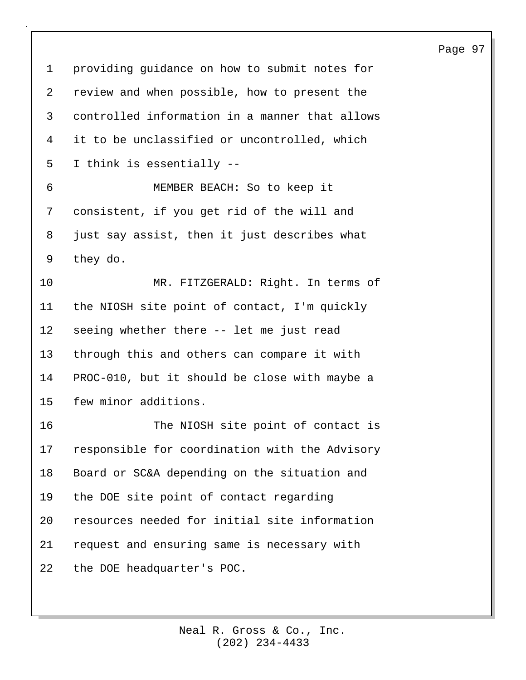1 providing guidance on how to submit notes for 2 review and when possible, how to present the 3 controlled information in a manner that allows 4 it to be unclassified or uncontrolled, which 5 I think is essentially -- 6 MEMBER BEACH: So to keep it 7 consistent, if you get rid of the will and 8 just say assist, then it just describes what 9 they do. 10 MR. FITZGERALD: Right. In terms of 11 the NIOSH site point of contact, I'm quickly 12 seeing whether there -- let me just read 13 through this and others can compare it with 14 PROC-010, but it should be close with maybe a 15 few minor additions. 16 The NIOSH site point of contact is 17 responsible for coordination with the Advisory 18 Board or SC&A depending on the situation and 19 the DOE site point of contact regarding 20 resources needed for initial site information 21 request and ensuring same is necessary with 22 the DOE headquarter's POC.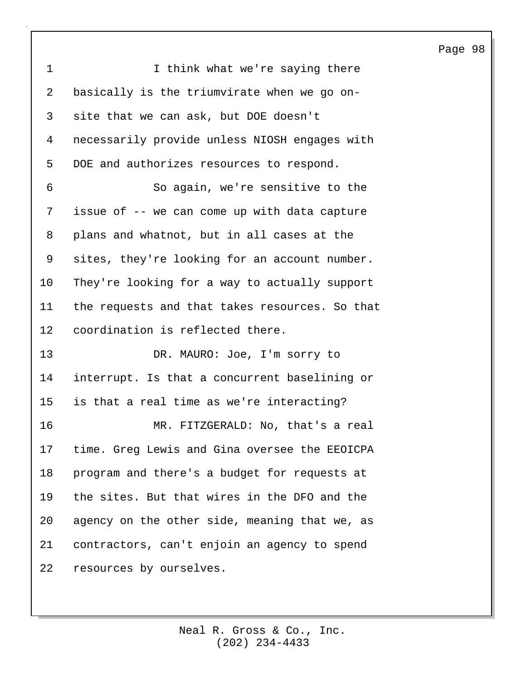| $\mathbf 1$ | I think what we're saying there                |
|-------------|------------------------------------------------|
| 2           | basically is the triumvirate when we go on-    |
| 3           | site that we can ask, but DOE doesn't          |
| 4           | necessarily provide unless NIOSH engages with  |
| 5           | DOE and authorizes resources to respond.       |
| 6           | So again, we're sensitive to the               |
| 7           | issue of -- we can come up with data capture   |
| 8           | plans and whatnot, but in all cases at the     |
| 9           | sites, they're looking for an account number.  |
| 10          | They're looking for a way to actually support  |
| 11          | the requests and that takes resources. So that |
| 12          | coordination is reflected there.               |
| 13          | DR. MAURO: Joe, I'm sorry to                   |
| 14          | interrupt. Is that a concurrent baselining or  |
| 15          | is that a real time as we're interacting?      |
| 16          | MR. FITZGERALD: No, that's a real              |
| 17          | time. Greg Lewis and Gina oversee the EEOICPA  |
| 18          | program and there's a budget for requests at   |
| 19          | the sites. But that wires in the DFO and the   |
| 20          | agency on the other side, meaning that we, as  |
| 21          | contractors, can't enjoin an agency to spend   |
| 22          | resources by ourselves.                        |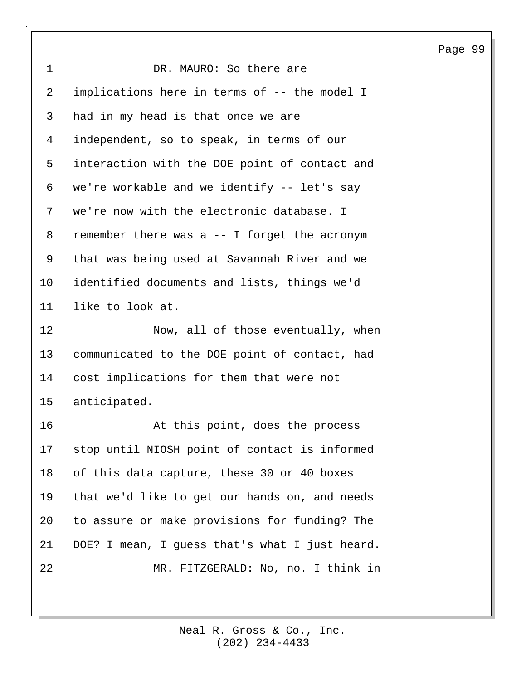| aae | Ω<br>0 |
|-----|--------|
|-----|--------|

| 1  | DR. MAURO: So there are                        |
|----|------------------------------------------------|
| 2  | implications here in terms of -- the model I   |
| 3  | had in my head is that once we are             |
| 4  | independent, so to speak, in terms of our      |
| 5  | interaction with the DOE point of contact and  |
| 6  | we're workable and we identify -- let's say    |
| 7  | we're now with the electronic database. I      |
| 8  | remember there was a -- I forget the acronym   |
| 9  | that was being used at Savannah River and we   |
| 10 | identified documents and lists, things we'd    |
| 11 | like to look at.                               |
| 12 | Now, all of those eventually, when             |
| 13 | communicated to the DOE point of contact, had  |
| 14 | cost implications for them that were not       |
| 15 | anticipated.                                   |
| 16 | At this point, does the process                |
| 17 | stop until NIOSH point of contact is informed  |
| 18 | of this data capture, these 30 or 40 boxes     |
| 19 | that we'd like to get our hands on, and needs  |
| 20 | to assure or make provisions for funding? The  |
| 21 | DOE? I mean, I guess that's what I just heard. |
| 22 |                                                |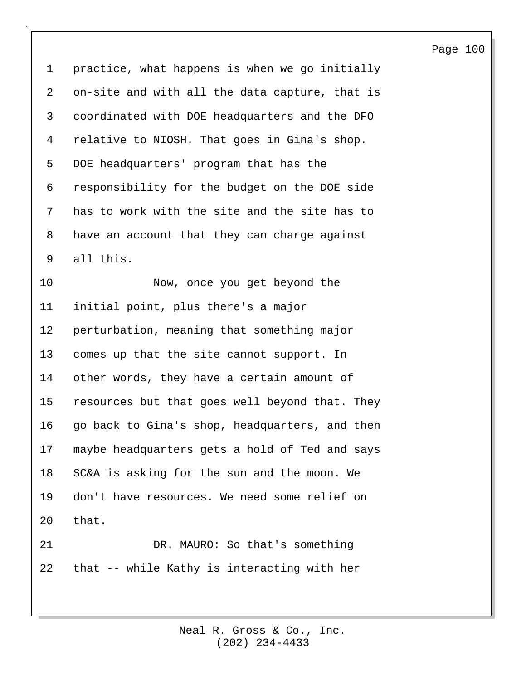1 practice, what happens is when we go initially 2 on-site and with all the data capture, that is 3 coordinated with DOE headquarters and the DFO 4 relative to NIOSH. That goes in Gina's shop. 5 DOE headquarters' program that has the 6 responsibility for the budget on the DOE side 7 has to work with the site and the site has to 8 have an account that they can charge against 9 all this. 10 Now, once you get beyond the 11 initial point, plus there's a major 12 perturbation, meaning that something major 13 comes up that the site cannot support. In 14 other words, they have a certain amount of 15 resources but that goes well beyond that. They 16 go back to Gina's shop, headquarters, and then 17 maybe headquarters gets a hold of Ted and says 18 SC&A is asking for the sun and the moon. We 19 don't have resources. We need some relief on 20 that. 21 DR. MAURO: So that's something 22 that -- while Kathy is interacting with her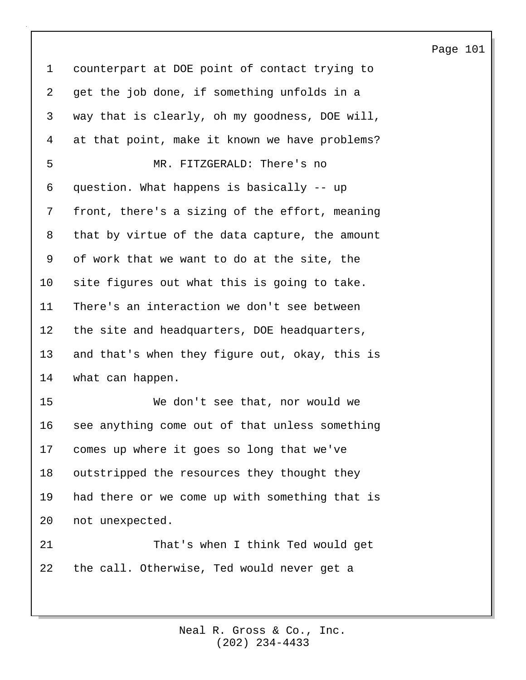1 counterpart at DOE point of contact trying to 2 get the job done, if something unfolds in a 3 way that is clearly, oh my goodness, DOE will, 4 at that point, make it known we have problems? 5 MR. FITZGERALD: There's no 6 question. What happens is basically -- up 7 front, there's a sizing of the effort, meaning 8 that by virtue of the data capture, the amount 9 of work that we want to do at the site, the 10 site figures out what this is going to take. 11 There's an interaction we don't see between 12 the site and headquarters, DOE headquarters, 13 and that's when they figure out, okay, this is 14 what can happen. 15 We don't see that, nor would we 16 see anything come out of that unless something 17 comes up where it goes so long that we've 18 outstripped the resources they thought they 19 had there or we come up with something that is 20 not unexpected. 21 That's when I think Ted would get 22 the call. Otherwise, Ted would never get a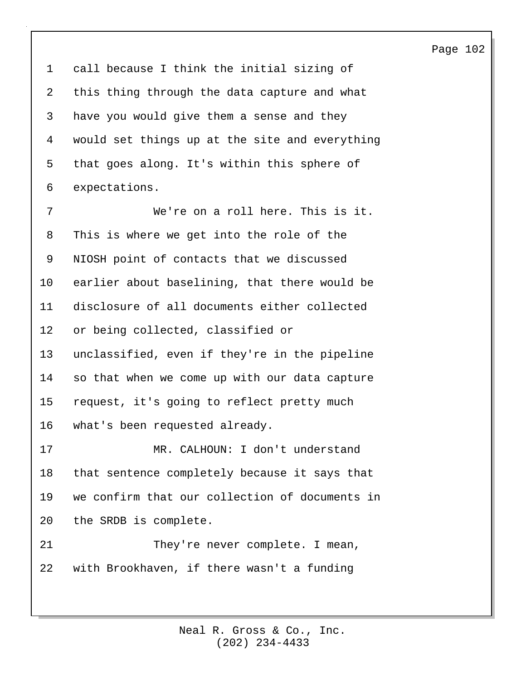1 call because I think the initial sizing of 2 this thing through the data capture and what 3 have you would give them a sense and they 4 would set things up at the site and everything 5 that goes along. It's within this sphere of 6 expectations.

7 We're on a roll here. This is it. 8 This is where we get into the role of the 9 NIOSH point of contacts that we discussed 10 earlier about baselining, that there would be 11 disclosure of all documents either collected 12 or being collected, classified or 13 unclassified, even if they're in the pipeline 14 so that when we come up with our data capture 15 request, it's going to reflect pretty much 16 what's been requested already. 17 MR. CALHOUN: I don't understand 18 that sentence completely because it says that 19 we confirm that our collection of documents in 20 the SRDB is complete. 21 They're never complete. I mean, 22 with Brookhaven, if there wasn't a funding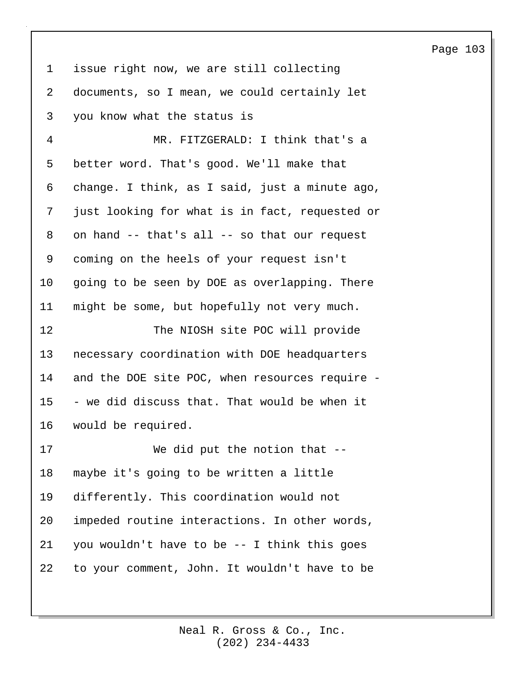| $\mathbf 1$ | issue right now, we are still collecting       |
|-------------|------------------------------------------------|
| 2           | documents, so I mean, we could certainly let   |
| 3           | you know what the status is                    |
| 4           | MR. FITZGERALD: I think that's a               |
| 5           | better word. That's good. We'll make that      |
| 6           | change. I think, as I said, just a minute ago, |
| 7           | just looking for what is in fact, requested or |
| 8           | on hand -- that's all -- so that our request   |
| 9           | coming on the heels of your request isn't      |
| 10          | going to be seen by DOE as overlapping. There  |
| 11          | might be some, but hopefully not very much.    |
| 12          | The NIOSH site POC will provide                |
| 13          | necessary coordination with DOE headquarters   |
| 14          | and the DOE site POC, when resources require - |
| 15          | - we did discuss that. That would be when it   |

17 We did put the notion that -- 18 maybe it's going to be written a little 19 differently. This coordination would not 20 impeded routine interactions. In other words, 21 you wouldn't have to be -- I think this goes 22 to your comment, John. It wouldn't have to be

16 would be required.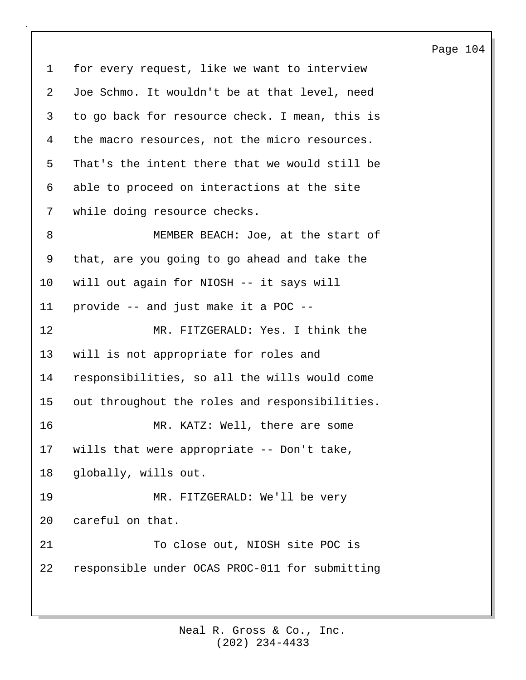1 for every request, like we want to interview 2 Joe Schmo. It wouldn't be at that level, need 3 to go back for resource check. I mean, this is 4 the macro resources, not the micro resources. 5 That's the intent there that we would still be 6 able to proceed on interactions at the site 7 while doing resource checks. 8 MEMBER BEACH: Joe, at the start of 9 that, are you going to go ahead and take the 10 will out again for NIOSH -- it says will 11 provide -- and just make it a POC -- 12 MR. FITZGERALD: Yes. I think the 13 will is not appropriate for roles and 14 responsibilities, so all the wills would come 15 out throughout the roles and responsibilities. 16 MR. KATZ: Well, there are some 17 wills that were appropriate -- Don't take, 18 globally, wills out. 19 MR. FITZGERALD: We'll be very 20 careful on that. 21 To close out, NIOSH site POC is 22 responsible under OCAS PROC-011 for submitting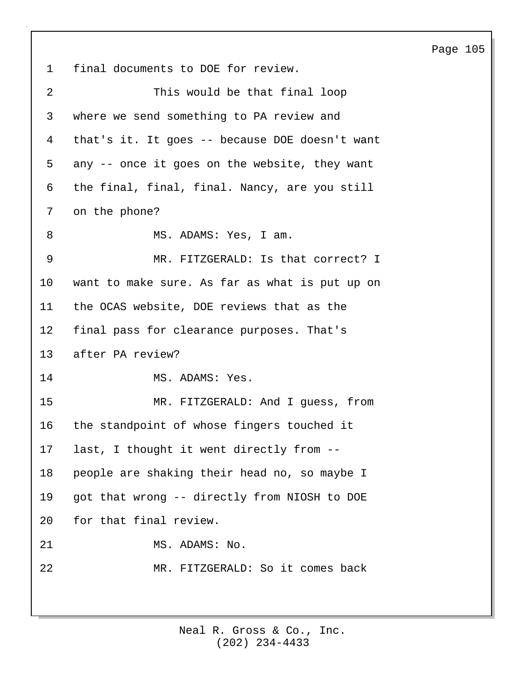1 final documents to DOE for review. 2 This would be that final loop 3 where we send something to PA review and 4 that's it. It goes -- because DOE doesn't want 5 any -- once it goes on the website, they want 6 the final, final, final. Nancy, are you still 7 on the phone? 8 MS. ADAMS: Yes, I am. 9 MR. FITZGERALD: Is that correct? I 10 want to make sure. As far as what is put up on 11 the OCAS website, DOE reviews that as the 12 final pass for clearance purposes. That's 13 after PA review? 14 MS. ADAMS: Yes. 15 MR. FITZGERALD: And I guess, from 16 the standpoint of whose fingers touched it 17 last, I thought it went directly from -- 18 people are shaking their head no, so maybe I 19 got that wrong -- directly from NIOSH to DOE 20 for that final review. 21 MS. ADAMS: No. 22 MR. FITZGERALD: So it comes back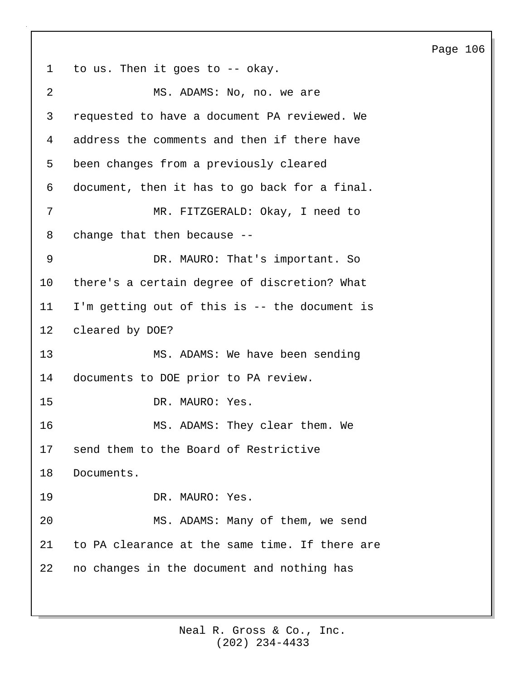Page 106 1 to us. Then it goes to -- okay. 2 MS. ADAMS: No, no. we are 3 requested to have a document PA reviewed. We 4 address the comments and then if there have 5 been changes from a previously cleared 6 document, then it has to go back for a final. 7 MR. FITZGERALD: Okay, I need to 8 change that then because -- 9 DR. MAURO: That's important. So 10 there's a certain degree of discretion? What 11 I'm getting out of this is -- the document is 12 cleared by DOE? 13 MS. ADAMS: We have been sending 14 documents to DOE prior to PA review. 15 DR. MAURO: Yes. 16 MS. ADAMS: They clear them. We 17 send them to the Board of Restrictive 18 Documents. 19 DR. MAURO: Yes. 20 MS. ADAMS: Many of them, we send 21 to PA clearance at the same time. If there are 22 no changes in the document and nothing has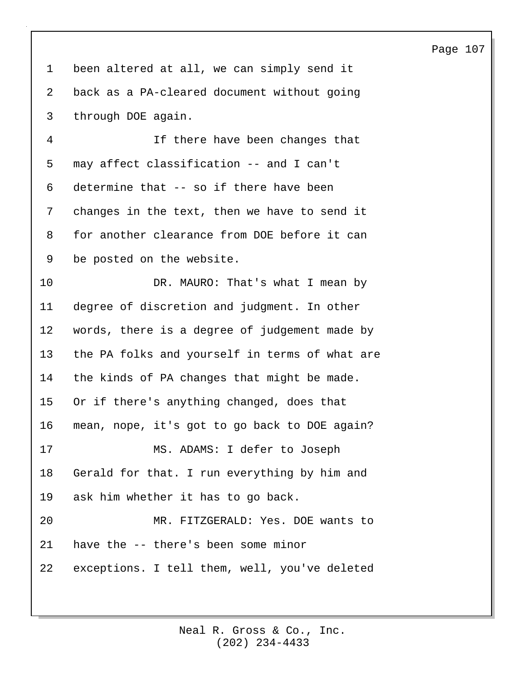1 been altered at all, we can simply send it 2 back as a PA-cleared document without going 3 through DOE again. 4 If there have been changes that

5 may affect classification -- and I can't 6 determine that -- so if there have been 7 changes in the text, then we have to send it 8 for another clearance from DOE before it can 9 be posted on the website.

10 DR. MAURO: That's what I mean by 11 degree of discretion and judgment. In other 12 words, there is a degree of judgement made by 13 the PA folks and yourself in terms of what are 14 the kinds of PA changes that might be made. 15 Or if there's anything changed, does that 16 mean, nope, it's got to go back to DOE again? 17 MS. ADAMS: I defer to Joseph 18 Gerald for that. I run everything by him and 19 ask him whether it has to go back. 20 MR. FITZGERALD: Yes. DOE wants to 21 have the -- there's been some minor 22 exceptions. I tell them, well, you've deleted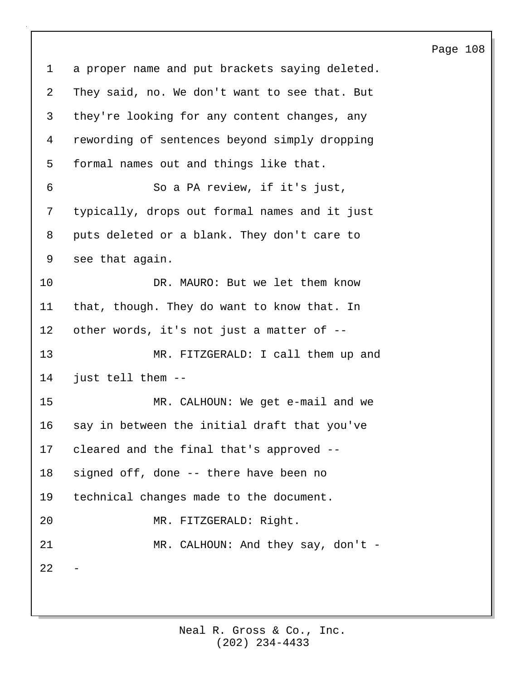| $\mathbf{1}$   | a proper name and put brackets saying deleted. |
|----------------|------------------------------------------------|
| $\overline{2}$ | They said, no. We don't want to see that. But  |
| 3              | they're looking for any content changes, any   |
| 4              | rewording of sentences beyond simply dropping  |
| 5              | formal names out and things like that.         |
| 6              | So a PA review, if it's just,                  |
| 7              | typically, drops out formal names and it just  |
| 8              | puts deleted or a blank. They don't care to    |
| 9              | see that again.                                |
| 10             | DR. MAURO: But we let them know                |
| 11             | that, though. They do want to know that. In    |
| 12             | other words, it's not just a matter of --      |
| 13             | MR. FITZGERALD: I call them up and             |
| 14             | just tell them --                              |
| 15             | MR. CALHOUN: We get e-mail and we              |
| 16             | say in between the initial draft that you've   |
| 17             | cleared and the final that's approved --       |
| 18             | signed off, done -- there have been no         |
| 19             | technical changes made to the document.        |
| 20             | MR. FITZGERALD: Right.                         |
| 21             | MR. CALHOUN: And they say, don't -             |
| 22             |                                                |
|                |                                                |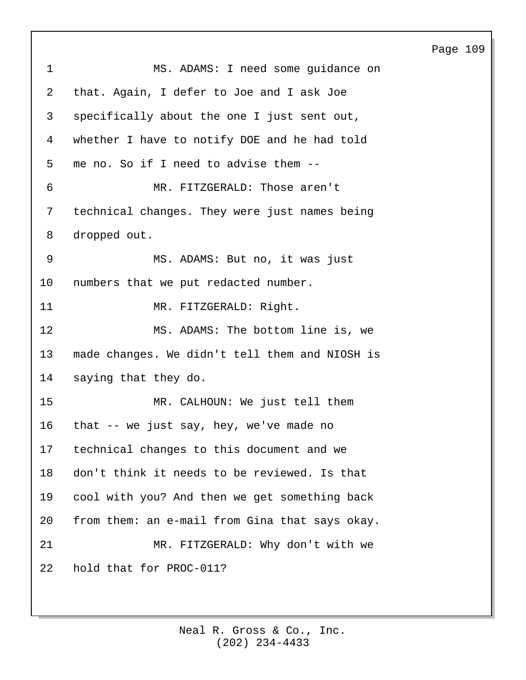1 MS. ADAMS: I need some guidance on 2 that. Again, I defer to Joe and I ask Joe 3 specifically about the one I just sent out, 4 whether I have to notify DOE and he had told 5 me no. So if I need to advise them -- 6 MR. FITZGERALD: Those aren't 7 technical changes. They were just names being 8 dropped out. 9 MS. ADAMS: But no, it was just 10 numbers that we put redacted number. 11 MR. FITZGERALD: Right. 12 MS. ADAMS: The bottom line is, we 13 made changes. We didn't tell them and NIOSH is 14 saying that they do. 15 MR. CALHOUN: We just tell them 16 that -- we just say, hey, we've made no 17 technical changes to this document and we 18 don't think it needs to be reviewed. Is that 19 cool with you? And then we get something back 20 from them: an e-mail from Gina that says okay. 21 MR. FITZGERALD: Why don't with we 22 hold that for PROC-011?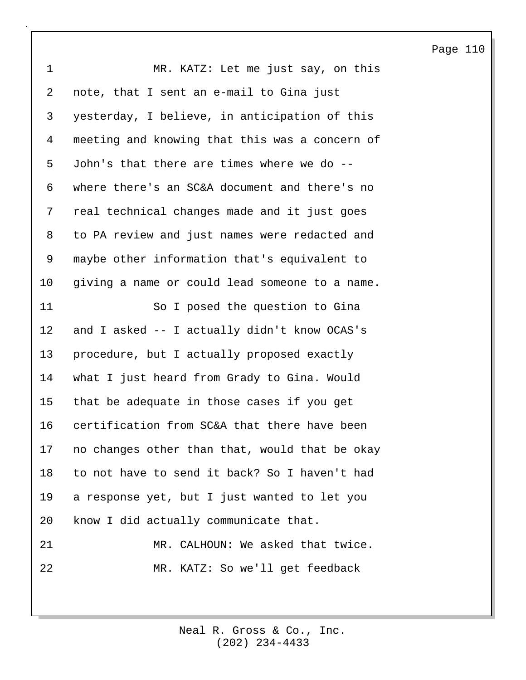1 MR. KATZ: Let me just say, on this 2 note, that I sent an e-mail to Gina just 3 yesterday, I believe, in anticipation of this 4 meeting and knowing that this was a concern of 5 John's that there are times where we do -- 6 where there's an SC&A document and there's no 7 real technical changes made and it just goes 8 to PA review and just names were redacted and 9 maybe other information that's equivalent to 10 giving a name or could lead someone to a name. 11 So I posed the question to Gina 12 and I asked -- I actually didn't know OCAS's 13 procedure, but I actually proposed exactly 14 what I just heard from Grady to Gina. Would 15 that be adequate in those cases if you get 16 certification from SC&A that there have been 17 no changes other than that, would that be okay 18 to not have to send it back? So I haven't had 19 a response yet, but I just wanted to let you 20 know I did actually communicate that. 21 MR. CALHOUN: We asked that twice. 22 MR. KATZ: So we'll get feedback

Page 110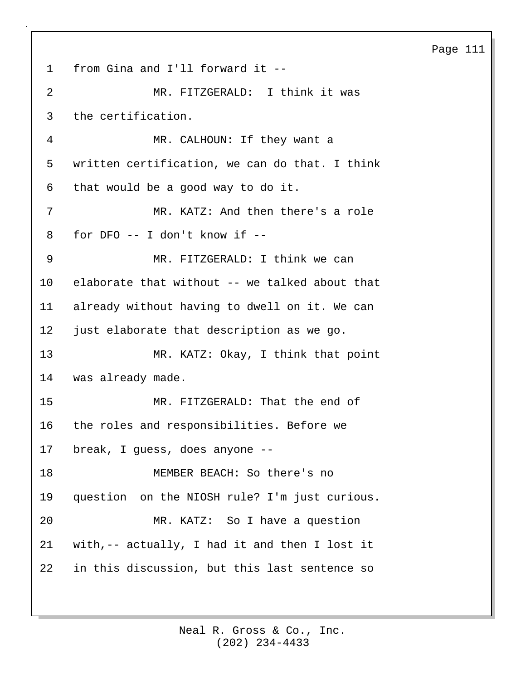1 from Gina and I'll forward it -- 2 MR. FITZGERALD: I think it was 3 the certification. 4 MR. CALHOUN: If they want a 5 written certification, we can do that. I think 6 that would be a good way to do it. 7 MR. KATZ: And then there's a role 8 for DFO -- I don't know if -- 9 MR. FITZGERALD: I think we can 10 elaborate that without -- we talked about that 11 already without having to dwell on it. We can 12 just elaborate that description as we go. 13 MR. KATZ: Okay, I think that point 14 was already made. 15 MR. FITZGERALD: That the end of 16 the roles and responsibilities. Before we 17 break, I guess, does anyone -- 18 MEMBER BEACH: So there's no 19 question on the NIOSH rule? I'm just curious. 20 MR. KATZ: So I have a question 21 with,-- actually, I had it and then I lost it 22 in this discussion, but this last sentence so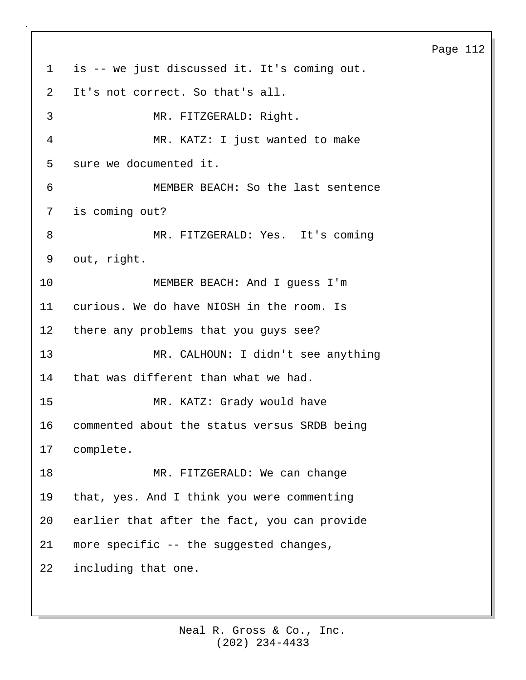1 is -- we just discussed it. It's coming out. 2 It's not correct. So that's all. 3 MR. FITZGERALD: Right. 4 MR. KATZ: I just wanted to make 5 sure we documented it. 6 MEMBER BEACH: So the last sentence 7 is coming out? 8 MR. FITZGERALD: Yes. It's coming 9 out, right. 10 MEMBER BEACH: And I guess I'm 11 curious. We do have NIOSH in the room. Is 12 there any problems that you guys see? 13 MR. CALHOUN: I didn't see anything 14 that was different than what we had. 15 MR. KATZ: Grady would have 16 commented about the status versus SRDB being 17 complete. 18 MR. FITZGERALD: We can change 19 that, yes. And I think you were commenting 20 earlier that after the fact, you can provide 21 more specific -- the suggested changes, 22 including that one.

### Page 112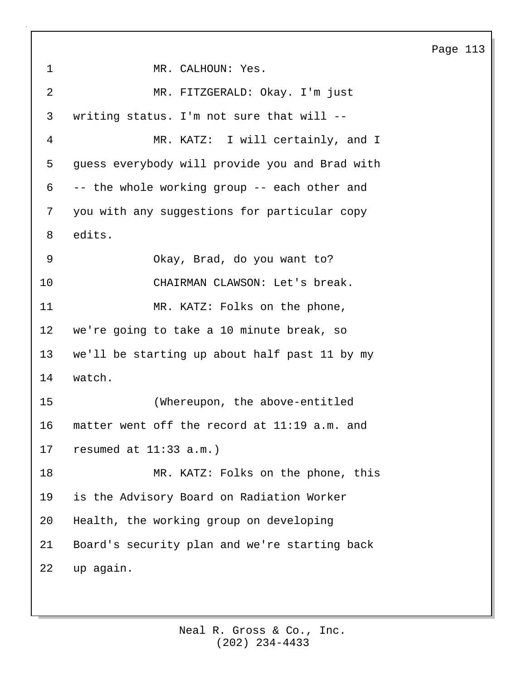1 MR. CALHOUN: Yes. 2 MR. FITZGERALD: Okay. I'm just 3 writing status. I'm not sure that will -- 4 MR. KATZ: I will certainly, and I 5 guess everybody will provide you and Brad with 6 -- the whole working group -- each other and 7 you with any suggestions for particular copy 8 edits. 9 Okay, Brad, do you want to? 10 CHAIRMAN CLAWSON: Let's break. 11 MR. KATZ: Folks on the phone, 12 we're going to take a 10 minute break, so 13 we'll be starting up about half past 11 by my 14 watch. 15 (Whereupon, the above-entitled 16 matter went off the record at 11:19 a.m. and 17 resumed at 11:33 a.m.) 18 MR. KATZ: Folks on the phone, this 19 is the Advisory Board on Radiation Worker 20 Health, the working group on developing 21 Board's security plan and we're starting back 22 up again.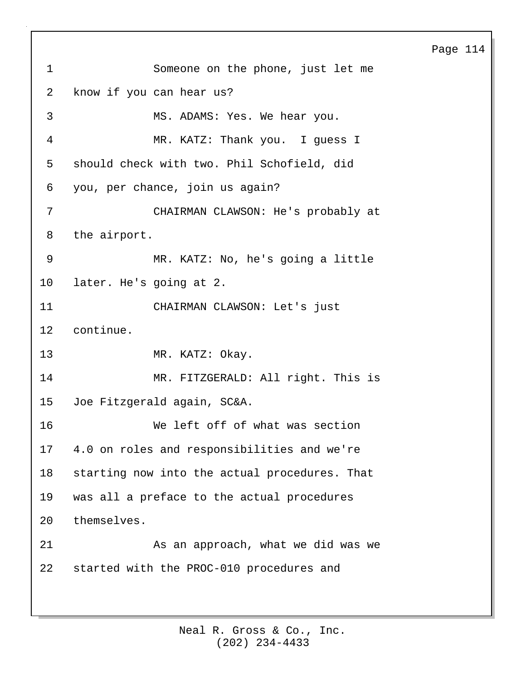1 Someone on the phone, just let me 2 know if you can hear us? 3 MS. ADAMS: Yes. We hear you. 4 MR. KATZ: Thank you. I guess I 5 should check with two. Phil Schofield, did 6 you, per chance, join us again? 7 CHAIRMAN CLAWSON: He's probably at 8 the airport. 9 MR. KATZ: No, he's going a little 10 later. He's going at 2. 11 CHAIRMAN CLAWSON: Let's just 12 continue. 13 MR. KATZ: Okay. 14 MR. FITZGERALD: All right. This is 15 Joe Fitzgerald again, SC&A. 16 We left off of what was section 17 4.0 on roles and responsibilities and we're 18 starting now into the actual procedures. That 19 was all a preface to the actual procedures 20 themselves. 21 As an approach, what we did was we 22 started with the PROC-010 procedures and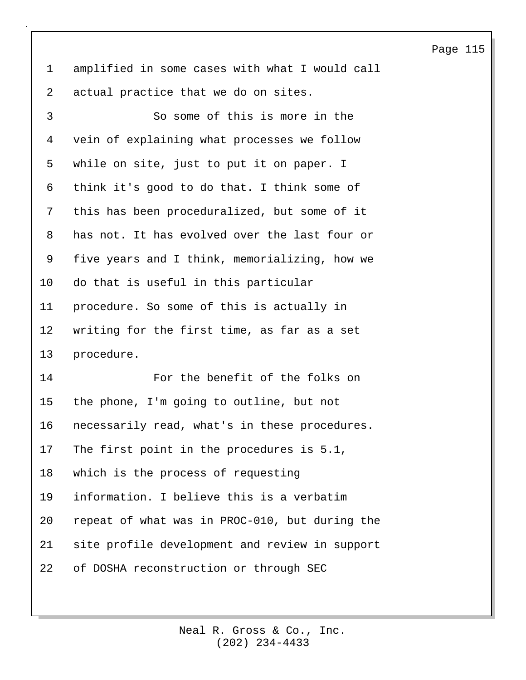1 amplified in some cases with what I would call 2 actual practice that we do on sites.

3 So some of this is more in the 4 vein of explaining what processes we follow 5 while on site, just to put it on paper. I 6 think it's good to do that. I think some of 7 this has been proceduralized, but some of it 8 has not. It has evolved over the last four or 9 five years and I think, memorializing, how we 10 do that is useful in this particular 11 procedure. So some of this is actually in 12 writing for the first time, as far as a set 13 procedure. 14 For the benefit of the folks on 15 the phone, I'm going to outline, but not 16 necessarily read, what's in these procedures. 17 The first point in the procedures is 5.1, 18 which is the process of requesting 19 information. I believe this is a verbatim 20 repeat of what was in PROC-010, but during the 21 site profile development and review in support 22 of DOSHA reconstruction or through SEC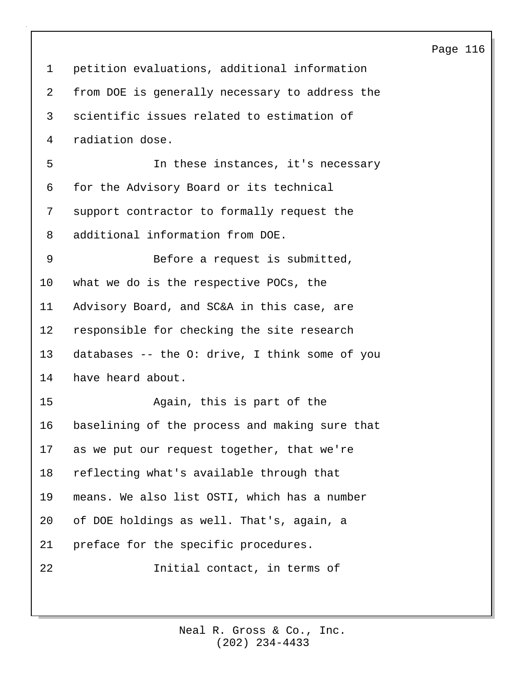1 petition evaluations, additional information 2 from DOE is generally necessary to address the 3 scientific issues related to estimation of 4 radiation dose. 5 In these instances, it's necessary 6 for the Advisory Board or its technical 7 support contractor to formally request the 8 additional information from DOE. 9 Before a request is submitted, 10 what we do is the respective POCs, the 11 Advisory Board, and SC&A in this case, are 12 responsible for checking the site research 13 databases -- the O: drive, I think some of you 14 have heard about. 15 Again, this is part of the 16 baselining of the process and making sure that 17 as we put our request together, that we're 18 reflecting what's available through that 19 means. We also list OSTI, which has a number 20 of DOE holdings as well. That's, again, a 21 preface for the specific procedures. 22 Initial contact, in terms of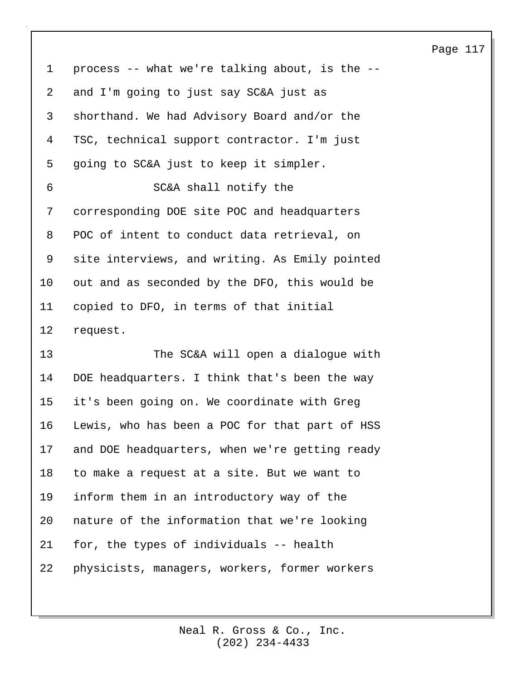1 process -- what we're talking about, is the -- 2 and I'm going to just say SC&A just as 3 shorthand. We had Advisory Board and/or the 4 TSC, technical support contractor. I'm just 5 going to SC&A just to keep it simpler. 6 SC&A shall notify the 7 corresponding DOE site POC and headquarters 8 POC of intent to conduct data retrieval, on 9 site interviews, and writing. As Emily pointed 10 out and as seconded by the DFO, this would be 11 copied to DFO, in terms of that initial 12 request. 13 The SC&A will open a dialogue with 14 DOE headquarters. I think that's been the way 15 it's been going on. We coordinate with Greg 16 Lewis, who has been a POC for that part of HSS 17 and DOE headquarters, when we're getting ready

18 to make a request at a site. But we want to 19 inform them in an introductory way of the 20 nature of the information that we're looking 21 for, the types of individuals -- health 22 physicists, managers, workers, former workers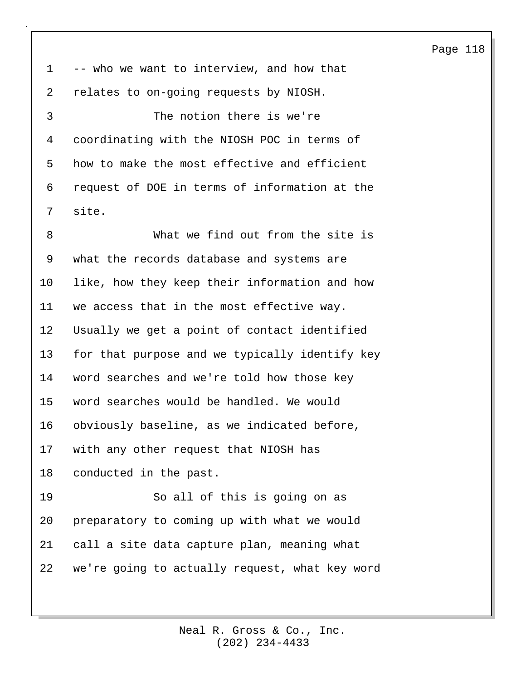1 -- who we want to interview, and how that 2 relates to on-going requests by NIOSH.

3 The notion there is we're 4 coordinating with the NIOSH POC in terms of 5 how to make the most effective and efficient 6 request of DOE in terms of information at the 7 site.

8 What we find out from the site is 9 what the records database and systems are 10 like, how they keep their information and how 11 we access that in the most effective way. 12 Usually we get a point of contact identified 13 for that purpose and we typically identify key 14 word searches and we're told how those key 15 word searches would be handled. We would 16 obviously baseline, as we indicated before, 17 with any other request that NIOSH has 18 conducted in the past. 19 So all of this is going on as 20 preparatory to coming up with what we would 21 call a site data capture plan, meaning what

22 we're going to actually request, what key word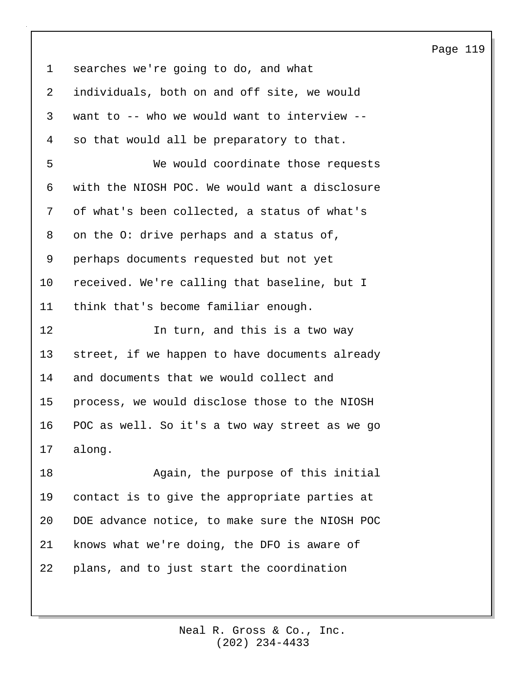| 119<br>Page |
|-------------|
|-------------|

| $\mathbf 1$     | searches we're going to do, and what           |
|-----------------|------------------------------------------------|
| 2               | individuals, both on and off site, we would    |
| 3               | want to -- who we would want to interview --   |
| 4               | so that would all be preparatory to that.      |
| 5               | We would coordinate those requests             |
| 6               | with the NIOSH POC. We would want a disclosure |
| 7               | of what's been collected, a status of what's   |
| 8               | on the O: drive perhaps and a status of,       |
| 9               | perhaps documents requested but not yet        |
| 10              | received. We're calling that baseline, but I   |
| 11              | think that's become familiar enough.           |
| 12              | In turn, and this is a two way                 |
| 13              | street, if we happen to have documents already |
| 14              | and documents that we would collect and        |
| 15              | process, we would disclose those to the NIOSH  |
| 16              | POC as well. So it's a two way street as we go |
| 17 <sub>2</sub> | along.                                         |
| 18              | Again, the purpose of this initial             |
| 19              | contact is to give the appropriate parties at  |
| 20              | DOE advance notice, to make sure the NIOSH POC |
| 21              | knows what we're doing, the DFO is aware of    |
| 22              | plans, and to just start the coordination      |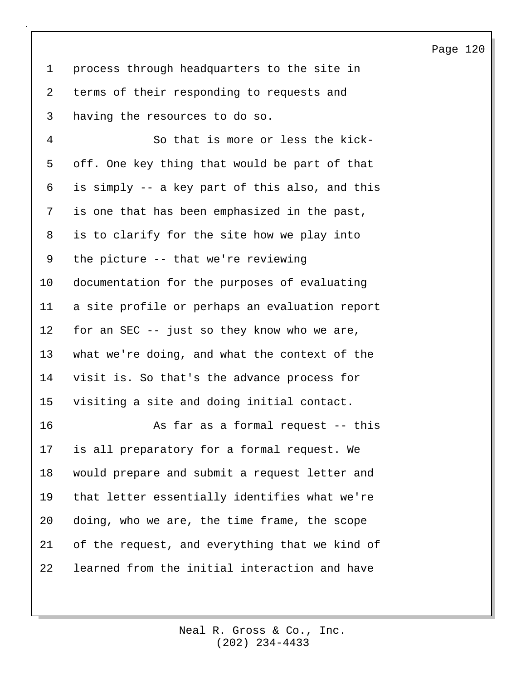1 process through headquarters to the site in 2 terms of their responding to requests and 3 having the resources to do so.

4 So that is more or less the kick-5 off. One key thing that would be part of that 6 is simply -- a key part of this also, and this 7 is one that has been emphasized in the past, 8 is to clarify for the site how we play into 9 the picture -- that we're reviewing 10 documentation for the purposes of evaluating 11 a site profile or perhaps an evaluation report 12 for an SEC -- just so they know who we are, 13 what we're doing, and what the context of the 14 visit is. So that's the advance process for 15 visiting a site and doing initial contact. 16 As far as a formal request -- this 17 is all preparatory for a formal request. We

18 would prepare and submit a request letter and 19 that letter essentially identifies what we're 20 doing, who we are, the time frame, the scope 21 of the request, and everything that we kind of 22 learned from the initial interaction and have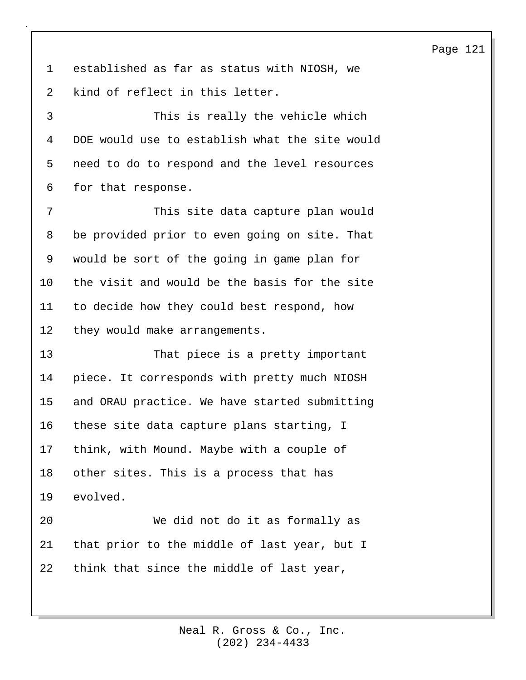1 established as far as status with NIOSH, we 2 kind of reflect in this letter. 3 This is really the vehicle which 4 DOE would use to establish what the site would 5 need to do to respond and the level resources

6 for that response.

7 This site data capture plan would 8 be provided prior to even going on site. That 9 would be sort of the going in game plan for 10 the visit and would be the basis for the site 11 to decide how they could best respond, how 12 they would make arrangements.

13 That piece is a pretty important 14 piece. It corresponds with pretty much NIOSH 15 and ORAU practice. We have started submitting 16 these site data capture plans starting, I 17 think, with Mound. Maybe with a couple of 18 other sites. This is a process that has 19 evolved. 20 We did not do it as formally as

21 that prior to the middle of last year, but I 22 think that since the middle of last year,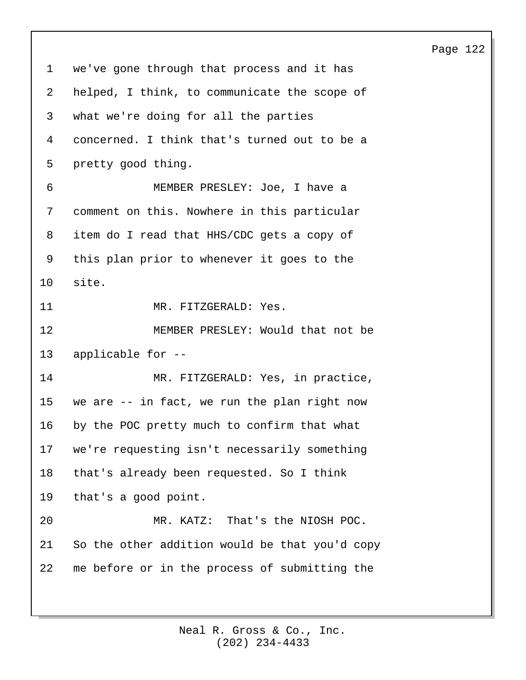1 we've gone through that process and it has 2 helped, I think, to communicate the scope of 3 what we're doing for all the parties 4 concerned. I think that's turned out to be a 5 pretty good thing. 6 MEMBER PRESLEY: Joe, I have a 7 comment on this. Nowhere in this particular 8 item do I read that HHS/CDC gets a copy of 9 this plan prior to whenever it goes to the 10 site. 11 MR. FITZGERALD: Yes. 12 MEMBER PRESLEY: Would that not be 13 applicable for -- 14 MR. FITZGERALD: Yes, in practice, 15 we are -- in fact, we run the plan right now 16 by the POC pretty much to confirm that what 17 we're requesting isn't necessarily something 18 that's already been requested. So I think 19 that's a good point. 20 MR. KATZ: That's the NIOSH POC. 21 So the other addition would be that you'd copy 22 me before or in the process of submitting the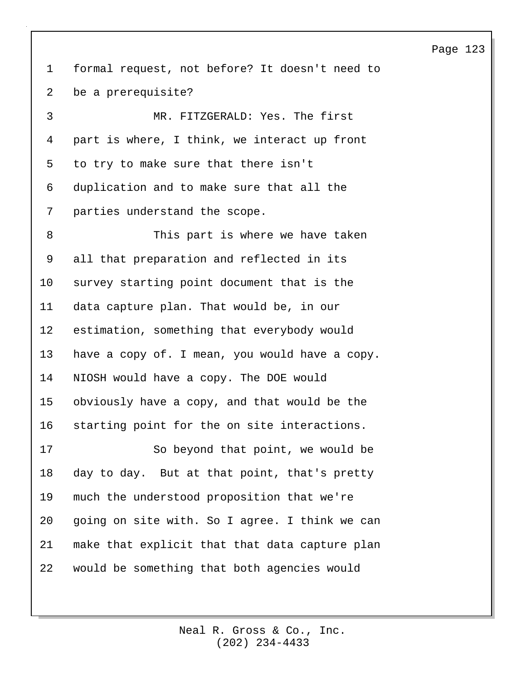1 formal request, not before? It doesn't need to 2 be a prerequisite? 3 MR. FITZGERALD: Yes. The first 4 part is where, I think, we interact up front 5 to try to make sure that there isn't 6 duplication and to make sure that all the 7 parties understand the scope. 8 This part is where we have taken 9 all that preparation and reflected in its 10 survey starting point document that is the 11 data capture plan. That would be, in our 12 estimation, something that everybody would 13 have a copy of. I mean, you would have a copy. 14 NIOSH would have a copy. The DOE would 15 obviously have a copy, and that would be the 16 starting point for the on site interactions. 17 So beyond that point, we would be 18 day to day. But at that point, that's pretty 19 much the understood proposition that we're 20 going on site with. So I agree. I think we can 21 make that explicit that that data capture plan 22 would be something that both agencies would

### Page 123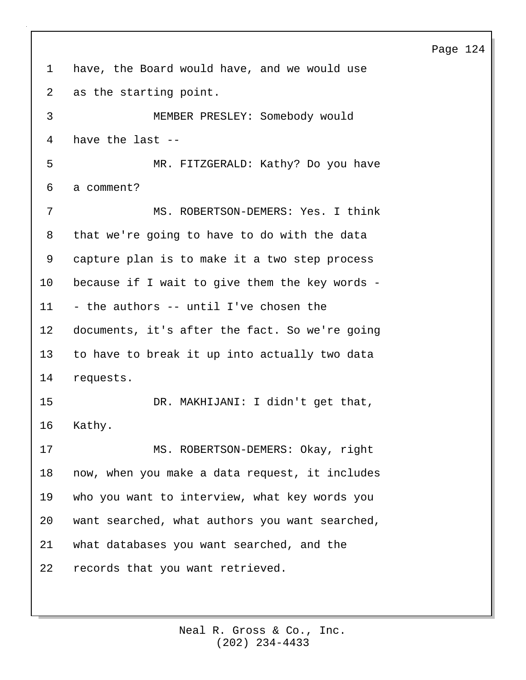# 1 have, the Board would have, and we would use 2 as the starting point. 3 MEMBER PRESLEY: Somebody would 4 have the last -- 5 MR. FITZGERALD: Kathy? Do you have 6 a comment? 7 MS. ROBERTSON-DEMERS: Yes. I think 8 that we're going to have to do with the data 9 capture plan is to make it a two step process 10 because if I wait to give them the key words - 11 - the authors -- until I've chosen the 12 documents, it's after the fact. So we're going 13 to have to break it up into actually two data 14 requests. 15 DR. MAKHIJANI: I didn't get that, 16 Kathy. 17 MS. ROBERTSON-DEMERS: Okay, right 18 now, when you make a data request, it includes 19 who you want to interview, what key words you 20 want searched, what authors you want searched, 21 what databases you want searched, and the 22 records that you want retrieved.

### Page 124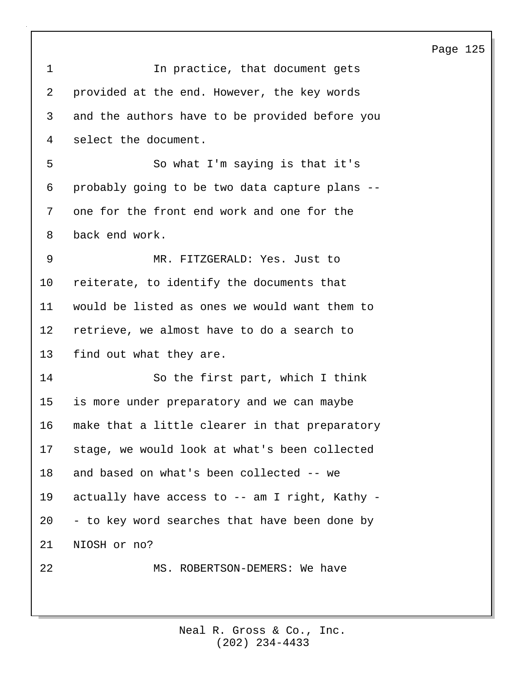| 1              | In practice, that document gets                |
|----------------|------------------------------------------------|
| $\overline{a}$ | provided at the end. However, the key words    |
| $\mathsf{3}$   | and the authors have to be provided before you |
| 4              | select the document.                           |
| 5              | So what I'm saying is that it's                |
| 6              | probably going to be two data capture plans -- |
| 7              | one for the front end work and one for the     |
| 8              | back end work.                                 |
| 9              | MR. FITZGERALD: Yes. Just to                   |
| 10             | reiterate, to identify the documents that      |
| 11             | would be listed as ones we would want them to  |
| 12             | retrieve, we almost have to do a search to     |
| 13             | find out what they are.                        |
| 14             | So the first part, which I think               |
| 15             | is more under preparatory and we can maybe     |
| 16             | make that a little clearer in that preparatory |
| 17             | stage, we would look at what's been collected  |
| 18             | and based on what's been collected -- we       |
| 19             | actually have access to -- am I right, Kathy - |
| 20             | - to key word searches that have been done by  |
| 21             | NIOSH or no?                                   |
| 22             | MS. ROBERTSON-DEMERS: We have                  |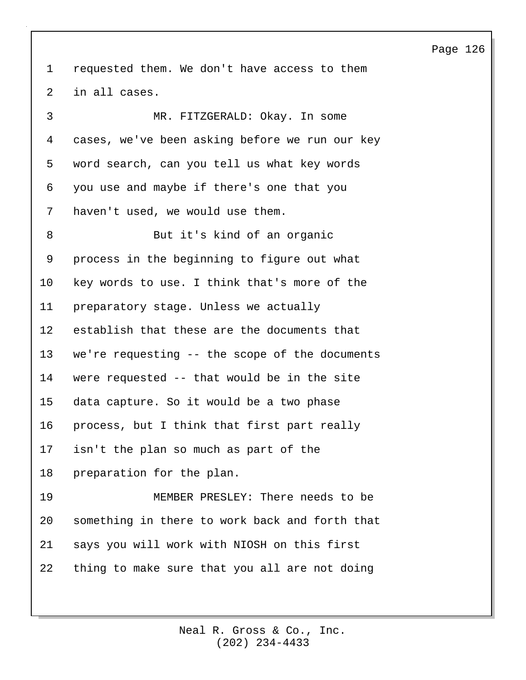1 requested them. We don't have access to them 2 in all cases.

3 MR. FITZGERALD: Okay. In some 4 cases, we've been asking before we run our key 5 word search, can you tell us what key words 6 you use and maybe if there's one that you 7 haven't used, we would use them.

8 But it's kind of an organic 9 process in the beginning to figure out what 10 key words to use. I think that's more of the 11 preparatory stage. Unless we actually 12 establish that these are the documents that 13 we're requesting -- the scope of the documents 14 were requested -- that would be in the site 15 data capture. So it would be a two phase 16 process, but I think that first part really 17 isn't the plan so much as part of the 18 preparation for the plan. 19 MEMBER PRESLEY: There needs to be 20 something in there to work back and forth that 21 says you will work with NIOSH on this first

22 thing to make sure that you all are not doing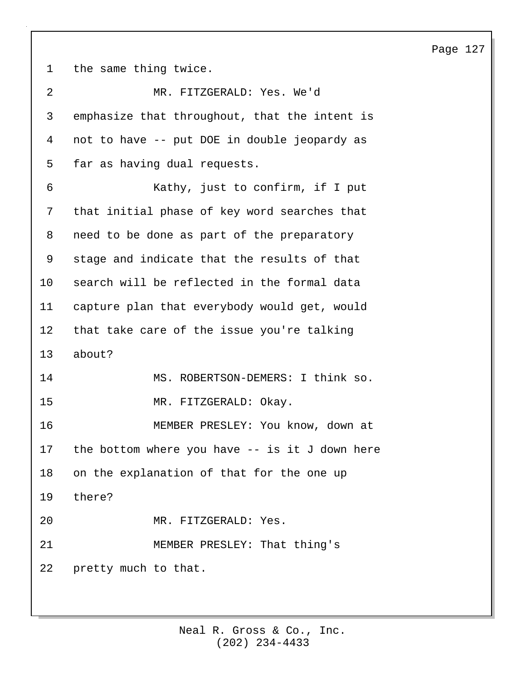1 the same thing twice.

| 2  | MR. FITZGERALD: Yes. We'd                       |
|----|-------------------------------------------------|
| 3  | emphasize that throughout, that the intent is   |
| 4  | not to have -- put DOE in double jeopardy as    |
| 5  | far as having dual requests.                    |
| 6  | Kathy, just to confirm, if I put                |
| 7  | that initial phase of key word searches that    |
| 8  | need to be done as part of the preparatory      |
| 9  | stage and indicate that the results of that     |
| 10 | search will be reflected in the formal data     |
| 11 | capture plan that everybody would get, would    |
| 12 | that take care of the issue you're talking      |
| 13 | about?                                          |
| 14 | MS. ROBERTSON-DEMERS: I think so.               |
| 15 | MR. FITZGERALD: Okay.                           |
| 16 | MEMBER PRESLEY: You know, down at               |
| 17 | the bottom where you have $-$ is it J down here |
| 18 | on the explanation of that for the one up       |
| 19 | there?                                          |
|    |                                                 |
| 20 | MR. FITZGERALD: Yes.                            |
| 21 | MEMBER PRESLEY: That thing's                    |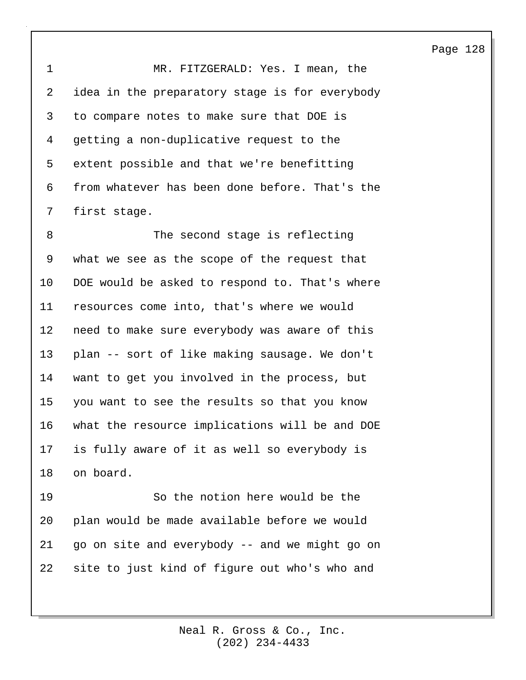1 MR. FITZGERALD: Yes. I mean, the 2 idea in the preparatory stage is for everybody 3 to compare notes to make sure that DOE is 4 getting a non-duplicative request to the 5 extent possible and that we're benefitting 6 from whatever has been done before. That's the 7 first stage.

8 The second stage is reflecting 9 what we see as the scope of the request that 10 DOE would be asked to respond to. That's where 11 resources come into, that's where we would 12 need to make sure everybody was aware of this 13 plan -- sort of like making sausage. We don't 14 want to get you involved in the process, but 15 you want to see the results so that you know 16 what the resource implications will be and DOE 17 is fully aware of it as well so everybody is 18 on board.

19 So the notion here would be the 20 plan would be made available before we would 21 go on site and everybody -- and we might go on 22 site to just kind of figure out who's who and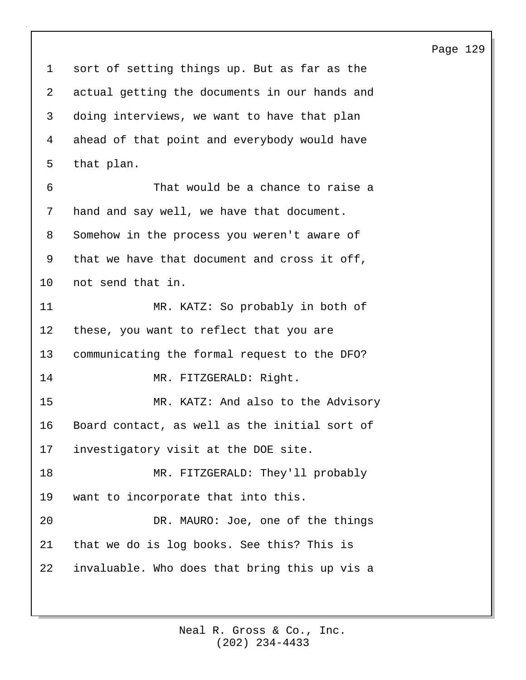1 sort of setting things up. But as far as the 2 actual getting the documents in our hands and 3 doing interviews, we want to have that plan 4 ahead of that point and everybody would have 5 that plan. 6 That would be a chance to raise a 7 hand and say well, we have that document. 8 Somehow in the process you weren't aware of 9 that we have that document and cross it off, 10 not send that in. 11 MR. KATZ: So probably in both of 12 these, you want to reflect that you are 13 communicating the formal request to the DFO? 14 MR. FITZGERALD: Right. 15 MR. KATZ: And also to the Advisory 16 Board contact, as well as the initial sort of 17 investigatory visit at the DOE site. 18 MR. FITZGERALD: They'll probably 19 want to incorporate that into this. 20 DR. MAURO: Joe, one of the things 21 that we do is log books. See this? This is 22 invaluable. Who does that bring this up vis a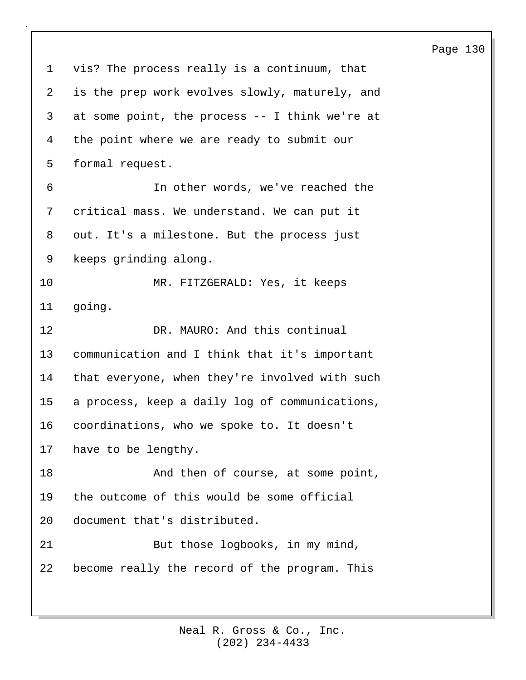1 vis? The process really is a continuum, that 2 is the prep work evolves slowly, maturely, and 3 at some point, the process -- I think we're at 4 the point where we are ready to submit our 5 formal request. 6 In other words, we've reached the 7 critical mass. We understand. We can put it 8 out. It's a milestone. But the process just 9 keeps grinding along. 10 MR. FITZGERALD: Yes, it keeps 11 going. 12 DR. MAURO: And this continual 13 communication and I think that it's important 14 that everyone, when they're involved with such 15 a process, keep a daily log of communications, 16 coordinations, who we spoke to. It doesn't 17 have to be lengthy. 18 And then of course, at some point, 19 the outcome of this would be some official 20 document that's distributed. 21 But those logbooks, in my mind, 22 become really the record of the program. This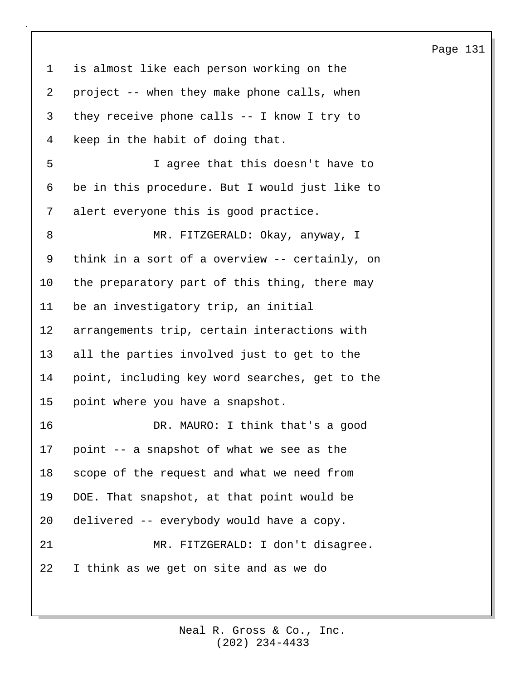1 is almost like each person working on the 2 project -- when they make phone calls, when 3 they receive phone calls -- I know I try to 4 keep in the habit of doing that. 5 I agree that this doesn't have to 6 be in this procedure. But I would just like to 7 alert everyone this is good practice. 8 MR. FITZGERALD: Okay, anyway, I 9 think in a sort of a overview -- certainly, on 10 the preparatory part of this thing, there may 11 be an investigatory trip, an initial

12 arrangements trip, certain interactions with 13 all the parties involved just to get to the 14 point, including key word searches, get to the 15 point where you have a snapshot.

16 DR. MAURO: I think that's a good 17 point -- a snapshot of what we see as the 18 scope of the request and what we need from 19 DOE. That snapshot, at that point would be 20 delivered -- everybody would have a copy. 21 MR. FITZGERALD: I don't disagree. 22 I think as we get on site and as we do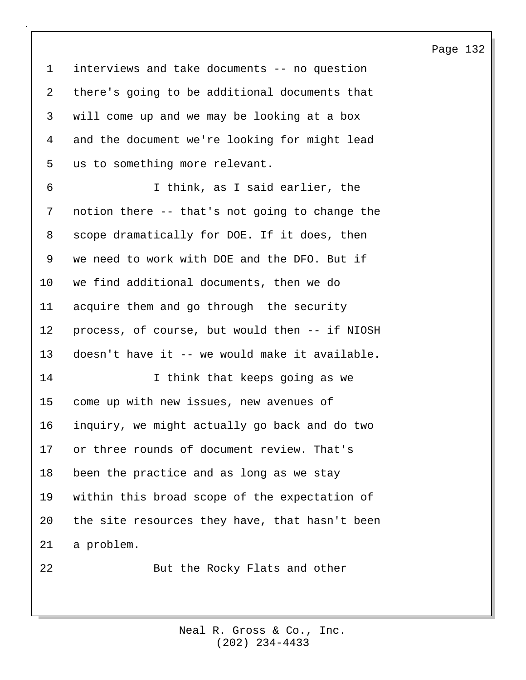1 interviews and take documents -- no question 2 there's going to be additional documents that 3 will come up and we may be looking at a box 4 and the document we're looking for might lead 5 us to something more relevant.

6 I think, as I said earlier, the 7 notion there -- that's not going to change the 8 scope dramatically for DOE. If it does, then 9 we need to work with DOE and the DFO. But if 10 we find additional documents, then we do 11 acquire them and go through the security 12 process, of course, but would then -- if NIOSH 13 doesn't have it -- we would make it available. 14 I think that keeps going as we 15 come up with new issues, new avenues of

16 inquiry, we might actually go back and do two

18 been the practice and as long as we stay

17 or three rounds of document review. That's

19 within this broad scope of the expectation of

20 the site resources they have, that hasn't been

21 a problem.

22 But the Rocky Flats and other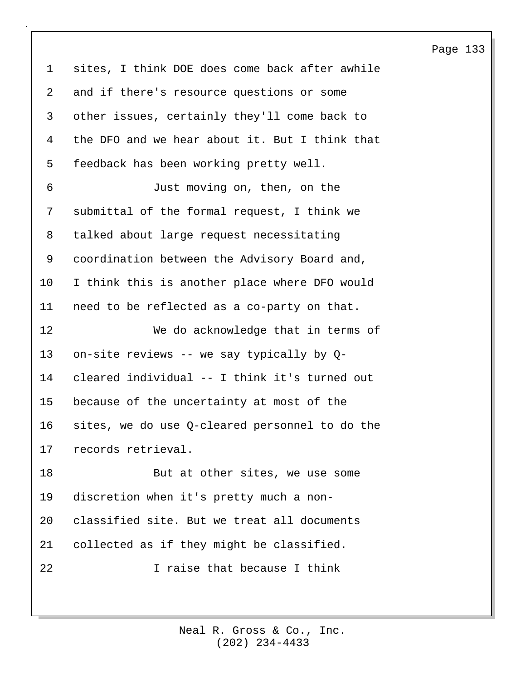1 sites, I think DOE does come back after awhile 2 and if there's resource questions or some 3 other issues, certainly they'll come back to 4 the DFO and we hear about it. But I think that 5 feedback has been working pretty well. 6 Just moving on, then, on the 7 submittal of the formal request, I think we 8 talked about large request necessitating 9 coordination between the Advisory Board and, 10 I think this is another place where DFO would 11 need to be reflected as a co-party on that. 12 We do acknowledge that in terms of 13 on-site reviews -- we say typically by Q-14 cleared individual -- I think it's turned out 15 because of the uncertainty at most of the 16 sites, we do use Q-cleared personnel to do the 17 records retrieval. 18 But at other sites, we use some 19 discretion when it's pretty much a non-20 classified site. But we treat all documents 21 collected as if they might be classified. 22 I raise that because I think

Page 133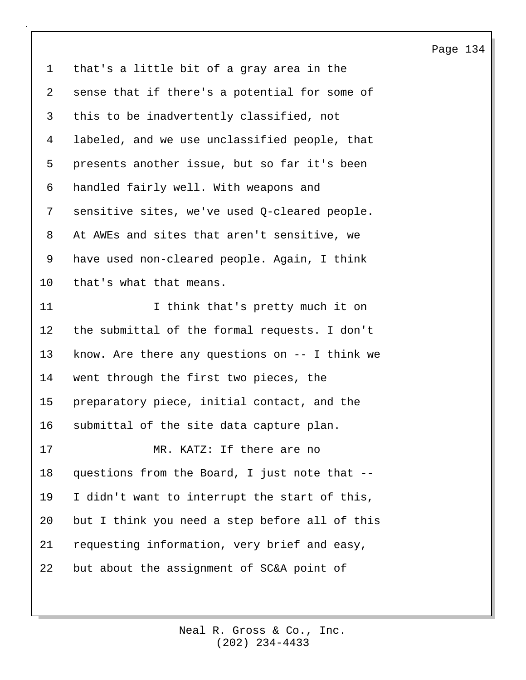1 that's a little bit of a gray area in the 2 sense that if there's a potential for some of 3 this to be inadvertently classified, not 4 labeled, and we use unclassified people, that 5 presents another issue, but so far it's been 6 handled fairly well. With weapons and 7 sensitive sites, we've used Q-cleared people. 8 At AWEs and sites that aren't sensitive, we 9 have used non-cleared people. Again, I think 10 that's what that means. 11 11 I think that's pretty much it on 12 the submittal of the formal requests. I don't 13 know. Are there any questions on -- I think we 14 went through the first two pieces, the 15 preparatory piece, initial contact, and the 16 submittal of the site data capture plan. 17 MR. KATZ: If there are no 18 questions from the Board, I just note that -- 19 I didn't want to interrupt the start of this, 20 but I think you need a step before all of this 21 requesting information, very brief and easy, 22 but about the assignment of SC&A point of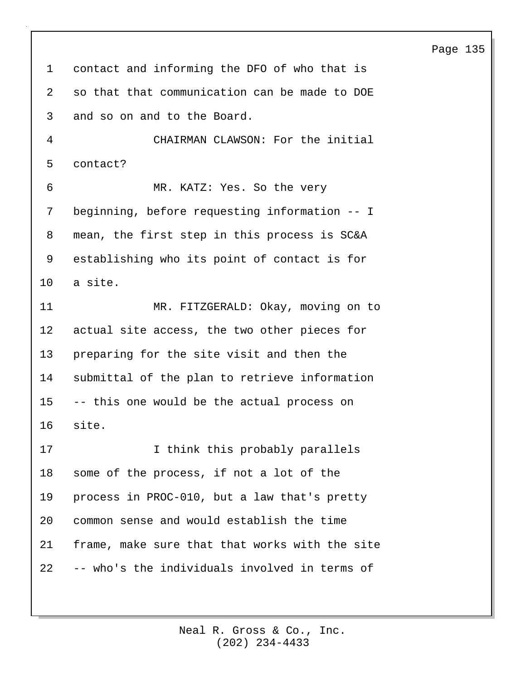1 contact and informing the DFO of who that is 2 so that that communication can be made to DOE 3 and so on and to the Board. 4 CHAIRMAN CLAWSON: For the initial 5 contact? 6 MR. KATZ: Yes. So the very 7 beginning, before requesting information -- I 8 mean, the first step in this process is SC&A 9 establishing who its point of contact is for 10 a site. 11 MR. FITZGERALD: Okay, moving on to 12 actual site access, the two other pieces for 13 preparing for the site visit and then the 14 submittal of the plan to retrieve information 15 -- this one would be the actual process on 16 site. 17 10 I think this probably parallels 18 some of the process, if not a lot of the 19 process in PROC-010, but a law that's pretty 20 common sense and would establish the time 21 frame, make sure that that works with the site 22 -- who's the individuals involved in terms of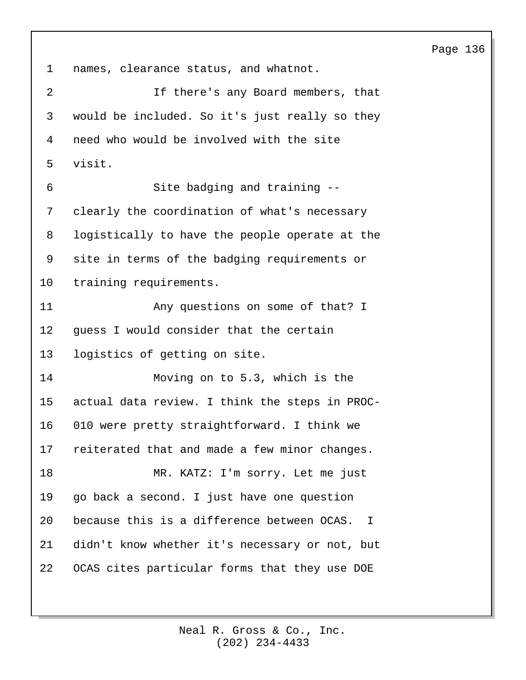1 names, clearance status, and whatnot. 2 If there's any Board members, that 3 would be included. So it's just really so they 4 need who would be involved with the site 5 visit. 6 Site badging and training -- 7 clearly the coordination of what's necessary 8 logistically to have the people operate at the 9 site in terms of the badging requirements or 10 training requirements. 11 Any questions on some of that? I 12 guess I would consider that the certain 13 logistics of getting on site. 14 Moving on to 5.3, which is the 15 actual data review. I think the steps in PROC-16 010 were pretty straightforward. I think we 17 reiterated that and made a few minor changes. 18 MR. KATZ: I'm sorry. Let me just 19 go back a second. I just have one question 20 because this is a difference between OCAS. I 21 didn't know whether it's necessary or not, but 22 OCAS cites particular forms that they use DOE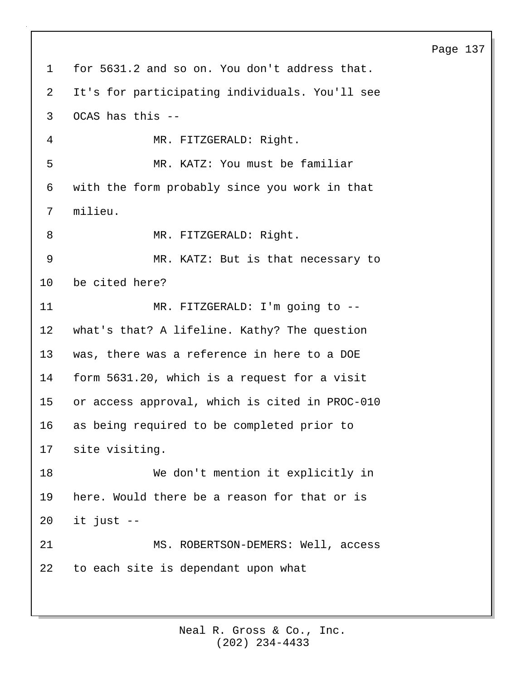1 for 5631.2 and so on. You don't address that. 2 It's for participating individuals. You'll see 3 OCAS has this -- 4 MR. FITZGERALD: Right. 5 MR. KATZ: You must be familiar 6 with the form probably since you work in that 7 milieu. 8 MR. FITZGERALD: Right. 9 MR. KATZ: But is that necessary to 10 be cited here? 11 MR. FITZGERALD: I'm going to -- 12 what's that? A lifeline. Kathy? The question 13 was, there was a reference in here to a DOE 14 form 5631.20, which is a request for a visit 15 or access approval, which is cited in PROC-010 16 as being required to be completed prior to 17 site visiting. 18 We don't mention it explicitly in 19 here. Would there be a reason for that or is  $20$  it just  $-$ 21 MS. ROBERTSON-DEMERS: Well, access 22 to each site is dependant upon what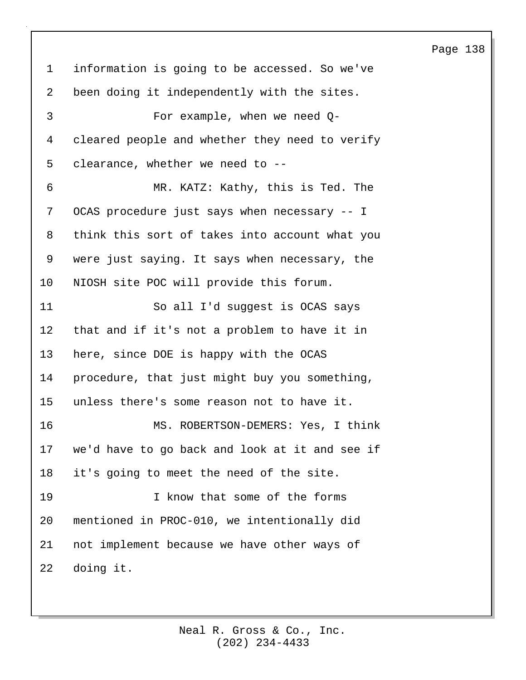1 information is going to be accessed. So we've 2 been doing it independently with the sites. 3 For example, when we need Q-4 cleared people and whether they need to verify 5 clearance, whether we need to -- 6 MR. KATZ: Kathy, this is Ted. The 7 OCAS procedure just says when necessary -- I 8 think this sort of takes into account what you 9 were just saying. It says when necessary, the 10 NIOSH site POC will provide this forum. 11 So all I'd suggest is OCAS says 12 that and if it's not a problem to have it in 13 here, since DOE is happy with the OCAS 14 procedure, that just might buy you something, 15 unless there's some reason not to have it. 16 MS. ROBERTSON-DEMERS: Yes, I think 17 we'd have to go back and look at it and see if 18 it's going to meet the need of the site. 19 I know that some of the forms 20 mentioned in PROC-010, we intentionally did 21 not implement because we have other ways of 22 doing it.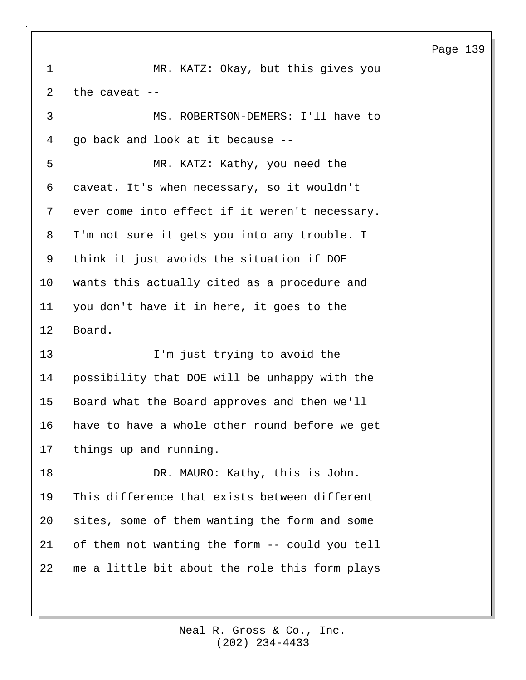1 MR. KATZ: Okay, but this gives you 2 the caveat -- 3 MS. ROBERTSON-DEMERS: I'll have to 4 go back and look at it because -- 5 MR. KATZ: Kathy, you need the 6 caveat. It's when necessary, so it wouldn't 7 ever come into effect if it weren't necessary. 8 I'm not sure it gets you into any trouble. I 9 think it just avoids the situation if DOE 10 wants this actually cited as a procedure and 11 you don't have it in here, it goes to the 12 Board. 13 I'm just trying to avoid the 14 possibility that DOE will be unhappy with the 15 Board what the Board approves and then we'll 16 have to have a whole other round before we get 17 things up and running. 18 DR. MAURO: Kathy, this is John. 19 This difference that exists between different 20 sites, some of them wanting the form and some 21 of them not wanting the form -- could you tell 22 me a little bit about the role this form plays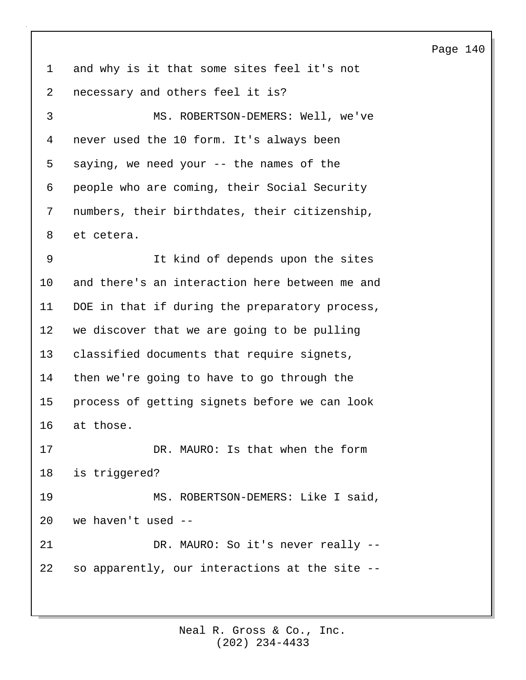1 and why is it that some sites feel it's not 2 necessary and others feel it is? 3 MS. ROBERTSON-DEMERS: Well, we've 4 never used the 10 form. It's always been 5 saying, we need your -- the names of the 6 people who are coming, their Social Security 7 numbers, their birthdates, their citizenship, 8 et cetera. 9 It kind of depends upon the sites 10 and there's an interaction here between me and 11 DOE in that if during the preparatory process, 12 we discover that we are going to be pulling 13 classified documents that require signets, 14 then we're going to have to go through the 15 process of getting signets before we can look 16 at those. 17 DR. MAURO: Is that when the form 18 is triggered? 19 MS. ROBERTSON-DEMERS: Like I said, 20 we haven't used -- 21 DR. MAURO: So it's never really --22 so apparently, our interactions at the site --

> (202) 234-4433 Neal R. Gross & Co., Inc.

### Page 140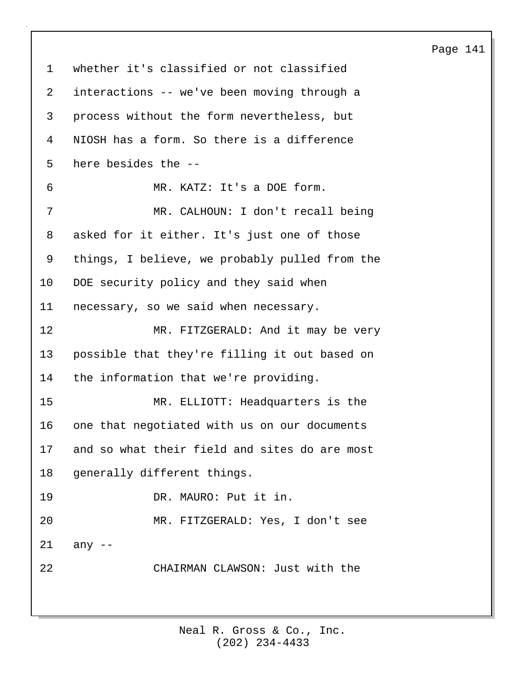1 whether it's classified or not classified 2 interactions -- we've been moving through a 3 process without the form nevertheless, but 4 NIOSH has a form. So there is a difference 5 here besides the -- 6 MR. KATZ: It's a DOE form. 7 MR. CALHOUN: I don't recall being 8 asked for it either. It's just one of those 9 things, I believe, we probably pulled from the 10 DOE security policy and they said when 11 necessary, so we said when necessary. 12 MR. FITZGERALD: And it may be very 13 possible that they're filling it out based on 14 the information that we're providing. 15 MR. ELLIOTT: Headquarters is the 16 one that negotiated with us on our documents 17 and so what their field and sites do are most 18 generally different things. 19 DR. MAURO: Put it in. 20 MR. FITZGERALD: Yes, I don't see 21 any -- 22 CHAIRMAN CLAWSON: Just with the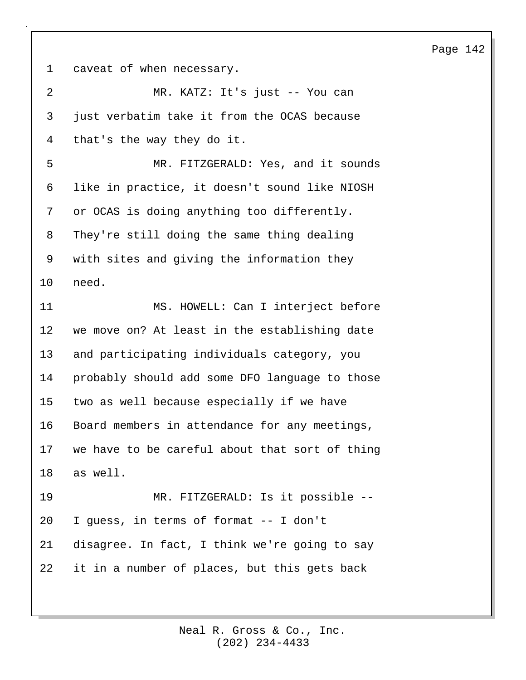1 caveat of when necessary.

| $\overline{2}$ | MR. KATZ: It's just -- You can                 |
|----------------|------------------------------------------------|
| 3              | just verbatim take it from the OCAS because    |
| 4              | that's the way they do it.                     |
| 5              | MR. FITZGERALD: Yes, and it sounds             |
| 6              | like in practice, it doesn't sound like NIOSH  |
| 7              | or OCAS is doing anything too differently.     |
| 8              | They're still doing the same thing dealing     |
| 9              | with sites and giving the information they     |
| 10             | need.                                          |
| 11             | MS. HOWELL: Can I interject before             |
| 12             | we move on? At least in the establishing date  |
| 13             | and participating individuals category, you    |
| 14             | probably should add some DFO language to those |
| 15             | two as well because especially if we have      |
| 16             | Board members in attendance for any meetings,  |
| 17             | we have to be careful about that sort of thing |
| 18             | as well.                                       |
| 19             | MR. FITZGERALD: Is it possible --              |
| 20             | I guess, in terms of format -- I don't         |
| 21             | disagree. In fact, I think we're going to say  |
| 22             | it in a number of places, but this gets back   |
|                |                                                |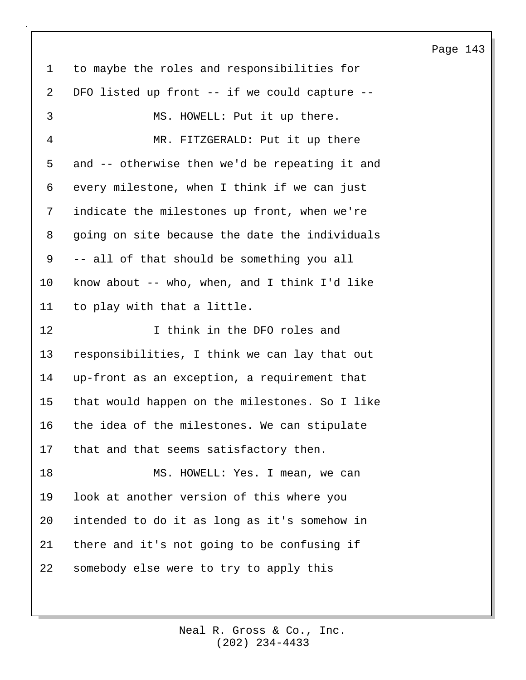1 to maybe the roles and responsibilities for 2 DFO listed up front -- if we could capture -- 3 MS. HOWELL: Put it up there. 4 MR. FITZGERALD: Put it up there 5 and -- otherwise then we'd be repeating it and 6 every milestone, when I think if we can just 7 indicate the milestones up front, when we're 8 going on site because the date the individuals 9 -- all of that should be something you all 10 know about -- who, when, and I think I'd like 11 to play with that a little. 12 **I** think in the DFO roles and 13 responsibilities, I think we can lay that out 14 up-front as an exception, a requirement that 15 that would happen on the milestones. So I like 16 the idea of the milestones. We can stipulate 17 that and that seems satisfactory then. 18 MS. HOWELL: Yes. I mean, we can 19 look at another version of this where you 20 intended to do it as long as it's somehow in 21 there and it's not going to be confusing if 22 somebody else were to try to apply this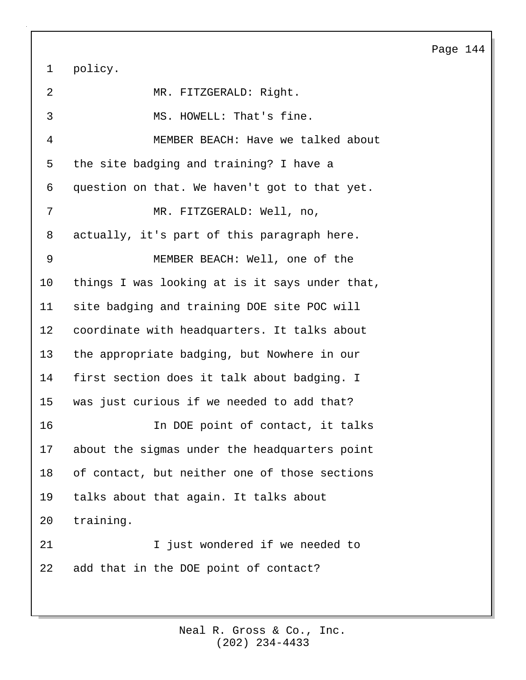1 policy.

2 MR. FITZGERALD: Right. 3 MS. HOWELL: That's fine. 4 MEMBER BEACH: Have we talked about 5 the site badging and training? I have a 6 question on that. We haven't got to that yet. 7 MR. FITZGERALD: Well, no, 8 actually, it's part of this paragraph here. 9 MEMBER BEACH: Well, one of the 10 things I was looking at is it says under that, 11 site badging and training DOE site POC will 12 coordinate with headquarters. It talks about 13 the appropriate badging, but Nowhere in our 14 first section does it talk about badging. I 15 was just curious if we needed to add that? 16 In DOE point of contact, it talks 17 about the sigmas under the headquarters point 18 of contact, but neither one of those sections 19 talks about that again. It talks about 20 training. 21 Tiust wondered if we needed to 22 add that in the DOE point of contact?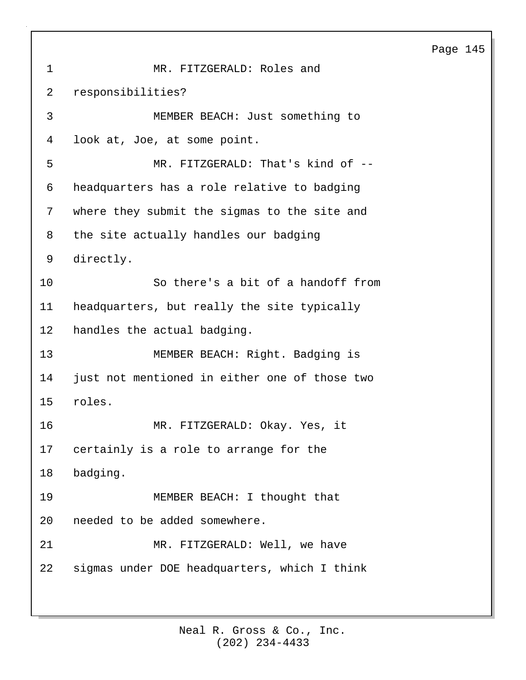```
1 MR. FITZGERALD: Roles and
2 responsibilities?
 3 MEMBER BEACH: Just something to
4 look at, Joe, at some point.
5 MR. FITZGERALD: That's kind of --
6 headquarters has a role relative to badging
7 where they submit the sigmas to the site and
8 the site actually handles our badging
9 directly.
10 So there's a bit of a handoff from
11 headquarters, but really the site typically
12 handles the actual badging.
13 MEMBER BEACH: Right. Badging is
14 just not mentioned in either one of those two
15 roles.
16 MR. FITZGERALD: Okay. Yes, it
17 certainly is a role to arrange for the
18 badging.
19 MEMBER BEACH: I thought that
20 needed to be added somewhere.
21 MR. FITZGERALD: Well, we have
22 sigmas under DOE headquarters, which I think
```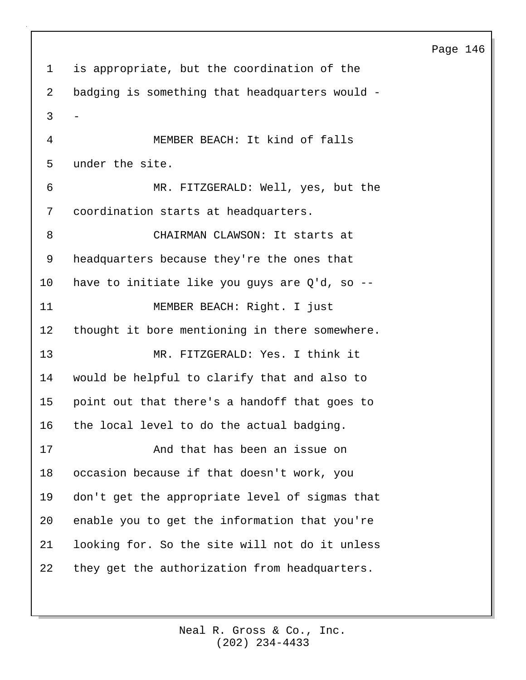1 is appropriate, but the coordination of the 2 badging is something that headquarters would - 3 - 4 MEMBER BEACH: It kind of falls 5 under the site. 6 MR. FITZGERALD: Well, yes, but the 7 coordination starts at headquarters. 8 CHAIRMAN CLAWSON: It starts at 9 headquarters because they're the ones that 10 have to initiate like you guys are Q'd, so -- 11 MEMBER BEACH: Right. I just 12 thought it bore mentioning in there somewhere. 13 MR. FITZGERALD: Yes. I think it 14 would be helpful to clarify that and also to 15 point out that there's a handoff that goes to 16 the local level to do the actual badging. 17 And that has been an issue on 18 occasion because if that doesn't work, you 19 don't get the appropriate level of sigmas that 20 enable you to get the information that you're 21 looking for. So the site will not do it unless 22 they get the authorization from headquarters.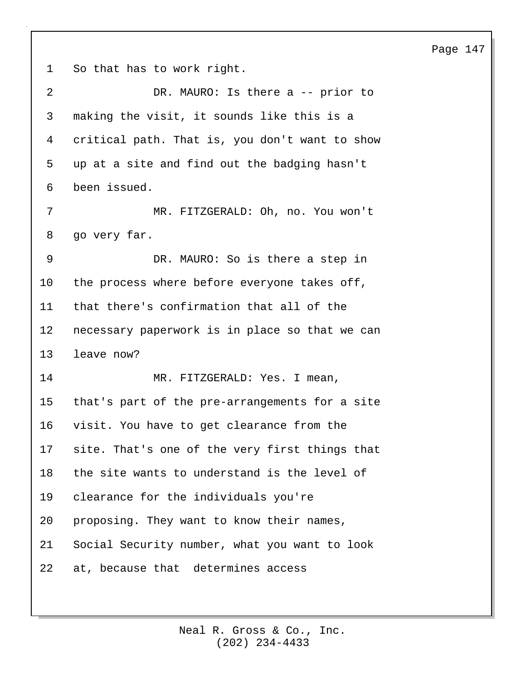1 So that has to work right.

| 2  | DR. MAURO: Is there a -- prior to              |
|----|------------------------------------------------|
| 3  | making the visit, it sounds like this is a     |
| 4  | critical path. That is, you don't want to show |
| 5  | up at a site and find out the badging hasn't   |
| 6  | been issued.                                   |
| 7  | MR. FITZGERALD: Oh, no. You won't              |
| 8  | go very far.                                   |
| 9  | DR. MAURO: So is there a step in               |
| 10 | the process where before everyone takes off,   |
| 11 | that there's confirmation that all of the      |
| 12 | necessary paperwork is in place so that we can |
| 13 | leave now?                                     |
| 14 | MR. FITZGERALD: Yes. I mean,                   |
| 15 | that's part of the pre-arrangements for a site |
| 16 | visit. You have to get clearance from the      |
| 17 | site. That's one of the very first things that |
| 18 | the site wants to understand is the level of   |
| 19 | clearance for the individuals you're           |
| 20 | proposing. They want to know their names,      |
| 21 | Social Security number, what you want to look  |
| 22 | at, because that determines access             |

## Page 147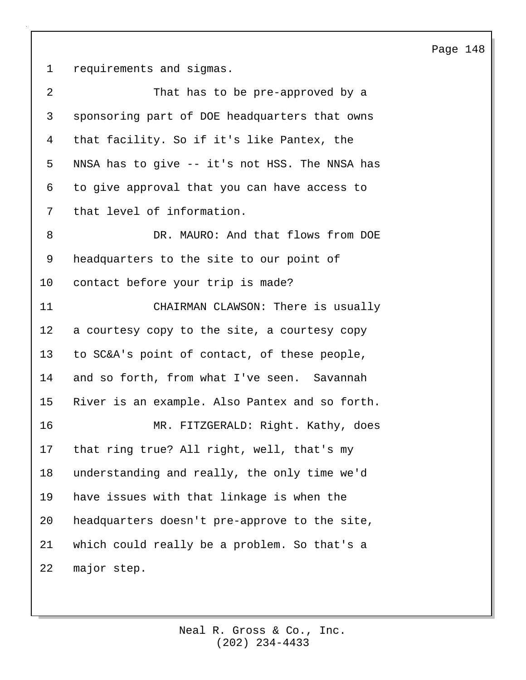1 requirements and sigmas.

| 2       | That has to be pre-approved by a               |
|---------|------------------------------------------------|
| 3       | sponsoring part of DOE headquarters that owns  |
| 4       | that facility. So if it's like Pantex, the     |
| 5       | NNSA has to give -- it's not HSS. The NNSA has |
| 6       | to give approval that you can have access to   |
| 7       | that level of information.                     |
| 8       | DR. MAURO: And that flows from DOE             |
| 9       | headquarters to the site to our point of       |
| $10 \,$ | contact before your trip is made?              |
| 11      | CHAIRMAN CLAWSON: There is usually             |
| 12      | a courtesy copy to the site, a courtesy copy   |
| 13      | to SC&A's point of contact, of these people,   |
| 14      | and so forth, from what I've seen. Savannah    |
| 15      | River is an example. Also Pantex and so forth. |
| 16      | MR. FITZGERALD: Right. Kathy, does             |
| 17      | that ring true? All right, well, that's my     |
| 18      | understanding and really, the only time we'd   |
| 19      | have issues with that linkage is when the      |
| 20      | headquarters doesn't pre-approve to the site,  |
| 21      | which could really be a problem. So that's a   |
| 22      | major step.                                    |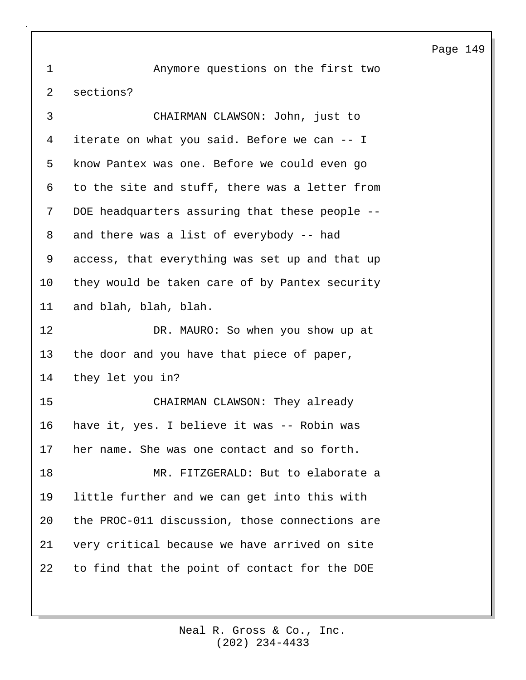1 Anymore questions on the first two 2 sections? 3 CHAIRMAN CLAWSON: John, just to 4 iterate on what you said. Before we can -- I 5 know Pantex was one. Before we could even go 6 to the site and stuff, there was a letter from 7 DOE headquarters assuring that these people -- 8 and there was a list of everybody -- had 9 access, that everything was set up and that up 10 they would be taken care of by Pantex security 11 and blah, blah, blah. 12 DR. MAURO: So when you show up at 13 the door and you have that piece of paper, 14 they let you in? 15 CHAIRMAN CLAWSON: They already 16 have it, yes. I believe it was -- Robin was 17 her name. She was one contact and so forth. 18 MR. FITZGERALD: But to elaborate a 19 little further and we can get into this with 20 the PROC-011 discussion, those connections are 21 very critical because we have arrived on site 22 to find that the point of contact for the DOE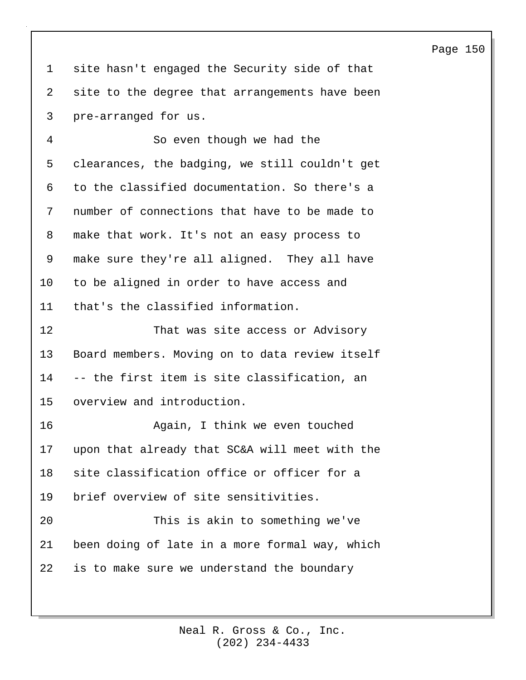1 site hasn't engaged the Security side of that 2 site to the degree that arrangements have been 3 pre-arranged for us.

4 So even though we had the 5 clearances, the badging, we still couldn't get 6 to the classified documentation. So there's a 7 number of connections that have to be made to 8 make that work. It's not an easy process to 9 make sure they're all aligned. They all have 10 to be aligned in order to have access and 11 that's the classified information.

12 That was site access or Advisory 13 Board members. Moving on to data review itself 14 -- the first item is site classification, an 15 overview and introduction.

16 Again, I think we even touched 17 upon that already that SC&A will meet with the 18 site classification office or officer for a 19 brief overview of site sensitivities. 20 This is akin to something we've

21 been doing of late in a more formal way, which 22 is to make sure we understand the boundary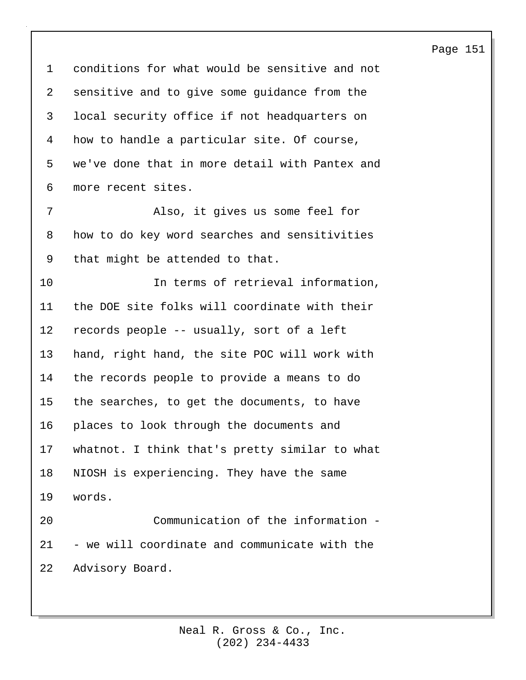1 conditions for what would be sensitive and not 2 sensitive and to give some guidance from the 3 local security office if not headquarters on 4 how to handle a particular site. Of course, 5 we've done that in more detail with Pantex and 6 more recent sites. 7 Also, it gives us some feel for 8 how to do key word searches and sensitivities 9 that might be attended to that. 10 In terms of retrieval information, 11 the DOE site folks will coordinate with their 12 records people -- usually, sort of a left 13 hand, right hand, the site POC will work with 14 the records people to provide a means to do 15 the searches, to get the documents, to have 16 places to look through the documents and 17 whatnot. I think that's pretty similar to what 18 NIOSH is experiencing. They have the same 19 words. 20 Communication of the information - 21 - we will coordinate and communicate with the 22 Advisory Board.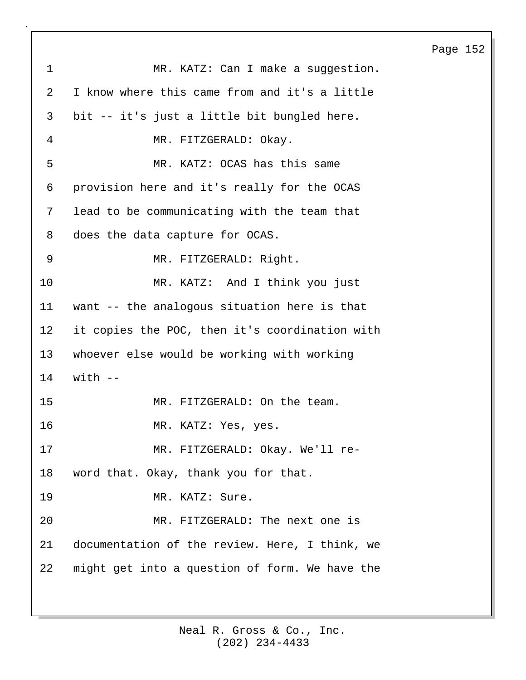Page 152 1 MR. KATZ: Can I make a suggestion. 2 I know where this came from and it's a little 3 bit -- it's just a little bit bungled here. 4 MR. FITZGERALD: Okay. 5 MR. KATZ: OCAS has this same 6 provision here and it's really for the OCAS 7 lead to be communicating with the team that 8 does the data capture for OCAS. 9 MR. FITZGERALD: Right. 10 MR. KATZ: And I think you just 11 want -- the analogous situation here is that 12 it copies the POC, then it's coordination with 13 whoever else would be working with working 14 with -- 15 MR. FITZGERALD: On the team. 16 MR. KATZ: Yes, yes. 17 MR. FITZGERALD: Okay. We'll re-18 word that. Okay, thank you for that. 19 MR. KATZ: Sure. 20 MR. FITZGERALD: The next one is 21 documentation of the review. Here, I think, we 22 might get into a question of form. We have the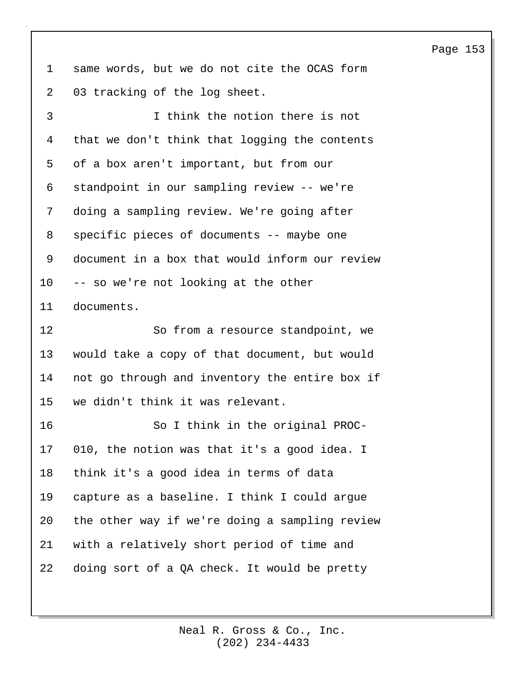1 same words, but we do not cite the OCAS form 2 03 tracking of the log sheet.

3 I think the notion there is not 4 that we don't think that logging the contents 5 of a box aren't important, but from our 6 standpoint in our sampling review -- we're 7 doing a sampling review. We're going after 8 specific pieces of documents -- maybe one 9 document in a box that would inform our review 10 -- so we're not looking at the other 11 documents. 12 So from a resource standpoint, we 13 would take a copy of that document, but would 14 not go through and inventory the entire box if

15 we didn't think it was relevant.

16 So I think in the original PROC-17 010, the notion was that it's a good idea. I 18 think it's a good idea in terms of data 19 capture as a baseline. I think I could argue 20 the other way if we're doing a sampling review 21 with a relatively short period of time and 22 doing sort of a QA check. It would be pretty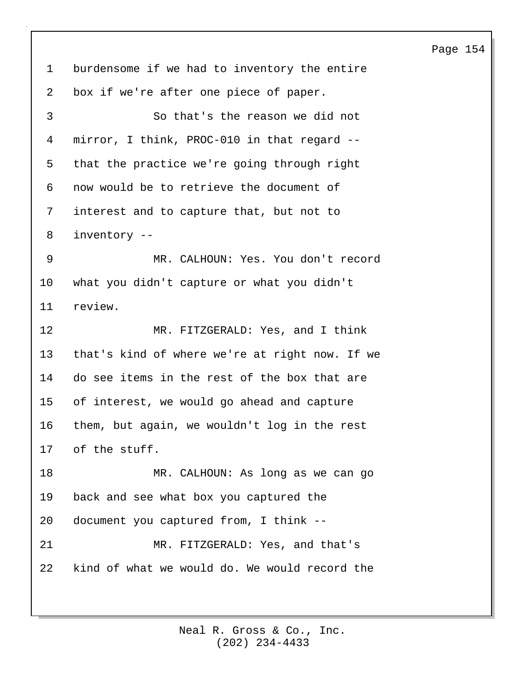1 burdensome if we had to inventory the entire 2 box if we're after one piece of paper. 3 So that's the reason we did not 4 mirror, I think, PROC-010 in that regard -- 5 that the practice we're going through right 6 now would be to retrieve the document of 7 interest and to capture that, but not to 8 inventory -- 9 MR. CALHOUN: Yes. You don't record 10 what you didn't capture or what you didn't 11 review. 12 MR. FITZGERALD: Yes, and I think 13 that's kind of where we're at right now. If we 14 do see items in the rest of the box that are 15 of interest, we would go ahead and capture 16 them, but again, we wouldn't log in the rest 17 of the stuff. 18 MR. CALHOUN: As long as we can go 19 back and see what box you captured the 20 document you captured from, I think -- 21 MR. FITZGERALD: Yes, and that's 22 kind of what we would do. We would record the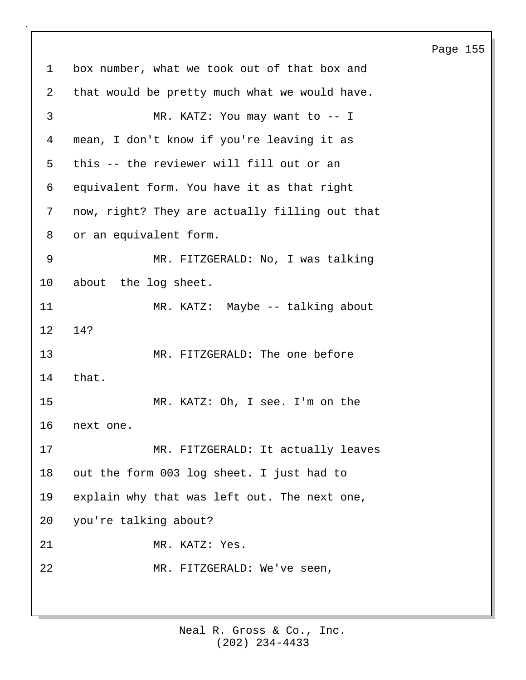1 box number, what we took out of that box and 2 that would be pretty much what we would have. 3 MR. KATZ: You may want to -- I 4 mean, I don't know if you're leaving it as 5 this -- the reviewer will fill out or an 6 equivalent form. You have it as that right 7 now, right? They are actually filling out that 8 or an equivalent form. 9 MR. FITZGERALD: No, I was talking 10 about the log sheet. 11 MR. KATZ: Maybe -- talking about 12 14? 13 MR. FITZGERALD: The one before 14 that. 15 MR. KATZ: Oh, I see. I'm on the 16 next one. 17 MR. FITZGERALD: It actually leaves 18 out the form 003 log sheet. I just had to 19 explain why that was left out. The next one, 20 you're talking about? 21 MR. KATZ: Yes. 22 MR. FITZGERALD: We've seen,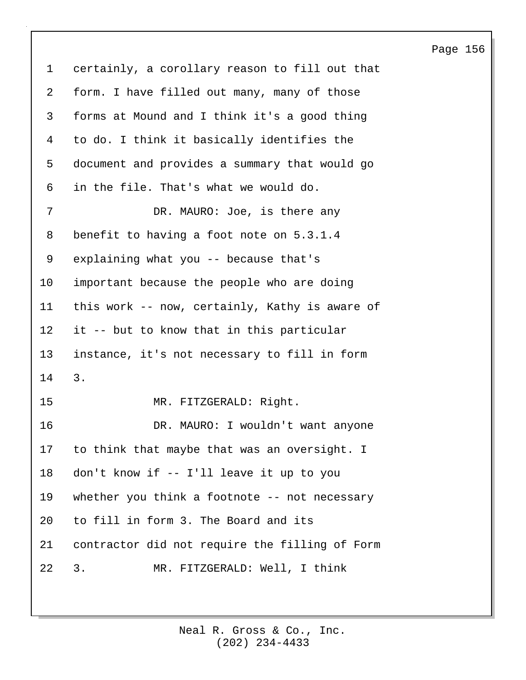1 certainly, a corollary reason to fill out that 2 form. I have filled out many, many of those 3 forms at Mound and I think it's a good thing 4 to do. I think it basically identifies the 5 document and provides a summary that would go 6 in the file. That's what we would do. 7 DR. MAURO: Joe, is there any 8 benefit to having a foot note on 5.3.1.4 9 explaining what you -- because that's 10 important because the people who are doing 11 this work -- now, certainly, Kathy is aware of 12 it -- but to know that in this particular 13 instance, it's not necessary to fill in form 14 3. 15 MR. FITZGERALD: Right. 16 DR. MAURO: I wouldn't want anyone 17 to think that maybe that was an oversight. I 18 don't know if -- I'll leave it up to you 19 whether you think a footnote -- not necessary 20 to fill in form 3. The Board and its 21 contractor did not require the filling of Form 22 3. MR. FITZGERALD: Well, I think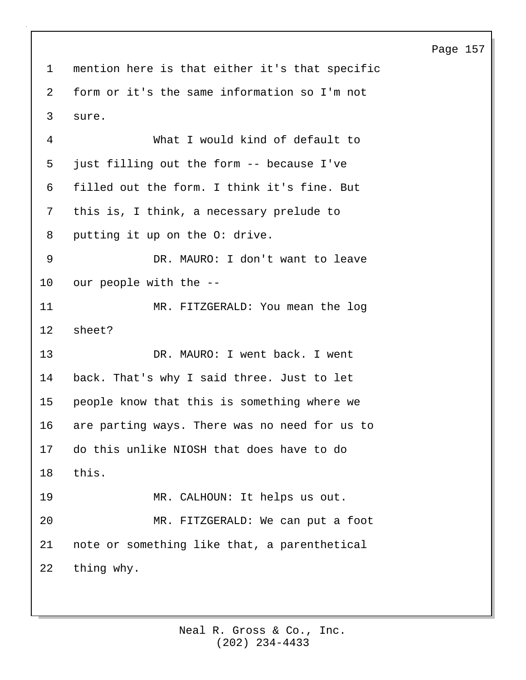1 mention here is that either it's that specific 2 form or it's the same information so I'm not 3 sure.

4 What I would kind of default to 5 just filling out the form -- because I've 6 filled out the form. I think it's fine. But 7 this is, I think, a necessary prelude to 8 putting it up on the O: drive. 9 DR. MAURO: I don't want to leave 10 our people with the -- 11 MR. FITZGERALD: You mean the log 12 sheet? 13 DR. MAURO: I went back. I went 14 back. That's why I said three. Just to let 15 people know that this is something where we 16 are parting ways. There was no need for us to 17 do this unlike NIOSH that does have to do 18 this. 19 MR. CALHOUN: It helps us out. 20 MR. FITZGERALD: We can put a foot 21 note or something like that, a parenthetical 22 thing why.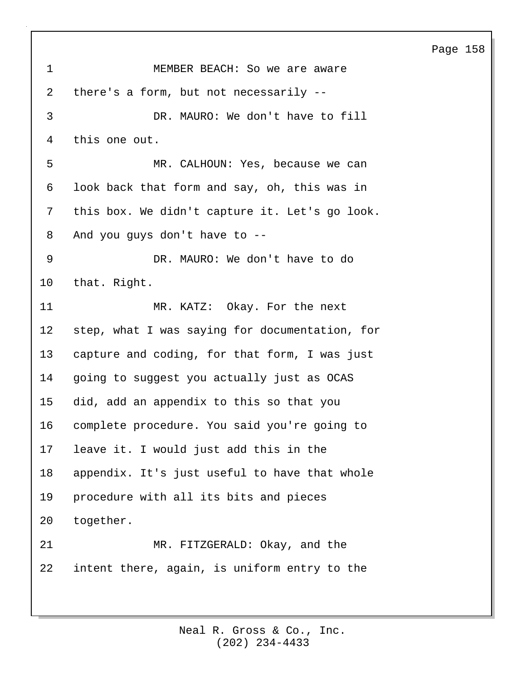1 MEMBER BEACH: So we are aware 2 there's a form, but not necessarily -- 3 DR. MAURO: We don't have to fill 4 this one out. 5 MR. CALHOUN: Yes, because we can 6 look back that form and say, oh, this was in 7 this box. We didn't capture it. Let's go look. 8 And you guys don't have to -- 9 DR. MAURO: We don't have to do 10 that. Right. 11 MR. KATZ: Okay. For the next 12 step, what I was saying for documentation, for 13 capture and coding, for that form, I was just 14 going to suggest you actually just as OCAS 15 did, add an appendix to this so that you 16 complete procedure. You said you're going to 17 leave it. I would just add this in the 18 appendix. It's just useful to have that whole 19 procedure with all its bits and pieces 20 together. 21 MR. FITZGERALD: Okay, and the 22 intent there, again, is uniform entry to the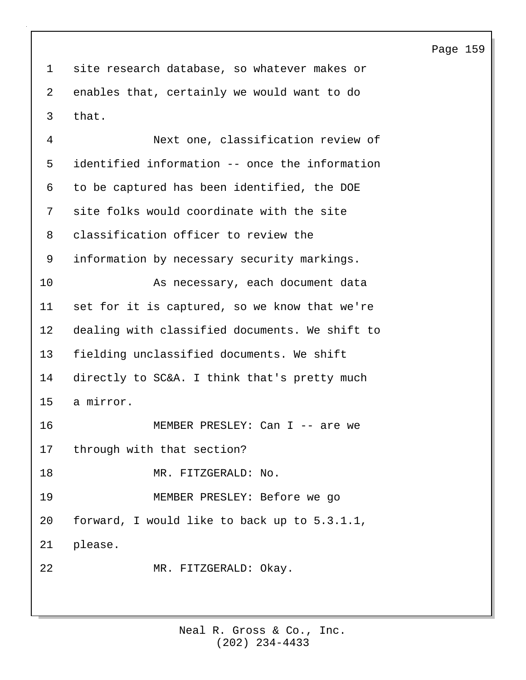1 site research database, so whatever makes or 2 enables that, certainly we would want to do 3 that.

4 Next one, classification review of 5 identified information -- once the information 6 to be captured has been identified, the DOE 7 site folks would coordinate with the site 8 classification officer to review the 9 information by necessary security markings. 10 As necessary, each document data 11 set for it is captured, so we know that we're 12 dealing with classified documents. We shift to 13 fielding unclassified documents. We shift 14 directly to SC&A. I think that's pretty much 15 a mirror. 16 MEMBER PRESLEY: Can I -- are we 17 through with that section? 18 MR. FITZGERALD: No. 19 MEMBER PRESLEY: Before we go 20 forward, I would like to back up to 5.3.1.1, 21 please. 22 MR. FITZGERALD: Okay.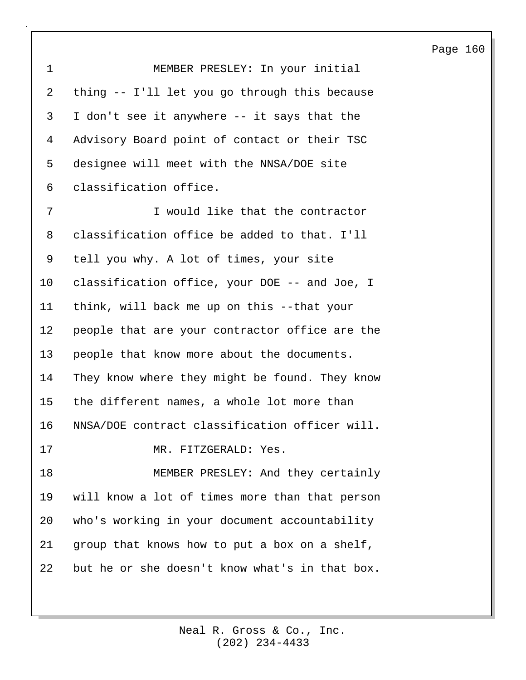1 MEMBER PRESLEY: In your initial 2 thing -- I'll let you go through this because 3 I don't see it anywhere -- it says that the 4 Advisory Board point of contact or their TSC 5 designee will meet with the NNSA/DOE site 6 classification office. 7 I would like that the contractor

8 classification office be added to that. I'll 9 tell you why. A lot of times, your site 10 classification office, your DOE -- and Joe, I 11 think, will back me up on this --that your 12 people that are your contractor office are the 13 people that know more about the documents. 14 They know where they might be found. They know 15 the different names, a whole lot more than 16 NNSA/DOE contract classification officer will. 17 MR. FITZGERALD: Yes. 18 MEMBER PRESLEY: And they certainly 19 will know a lot of times more than that person 20 who's working in your document accountability 21 group that knows how to put a box on a shelf, 22 but he or she doesn't know what's in that box.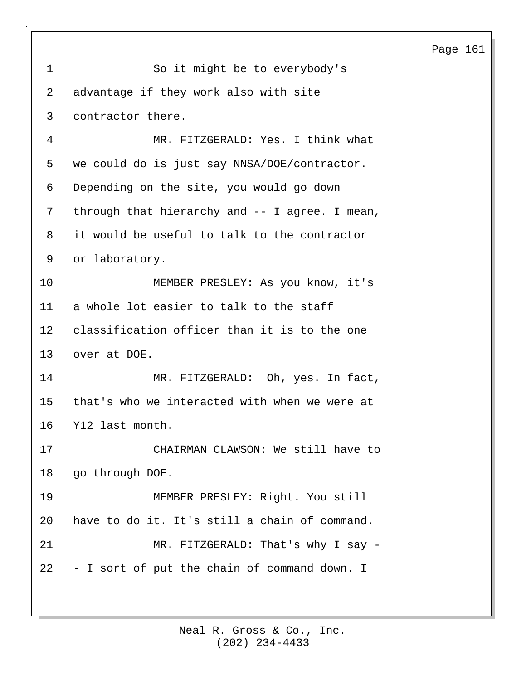| 1                 | So it might be to everybody's                   |
|-------------------|-------------------------------------------------|
| 2                 | advantage if they work also with site           |
| 3                 | contractor there.                               |
| 4                 | MR. FITZGERALD: Yes. I think what               |
| 5                 | we could do is just say NNSA/DOE/contractor.    |
| 6                 | Depending on the site, you would go down        |
| 7                 | through that hierarchy and -- I agree. I mean,  |
| 8                 | it would be useful to talk to the contractor    |
| 9                 | or laboratory.                                  |
| 10                | MEMBER PRESLEY: As you know, it's               |
| 11                | a whole lot easier to talk to the staff         |
| $12 \overline{ }$ | classification officer than it is to the one    |
| 13                | over at DOE.                                    |
| 14                | MR. FITZGERALD: Oh, yes. In fact,               |
| 15                | that's who we interacted with when we were at   |
| 16                | Y12 last month.                                 |
| 17                | CHAIRMAN CLAWSON: We still have to              |
| 18                | go through DOE.                                 |
| 19                | MEMBER PRESLEY: Right. You still                |
| 20                | have to do it. It's still a chain of command.   |
| 21                | MR. FITZGERALD: That's why I say -              |
|                   | 22 - I sort of put the chain of command down. I |
|                   |                                                 |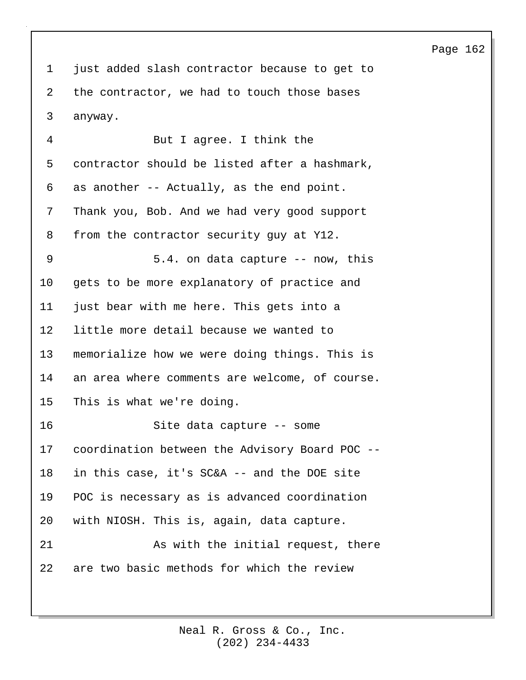1 just added slash contractor because to get to 2 the contractor, we had to touch those bases 3 anyway.

4 But I agree. I think the 5 contractor should be listed after a hashmark, 6 as another -- Actually, as the end point. 7 Thank you, Bob. And we had very good support 8 from the contractor security guy at Y12. 9 5.4. on data capture -- now, this 10 gets to be more explanatory of practice and 11 just bear with me here. This gets into a 12 little more detail because we wanted to 13 memorialize how we were doing things. This is 14 an area where comments are welcome, of course. 15 This is what we're doing. 16 Site data capture -- some 17 coordination between the Advisory Board POC -- 18 in this case, it's SC&A -- and the DOE site 19 POC is necessary as is advanced coordination 20 with NIOSH. This is, again, data capture. 21 As with the initial request, there 22 are two basic methods for which the review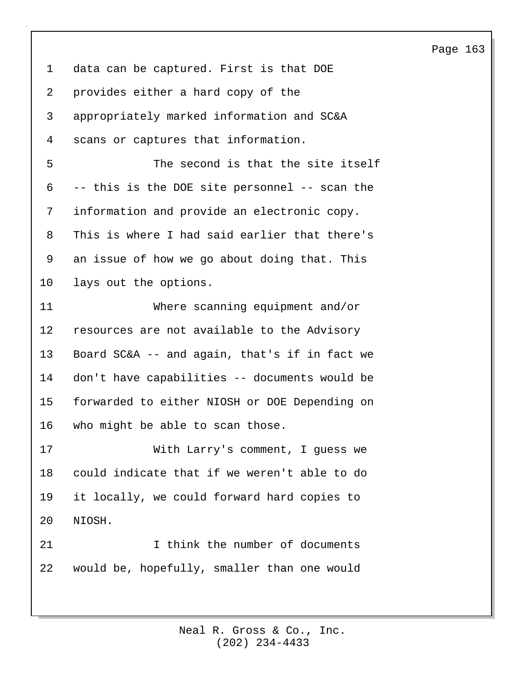1 data can be captured. First is that DOE 2 provides either a hard copy of the 3 appropriately marked information and SC&A 4 scans or captures that information.

5 The second is that the site itself 6 -- this is the DOE site personnel -- scan the 7 information and provide an electronic copy. 8 This is where I had said earlier that there's 9 an issue of how we go about doing that. This 10 lays out the options.

11 Where scanning equipment and/or 12 resources are not available to the Advisory 13 Board SC&A -- and again, that's if in fact we 14 don't have capabilities -- documents would be 15 forwarded to either NIOSH or DOE Depending on 16 who might be able to scan those.

17 With Larry's comment, I guess we 18 could indicate that if we weren't able to do 19 it locally, we could forward hard copies to 20 NIOSH.

21 1 I think the number of documents 22 would be, hopefully, smaller than one would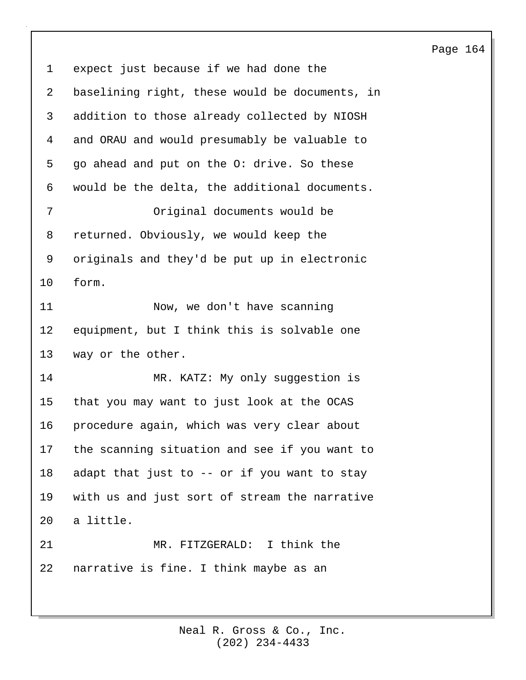1 expect just because if we had done the 2 baselining right, these would be documents, in 3 addition to those already collected by NIOSH 4 and ORAU and would presumably be valuable to 5 go ahead and put on the O: drive. So these 6 would be the delta, the additional documents. 7 Original documents would be 8 returned. Obviously, we would keep the 9 originals and they'd be put up in electronic 10 form. 11 Now, we don't have scanning 12 equipment, but I think this is solvable one 13 way or the other. 14 MR. KATZ: My only suggestion is 15 that you may want to just look at the OCAS 16 procedure again, which was very clear about 17 the scanning situation and see if you want to 18 adapt that just to -- or if you want to stay 19 with us and just sort of stream the narrative 20 a little. 21 MR. FITZGERALD: I think the 22 narrative is fine. I think maybe as an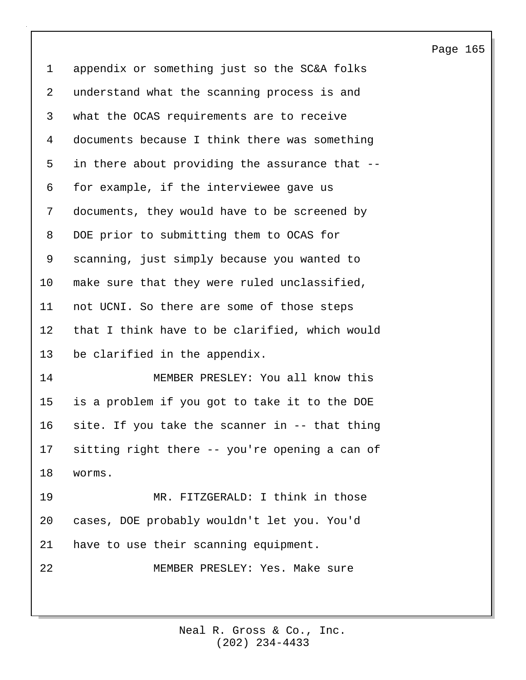1 appendix or something just so the SC&A folks 2 understand what the scanning process is and 3 what the OCAS requirements are to receive 4 documents because I think there was something 5 in there about providing the assurance that -- 6 for example, if the interviewee gave us 7 documents, they would have to be screened by 8 DOE prior to submitting them to OCAS for 9 scanning, just simply because you wanted to 10 make sure that they were ruled unclassified, 11 not UCNI. So there are some of those steps 12 that I think have to be clarified, which would 13 be clarified in the appendix. 14 MEMBER PRESLEY: You all know this 15 is a problem if you got to take it to the DOE 16 site. If you take the scanner in -- that thing 17 sitting right there -- you're opening a can of 18 worms. 19 MR. FITZGERALD: I think in those 20 cases, DOE probably wouldn't let you. You'd 21 have to use their scanning equipment. 22 MEMBER PRESLEY: Yes. Make sure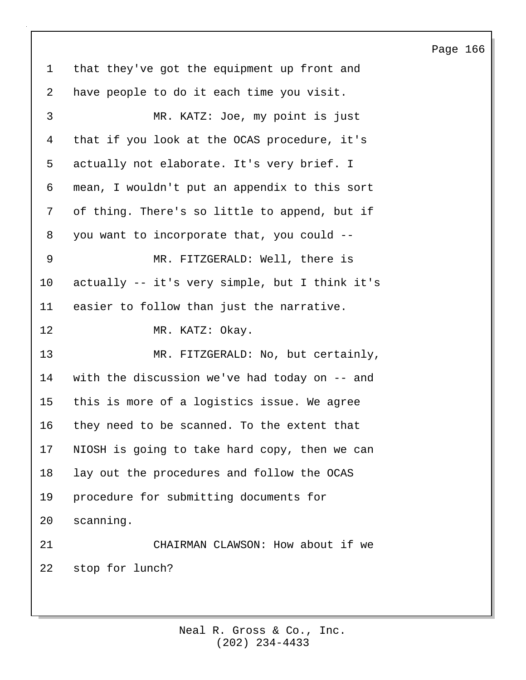1 that they've got the equipment up front and 2 have people to do it each time you visit. 3 MR. KATZ: Joe, my point is just 4 that if you look at the OCAS procedure, it's 5 actually not elaborate. It's very brief. I 6 mean, I wouldn't put an appendix to this sort 7 of thing. There's so little to append, but if 8 you want to incorporate that, you could -- 9 MR. FITZGERALD: Well, there is 10 actually -- it's very simple, but I think it's 11 easier to follow than just the narrative. 12 MR. KATZ: Okay. 13 MR. FITZGERALD: No, but certainly, 14 with the discussion we've had today on -- and 15 this is more of a logistics issue. We agree 16 they need to be scanned. To the extent that 17 NIOSH is going to take hard copy, then we can 18 lay out the procedures and follow the OCAS 19 procedure for submitting documents for 20 scanning. 21 CHAIRMAN CLAWSON: How about if we 22 stop for lunch?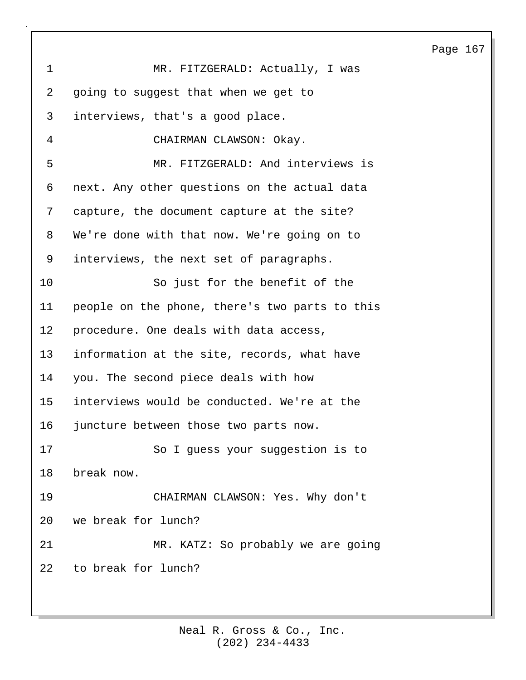Page 167 1 MR. FITZGERALD: Actually, I was 2 going to suggest that when we get to 3 interviews, that's a good place. 4 CHAIRMAN CLAWSON: Okay. 5 MR. FITZGERALD: And interviews is 6 next. Any other questions on the actual data 7 capture, the document capture at the site? 8 We're done with that now. We're going on to 9 interviews, the next set of paragraphs. 10 So just for the benefit of the 11 people on the phone, there's two parts to this 12 procedure. One deals with data access, 13 information at the site, records, what have 14 you. The second piece deals with how 15 interviews would be conducted. We're at the 16 juncture between those two parts now. 17 So I guess your suggestion is to 18 break now. 19 CHAIRMAN CLAWSON: Yes. Why don't 20 we break for lunch? 21 MR. KATZ: So probably we are going 22 to break for lunch?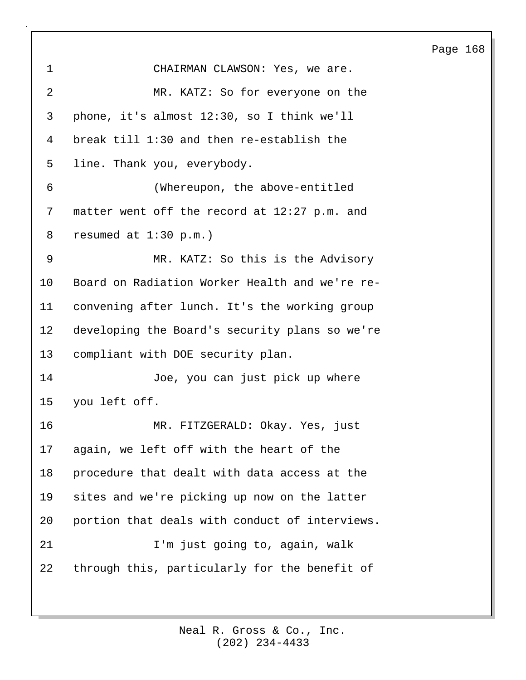| 1              | CHAIRMAN CLAWSON: Yes, we are.                 |
|----------------|------------------------------------------------|
| $\overline{a}$ | MR. KATZ: So for everyone on the               |
| 3              | phone, it's almost 12:30, so I think we'll     |
| 4              | break till 1:30 and then re-establish the      |
| 5              | line. Thank you, everybody.                    |
| 6              | (Whereupon, the above-entitled                 |
| 7              | matter went off the record at 12:27 p.m. and   |
| 8              | resumed at $1:30$ p.m.)                        |
| 9              | MR. KATZ: So this is the Advisory              |
| 10             | Board on Radiation Worker Health and we're re- |
| 11             | convening after lunch. It's the working group  |
| 12             | developing the Board's security plans so we're |
| 13             | compliant with DOE security plan.              |
| 14             | Joe, you can just pick up where                |
| 15             | you left off.                                  |
| 16             | MR. FITZGERALD: Okay. Yes, just                |
| 17             | again, we left off with the heart of the       |
| 18             | procedure that dealt with data access at the   |
| 19             | sites and we're picking up now on the latter   |
| 20             | portion that deals with conduct of interviews. |
| 21             | I'm just going to, again, walk                 |
| 22             | through this, particularly for the benefit of  |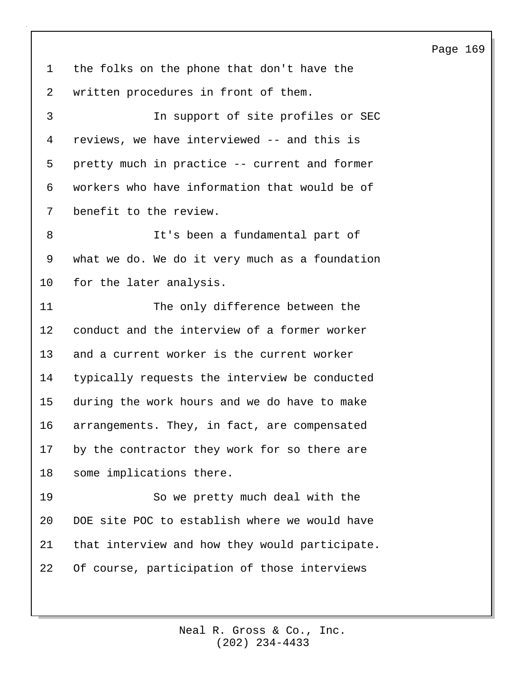1 the folks on the phone that don't have the 2 written procedures in front of them.

3 In support of site profiles or SEC 4 reviews, we have interviewed -- and this is 5 pretty much in practice -- current and former 6 workers who have information that would be of 7 benefit to the review.

8 It's been a fundamental part of 9 what we do. We do it very much as a foundation 10 for the later analysis.

11 The only difference between the 12 conduct and the interview of a former worker 13 and a current worker is the current worker 14 typically requests the interview be conducted 15 during the work hours and we do have to make 16 arrangements. They, in fact, are compensated 17 by the contractor they work for so there are 18 some implications there.

19 So we pretty much deal with the 20 DOE site POC to establish where we would have 21 that interview and how they would participate. 22 Of course, participation of those interviews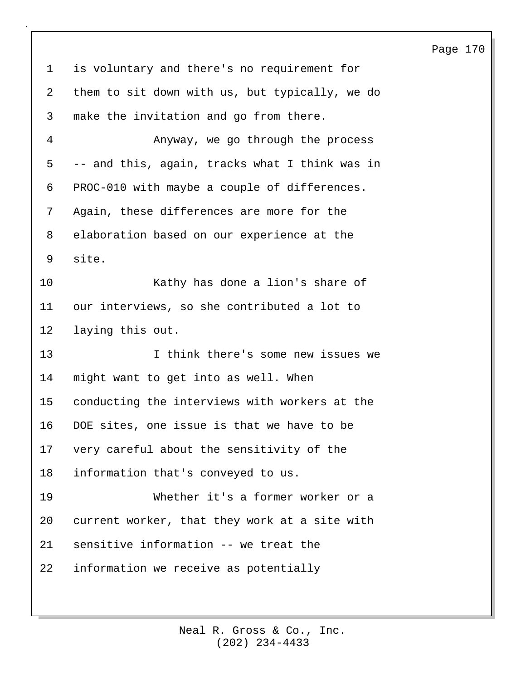1 is voluntary and there's no requirement for 2 them to sit down with us, but typically, we do 3 make the invitation and go from there. 4 Anyway, we go through the process 5 -- and this, again, tracks what I think was in 6 PROC-010 with maybe a couple of differences. 7 Again, these differences are more for the 8 elaboration based on our experience at the 9 site. 10 Kathy has done a lion's share of 11 our interviews, so she contributed a lot to 12 laying this out. 13 I think there's some new issues we 14 might want to get into as well. When 15 conducting the interviews with workers at the 16 DOE sites, one issue is that we have to be 17 very careful about the sensitivity of the 18 information that's conveyed to us. 19 Whether it's a former worker or a 20 current worker, that they work at a site with 21 sensitive information -- we treat the 22 information we receive as potentially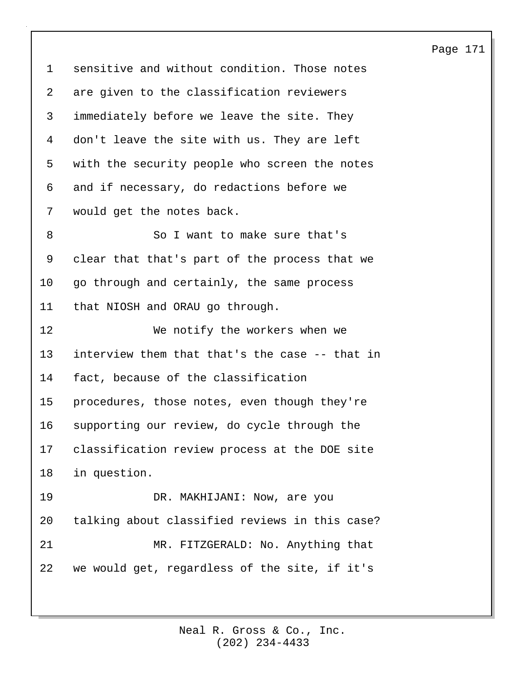1 sensitive and without condition. Those notes 2 are given to the classification reviewers 3 immediately before we leave the site. They 4 don't leave the site with us. They are left 5 with the security people who screen the notes 6 and if necessary, do redactions before we 7 would get the notes back. 8 So I want to make sure that's 9 clear that that's part of the process that we 10 go through and certainly, the same process 11 that NIOSH and ORAU go through. 12 We notify the workers when we 13 interview them that that's the case -- that in 14 fact, because of the classification 15 procedures, those notes, even though they're 16 supporting our review, do cycle through the 17 classification review process at the DOE site 18 in question. 19 DR. MAKHIJANI: Now, are you 20 talking about classified reviews in this case? 21 MR. FITZGERALD: No. Anything that 22 we would get, regardless of the site, if it's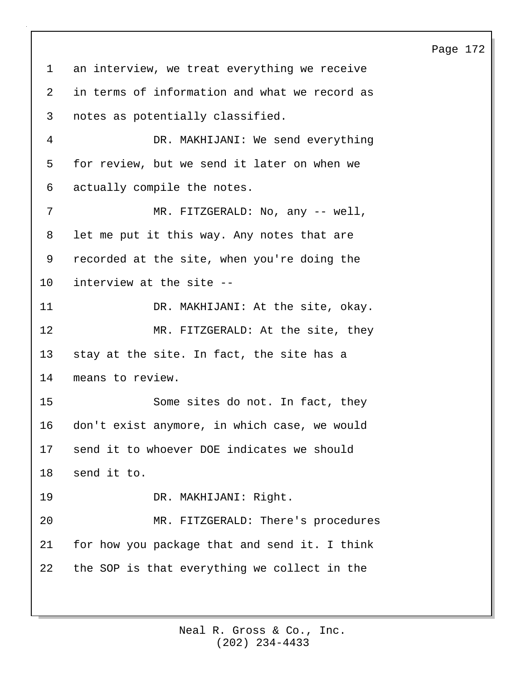# 1 an interview, we treat everything we receive 2 in terms of information and what we record as 3 notes as potentially classified. 4 DR. MAKHIJANI: We send everything 5 for review, but we send it later on when we 6 actually compile the notes. 7 MR. FITZGERALD: No, any -- well, 8 let me put it this way. Any notes that are 9 recorded at the site, when you're doing the 10 interview at the site -- 11 DR. MAKHIJANI: At the site, okay. 12 MR. FITZGERALD: At the site, they 13 stay at the site. In fact, the site has a 14 means to review. 15 Some sites do not. In fact, they 16 don't exist anymore, in which case, we would 17 send it to whoever DOE indicates we should 18 send it to. 19 DR. MAKHIJANI: Right. 20 MR. FITZGERALD: There's procedures 21 for how you package that and send it. I think 22 the SOP is that everything we collect in the

### Page 172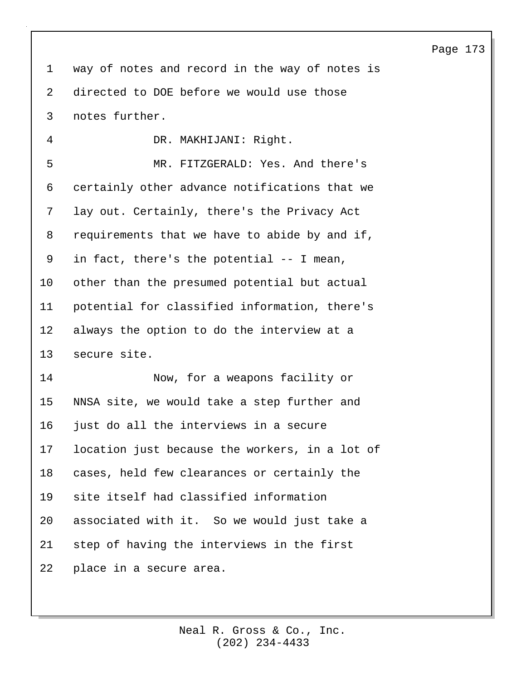1 way of notes and record in the way of notes is 2 directed to DOE before we would use those 3 notes further.

4 DR. MAKHIJANI: Right. 5 MR. FITZGERALD: Yes. And there's 6 certainly other advance notifications that we 7 lay out. Certainly, there's the Privacy Act 8 requirements that we have to abide by and if, 9 in fact, there's the potential -- I mean, 10 other than the presumed potential but actual 11 potential for classified information, there's 12 always the option to do the interview at a 13 secure site.

14 Now, for a weapons facility or 15 NNSA site, we would take a step further and 16 just do all the interviews in a secure 17 location just because the workers, in a lot of 18 cases, held few clearances or certainly the 19 site itself had classified information 20 associated with it. So we would just take a 21 step of having the interviews in the first 22 place in a secure area.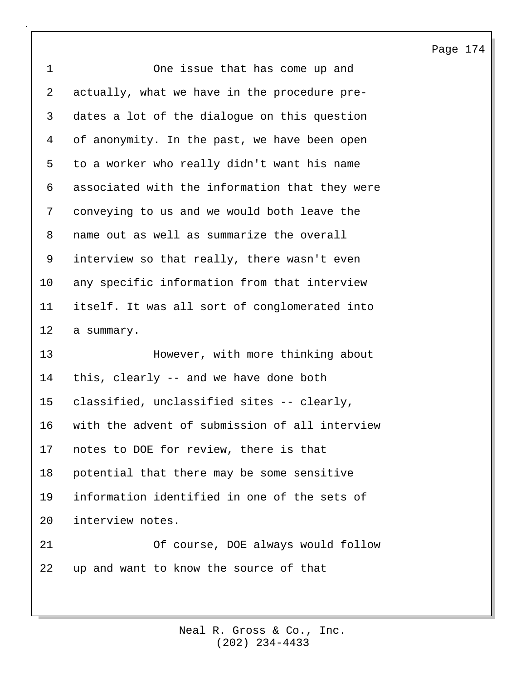| $\mathbf{1}$ | One issue that has come up and                 |
|--------------|------------------------------------------------|
| 2            | actually, what we have in the procedure pre-   |
| 3            | dates a lot of the dialogue on this question   |
| 4            | of anonymity. In the past, we have been open   |
| 5            | to a worker who really didn't want his name    |
| 6            | associated with the information that they were |
| 7            | conveying to us and we would both leave the    |
| 8            | name out as well as summarize the overall      |
| 9            | interview so that really, there wasn't even    |
| 10           | any specific information from that interview   |
| 11           | itself. It was all sort of conglomerated into  |
| 12           | a summary.                                     |
| 13           | However, with more thinking about              |
| 14           | this, clearly -- and we have done both         |
| 15           | classified, unclassified sites -- clearly,     |
| 16           | with the advent of submission of all interview |
| 17           | notes to DOE for review, there is that         |
| 18           | potential that there may be some sensitive     |
| 19           | information identified in one of the sets of   |
| 20           | interview notes.                               |
| 21           | Of course, DOE always would follow             |
| 22           |                                                |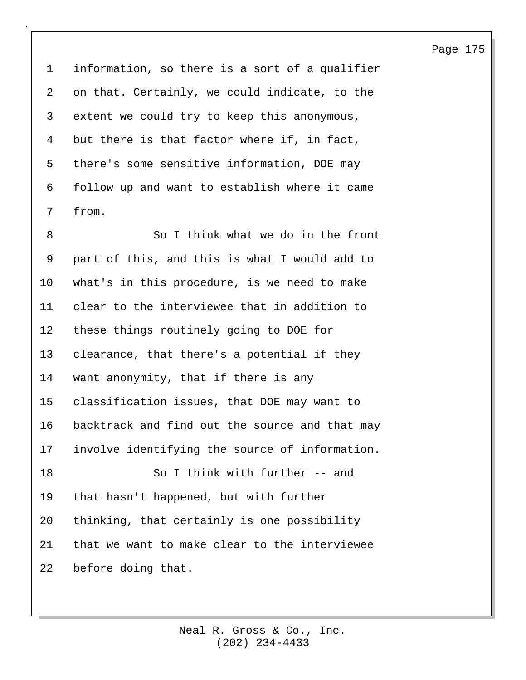1 information, so there is a sort of a qualifier 2 on that. Certainly, we could indicate, to the 3 extent we could try to keep this anonymous, 4 but there is that factor where if, in fact, 5 there's some sensitive information, DOE may 6 follow up and want to establish where it came 7 from.

8 So I think what we do in the front 9 part of this, and this is what I would add to 10 what's in this procedure, is we need to make 11 clear to the interviewee that in addition to 12 these things routinely going to DOE for 13 clearance, that there's a potential if they 14 want anonymity, that if there is any 15 classification issues, that DOE may want to 16 backtrack and find out the source and that may 17 involve identifying the source of information. 18 So I think with further -- and 19 that hasn't happened, but with further 20 thinking, that certainly is one possibility 21 that we want to make clear to the interviewee 22 before doing that.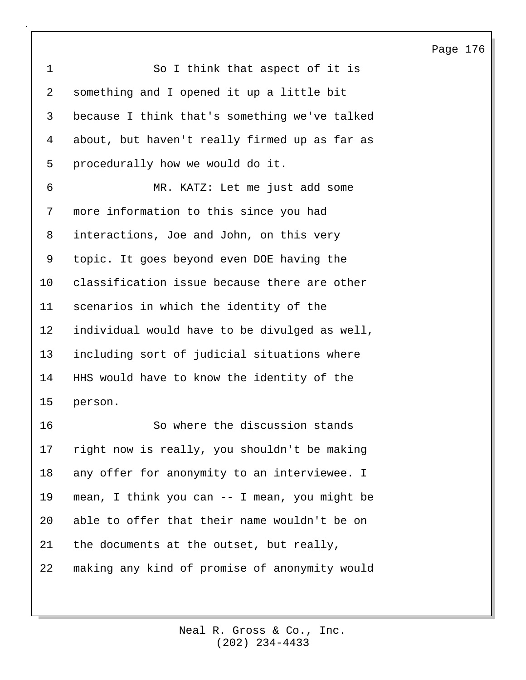1 So I think that aspect of it is 2 something and I opened it up a little bit 3 because I think that's something we've talked 4 about, but haven't really firmed up as far as 5 procedurally how we would do it. 6 MR. KATZ: Let me just add some 7 more information to this since you had 8 interactions, Joe and John, on this very 9 topic. It goes beyond even DOE having the 10 classification issue because there are other 11 scenarios in which the identity of the 12 individual would have to be divulged as well, 13 including sort of judicial situations where 14 HHS would have to know the identity of the 15 person. 16 So where the discussion stands 17 right now is really, you shouldn't be making 18 any offer for anonymity to an interviewee. I 19 mean, I think you can -- I mean, you might be 20 able to offer that their name wouldn't be on 21 the documents at the outset, but really, 22 making any kind of promise of anonymity would

#### Page 176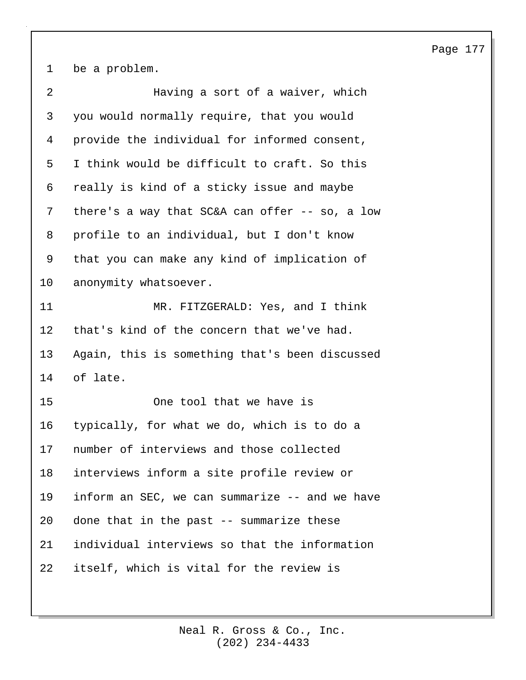1 be a problem.

| 2  | Having a sort of a waiver, which                 |
|----|--------------------------------------------------|
| 3  | you would normally require, that you would       |
| 4  | provide the individual for informed consent,     |
| 5  | I think would be difficult to craft. So this     |
| 6  | really is kind of a sticky issue and maybe       |
| 7  | there's a way that $SC&A$ can offer -- so, a low |
| 8  | profile to an individual, but I don't know       |
| 9  | that you can make any kind of implication of     |
| 10 | anonymity whatsoever.                            |
| 11 | MR. FITZGERALD: Yes, and I think                 |
| 12 | that's kind of the concern that we've had.       |
| 13 | Again, this is something that's been discussed   |
| 14 | of late.                                         |
| 15 | One tool that we have is                         |
| 16 | typically, for what we do, which is to do a      |
| 17 | number of interviews and those collected         |
| 18 | interviews inform a site profile review or       |
| 19 | inform an SEC, we can summarize -- and we have   |
| 20 | done that in the past -- summarize these         |
| 21 | individual interviews so that the information    |
| 22 | itself, which is vital for the review is         |
|    |                                                  |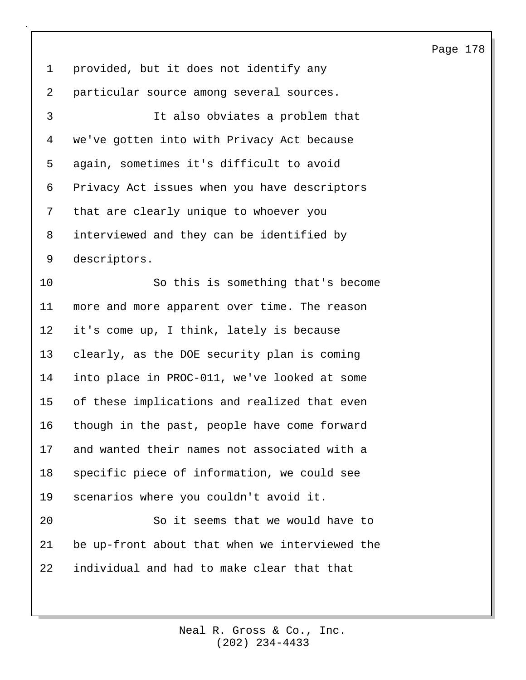1 provided, but it does not identify any 2 particular source among several sources. 3 It also obviates a problem that 4 we've gotten into with Privacy Act because 5 again, sometimes it's difficult to avoid 6 Privacy Act issues when you have descriptors 7 that are clearly unique to whoever you 8 interviewed and they can be identified by 9 descriptors. 10 So this is something that's become 11 more and more apparent over time. The reason 12 it's come up, I think, lately is because 13 clearly, as the DOE security plan is coming 14 into place in PROC-011, we've looked at some 15 of these implications and realized that even 16 though in the past, people have come forward 17 and wanted their names not associated with a 18 specific piece of information, we could see 19 scenarios where you couldn't avoid it. 20 So it seems that we would have to 21 be up-front about that when we interviewed the 22 individual and had to make clear that that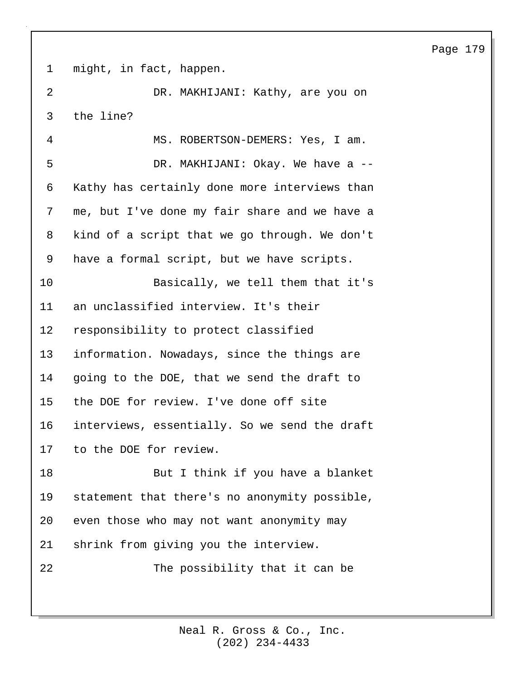1 might, in fact, happen.

2 DR. MAKHIJANI: Kathy, are you on 3 the line?

4 MS. ROBERTSON-DEMERS: Yes, I am. 5 DR. MAKHIJANI: Okay. We have a -- 6 Kathy has certainly done more interviews than 7 me, but I've done my fair share and we have a 8 kind of a script that we go through. We don't 9 have a formal script, but we have scripts. 10 Basically, we tell them that it's 11 an unclassified interview. It's their 12 responsibility to protect classified 13 information. Nowadays, since the things are 14 going to the DOE, that we send the draft to 15 the DOE for review. I've done off site 16 interviews, essentially. So we send the draft 17 to the DOE for review.

18 But I think if you have a blanket 19 statement that there's no anonymity possible, 20 even those who may not want anonymity may 21 shrink from giving you the interview.

22 The possibility that it can be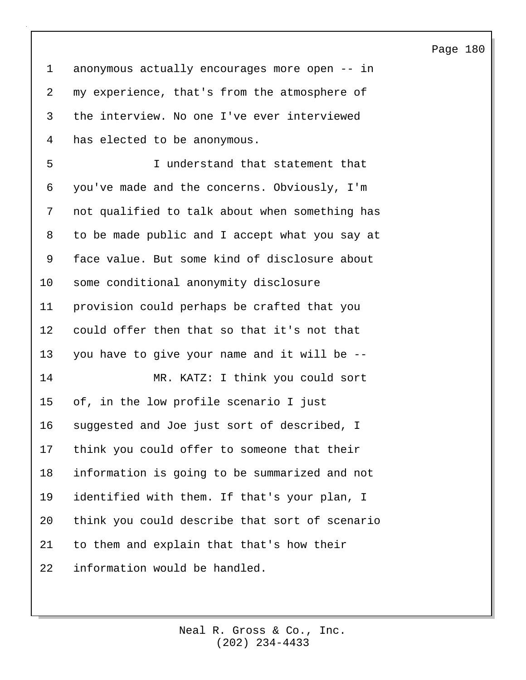1 anonymous actually encourages more open -- in 2 my experience, that's from the atmosphere of 3 the interview. No one I've ever interviewed 4 has elected to be anonymous.

5 I understand that statement that 6 you've made and the concerns. Obviously, I'm 7 not qualified to talk about when something has 8 to be made public and I accept what you say at 9 face value. But some kind of disclosure about 10 some conditional anonymity disclosure 11 provision could perhaps be crafted that you 12 could offer then that so that it's not that 13 you have to give your name and it will be -- 14 MR. KATZ: I think you could sort 15 of, in the low profile scenario I just 16 suggested and Joe just sort of described, I 17 think you could offer to someone that their 18 information is going to be summarized and not 19 identified with them. If that's your plan, I 20 think you could describe that sort of scenario 21 to them and explain that that's how their 22 information would be handled.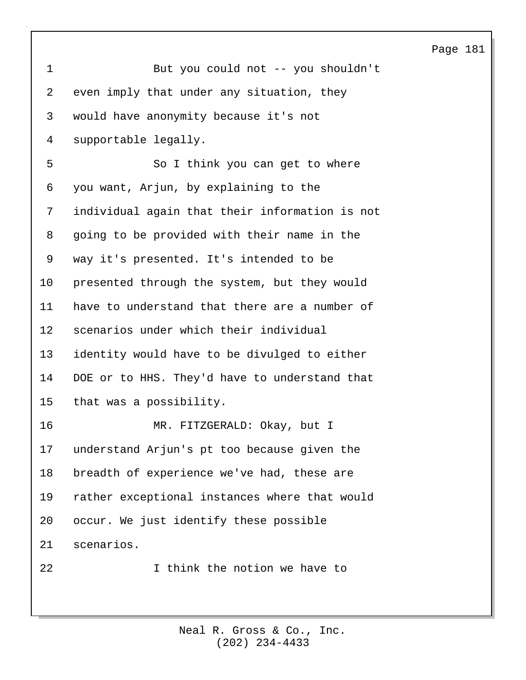| $\mathbf 1$    | But you could not -- you shouldn't             |
|----------------|------------------------------------------------|
| $\overline{2}$ | even imply that under any situation, they      |
| 3              | would have anonymity because it's not          |
| 4              | supportable legally.                           |
| 5              | So I think you can get to where                |
| 6              | you want, Arjun, by explaining to the          |
| 7              | individual again that their information is not |
| 8              | going to be provided with their name in the    |
| 9              | way it's presented. It's intended to be        |
| 10             | presented through the system, but they would   |
| 11             | have to understand that there are a number of  |
| 12             | scenarios under which their individual         |
| 13             | identity would have to be divulged to either   |
| 14             | DOE or to HHS. They'd have to understand that  |
| 15             | that was a possibility.                        |
| 16             | MR. FITZGERALD: Okay, but I                    |
| 17             | understand Arjun's pt too because given the    |
| 18             | breadth of experience we've had, these are     |
| 19             | rather exceptional instances where that would  |
| 20             | occur. We just identify these possible         |
| 21             | scenarios.                                     |
| 22             | I think the notion we have to                  |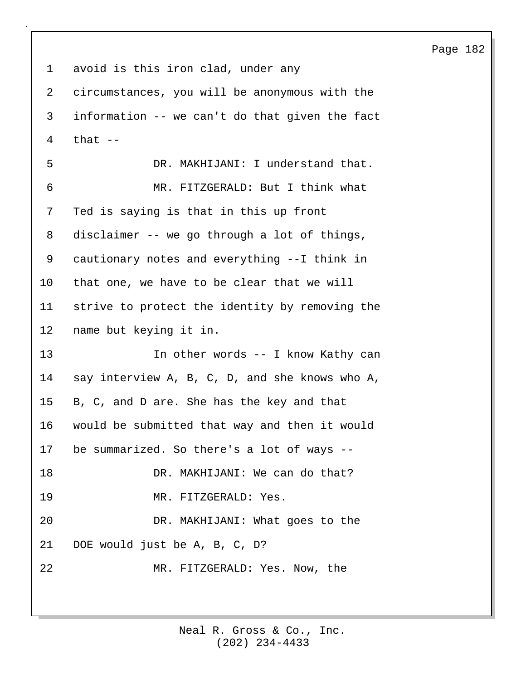1 avoid is this iron clad, under any 2 circumstances, you will be anonymous with the 3 information -- we can't do that given the fact 4 that -- 5 DR. MAKHIJANI: I understand that. 6 MR. FITZGERALD: But I think what 7 Ted is saying is that in this up front 8 disclaimer -- we go through a lot of things, 9 cautionary notes and everything --I think in 10 that one, we have to be clear that we will 11 strive to protect the identity by removing the 12 name but keying it in. 13 In other words -- I know Kathy can 14 say interview A, B, C, D, and she knows who A, 15 B, C, and D are. She has the key and that 16 would be submitted that way and then it would 17 be summarized. So there's a lot of ways -- 18 DR. MAKHIJANI: We can do that? 19 MR. FITZGERALD: Yes. 20 DR. MAKHIJANI: What goes to the 21 DOE would just be A, B, C, D? 22 MR. FITZGERALD: Yes. Now, the

> (202) 234-4433 Neal R. Gross & Co., Inc.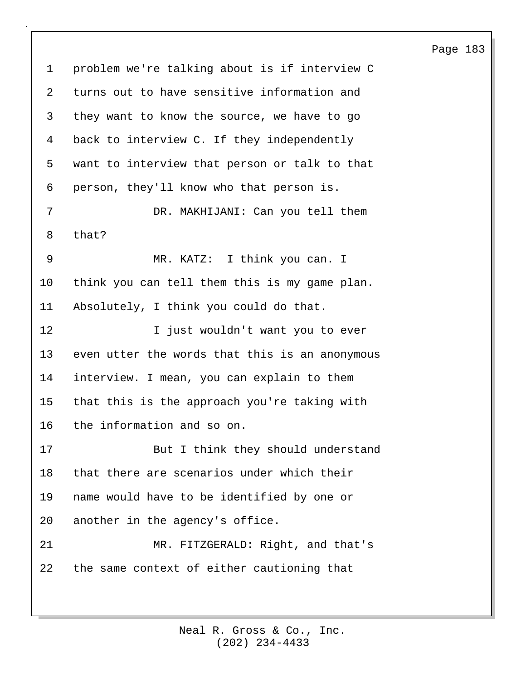1 problem we're talking about is if interview C 2 turns out to have sensitive information and 3 they want to know the source, we have to go 4 back to interview C. If they independently 5 want to interview that person or talk to that 6 person, they'll know who that person is. 7 DR. MAKHIJANI: Can you tell them 8 that? 9 MR. KATZ: I think you can. I 10 think you can tell them this is my game plan. 11 Absolutely, I think you could do that. 12 I just wouldn't want you to ever 13 even utter the words that this is an anonymous 14 interview. I mean, you can explain to them 15 that this is the approach you're taking with 16 the information and so on. 17 But I think they should understand 18 that there are scenarios under which their 19 name would have to be identified by one or 20 another in the agency's office. 21 MR. FITZGERALD: Right, and that's 22 the same context of either cautioning that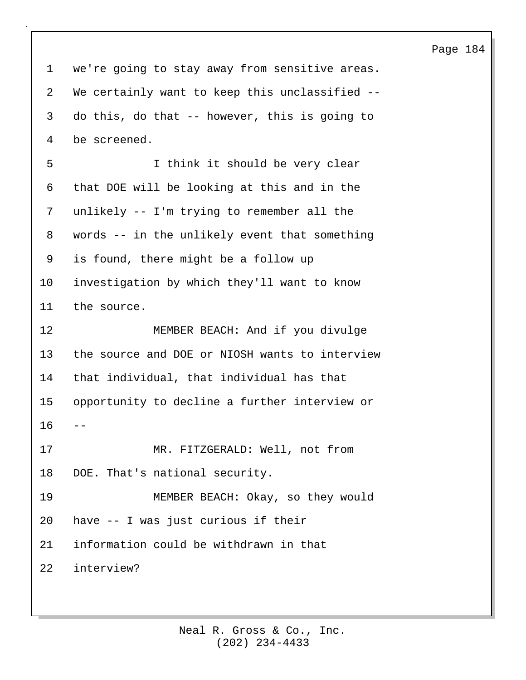1 we're going to stay away from sensitive areas. 2 We certainly want to keep this unclassified -- 3 do this, do that -- however, this is going to 4 be screened. 5 I think it should be very clear 6 that DOE will be looking at this and in the 7 unlikely -- I'm trying to remember all the 8 words -- in the unlikely event that something 9 is found, there might be a follow up 10 investigation by which they'll want to know 11 the source. 12 MEMBER BEACH: And if you divulge 13 the source and DOE or NIOSH wants to interview 14 that individual, that individual has that 15 opportunity to decline a further interview or 16 17 MR. FITZGERALD: Well, not from 18 DOE. That's national security. 19 MEMBER BEACH: Okay, so they would 20 have -- I was just curious if their 21 information could be withdrawn in that 22 interview?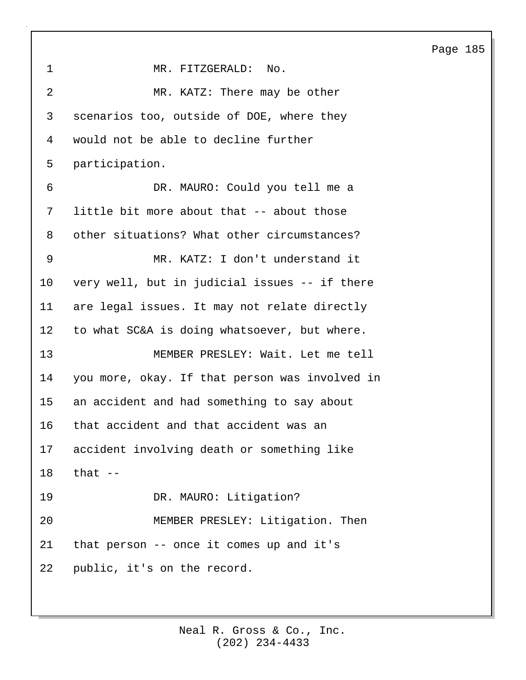| $\mathbf 1$ | MR. FITZGERALD:<br>No.                         |
|-------------|------------------------------------------------|
| 2           | MR. KATZ: There may be other                   |
| 3           | scenarios too, outside of DOE, where they      |
| 4           | would not be able to decline further           |
| 5           | participation.                                 |
| 6           | DR. MAURO: Could you tell me a                 |
| 7           | little bit more about that -- about those      |
| 8           | other situations? What other circumstances?    |
| 9           | MR. KATZ: I don't understand it                |
| 10          | very well, but in judicial issues -- if there  |
| 11          | are legal issues. It may not relate directly   |
| 12          | to what SC&A is doing whatsoever, but where.   |
| 13          | MEMBER PRESLEY: Wait. Let me tell              |
| 14          | you more, okay. If that person was involved in |
| 15          | an accident and had something to say about     |
| 16          | that accident and that accident was an         |
| 17          | accident involving death or something like     |
| 18          | that $-$                                       |
| 19          | DR. MAURO: Litigation?                         |
| 20          | MEMBER PRESLEY: Litigation. Then               |
| 21          | that person -- once it comes up and it's       |
| 22          | public, it's on the record.                    |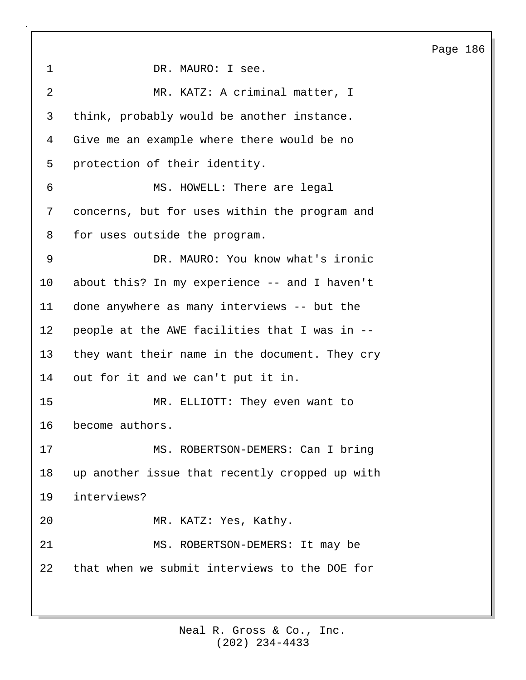1 DR. MAURO: I see. 2 MR. KATZ: A criminal matter, I 3 think, probably would be another instance. 4 Give me an example where there would be no 5 protection of their identity. 6 MS. HOWELL: There are legal 7 concerns, but for uses within the program and 8 for uses outside the program. 9 DR. MAURO: You know what's ironic 10 about this? In my experience -- and I haven't 11 done anywhere as many interviews -- but the 12 people at the AWE facilities that I was in -- 13 they want their name in the document. They cry 14 out for it and we can't put it in. 15 MR. ELLIOTT: They even want to 16 become authors. 17 MS. ROBERTSON-DEMERS: Can I bring 18 up another issue that recently cropped up with 19 interviews? 20 MR. KATZ: Yes, Kathy. 21 MS. ROBERTSON-DEMERS: It may be 22 that when we submit interviews to the DOE for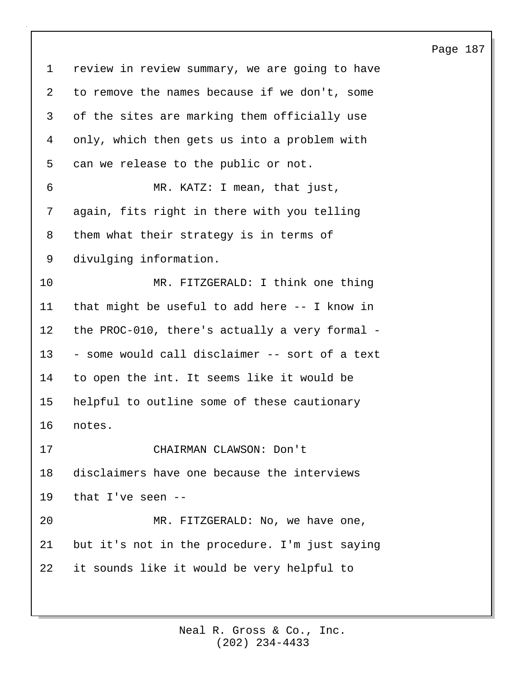1 review in review summary, we are going to have 2 to remove the names because if we don't, some 3 of the sites are marking them officially use 4 only, which then gets us into a problem with 5 can we release to the public or not. 6 MR. KATZ: I mean, that just, 7 again, fits right in there with you telling 8 them what their strategy is in terms of 9 divulging information. 10 MR. FITZGERALD: I think one thing 11 that might be useful to add here -- I know in 12 the PROC-010, there's actually a very formal - 13 - some would call disclaimer -- sort of a text 14 to open the int. It seems like it would be 15 helpful to outline some of these cautionary 16 notes. 17 CHAIRMAN CLAWSON: Don't 18 disclaimers have one because the interviews 19 that I've seen -- 20 MR. FITZGERALD: No, we have one, 21 but it's not in the procedure. I'm just saying 22 it sounds like it would be very helpful to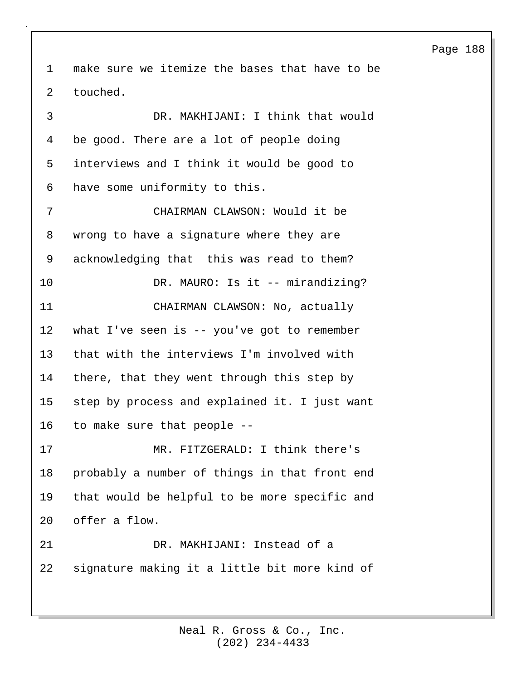1 make sure we itemize the bases that have to be 2 touched. 3 DR. MAKHIJANI: I think that would 4 be good. There are a lot of people doing 5 interviews and I think it would be good to 6 have some uniformity to this. 7 CHAIRMAN CLAWSON: Would it be 8 wrong to have a signature where they are 9 acknowledging that this was read to them? 10 DR. MAURO: Is it -- mirandizing? 11 CHAIRMAN CLAWSON: No, actually 12 what I've seen is -- you've got to remember 13 that with the interviews I'm involved with 14 there, that they went through this step by 15 step by process and explained it. I just want 16 to make sure that people -- 17 MR. FITZGERALD: I think there's 18 probably a number of things in that front end 19 that would be helpful to be more specific and 20 offer a flow. 21 DR. MAKHIJANI: Instead of a 22 signature making it a little bit more kind of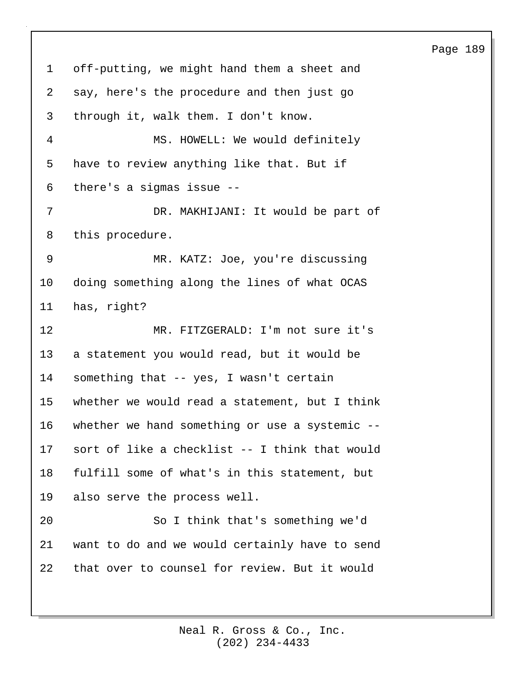1 off-putting, we might hand them a sheet and 2 say, here's the procedure and then just go 3 through it, walk them. I don't know. 4 MS. HOWELL: We would definitely 5 have to review anything like that. But if 6 there's a sigmas issue -- 7 DR. MAKHIJANI: It would be part of 8 this procedure. 9 MR. KATZ: Joe, you're discussing 10 doing something along the lines of what OCAS 11 has, right? 12 MR. FITZGERALD: I'm not sure it's 13 a statement you would read, but it would be 14 something that -- yes, I wasn't certain 15 whether we would read a statement, but I think 16 whether we hand something or use a systemic -- 17 sort of like a checklist -- I think that would 18 fulfill some of what's in this statement, but 19 also serve the process well. 20 So I think that's something we'd 21 want to do and we would certainly have to send 22 that over to counsel for review. But it would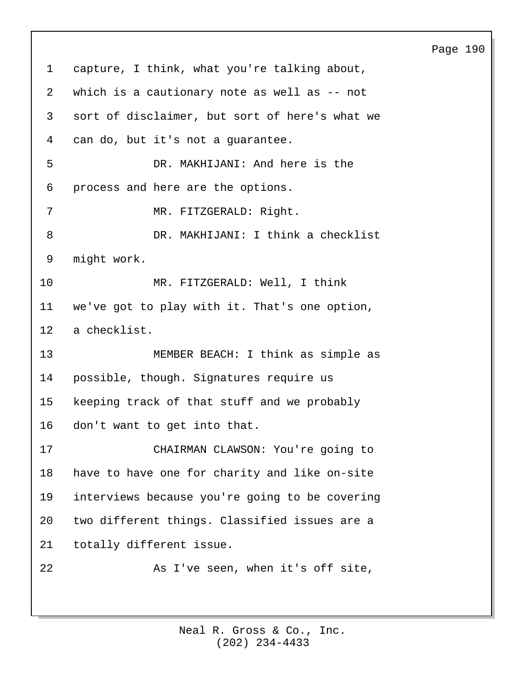1 capture, I think, what you're talking about, 2 which is a cautionary note as well as -- not 3 sort of disclaimer, but sort of here's what we 4 can do, but it's not a guarantee. 5 DR. MAKHIJANI: And here is the 6 process and here are the options. 7 MR. FITZGERALD: Right. 8 DR. MAKHIJANI: I think a checklist 9 might work. 10 MR. FITZGERALD: Well, I think 11 we've got to play with it. That's one option, 12 a checklist. 13 MEMBER BEACH: I think as simple as 14 possible, though. Signatures require us 15 keeping track of that stuff and we probably 16 don't want to get into that. 17 CHAIRMAN CLAWSON: You're going to 18 have to have one for charity and like on-site 19 interviews because you're going to be covering 20 two different things. Classified issues are a 21 totally different issue. 22 As I've seen, when it's off site,

Page 190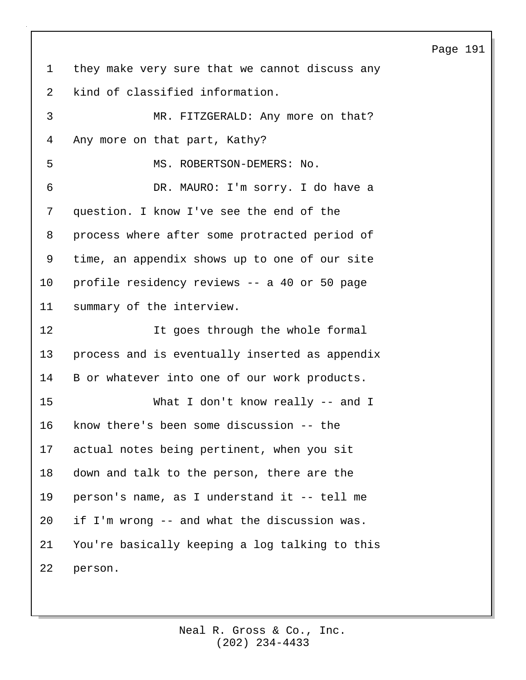1 they make very sure that we cannot discuss any 2 kind of classified information. 3 MR. FITZGERALD: Any more on that? 4 Any more on that part, Kathy? 5 MS. ROBERTSON-DEMERS: No. 6 DR. MAURO: I'm sorry. I do have a 7 question. I know I've see the end of the 8 process where after some protracted period of 9 time, an appendix shows up to one of our site 10 profile residency reviews -- a 40 or 50 page 11 summary of the interview. 12 It goes through the whole formal 13 process and is eventually inserted as appendix 14 B or whatever into one of our work products. 15 What I don't know really -- and I 16 know there's been some discussion -- the 17 actual notes being pertinent, when you sit 18 down and talk to the person, there are the 19 person's name, as I understand it -- tell me 20 if I'm wrong -- and what the discussion was. 21 You're basically keeping a log talking to this 22 person.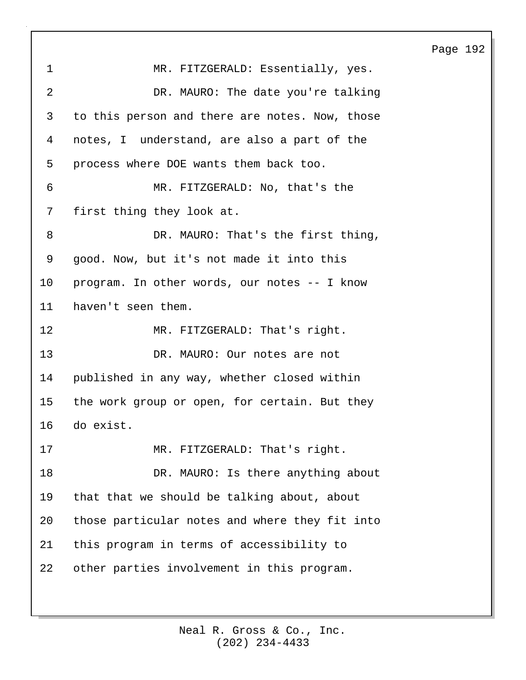1 MR. FITZGERALD: Essentially, yes. 2 DR. MAURO: The date you're talking 3 to this person and there are notes. Now, those 4 notes, I understand, are also a part of the 5 process where DOE wants them back too. 6 MR. FITZGERALD: No, that's the 7 first thing they look at. 8 DR. MAURO: That's the first thing, 9 good. Now, but it's not made it into this 10 program. In other words, our notes -- I know 11 haven't seen them. 12 MR. FITZGERALD: That's right. 13 DR. MAURO: Our notes are not 14 published in any way, whether closed within 15 the work group or open, for certain. But they 16 do exist. 17 MR. FITZGERALD: That's right. 18 DR. MAURO: Is there anything about 19 that that we should be talking about, about 20 those particular notes and where they fit into 21 this program in terms of accessibility to 22 other parties involvement in this program.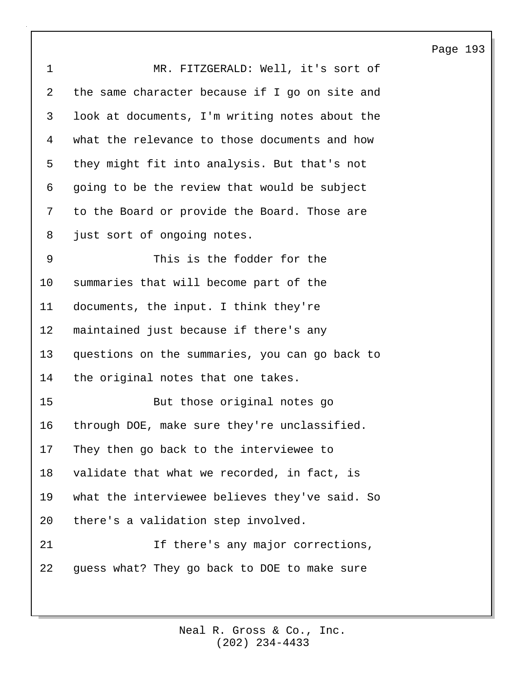| $\mathbf 1$ | MR. FITZGERALD: Well, it's sort of             |
|-------------|------------------------------------------------|
| 2           | the same character because if I go on site and |
| 3           | look at documents, I'm writing notes about the |
| 4           | what the relevance to those documents and how  |
| 5           | they might fit into analysis. But that's not   |
| 6           | going to be the review that would be subject   |
| 7           | to the Board or provide the Board. Those are   |
| 8           | just sort of ongoing notes.                    |
| 9           | This is the fodder for the                     |
| 10          | summaries that will become part of the         |
| 11          | documents, the input. I think they're          |
| 12          | maintained just because if there's any         |
| 13          | questions on the summaries, you can go back to |
| 14          | the original notes that one takes.             |
| 15          | But those original notes go                    |
| 16          | through DOE, make sure they're unclassified.   |
| 17          | They then go back to the interviewee to        |
| 18          | validate that what we recorded, in fact, is    |
| 19          | what the interviewee believes they've said. So |
| 20          | there's a validation step involved.            |
| 21          | If there's any major corrections,              |
| 22          | guess what? They go back to DOE to make sure   |
|             |                                                |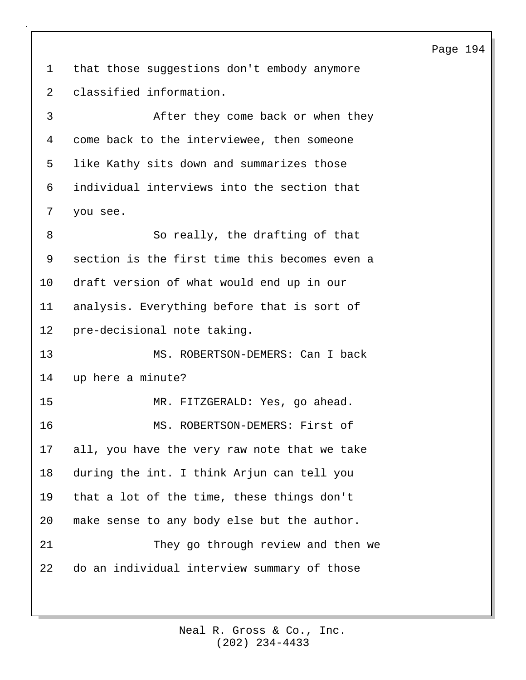1 that those suggestions don't embody anymore 2 classified information.

3 After they come back or when they 4 come back to the interviewee, then someone 5 like Kathy sits down and summarizes those 6 individual interviews into the section that 7 you see.

8 So really, the drafting of that 9 section is the first time this becomes even a 10 draft version of what would end up in our 11 analysis. Everything before that is sort of 12 pre-decisional note taking. 13 MS. ROBERTSON-DEMERS: Can I back 14 up here a minute? 15 MR. FITZGERALD: Yes, go ahead. 16 MS. ROBERTSON-DEMERS: First of 17 all, you have the very raw note that we take 18 during the int. I think Arjun can tell you 19 that a lot of the time, these things don't 20 make sense to any body else but the author. 21 They go through review and then we 22 do an individual interview summary of those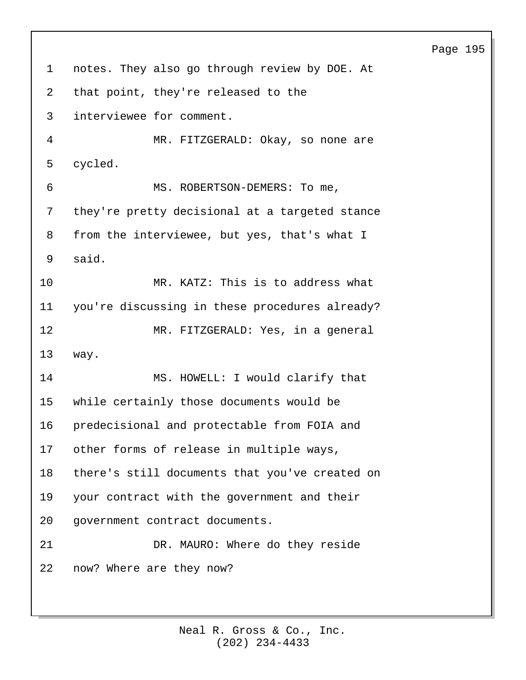| $\mathbf 1$ | notes. They also go through review by DOE. At  |
|-------------|------------------------------------------------|
| 2           | that point, they're released to the            |
| 3           | interviewee for comment.                       |
| 4           | MR. FITZGERALD: Okay, so none are              |
| 5           | cycled.                                        |
| 6           | MS. ROBERTSON-DEMERS: To me,                   |
| 7           | they're pretty decisional at a targeted stance |
| 8           | from the interviewee, but yes, that's what I   |
| 9           | said.                                          |
| 10          | MR. KATZ: This is to address what              |
| 11          | you're discussing in these procedures already? |
| 12          | MR. FITZGERALD: Yes, in a general              |
| 13          | way.                                           |
| 14          | MS. HOWELL: I would clarify that               |
| $15 \,$     | while certainly those documents would be       |
| 16          | predecisional and protectable from FOIA and    |
|             | 17 other forms of release in multiple ways,    |
| 18          | there's still documents that you've created on |
| 19          | your contract with the government and their    |
| 20          | government contract documents.                 |
| 21          | DR. MAURO: Where do they reside                |
| 22          | now? Where are they now?                       |
|             |                                                |

(202) 234-4433 Neal R. Gross & Co., Inc.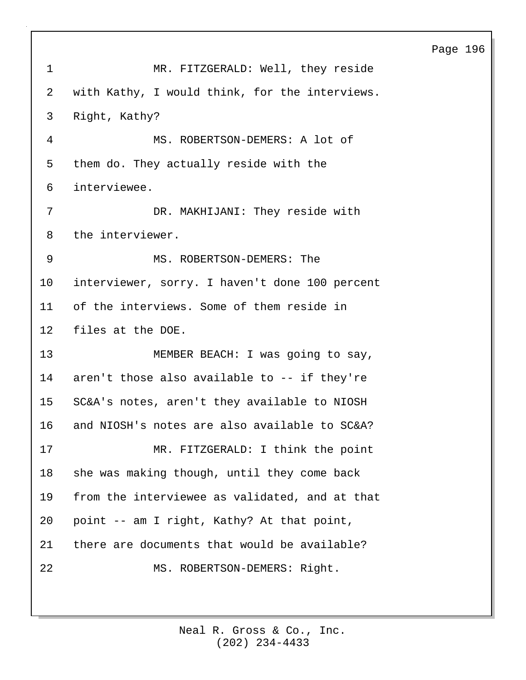| $\mathbf{1}$    | MR. FITZGERALD: Well, they reside              |
|-----------------|------------------------------------------------|
| 2               | with Kathy, I would think, for the interviews. |
| 3               | Right, Kathy?                                  |
| $\overline{4}$  | MS. ROBERTSON-DEMERS: A lot of                 |
| 5               | them do. They actually reside with the         |
| 6               | interviewee.                                   |
| 7               | DR. MAKHIJANI: They reside with                |
| 8               | the interviewer.                               |
| 9               | MS. ROBERTSON-DEMERS: The                      |
| 10              | interviewer, sorry. I haven't done 100 percent |
| 11              | of the interviews. Some of them reside in      |
| 12              | files at the DOE.                              |
| 13              | MEMBER BEACH: I was going to say,              |
| 14              | aren't those also available to -- if they're   |
| 15 <sub>1</sub> | SC&A's notes, aren't they available to NIOSH   |
| 16              | and NIOSH's notes are also available to SC&A?  |
| 17              | MR. FITZGERALD: I think the point              |
| 18              | she was making though, until they come back    |
| 19              | from the interviewee as validated, and at that |
| 20              | point -- am I right, Kathy? At that point,     |
| 21              | there are documents that would be available?   |
| 22              | MS. ROBERTSON-DEMERS: Right.                   |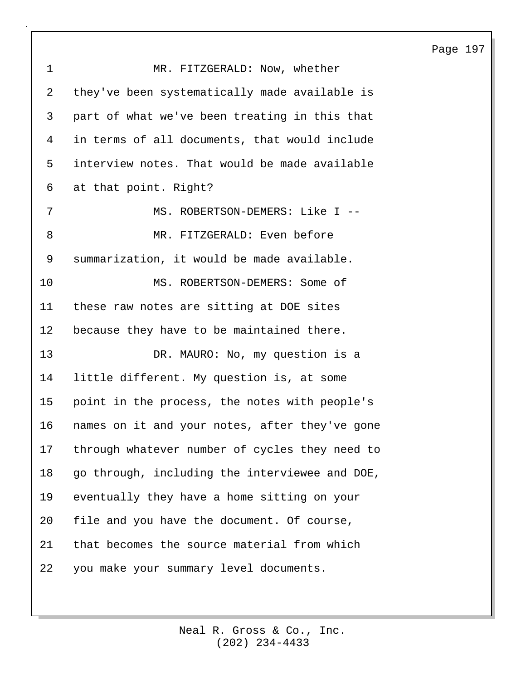| $\mathbf 1$ | MR. FITZGERALD: Now, whether                   |
|-------------|------------------------------------------------|
| 2           | they've been systematically made available is  |
| 3           | part of what we've been treating in this that  |
| 4           | in terms of all documents, that would include  |
| 5           | interview notes. That would be made available  |
| 6           | at that point. Right?                          |
| 7           | MS. ROBERTSON-DEMERS: Like I --                |
| 8           | MR. FITZGERALD: Even before                    |
| 9           | summarization, it would be made available.     |
| 10          | MS. ROBERTSON-DEMERS: Some of                  |
| 11          | these raw notes are sitting at DOE sites       |
| 12          | because they have to be maintained there.      |
| 13          | DR. MAURO: No, my question is a                |
| 14          | little different. My question is, at some      |
| 15          | point in the process, the notes with people's  |
| 16          | names on it and your notes, after they've gone |
| 17          | through whatever number of cycles they need to |
| 18          | go through, including the interviewee and DOE, |
| 19          | eventually they have a home sitting on your    |
| 20          | file and you have the document. Of course,     |
| 21          | that becomes the source material from which    |
| 22          | you make your summary level documents.         |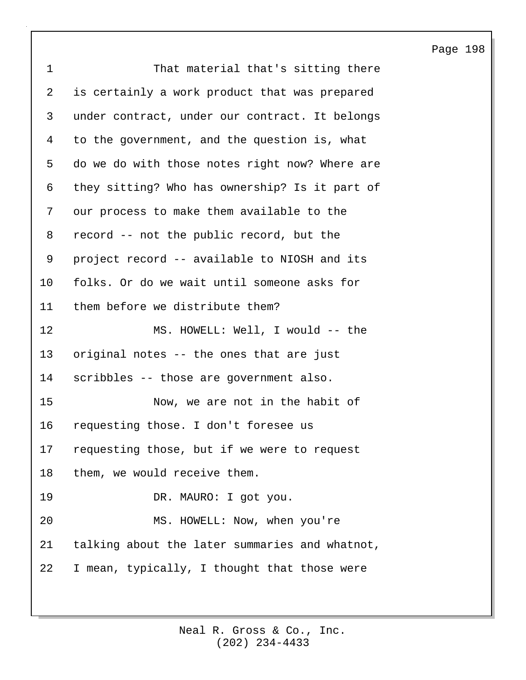| $\mathbf 1$    | That material that's sitting there             |
|----------------|------------------------------------------------|
| $\overline{2}$ | is certainly a work product that was prepared  |
| 3              | under contract, under our contract. It belongs |
| 4              | to the government, and the question is, what   |
| 5              | do we do with those notes right now? Where are |
| 6              | they sitting? Who has ownership? Is it part of |
| 7              | our process to make them available to the      |
| 8              | record -- not the public record, but the       |
| 9              | project record -- available to NIOSH and its   |
| $10 \,$        | folks. Or do we wait until someone asks for    |
| 11             | them before we distribute them?                |
| 12             | MS. HOWELL: Well, I would -- the               |
| 13             | original notes -- the ones that are just       |
| 14             | scribbles -- those are government also.        |
| 15             | Now, we are not in the habit of                |
| 16             | requesting those. I don't foresee us           |
| 17             | requesting those, but if we were to request    |
| 18             | them, we would receive them.                   |
| 19             | DR. MAURO: I got you.                          |
| 20             | MS. HOWELL: Now, when you're                   |
| 21             | talking about the later summaries and whatnot, |
| 22             | I mean, typically, I thought that those were   |
|                |                                                |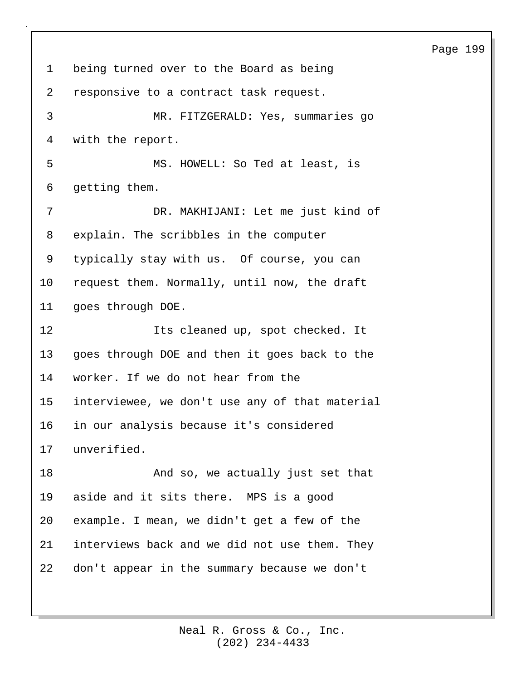1 being turned over to the Board as being 2 responsive to a contract task request. 3 MR. FITZGERALD: Yes, summaries go 4 with the report. 5 MS. HOWELL: So Ted at least, is 6 getting them. 7 DR. MAKHIJANI: Let me just kind of 8 explain. The scribbles in the computer 9 typically stay with us. Of course, you can 10 request them. Normally, until now, the draft 11 goes through DOE. 12 Its cleaned up, spot checked. It 13 goes through DOE and then it goes back to the 14 worker. If we do not hear from the 15 interviewee, we don't use any of that material 16 in our analysis because it's considered 17 unverified. 18 And so, we actually just set that 19 aside and it sits there. MPS is a good 20 example. I mean, we didn't get a few of the 21 interviews back and we did not use them. They 22 don't appear in the summary because we don't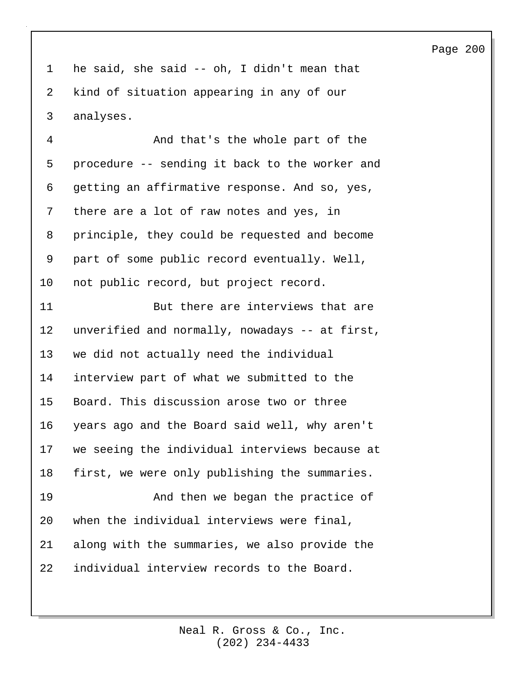1 he said, she said -- oh, I didn't mean that 2 kind of situation appearing in any of our 3 analyses.

4 And that's the whole part of the 5 procedure -- sending it back to the worker and 6 getting an affirmative response. And so, yes, 7 there are a lot of raw notes and yes, in 8 principle, they could be requested and become 9 part of some public record eventually. Well, 10 not public record, but project record.

11 But there are interviews that are 12 unverified and normally, nowadays -- at first, 13 we did not actually need the individual 14 interview part of what we submitted to the 15 Board. This discussion arose two or three 16 years ago and the Board said well, why aren't 17 we seeing the individual interviews because at 18 first, we were only publishing the summaries. 19 And then we began the practice of 20 when the individual interviews were final, 21 along with the summaries, we also provide the 22 individual interview records to the Board.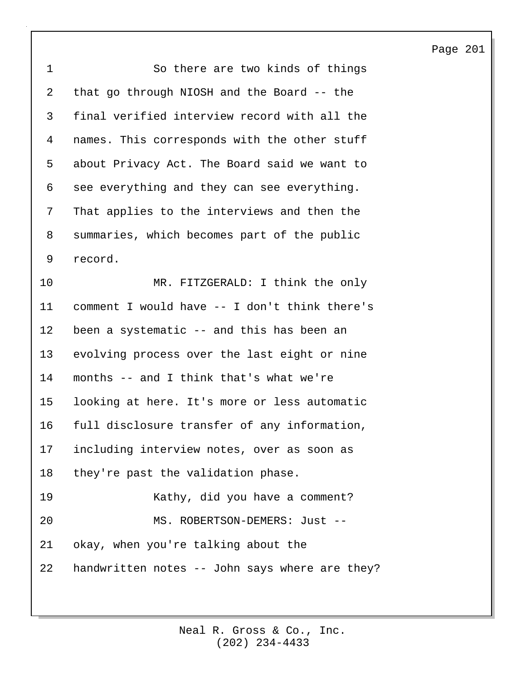| $\mathbf 1$ | So there are two kinds of things               |
|-------------|------------------------------------------------|
| 2           | that go through NIOSH and the Board -- the     |
| 3           | final verified interview record with all the   |
| 4           | names. This corresponds with the other stuff   |
| 5           | about Privacy Act. The Board said we want to   |
| 6           | see everything and they can see everything.    |
| 7           | That applies to the interviews and then the    |
| 8           | summaries, which becomes part of the public    |
| 9           | record.                                        |
| 10          | MR. FITZGERALD: I think the only               |
| 11          | comment I would have -- I don't think there's  |
| 12          | been a systematic -- and this has been an      |
| 13          | evolving process over the last eight or nine   |
| 14          | months -- and I think that's what we're        |
| 15          | looking at here. It's more or less automatic   |
| 16          | full disclosure transfer of any information,   |
| 17          | including interview notes, over as soon as     |
| 18          | they're past the validation phase.             |
| 19          | Kathy, did you have a comment?                 |
| 20          | MS. ROBERTSON-DEMERS: Just --                  |
| 21          | okay, when you're talking about the            |
| 22          | handwritten notes -- John says where are they? |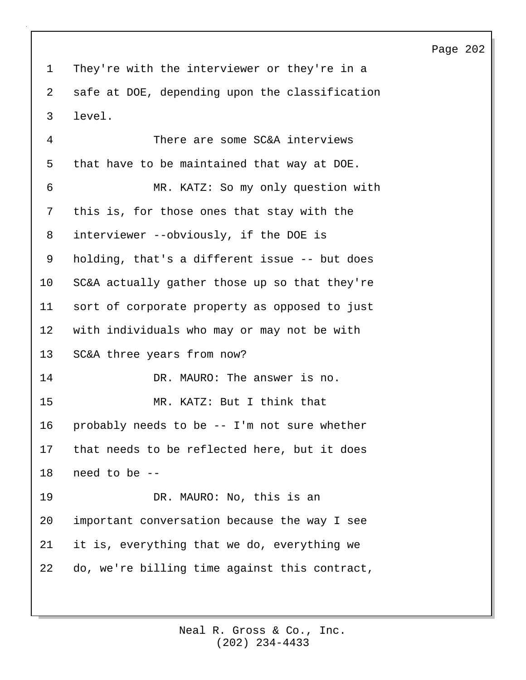1 They're with the interviewer or they're in a 2 safe at DOE, depending upon the classification 3 level.

4 There are some SC&A interviews 5 that have to be maintained that way at DOE. 6 MR. KATZ: So my only question with 7 this is, for those ones that stay with the 8 interviewer --obviously, if the DOE is 9 holding, that's a different issue -- but does 10 SC&A actually gather those up so that they're 11 sort of corporate property as opposed to just 12 with individuals who may or may not be with 13 SC&A three years from now? 14 DR. MAURO: The answer is no. 15 MR. KATZ: But I think that 16 probably needs to be -- I'm not sure whether 17 that needs to be reflected here, but it does 18 need to be -- 19 DR. MAURO: No, this is an 20 important conversation because the way I see 21 it is, everything that we do, everything we 22 do, we're billing time against this contract,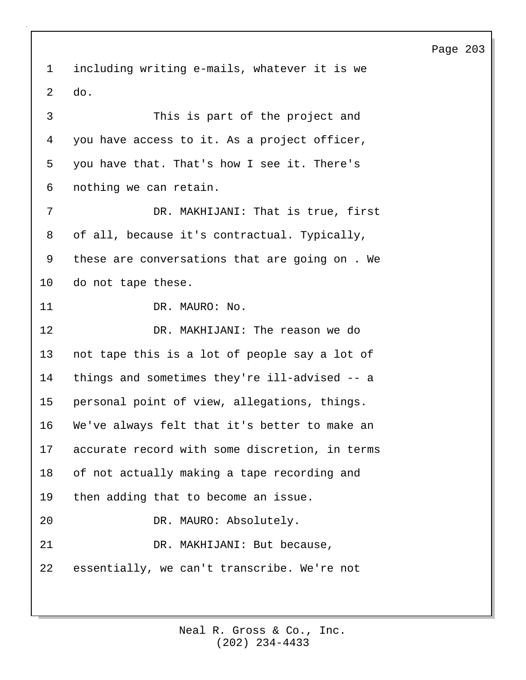1 including writing e-mails, whatever it is we 2 do. 3 This is part of the project and 4 you have access to it. As a project officer, 5 you have that. That's how I see it. There's 6 nothing we can retain. 7 DR. MAKHIJANI: That is true, first 8 of all, because it's contractual. Typically, 9 these are conversations that are going on . We 10 do not tape these. 11 DR. MAURO: No. 12 DR. MAKHIJANI: The reason we do 13 not tape this is a lot of people say a lot of 14 things and sometimes they're ill-advised -- a 15 personal point of view, allegations, things. 16 We've always felt that it's better to make an 17 accurate record with some discretion, in terms 18 of not actually making a tape recording and 19 then adding that to become an issue. 20 DR. MAURO: Absolutely. 21 DR. MAKHIJANI: But because, 22 essentially, we can't transcribe. We're not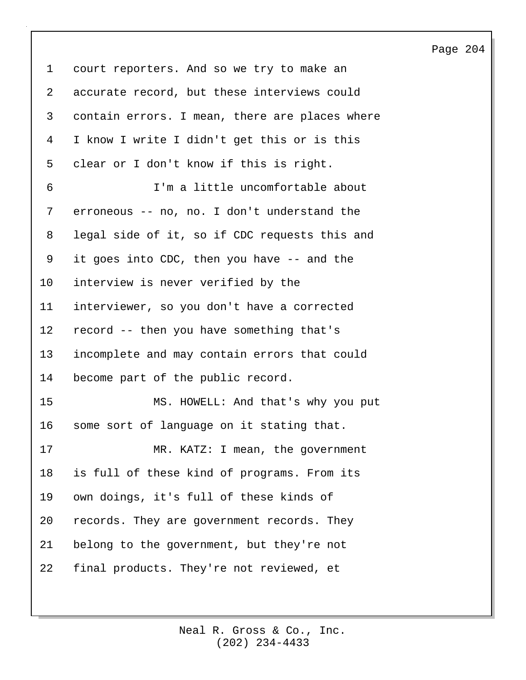1 court reporters. And so we try to make an 2 accurate record, but these interviews could 3 contain errors. I mean, there are places where 4 I know I write I didn't get this or is this 5 clear or I don't know if this is right. 6 I'm a little uncomfortable about 7 erroneous -- no, no. I don't understand the 8 legal side of it, so if CDC requests this and 9 it goes into CDC, then you have -- and the 10 interview is never verified by the 11 interviewer, so you don't have a corrected 12 record -- then you have something that's 13 incomplete and may contain errors that could 14 become part of the public record. 15 MS. HOWELL: And that's why you put 16 some sort of language on it stating that. 17 MR. KATZ: I mean, the government 18 is full of these kind of programs. From its 19 own doings, it's full of these kinds of 20 records. They are government records. They 21 belong to the government, but they're not 22 final products. They're not reviewed, et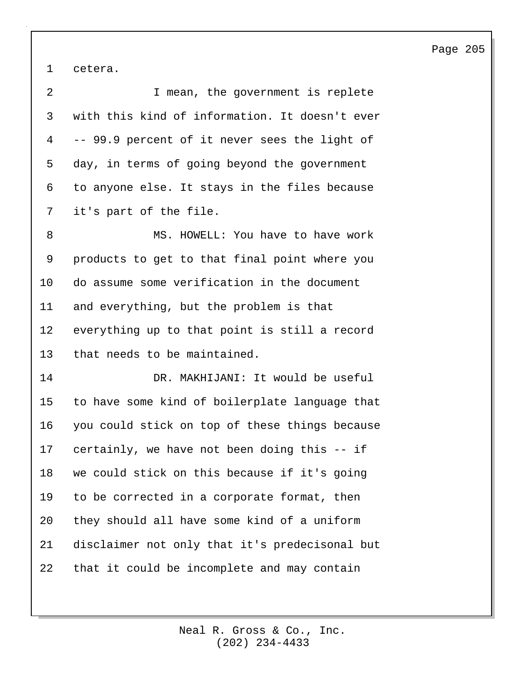1 cetera.

| 2  | I mean, the government is replete              |
|----|------------------------------------------------|
| 3  | with this kind of information. It doesn't ever |
| 4  | -- 99.9 percent of it never sees the light of  |
| 5  | day, in terms of going beyond the government   |
| 6  | to anyone else. It stays in the files because  |
| 7  | it's part of the file.                         |
| 8  | MS. HOWELL: You have to have work              |
| 9  | products to get to that final point where you  |
| 10 | do assume some verification in the document    |
| 11 | and everything, but the problem is that        |
| 12 | everything up to that point is still a record  |
| 13 | that needs to be maintained.                   |
| 14 | DR. MAKHIJANI: It would be useful              |
| 15 | to have some kind of boilerplate language that |
| 16 | you could stick on top of these things because |
| 17 | certainly, we have not been doing this -- if   |
| 18 | we could stick on this because if it's going   |
| 19 | to be corrected in a corporate format, then    |
| 20 | they should all have some kind of a uniform    |
| 21 | disclaimer not only that it's predecisonal but |
| 22 | that it could be incomplete and may contain    |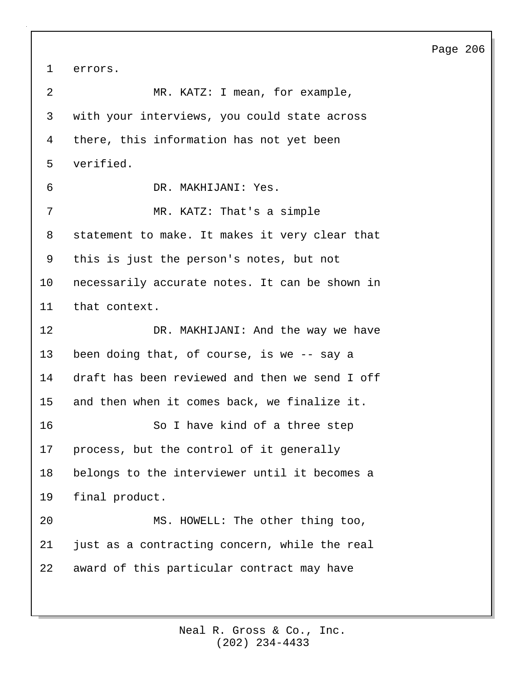1 errors.

| 2  | MR. KATZ: I mean, for example,                 |
|----|------------------------------------------------|
| 3  | with your interviews, you could state across   |
| 4  | there, this information has not yet been       |
| 5  | verified.                                      |
| 6  | DR. MAKHIJANI: Yes.                            |
| 7  | MR. KATZ: That's a simple                      |
| 8  | statement to make. It makes it very clear that |
| 9  | this is just the person's notes, but not       |
| 10 | necessarily accurate notes. It can be shown in |
| 11 | that context.                                  |
| 12 | DR. MAKHIJANI: And the way we have             |
| 13 | been doing that, of course, is we -- say a     |
| 14 | draft has been reviewed and then we send I off |
| 15 | and then when it comes back, we finalize it.   |
| 16 | So I have kind of a three step                 |
| 17 | process, but the control of it generally       |
| 18 | belongs to the interviewer until it becomes a  |
| 19 | final product.                                 |
| 20 | MS. HOWELL: The other thing too,               |
| 21 | just as a contracting concern, while the real  |
| 22 | award of this particular contract may have     |
|    |                                                |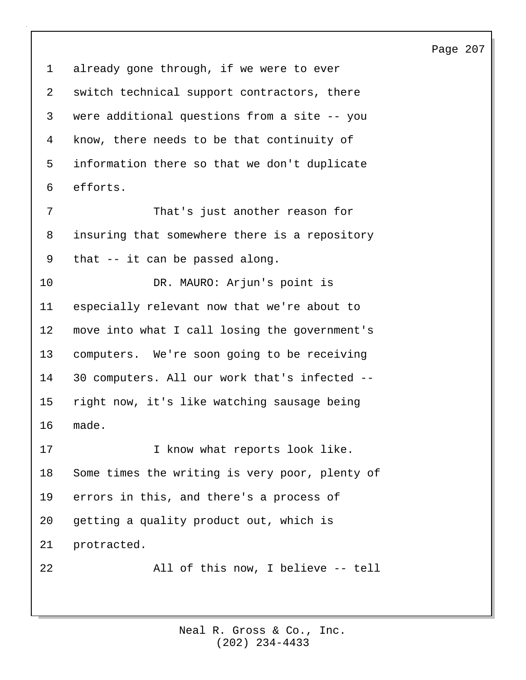1 already gone through, if we were to ever 2 switch technical support contractors, there 3 were additional questions from a site -- you 4 know, there needs to be that continuity of 5 information there so that we don't duplicate 6 efforts. 7 That's just another reason for 8 insuring that somewhere there is a repository 9 that -- it can be passed along. 10 DR. MAURO: Arjun's point is 11 especially relevant now that we're about to 12 move into what I call losing the government's 13 computers. We're soon going to be receiving 14 30 computers. All our work that's infected -- 15 right now, it's like watching sausage being 16 made. 17 17 I know what reports look like. 18 Some times the writing is very poor, plenty of 19 errors in this, and there's a process of 20 getting a quality product out, which is 21 protracted. 22 All of this now, I believe -- tell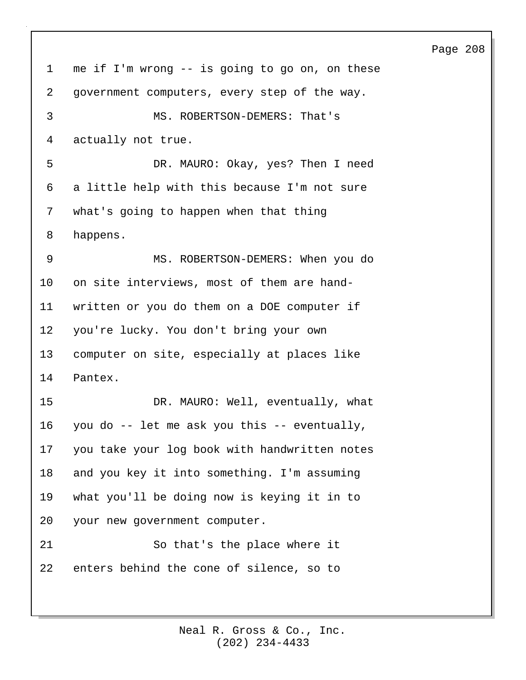1 me if I'm wrong -- is going to go on, on these 2 government computers, every step of the way. 3 MS. ROBERTSON-DEMERS: That's 4 actually not true. 5 DR. MAURO: Okay, yes? Then I need 6 a little help with this because I'm not sure 7 what's going to happen when that thing 8 happens. 9 MS. ROBERTSON-DEMERS: When you do 10 on site interviews, most of them are hand-11 written or you do them on a DOE computer if 12 you're lucky. You don't bring your own 13 computer on site, especially at places like 14 Pantex. 15 DR. MAURO: Well, eventually, what 16 you do -- let me ask you this -- eventually, 17 you take your log book with handwritten notes 18 and you key it into something. I'm assuming 19 what you'll be doing now is keying it in to 20 your new government computer. 21 So that's the place where it 22 enters behind the cone of silence, so to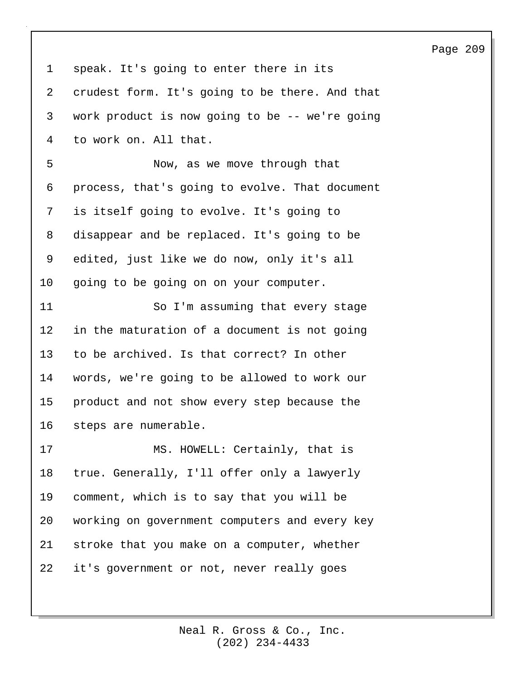| $\mathbf 1$ | speak. It's going to enter there in its        |
|-------------|------------------------------------------------|
| 2           | crudest form. It's going to be there. And that |
| 3           | work product is now going to be -- we're going |
| 4           | to work on. All that.                          |
| 5           | Now, as we move through that                   |
| 6           | process, that's going to evolve. That document |
| 7           | is itself going to evolve. It's going to       |
| 8           | disappear and be replaced. It's going to be    |
| 9           | edited, just like we do now, only it's all     |
| 10          | going to be going on on your computer.         |
| 11          | So I'm assuming that every stage               |
| 12          | in the maturation of a document is not going   |
| 13          | to be archived. Is that correct? In other      |
| 14          | words, we're going to be allowed to work our   |
| 15          | product and not show every step because the    |
| 16          | steps are numerable.                           |
| 17          | MS. HOWELL: Certainly, that is                 |
| 18          | true. Generally, I'll offer only a lawyerly    |
| 19          | comment, which is to say that you will be      |
| 20          | working on government computers and every key  |
| 21          | stroke that you make on a computer, whether    |
| 22          | it's government or not, never really goes      |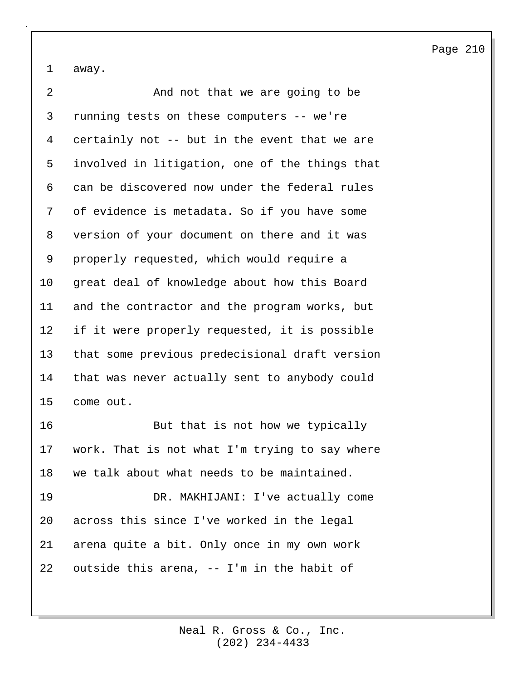1 away.

2 And not that we are going to be 3 running tests on these computers -- we're 4 certainly not -- but in the event that we are 5 involved in litigation, one of the things that 6 can be discovered now under the federal rules 7 of evidence is metadata. So if you have some 8 version of your document on there and it was 9 properly requested, which would require a 10 great deal of knowledge about how this Board 11 and the contractor and the program works, but 12 if it were properly requested, it is possible 13 that some previous predecisional draft version 14 that was never actually sent to anybody could 15 come out. 16 But that is not how we typically 17 work. That is not what I'm trying to say where 18 we talk about what needs to be maintained. 19 DR. MAKHIJANI: I've actually come 20 across this since I've worked in the legal 21 arena quite a bit. Only once in my own work 22 outside this arena, -- I'm in the habit of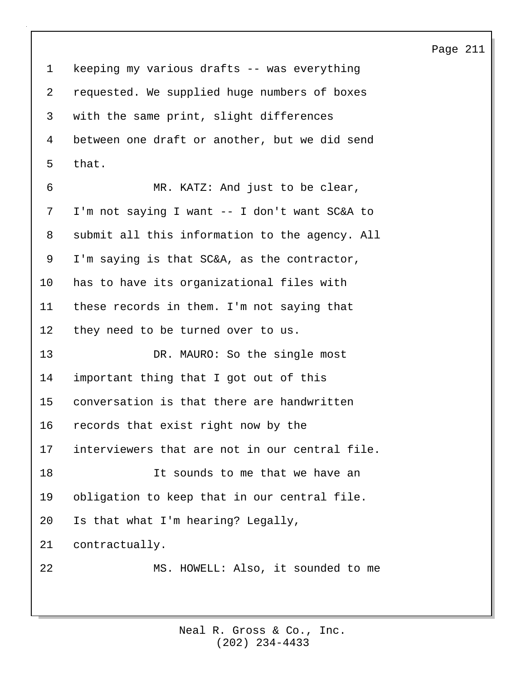1 keeping my various drafts -- was everything 2 requested. We supplied huge numbers of boxes 3 with the same print, slight differences 4 between one draft or another, but we did send 5 that.

6 MR. KATZ: And just to be clear, 7 I'm not saying I want -- I don't want SC&A to 8 submit all this information to the agency. All 9 I'm saying is that SC&A, as the contractor, 10 has to have its organizational files with 11 these records in them. I'm not saying that 12 they need to be turned over to us. 13 DR. MAURO: So the single most 14 important thing that I got out of this 15 conversation is that there are handwritten 16 records that exist right now by the 17 interviewers that are not in our central file. 18 It sounds to me that we have an 19 obligation to keep that in our central file. 20 Is that what I'm hearing? Legally, 21 contractually. 22 MS. HOWELL: Also, it sounded to me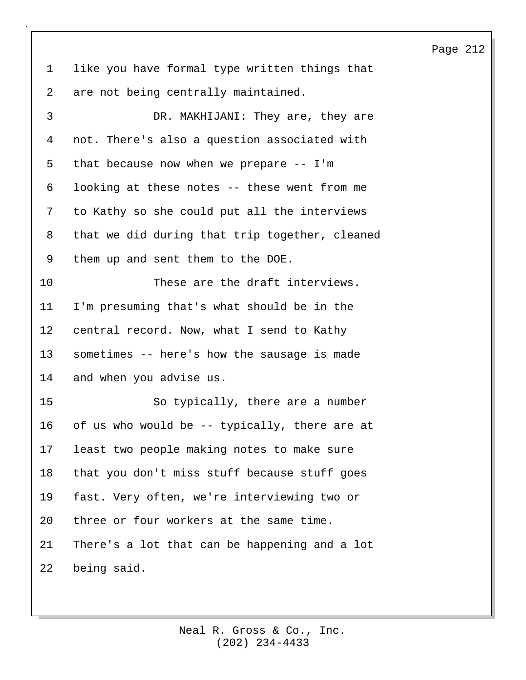1 like you have formal type written things that 2 are not being centrally maintained.

3 DR. MAKHIJANI: They are, they are 4 not. There's also a question associated with 5 that because now when we prepare -- I'm 6 looking at these notes -- these went from me 7 to Kathy so she could put all the interviews 8 that we did during that trip together, cleaned 9 them up and sent them to the DOE. 10 These are the draft interviews. 11 I'm presuming that's what should be in the 12 central record. Now, what I send to Kathy 13 sometimes -- here's how the sausage is made 14 and when you advise us. 15 So typically, there are a number 16 of us who would be -- typically, there are at 17 least two people making notes to make sure 18 that you don't miss stuff because stuff goes 19 fast. Very often, we're interviewing two or 20 three or four workers at the same time. 21 There's a lot that can be happening and a lot 22 being said.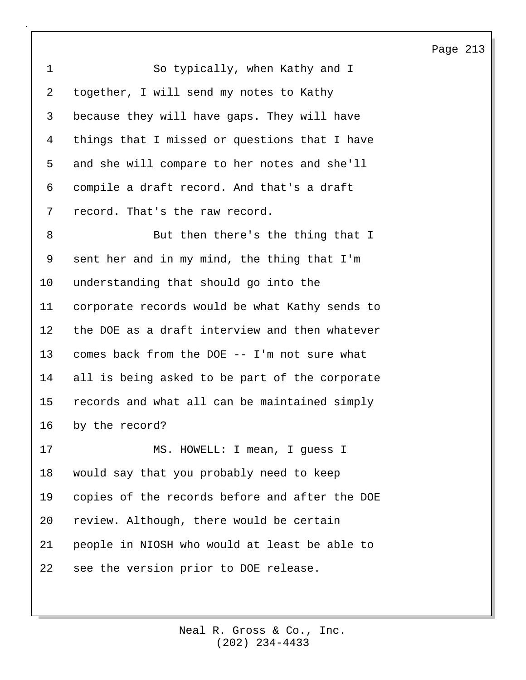| $\mathbf 1$ | So typically, when Kathy and I                 |
|-------------|------------------------------------------------|
| 2           | together, I will send my notes to Kathy        |
| 3           | because they will have gaps. They will have    |
| 4           | things that I missed or questions that I have  |
| 5           | and she will compare to her notes and she'll   |
| 6           | compile a draft record. And that's a draft     |
| 7           | record. That's the raw record.                 |
| 8           | But then there's the thing that I              |
| 9           | sent her and in my mind, the thing that I'm    |
| 10          | understanding that should go into the          |
| 11          | corporate records would be what Kathy sends to |
| 12          | the DOE as a draft interview and then whatever |
| 13          | comes back from the DOE -- I'm not sure what   |
| 14          | all is being asked to be part of the corporate |
| 15          | records and what all can be maintained simply  |
| 16          | by the record?                                 |
| 17          | MS. HOWELL: I mean, I guess I                  |
| 18          | would say that you probably need to keep       |
| 19          | copies of the records before and after the DOE |
| 20          | review. Although, there would be certain       |
| 21          | people in NIOSH who would at least be able to  |
| 22          | see the version prior to DOE release.          |
|             |                                                |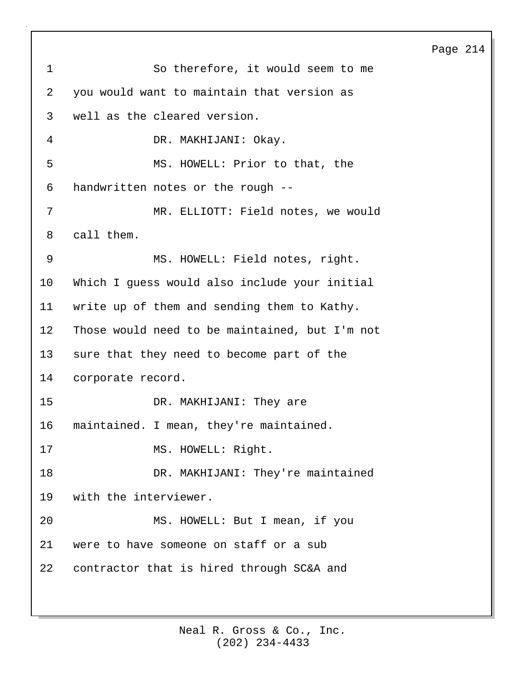Page 214 1 So therefore, it would seem to me 2 you would want to maintain that version as 3 well as the cleared version. 4 DR. MAKHIJANI: Okay. 5 MS. HOWELL: Prior to that, the 6 handwritten notes or the rough -- 7 MR. ELLIOTT: Field notes, we would 8 call them. 9 MS. HOWELL: Field notes, right. 10 Which I guess would also include your initial 11 write up of them and sending them to Kathy. 12 Those would need to be maintained, but I'm not 13 sure that they need to become part of the 14 corporate record. 15 DR. MAKHIJANI: They are 16 maintained. I mean, they're maintained. 17 MS. HOWELL: Right. 18 DR. MAKHIJANI: They're maintained 19 with the interviewer. 20 MS. HOWELL: But I mean, if you 21 were to have someone on staff or a sub 22 contractor that is hired through SC&A and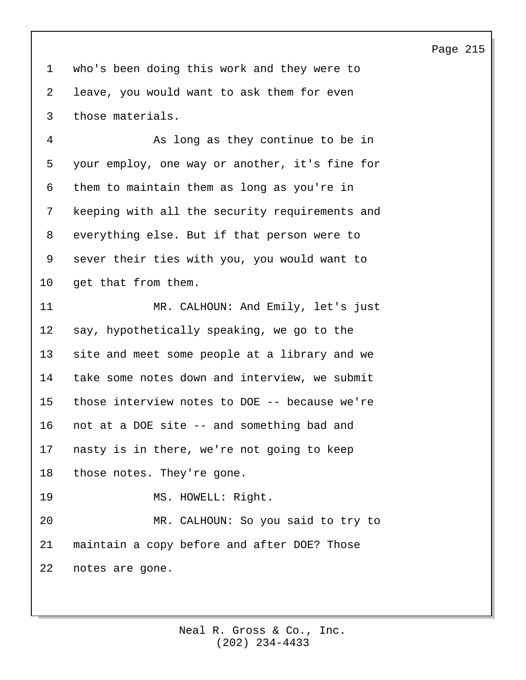1 who's been doing this work and they were to 2 leave, you would want to ask them for even 3 those materials.

4 As long as they continue to be in 5 your employ, one way or another, it's fine for 6 them to maintain them as long as you're in 7 keeping with all the security requirements and 8 everything else. But if that person were to 9 sever their ties with you, you would want to 10 get that from them.

11 MR. CALHOUN: And Emily, let's just 12 say, hypothetically speaking, we go to the 13 site and meet some people at a library and we 14 take some notes down and interview, we submit 15 those interview notes to DOE -- because we're 16 not at a DOE site -- and something bad and 17 nasty is in there, we're not going to keep 18 those notes. They're gone. 19 MS. HOWELL: Right. 20 MR. CALHOUN: So you said to try to 21 maintain a copy before and after DOE? Those 22 notes are gone.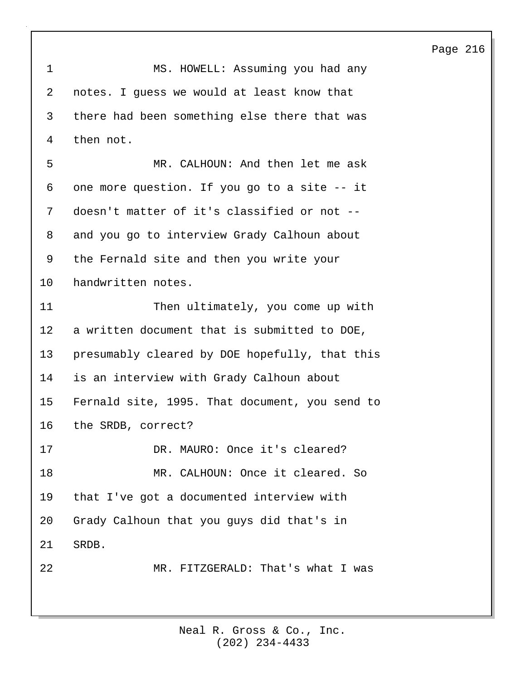| $\mathbf 1$ | MS. HOWELL: Assuming you had any               |
|-------------|------------------------------------------------|
| 2           | notes. I guess we would at least know that     |
| 3           | there had been something else there that was   |
| 4           | then not.                                      |
| 5           | MR. CALHOUN: And then let me ask               |
| 6           | one more question. If you go to a site -- it   |
| 7           | doesn't matter of it's classified or not --    |
| 8           | and you go to interview Grady Calhoun about    |
| 9           | the Fernald site and then you write your       |
| 10          | handwritten notes.                             |
| 11          | Then ultimately, you come up with              |
| 12          | a written document that is submitted to DOE,   |
| 13          | presumably cleared by DOE hopefully, that this |
| 14          | is an interview with Grady Calhoun about       |
| 15          | Fernald site, 1995. That document, you send to |
| 16          | the SRDB, correct?                             |
| 17          | DR. MAURO: Once it's cleared?                  |
| 18          | MR. CALHOUN: Once it cleared. So               |
| 19          | that I've got a documented interview with      |
| 20          | Grady Calhoun that you guys did that's in      |
| 21          | SRDB.                                          |
| 22          | MR. FITZGERALD: That's what I was              |
|             |                                                |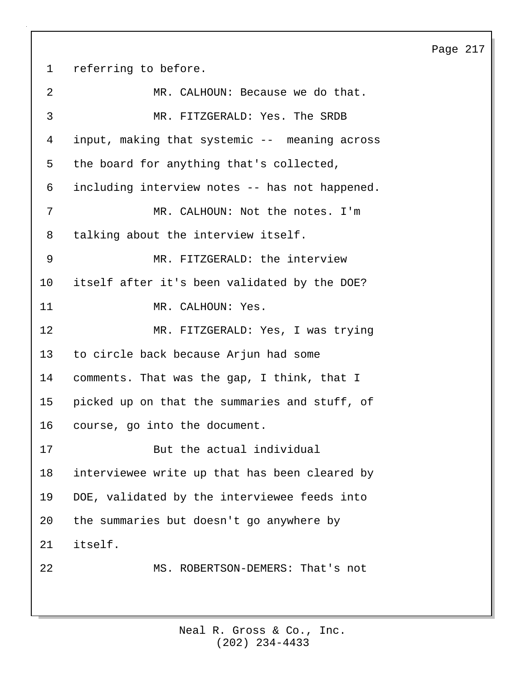1 referring to before. 2 MR. CALHOUN: Because we do that. 3 MR. FITZGERALD: Yes. The SRDB 4 input, making that systemic -- meaning across 5 the board for anything that's collected, 6 including interview notes -- has not happened. 7 MR. CALHOUN: Not the notes. I'm 8 talking about the interview itself. 9 MR. FITZGERALD: the interview 10 itself after it's been validated by the DOE? 11 MR. CALHOUN: Yes. 12 MR. FITZGERALD: Yes, I was trying 13 to circle back because Arjun had some 14 comments. That was the gap, I think, that I 15 picked up on that the summaries and stuff, of 16 course, go into the document. 17 But the actual individual 18 interviewee write up that has been cleared by 19 DOE, validated by the interviewee feeds into 20 the summaries but doesn't go anywhere by 21 itself. 22 MS. ROBERTSON-DEMERS: That's not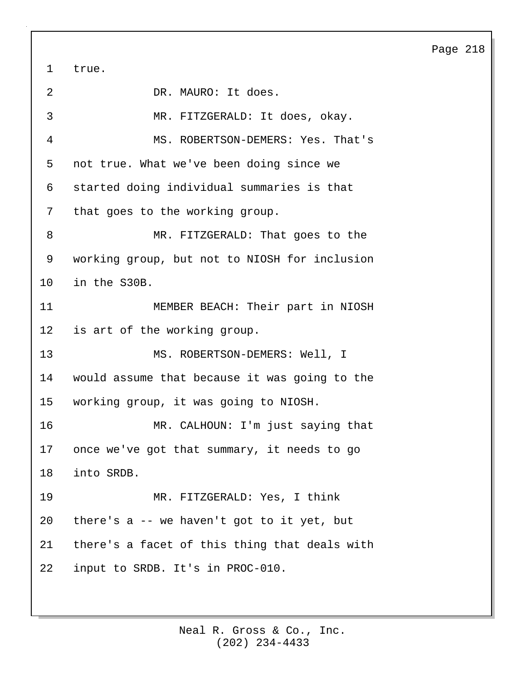1 true. 2 DR. MAURO: It does. 3 MR. FITZGERALD: It does, okay. 4 MS. ROBERTSON-DEMERS: Yes. That's 5 not true. What we've been doing since we 6 started doing individual summaries is that 7 that goes to the working group. 8 MR. FITZGERALD: That goes to the 9 working group, but not to NIOSH for inclusion 10 in the S30B. 11 MEMBER BEACH: Their part in NIOSH 12 is art of the working group. 13 MS. ROBERTSON-DEMERS: Well, I 14 would assume that because it was going to the 15 working group, it was going to NIOSH. 16 MR. CALHOUN: I'm just saying that 17 once we've got that summary, it needs to go 18 into SRDB. 19 MR. FITZGERALD: Yes, I think 20 there's a -- we haven't got to it yet, but 21 there's a facet of this thing that deals with 22 input to SRDB. It's in PROC-010.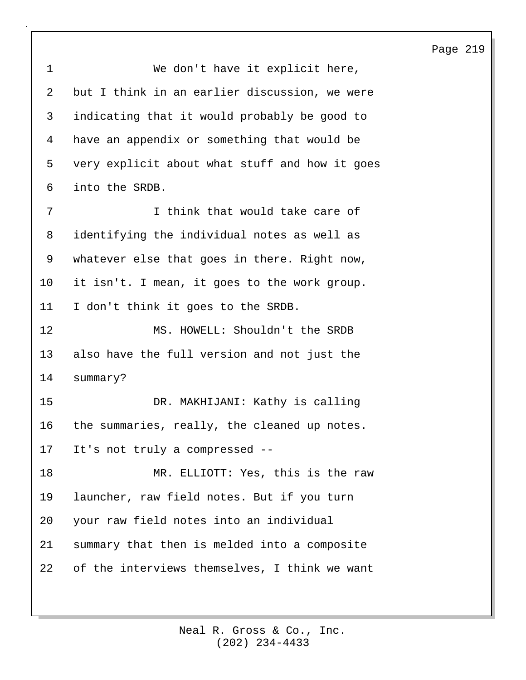| 1              | We don't have it explicit here,                |
|----------------|------------------------------------------------|
| $\overline{2}$ | but I think in an earlier discussion, we were  |
| 3              | indicating that it would probably be good to   |
| 4              | have an appendix or something that would be    |
| 5              | very explicit about what stuff and how it goes |
| 6              | into the SRDB.                                 |
| 7              | I think that would take care of                |
| 8              | identifying the individual notes as well as    |
| 9              | whatever else that goes in there. Right now,   |
| 10             | it isn't. I mean, it goes to the work group.   |
| 11             | I don't think it goes to the SRDB.             |
| 12             | MS. HOWELL: Shouldn't the SRDB                 |
| 13             | also have the full version and not just the    |
| 14             | summary?                                       |
| 15             | DR. MAKHIJANI: Kathy is calling                |
| 16             | the summaries, really, the cleaned up notes.   |
| 17             | It's not truly a compressed --                 |
| 18             | MR. ELLIOTT: Yes, this is the raw              |
| 19             | launcher, raw field notes. But if you turn     |
| 20             | your raw field notes into an individual        |
| 21             | summary that then is melded into a composite   |
| 22             | of the interviews themselves, I think we want  |
|                |                                                |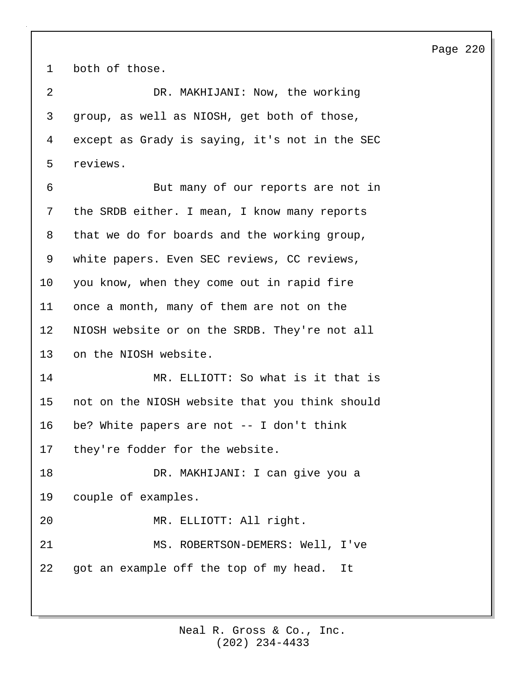1 both of those.

2 DR. MAKHIJANI: Now, the working 3 group, as well as NIOSH, get both of those, 4 except as Grady is saying, it's not in the SEC 5 reviews.

6 But many of our reports are not in 7 the SRDB either. I mean, I know many reports 8 that we do for boards and the working group, 9 white papers. Even SEC reviews, CC reviews, 10 you know, when they come out in rapid fire 11 once a month, many of them are not on the 12 NIOSH website or on the SRDB. They're not all 13 on the NIOSH website. 14 MR. ELLIOTT: So what is it that is 15 not on the NIOSH website that you think should 16 be? White papers are not -- I don't think 17 they're fodder for the website. 18 DR. MAKHIJANI: I can give you a 19 couple of examples.

20 MR. ELLIOTT: All right.

21 MS. ROBERTSON-DEMERS: Well, I've 22 got an example off the top of my head. It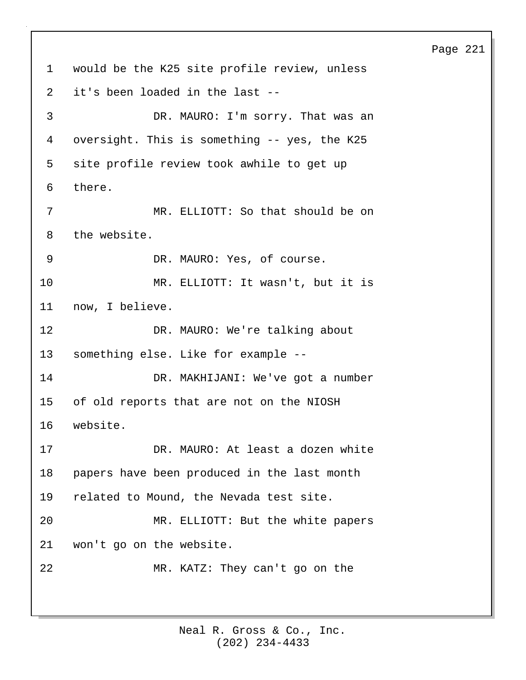1 would be the K25 site profile review, unless 2 it's been loaded in the last -- 3 DR. MAURO: I'm sorry. That was an 4 oversight. This is something -- yes, the K25 5 site profile review took awhile to get up 6 there. 7 MR. ELLIOTT: So that should be on 8 the website. 9 DR. MAURO: Yes, of course. 10 MR. ELLIOTT: It wasn't, but it is 11 now, I believe. 12 DR. MAURO: We're talking about 13 something else. Like for example -- 14 DR. MAKHIJANI: We've got a number 15 of old reports that are not on the NIOSH 16 website. 17 DR. MAURO: At least a dozen white 18 papers have been produced in the last month 19 related to Mound, the Nevada test site. 20 MR. ELLIOTT: But the white papers 21 won't go on the website. 22 MR. KATZ: They can't go on the

> (202) 234-4433 Neal R. Gross & Co., Inc.

## Page 221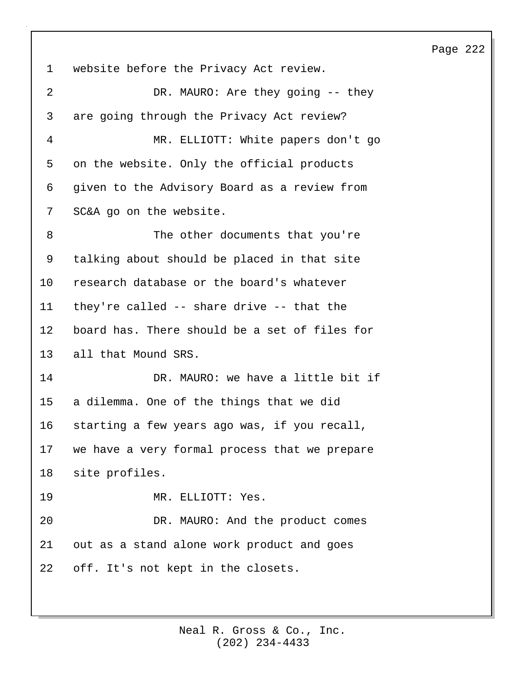1 website before the Privacy Act review. 2 DR. MAURO: Are they going -- they 3 are going through the Privacy Act review? 4 MR. ELLIOTT: White papers don't go 5 on the website. Only the official products 6 given to the Advisory Board as a review from 7 SC&A go on the website. 8 The other documents that you're 9 talking about should be placed in that site 10 research database or the board's whatever 11 they're called -- share drive -- that the 12 board has. There should be a set of files for 13 all that Mound SRS. 14 DR. MAURO: we have a little bit if 15 a dilemma. One of the things that we did 16 starting a few years ago was, if you recall, 17 we have a very formal process that we prepare 18 site profiles. 19 MR. ELLIOTT: Yes. 20 DR. MAURO: And the product comes 21 out as a stand alone work product and goes 22 off. It's not kept in the closets.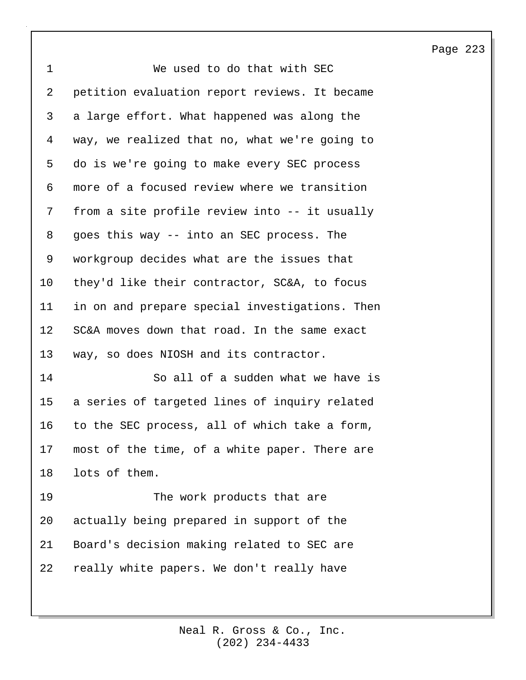1 We used to do that with SEC 2 petition evaluation report reviews. It became 3 a large effort. What happened was along the 4 way, we realized that no, what we're going to 5 do is we're going to make every SEC process 6 more of a focused review where we transition 7 from a site profile review into -- it usually 8 goes this way -- into an SEC process. The 9 workgroup decides what are the issues that 10 they'd like their contractor, SC&A, to focus 11 in on and prepare special investigations. Then 12 SC&A moves down that road. In the same exact 13 way, so does NIOSH and its contractor. 14 So all of a sudden what we have is 15 a series of targeted lines of inquiry related 16 to the SEC process, all of which take a form, 17 most of the time, of a white paper. There are 18 lots of them. 19 The work products that are 20 actually being prepared in support of the 21 Board's decision making related to SEC are 22 really white papers. We don't really have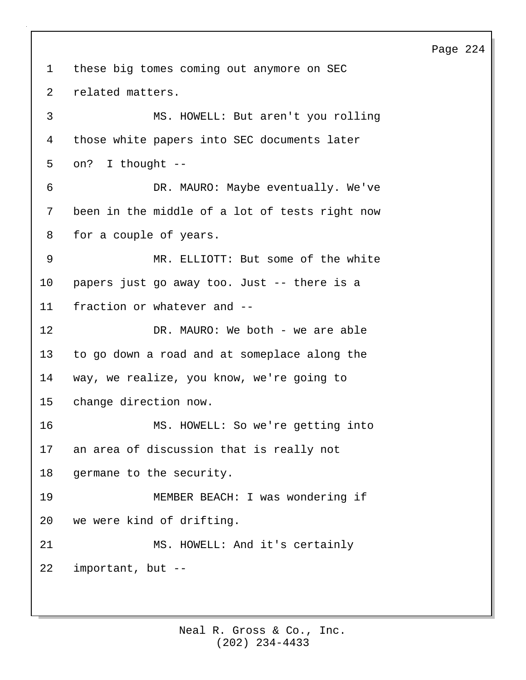1 these big tomes coming out anymore on SEC 2 related matters. 3 MS. HOWELL: But aren't you rolling 4 those white papers into SEC documents later 5 on? I thought -- 6 DR. MAURO: Maybe eventually. We've 7 been in the middle of a lot of tests right now 8 for a couple of years. 9 MR. ELLIOTT: But some of the white 10 papers just go away too. Just -- there is a 11 fraction or whatever and -- 12 DR. MAURO: We both - we are able 13 to go down a road and at someplace along the 14 way, we realize, you know, we're going to 15 change direction now. 16 MS. HOWELL: So we're getting into 17 an area of discussion that is really not 18 germane to the security. 19 MEMBER BEACH: I was wondering if 20 we were kind of drifting. 21 MS. HOWELL: And it's certainly 22 important, but --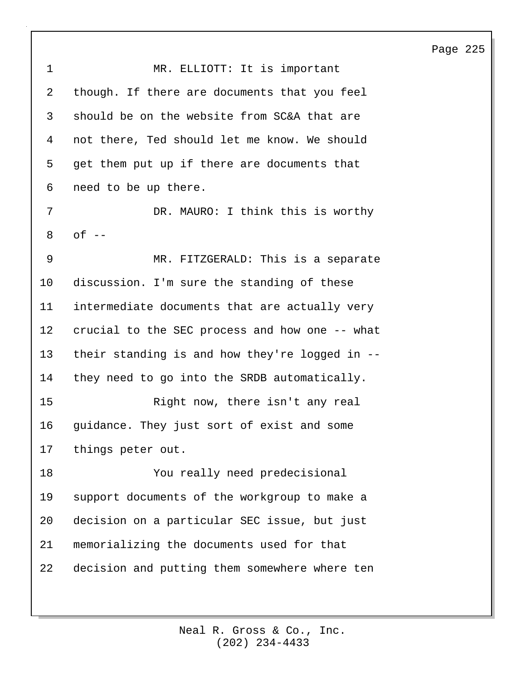1 MR. ELLIOTT: It is important 2 though. If there are documents that you feel 3 should be on the website from SC&A that are 4 not there, Ted should let me know. We should 5 get them put up if there are documents that 6 need to be up there. 7 DR. MAURO: I think this is worthy 8 of -- 9 MR. FITZGERALD: This is a separate 10 discussion. I'm sure the standing of these 11 intermediate documents that are actually very 12 crucial to the SEC process and how one -- what 13 their standing is and how they're logged in -- 14 they need to go into the SRDB automatically. 15 Right now, there isn't any real 16 guidance. They just sort of exist and some 17 things peter out. 18 You really need predecisional 19 support documents of the workgroup to make a 20 decision on a particular SEC issue, but just 21 memorializing the documents used for that 22 decision and putting them somewhere where ten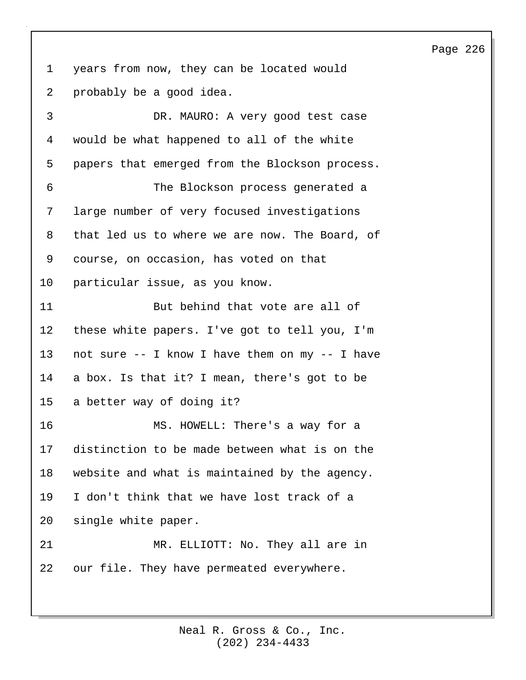1 years from now, they can be located would 2 probably be a good idea.

3 DR. MAURO: A very good test case 4 would be what happened to all of the white 5 papers that emerged from the Blockson process. 6 The Blockson process generated a 7 large number of very focused investigations 8 that led us to where we are now. The Board, of 9 course, on occasion, has voted on that 10 particular issue, as you know. 11 But behind that vote are all of 12 these white papers. I've got to tell you, I'm 13 not sure -- I know I have them on my -- I have 14 a box. Is that it? I mean, there's got to be 15 a better way of doing it? 16 MS. HOWELL: There's a way for a 17 distinction to be made between what is on the 18 website and what is maintained by the agency. 19 I don't think that we have lost track of a 20 single white paper. 21 MR. ELLIOTT: No. They all are in 22 our file. They have permeated everywhere.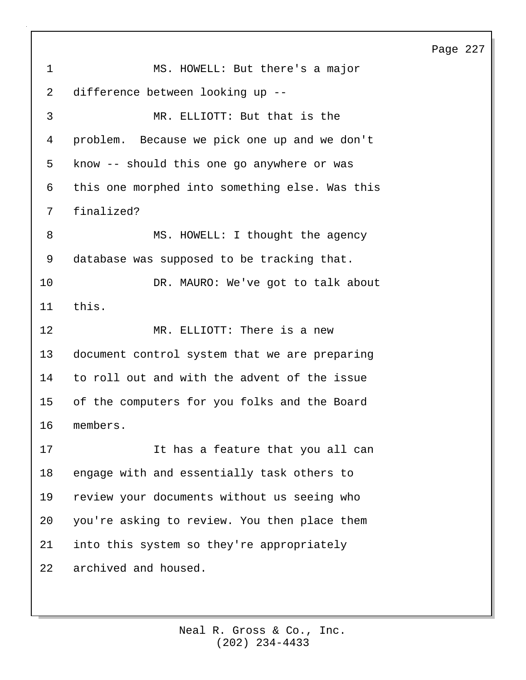1 MS. HOWELL: But there's a major 2 difference between looking up -- 3 MR. ELLIOTT: But that is the 4 problem. Because we pick one up and we don't 5 know -- should this one go anywhere or was 6 this one morphed into something else. Was this 7 finalized? 8 MS. HOWELL: I thought the agency 9 database was supposed to be tracking that. 10 DR. MAURO: We've got to talk about 11 this. 12 MR. ELLIOTT: There is a new 13 document control system that we are preparing 14 to roll out and with the advent of the issue 15 of the computers for you folks and the Board 16 members. 17 It has a feature that you all can 18 engage with and essentially task others to 19 review your documents without us seeing who 20 you're asking to review. You then place them 21 into this system so they're appropriately 22 archived and housed.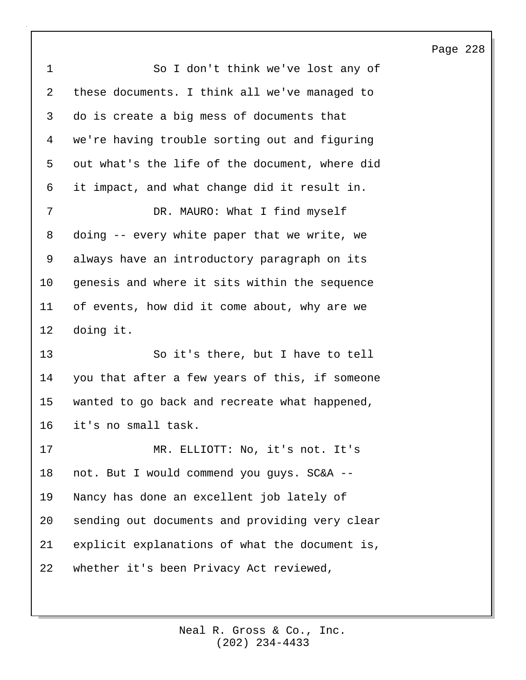1 So I don't think we've lost any of 2 these documents. I think all we've managed to 3 do is create a big mess of documents that 4 we're having trouble sorting out and figuring 5 out what's the life of the document, where did 6 it impact, and what change did it result in. 7 DR. MAURO: What I find myself 8 doing -- every white paper that we write, we 9 always have an introductory paragraph on its 10 genesis and where it sits within the sequence 11 of events, how did it come about, why are we 12 doing it. 13 So it's there, but I have to tell 14 you that after a few years of this, if someone 15 wanted to go back and recreate what happened, 16 it's no small task. 17 MR. ELLIOTT: No, it's not. It's 18 not. But I would commend you guys. SC&A -- 19 Nancy has done an excellent job lately of 20 sending out documents and providing very clear 21 explicit explanations of what the document is, 22 whether it's been Privacy Act reviewed,

# Page 228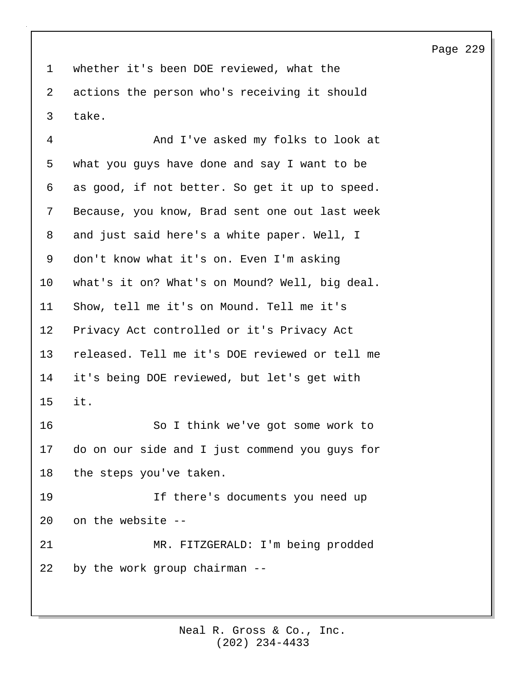1 whether it's been DOE reviewed, what the 2 actions the person who's receiving it should 3 take.

4 And I've asked my folks to look at 5 what you guys have done and say I want to be 6 as good, if not better. So get it up to speed. 7 Because, you know, Brad sent one out last week 8 and just said here's a white paper. Well, I 9 don't know what it's on. Even I'm asking 10 what's it on? What's on Mound? Well, big deal. 11 Show, tell me it's on Mound. Tell me it's 12 Privacy Act controlled or it's Privacy Act 13 released. Tell me it's DOE reviewed or tell me 14 it's being DOE reviewed, but let's get with 15 it. 16 So I think we've got some work to 17 do on our side and I just commend you guys for 18 the steps you've taken. 19 If there's documents you need up 20 on the website -- 21 MR. FITZGERALD: I'm being prodded 22 by the work group chairman --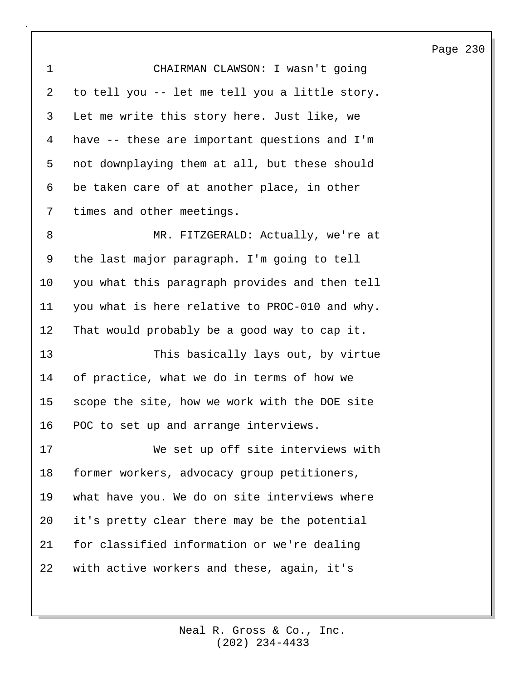| CHAIRMAN CLAWSON: I wasn't going               |
|------------------------------------------------|
| to tell you -- let me tell you a little story. |
| Let me write this story here. Just like, we    |
| have -- these are important questions and I'm  |
| not downplaying them at all, but these should  |
| be taken care of at another place, in other    |
| times and other meetings.                      |
| MR. FITZGERALD: Actually, we're at             |
| the last major paragraph. I'm going to tell    |
| you what this paragraph provides and then tell |
| you what is here relative to PROC-010 and why. |
| That would probably be a good way to cap it.   |
| This basically lays out, by virtue             |
| of practice, what we do in terms of how we     |
| scope the site, how we work with the DOE site  |
| POC to set up and arrange interviews.          |
| We set up off site interviews with             |
| former workers, advocacy group petitioners,    |
| what have you. We do on site interviews where  |
| it's pretty clear there may be the potential   |
| for classified information or we're dealing    |
| with active workers and these, again, it's     |
|                                                |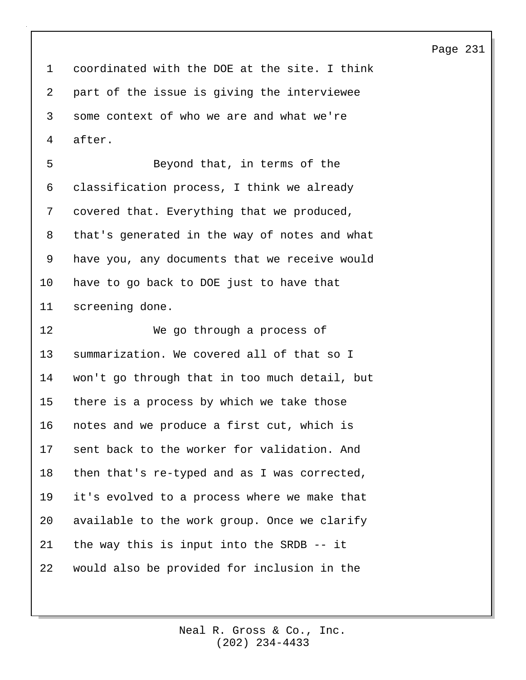1 coordinated with the DOE at the site. I think 2 part of the issue is giving the interviewee 3 some context of who we are and what we're 4 after.

5 Beyond that, in terms of the 6 classification process, I think we already 7 covered that. Everything that we produced, 8 that's generated in the way of notes and what 9 have you, any documents that we receive would 10 have to go back to DOE just to have that 11 screening done.

12 We go through a process of 13 summarization. We covered all of that so I 14 won't go through that in too much detail, but 15 there is a process by which we take those 16 notes and we produce a first cut, which is 17 sent back to the worker for validation. And 18 then that's re-typed and as I was corrected, 19 it's evolved to a process where we make that 20 available to the work group. Once we clarify 21 the way this is input into the SRDB -- it 22 would also be provided for inclusion in the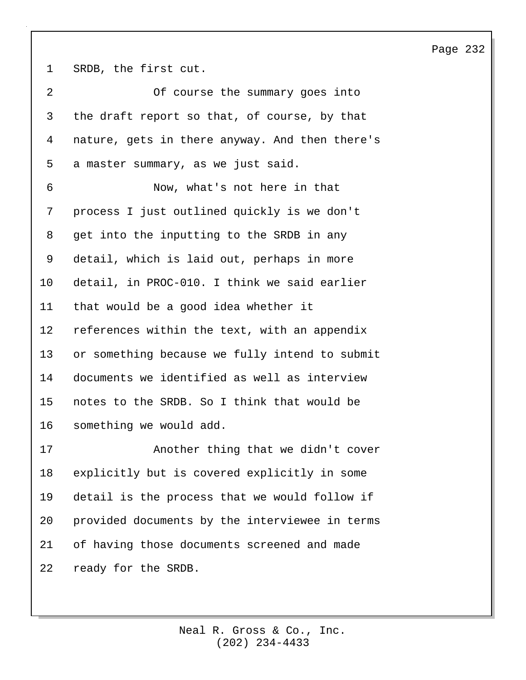1 SRDB, the first cut.

| $\overline{2}$ | Of course the summary goes into                |
|----------------|------------------------------------------------|
| 3              | the draft report so that, of course, by that   |
| 4              | nature, gets in there anyway. And then there's |
| 5              | a master summary, as we just said.             |
| 6              | Now, what's not here in that                   |
| 7              | process I just outlined quickly is we don't    |
| 8              | get into the inputting to the SRDB in any      |
| 9              | detail, which is laid out, perhaps in more     |
| 10             | detail, in PROC-010. I think we said earlier   |
| 11             | that would be a good idea whether it           |
| 12             | references within the text, with an appendix   |
| 13             | or something because we fully intend to submit |
| 14             | documents we identified as well as interview   |
| 15             | notes to the SRDB. So I think that would be    |
| 16             | something we would add.                        |
| 17             | Another thing that we didn't cover             |
| 18             | explicitly but is covered explicitly in some   |
| 19             | detail is the process that we would follow if  |
| 20             | provided documents by the interviewee in terms |
| 21             | of having those documents screened and made    |
| 22             | ready for the SRDB.                            |

Page 232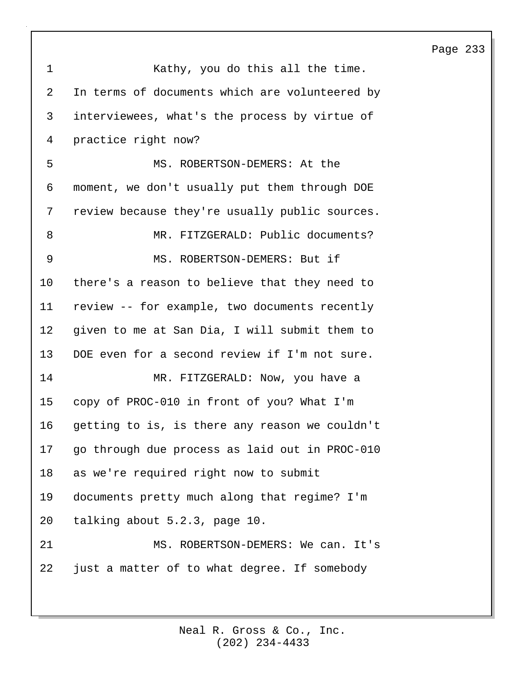| $\mathbf 1$ | Kathy, you do this all the time.               |
|-------------|------------------------------------------------|
| 2           | In terms of documents which are volunteered by |
| 3           | interviewees, what's the process by virtue of  |
| 4           | practice right now?                            |
| 5           | MS. ROBERTSON-DEMERS: At the                   |
| 6           | moment, we don't usually put them through DOE  |
| 7           | review because they're usually public sources. |
| 8           | MR. FITZGERALD: Public documents?              |
| 9           | MS. ROBERTSON-DEMERS: But if                   |
| 10          | there's a reason to believe that they need to  |
| 11          | review -- for example, two documents recently  |
| 12          | given to me at San Dia, I will submit them to  |
| 13          | DOE even for a second review if I'm not sure.  |
| 14          | MR. FITZGERALD: Now, you have a                |
| 15          | copy of PROC-010 in front of you? What I'm     |
| 16          | getting to is, is there any reason we couldn't |
| 17          | go through due process as laid out in PROC-010 |
| 18          | as we're required right now to submit          |
| 19          | documents pretty much along that regime? I'm   |
| 20          | talking about 5.2.3, page 10.                  |
| 21          | MS. ROBERTSON-DEMERS: We can. It's             |
| 22          | just a matter of to what degree. If somebody   |
|             |                                                |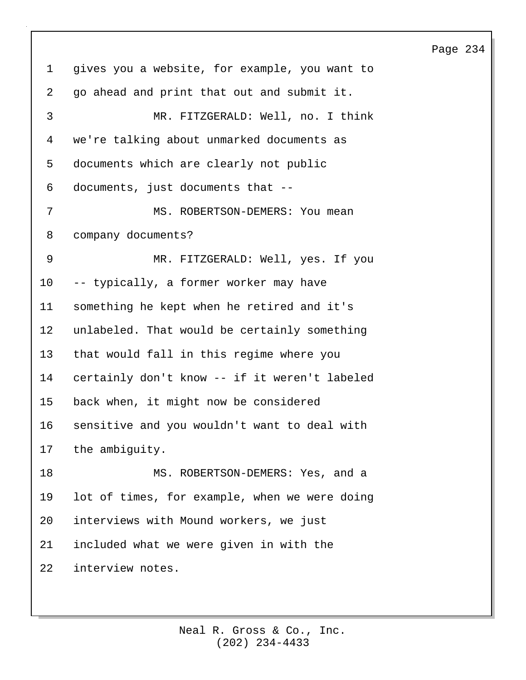# 1 gives you a website, for example, you want to 2 go ahead and print that out and submit it. 3 MR. FITZGERALD: Well, no. I think 4 we're talking about unmarked documents as 5 documents which are clearly not public 6 documents, just documents that -- 7 MS. ROBERTSON-DEMERS: You mean 8 company documents? 9 MR. FITZGERALD: Well, yes. If you 10 -- typically, a former worker may have 11 something he kept when he retired and it's 12 unlabeled. That would be certainly something 13 that would fall in this regime where you 14 certainly don't know -- if it weren't labeled 15 back when, it might now be considered 16 sensitive and you wouldn't want to deal with 17 the ambiguity. 18 MS. ROBERTSON-DEMERS: Yes, and a 19 lot of times, for example, when we were doing 20 interviews with Mound workers, we just 21 included what we were given in with the 22 interview notes.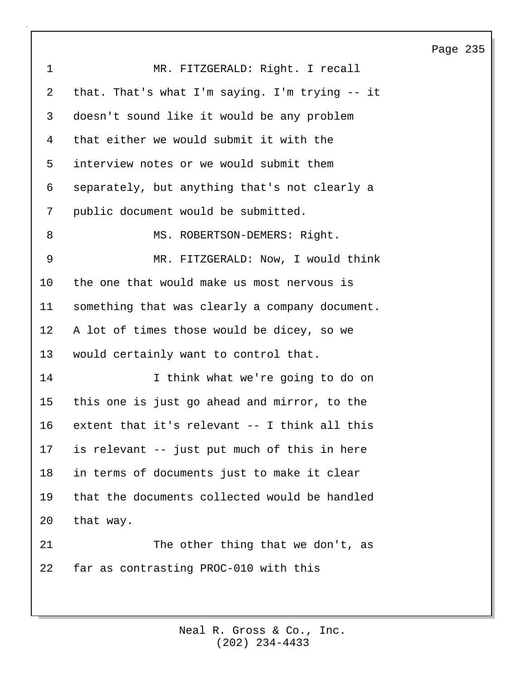| $\mathbf 1$ | MR. FITZGERALD: Right. I recall                |
|-------------|------------------------------------------------|
| 2           | that. That's what I'm saying. I'm trying -- it |
| 3           | doesn't sound like it would be any problem     |
| 4           | that either we would submit it with the        |
| 5           | interview notes or we would submit them        |
| 6           | separately, but anything that's not clearly a  |
| 7           | public document would be submitted.            |
| 8           | MS. ROBERTSON-DEMERS: Right.                   |
| 9           | MR. FITZGERALD: Now, I would think             |
| 10          | the one that would make us most nervous is     |
| 11          | something that was clearly a company document. |
| 12          | A lot of times those would be dicey, so we     |
| 13          | would certainly want to control that.          |
| 14          | I think what we're going to do on              |
| 15          | this one is just go ahead and mirror, to the   |
| 16          | extent that it's relevant -- I think all this  |
| 17          | is relevant -- just put much of this in here   |
| 18          | in terms of documents just to make it clear    |
| 19          | that the documents collected would be handled  |
| 20          | that way.                                      |
| 21          | The other thing that we don't, as              |
| 22          | far as contrasting PROC-010 with this          |
|             |                                                |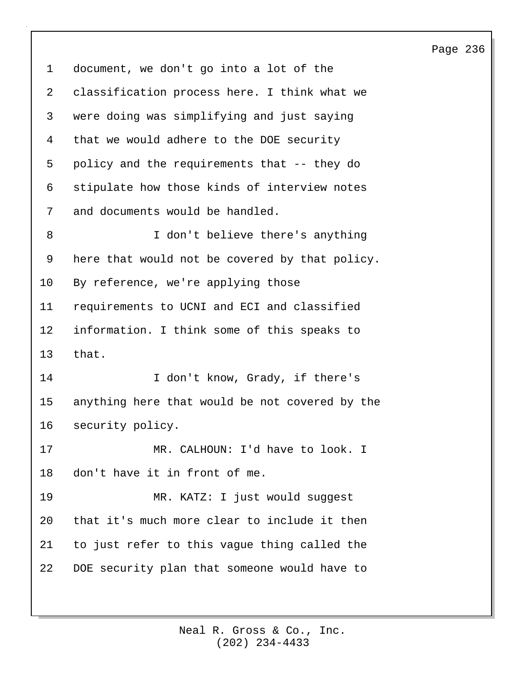1 document, we don't go into a lot of the 2 classification process here. I think what we 3 were doing was simplifying and just saying 4 that we would adhere to the DOE security 5 policy and the requirements that -- they do 6 stipulate how those kinds of interview notes 7 and documents would be handled. 8 I don't believe there's anything 9 here that would not be covered by that policy. 10 By reference, we're applying those 11 requirements to UCNI and ECI and classified 12 information. I think some of this speaks to 13 that. 14 I don't know, Grady, if there's 15 anything here that would be not covered by the 16 security policy. 17 MR. CALHOUN: I'd have to look. I 18 don't have it in front of me. 19 MR. KATZ: I just would suggest 20 that it's much more clear to include it then 21 to just refer to this vague thing called the 22 DOE security plan that someone would have to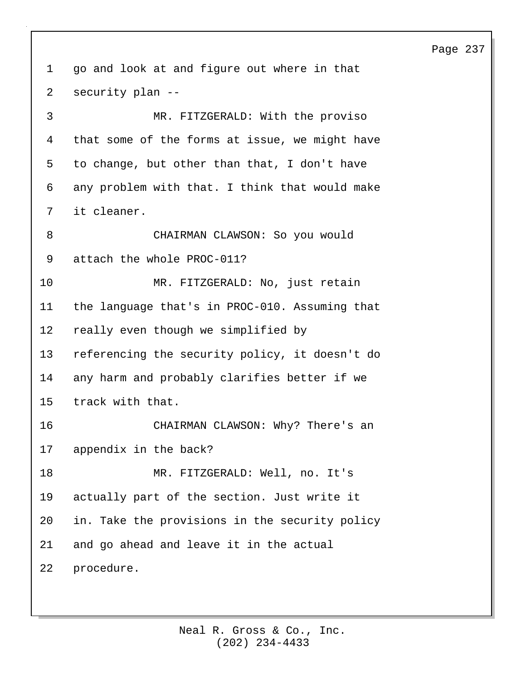1 go and look at and figure out where in that 2 security plan -- 3 MR. FITZGERALD: With the proviso 4 that some of the forms at issue, we might have 5 to change, but other than that, I don't have 6 any problem with that. I think that would make 7 it cleaner. 8 CHAIRMAN CLAWSON: So you would 9 attach the whole PROC-011? 10 MR. FITZGERALD: No, just retain 11 the language that's in PROC-010. Assuming that 12 really even though we simplified by 13 referencing the security policy, it doesn't do 14 any harm and probably clarifies better if we 15 track with that. 16 CHAIRMAN CLAWSON: Why? There's an 17 appendix in the back? 18 MR. FITZGERALD: Well, no. It's 19 actually part of the section. Just write it 20 in. Take the provisions in the security policy 21 and go ahead and leave it in the actual 22 procedure.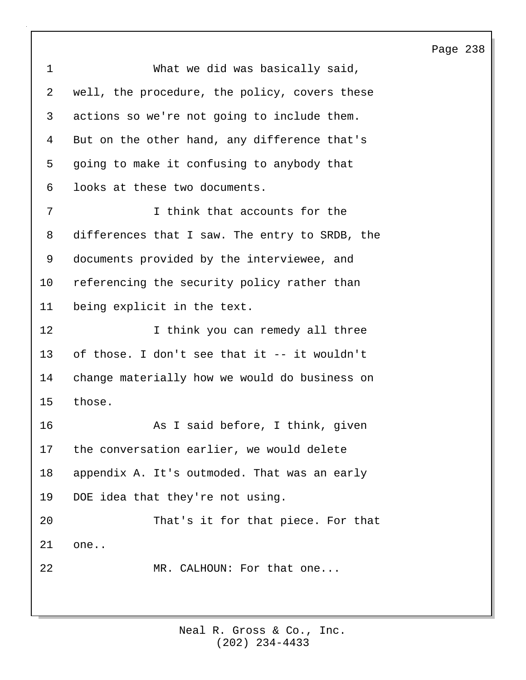| 1       | What we did was basically said,                |
|---------|------------------------------------------------|
| 2       | well, the procedure, the policy, covers these  |
| 3       | actions so we're not going to include them.    |
| 4       | But on the other hand, any difference that's   |
| 5       | going to make it confusing to anybody that     |
| 6       | looks at these two documents.                  |
| 7       | I think that accounts for the                  |
| 8       | differences that I saw. The entry to SRDB, the |
| 9       | documents provided by the interviewee, and     |
| $10 \,$ | referencing the security policy rather than    |
| 11      | being explicit in the text.                    |
| 12      | I think you can remedy all three               |
| 13      | of those. I don't see that it -- it wouldn't   |
| 14      | change materially how we would do business on  |
| 15      | those.                                         |
| 16      | As I said before, I think, given               |
| 17      | the conversation earlier, we would delete      |
| 18      | appendix A. It's outmoded. That was an early   |
| 19      | DOE idea that they're not using.               |
| 20      | That's it for that piece. For that             |
| 21      | one                                            |
| 22      | MR. CALHOUN: For that one                      |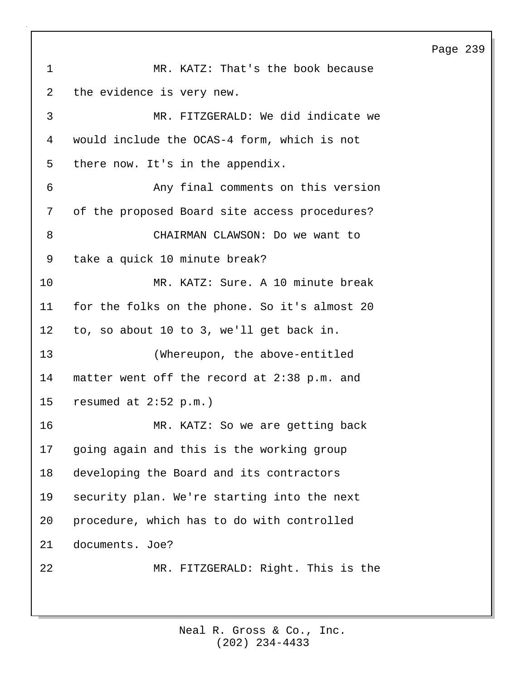1 MR. KATZ: That's the book because 2 the evidence is very new. 3 MR. FITZGERALD: We did indicate we 4 would include the OCAS-4 form, which is not 5 there now. It's in the appendix. 6 Any final comments on this version 7 of the proposed Board site access procedures? 8 CHAIRMAN CLAWSON: Do we want to 9 take a quick 10 minute break? 10 MR. KATZ: Sure. A 10 minute break 11 for the folks on the phone. So it's almost 20 12 to, so about 10 to 3, we'll get back in. 13 (Whereupon, the above-entitled 14 matter went off the record at 2:38 p.m. and 15 resumed at 2:52 p.m.) 16 MR. KATZ: So we are getting back 17 going again and this is the working group 18 developing the Board and its contractors 19 security plan. We're starting into the next 20 procedure, which has to do with controlled 21 documents. Joe? 22 MR. FITZGERALD: Right. This is the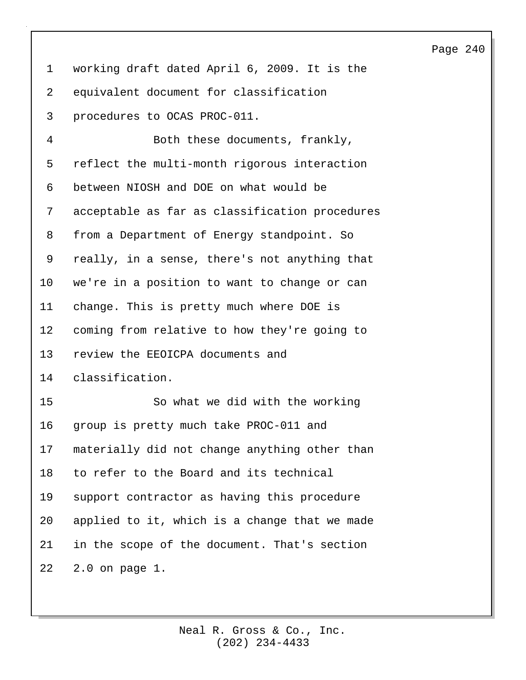1 working draft dated April 6, 2009. It is the 2 equivalent document for classification 3 procedures to OCAS PROC-011.

4 Both these documents, frankly, 5 reflect the multi-month rigorous interaction 6 between NIOSH and DOE on what would be 7 acceptable as far as classification procedures 8 from a Department of Energy standpoint. So 9 really, in a sense, there's not anything that 10 we're in a position to want to change or can 11 change. This is pretty much where DOE is 12 coming from relative to how they're going to 13 review the EEOICPA documents and 14 classification. 15 So what we did with the working 16 group is pretty much take PROC-011 and 17 materially did not change anything other than 18 to refer to the Board and its technical 19 support contractor as having this procedure 20 applied to it, which is a change that we made 21 in the scope of the document. That's section 22 2.0 on page 1.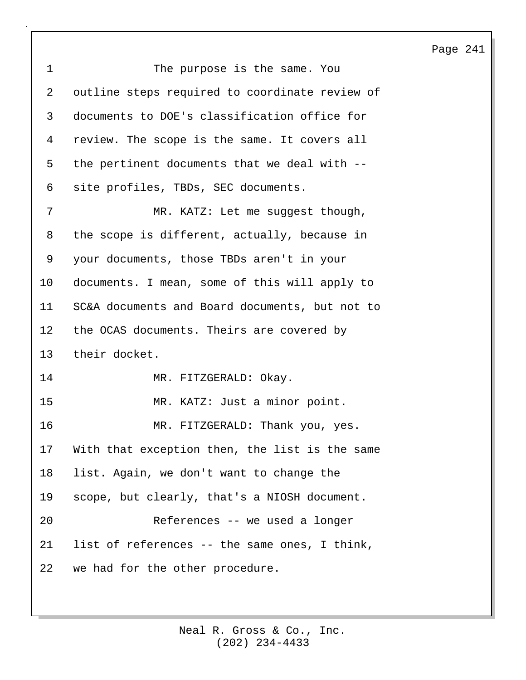| $\mathbf{1}$    | The purpose is the same. You                   |
|-----------------|------------------------------------------------|
| $\overline{2}$  | outline steps required to coordinate review of |
| 3               | documents to DOE's classification office for   |
| 4               | review. The scope is the same. It covers all   |
| 5               | the pertinent documents that we deal with --   |
| 6               | site profiles, TBDs, SEC documents.            |
| 7               | MR. KATZ: Let me suggest though,               |
| 8               | the scope is different, actually, because in   |
| 9               | your documents, those TBDs aren't in your      |
| 10              | documents. I mean, some of this will apply to  |
| 11              | SC&A documents and Board documents, but not to |
| 12 <sup>°</sup> | the OCAS documents. Theirs are covered by      |
| 13              | their docket.                                  |
| 14              | MR. FITZGERALD: Okay.                          |
| 15              | MR. KATZ: Just a minor point.                  |
| 16              | MR. FITZGERALD: Thank you, yes.                |
| 17              | With that exception then, the list is the same |
| 18              | list. Again, we don't want to change the       |
| 19              | scope, but clearly, that's a NIOSH document.   |
| 20              | References -- we used a longer                 |
| 21              | list of references -- the same ones, I think,  |
| 22              | we had for the other procedure.                |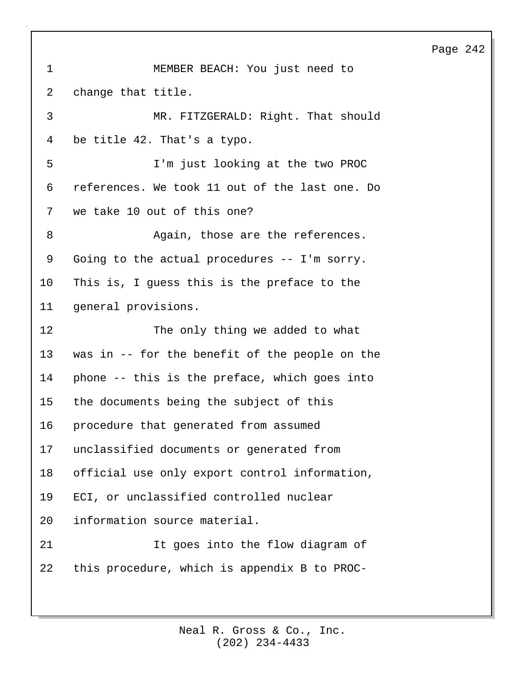1 MEMBER BEACH: You just need to 2 change that title. 3 MR. FITZGERALD: Right. That should 4 be title 42. That's a typo. 5 I'm just looking at the two PROC 6 references. We took 11 out of the last one. Do 7 we take 10 out of this one? 8 Again, those are the references. 9 Going to the actual procedures -- I'm sorry. 10 This is, I guess this is the preface to the 11 general provisions. 12 The only thing we added to what 13 was in -- for the benefit of the people on the 14 phone -- this is the preface, which goes into 15 the documents being the subject of this 16 procedure that generated from assumed 17 unclassified documents or generated from 18 official use only export control information, 19 ECI, or unclassified controlled nuclear 20 information source material. 21 11 It goes into the flow diagram of 22 this procedure, which is appendix B to PROC-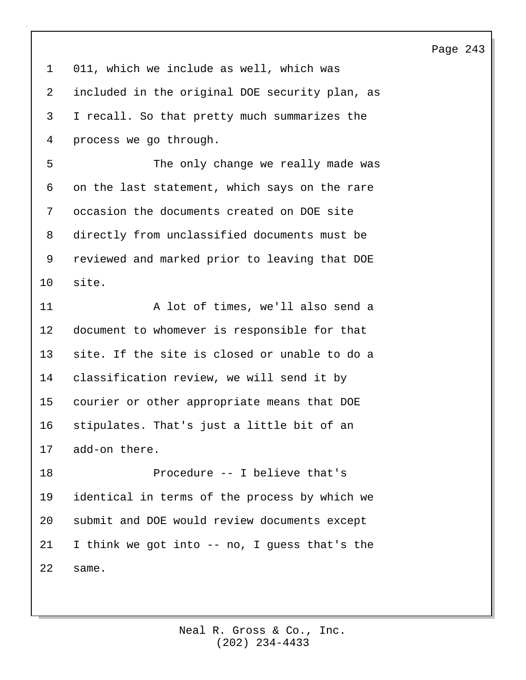1 011, which we include as well, which was 2 included in the original DOE security plan, as 3 I recall. So that pretty much summarizes the 4 process we go through. 5 The only change we really made was 6 on the last statement, which says on the rare 7 occasion the documents created on DOE site 8 directly from unclassified documents must be 9 reviewed and marked prior to leaving that DOE 10 site. 11 A lot of times, we'll also send a 12 document to whomever is responsible for that 13 site. If the site is closed or unable to do a 14 classification review, we will send it by 15 courier or other appropriate means that DOE 16 stipulates. That's just a little bit of an 17 add-on there. 18 Procedure -- I believe that's 19 identical in terms of the process by which we 20 submit and DOE would review documents except 21 I think we got into -- no, I guess that's the 22 same.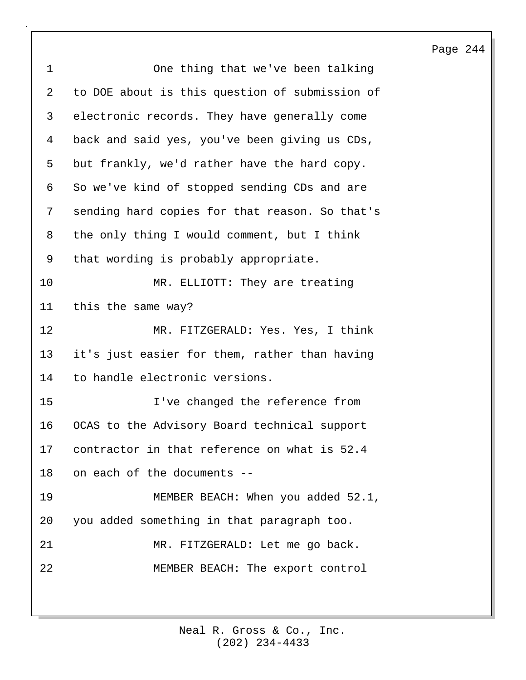| $\mathbf 1$ | One thing that we've been talking              |
|-------------|------------------------------------------------|
| 2           | to DOE about is this question of submission of |
| 3           | electronic records. They have generally come   |
| 4           | back and said yes, you've been giving us CDs,  |
| 5           | but frankly, we'd rather have the hard copy.   |
| 6           | So we've kind of stopped sending CDs and are   |
| 7           | sending hard copies for that reason. So that's |
| 8           | the only thing I would comment, but I think    |
| 9           | that wording is probably appropriate.          |
| 10          | MR. ELLIOTT: They are treating                 |
| 11          | this the same way?                             |
| 12          | MR. FITZGERALD: Yes. Yes, I think              |
| 13          | it's just easier for them, rather than having  |
| 14          | to handle electronic versions.                 |
| 15          | I've changed the reference from                |
| 16          | OCAS to the Advisory Board technical support   |
| 17          | contractor in that reference on what is 52.4   |
| 18          | on each of the documents --                    |
| 19          | MEMBER BEACH: When you added 52.1,             |
| 20          | you added something in that paragraph too.     |
| 21          | MR. FITZGERALD: Let me go back.                |
| 22          | MEMBER BEACH: The export control               |
|             |                                                |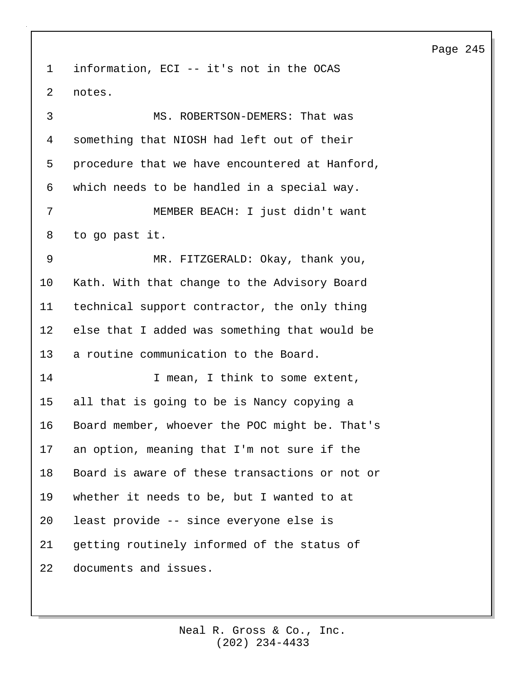1 information, ECI -- it's not in the OCAS 2 notes. 3 MS. ROBERTSON-DEMERS: That was 4 something that NIOSH had left out of their 5 procedure that we have encountered at Hanford, 6 which needs to be handled in a special way. 7 MEMBER BEACH: I just didn't want 8 to go past it. 9 MR. FITZGERALD: Okay, thank you, 10 Kath. With that change to the Advisory Board 11 technical support contractor, the only thing 12 else that I added was something that would be 13 a routine communication to the Board. 14 **I** mean, I think to some extent, 15 all that is going to be is Nancy copying a 16 Board member, whoever the POC might be. That's 17 an option, meaning that I'm not sure if the 18 Board is aware of these transactions or not or 19 whether it needs to be, but I wanted to at 20 least provide -- since everyone else is 21 getting routinely informed of the status of 22 documents and issues.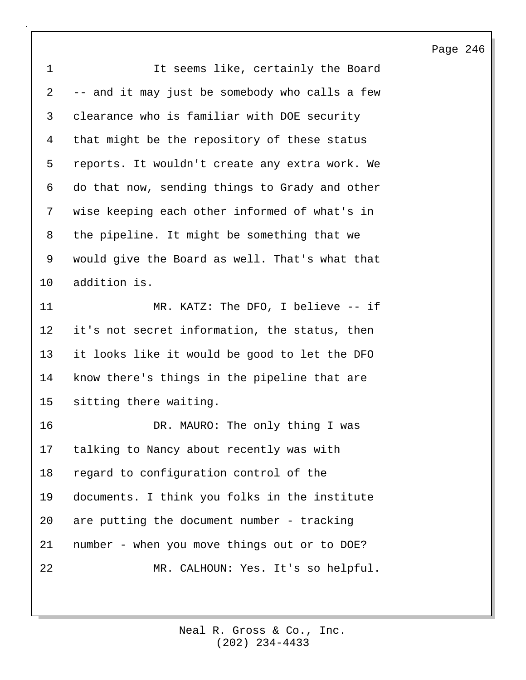| $\mathbf 1$ | It seems like, certainly the Board             |
|-------------|------------------------------------------------|
| 2           | -- and it may just be somebody who calls a few |
| 3           | clearance who is familiar with DOE security    |
| 4           | that might be the repository of these status   |
| 5           | reports. It wouldn't create any extra work. We |
| 6           | do that now, sending things to Grady and other |
| 7           | wise keeping each other informed of what's in  |
| 8           | the pipeline. It might be something that we    |
| 9           | would give the Board as well. That's what that |
| 10          | addition is.                                   |
| 11          | MR. KATZ: The DFO, I believe -- if             |
| 12          | it's not secret information, the status, then  |
| 13          | it looks like it would be good to let the DFO  |
| 14          | know there's things in the pipeline that are   |
| 15          | sitting there waiting.                         |
| 16          | DR. MAURO: The only thing I was                |
| 17          | talking to Nancy about recently was with       |
| 18          | regard to configuration control of the         |
| 19          | documents. I think you folks in the institute  |
| 20          | are putting the document number - tracking     |
| 21          | number - when you move things out or to DOE?   |
| 22          | MR. CALHOUN: Yes. It's so helpful.             |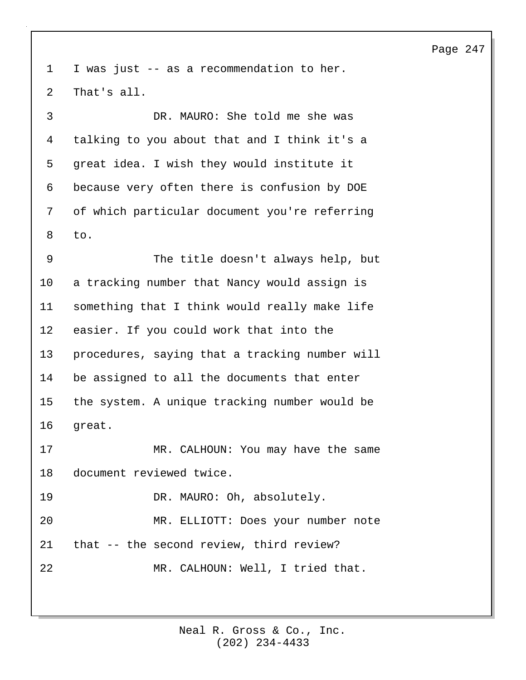1 I was just -- as a recommendation to her. 2 That's all.

3 DR. MAURO: She told me she was 4 talking to you about that and I think it's a 5 great idea. I wish they would institute it 6 because very often there is confusion by DOE 7 of which particular document you're referring 8 to.

9 The title doesn't always help, but 10 a tracking number that Nancy would assign is 11 something that I think would really make life 12 easier. If you could work that into the 13 procedures, saying that a tracking number will 14 be assigned to all the documents that enter 15 the system. A unique tracking number would be 16 great.

17 MR. CALHOUN: You may have the same 18 document reviewed twice.

19 DR. MAURO: Oh, absolutely.

20 MR. ELLIOTT: Does your number note 21 that -- the second review, third review? 22 MR. CALHOUN: Well, I tried that.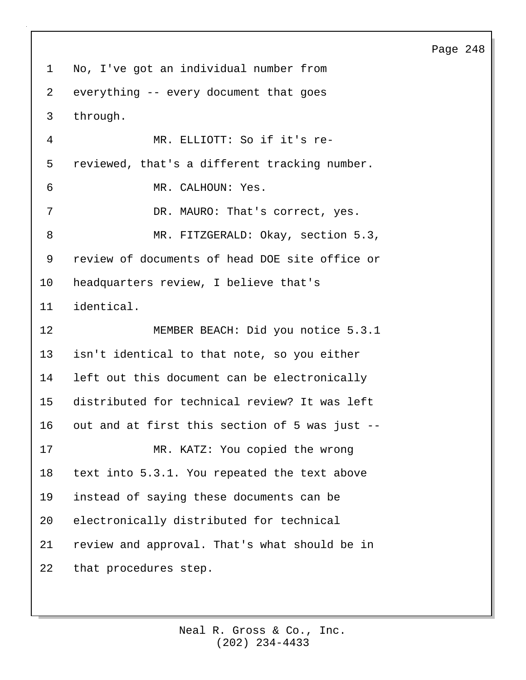1 No, I've got an individual number from 2 everything -- every document that goes 3 through. 4 MR. ELLIOTT: So if it's re-5 reviewed, that's a different tracking number. 6 MR. CALHOUN: Yes. 7 DR. MAURO: That's correct, yes. 8 MR. FITZGERALD: Okay, section 5.3, 9 review of documents of head DOE site office or 10 headquarters review, I believe that's 11 identical. 12 MEMBER BEACH: Did you notice 5.3.1 13 isn't identical to that note, so you either 14 left out this document can be electronically 15 distributed for technical review? It was left 16 out and at first this section of 5 was just -- 17 MR. KATZ: You copied the wrong 18 text into 5.3.1. You repeated the text above 19 instead of saying these documents can be 20 electronically distributed for technical 21 review and approval. That's what should be in 22 that procedures step.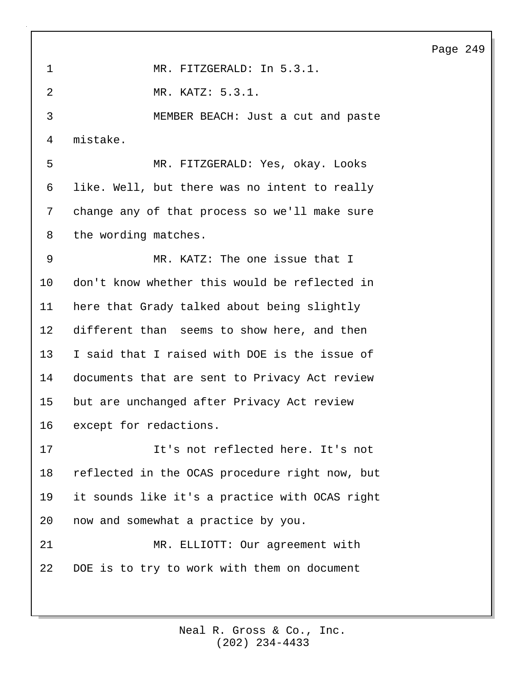| 1               | MR. FITZGERALD: In 5.3.1.                      |
|-----------------|------------------------------------------------|
| 2               | MR. KATZ: 5.3.1.                               |
| 3               | MEMBER BEACH: Just a cut and paste             |
| 4               | mistake.                                       |
| 5               | MR. FITZGERALD: Yes, okay. Looks               |
| 6               | like. Well, but there was no intent to really  |
| 7               | change any of that process so we'll make sure  |
| 8               | the wording matches.                           |
| 9               | MR. KATZ: The one issue that I                 |
| $10 \,$         | don't know whether this would be reflected in  |
| 11              | here that Grady talked about being slightly    |
| 12 <sup>°</sup> | different than seems to show here, and then    |
| 13              | I said that I raised with DOE is the issue of  |
| 14              | documents that are sent to Privacy Act review  |
| 15 <sub>2</sub> | but are unchanged after Privacy Act review     |
| 16              | except for redactions.                         |
| 17              | It's not reflected here. It's not              |
| 18              | reflected in the OCAS procedure right now, but |
| 19              | it sounds like it's a practice with OCAS right |
| 20              | now and somewhat a practice by you.            |
| 21              | MR. ELLIOTT: Our agreement with                |
| 22              | DOE is to try to work with them on document    |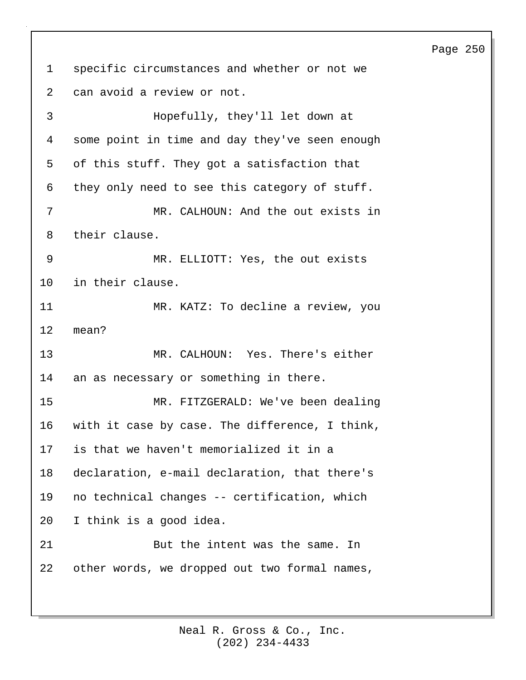1 specific circumstances and whether or not we 2 can avoid a review or not.

3 Hopefully, they'll let down at 4 some point in time and day they've seen enough 5 of this stuff. They got a satisfaction that 6 they only need to see this category of stuff. 7 MR. CALHOUN: And the out exists in 8 their clause. 9 MR. ELLIOTT: Yes, the out exists 10 in their clause. 11 MR. KATZ: To decline a review, you 12 mean? 13 MR. CALHOUN: Yes. There's either 14 an as necessary or something in there. 15 MR. FITZGERALD: We've been dealing 16 with it case by case. The difference, I think, 17 is that we haven't memorialized it in a 18 declaration, e-mail declaration, that there's 19 no technical changes -- certification, which 20 I think is a good idea. 21 But the intent was the same. In 22 other words, we dropped out two formal names,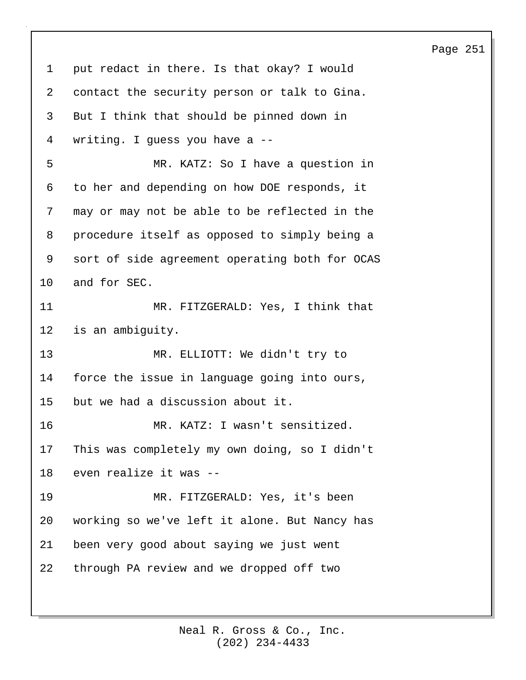1 put redact in there. Is that okay? I would 2 contact the security person or talk to Gina. 3 But I think that should be pinned down in 4 writing. I guess you have a -- 5 MR. KATZ: So I have a question in 6 to her and depending on how DOE responds, it 7 may or may not be able to be reflected in the 8 procedure itself as opposed to simply being a 9 sort of side agreement operating both for OCAS 10 and for SEC. 11 MR. FITZGERALD: Yes, I think that 12 is an ambiguity. 13 MR. ELLIOTT: We didn't try to 14 force the issue in language going into ours, 15 but we had a discussion about it. 16 MR. KATZ: I wasn't sensitized. 17 This was completely my own doing, so I didn't 18 even realize it was -- 19 MR. FITZGERALD: Yes, it's been 20 working so we've left it alone. But Nancy has 21 been very good about saying we just went 22 through PA review and we dropped off two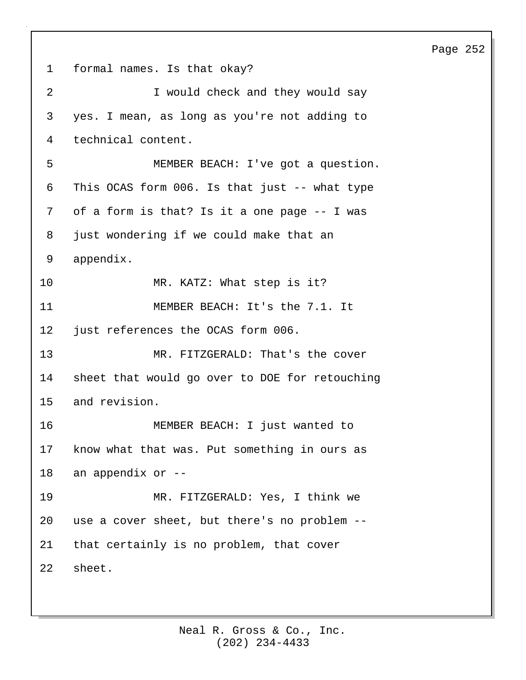1 formal names. Is that okay? 2 **I** would check and they would say 3 yes. I mean, as long as you're not adding to 4 technical content. 5 MEMBER BEACH: I've got a question. 6 This OCAS form 006. Is that just -- what type 7 of a form is that? Is it a one page -- I was 8 just wondering if we could make that an 9 appendix. 10 MR. KATZ: What step is it? 11 MEMBER BEACH: It's the 7.1. It 12 just references the OCAS form 006. 13 MR. FITZGERALD: That's the cover 14 sheet that would go over to DOE for retouching 15 and revision. 16 MEMBER BEACH: I just wanted to 17 know what that was. Put something in ours as 18 an appendix or -- 19 MR. FITZGERALD: Yes, I think we 20 use a cover sheet, but there's no problem -- 21 that certainly is no problem, that cover 22 sheet.

#### Page 252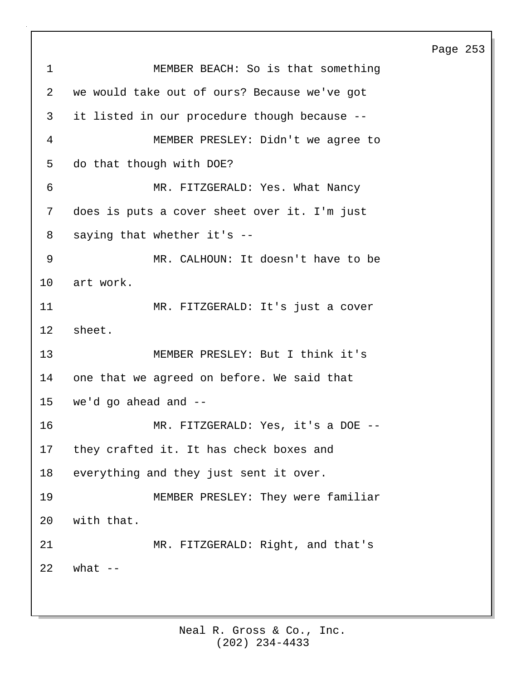Page 253 1 MEMBER BEACH: So is that something 2 we would take out of ours? Because we've got 3 it listed in our procedure though because -- 4 MEMBER PRESLEY: Didn't we agree to 5 do that though with DOE? 6 MR. FITZGERALD: Yes. What Nancy 7 does is puts a cover sheet over it. I'm just 8 saying that whether it's -- 9 MR. CALHOUN: It doesn't have to be 10 art work. 11 MR. FITZGERALD: It's just a cover 12 sheet. 13 MEMBER PRESLEY: But I think it's 14 one that we agreed on before. We said that 15 we'd go ahead and -- 16 MR. FITZGERALD: Yes, it's a DOE -- 17 they crafted it. It has check boxes and 18 everything and they just sent it over. 19 MEMBER PRESLEY: They were familiar 20 with that. 21 MR. FITZGERALD: Right, and that's  $22$  what  $-$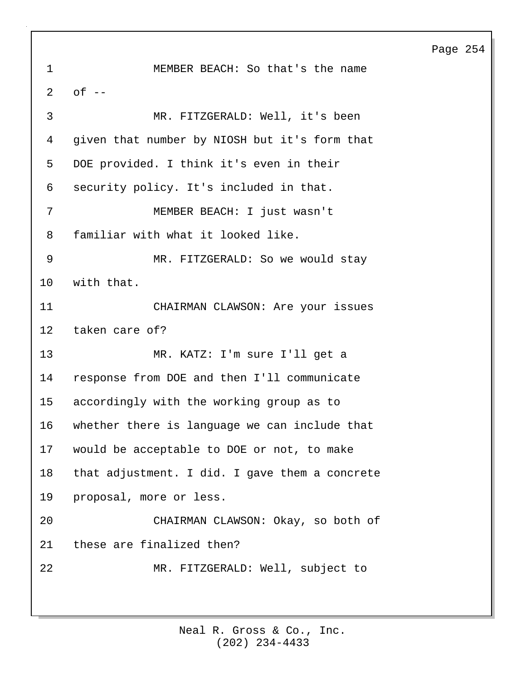1 MEMBER BEACH: So that's the name  $2$  of  $-$ 3 MR. FITZGERALD: Well, it's been 4 given that number by NIOSH but it's form that 5 DOE provided. I think it's even in their 6 security policy. It's included in that. 7 MEMBER BEACH: I just wasn't 8 familiar with what it looked like. 9 MR. FITZGERALD: So we would stay 10 with that. 11 CHAIRMAN CLAWSON: Are your issues 12 taken care of? 13 MR. KATZ: I'm sure I'll get a 14 response from DOE and then I'll communicate 15 accordingly with the working group as to 16 whether there is language we can include that 17 would be acceptable to DOE or not, to make 18 that adjustment. I did. I gave them a concrete 19 proposal, more or less. 20 CHAIRMAN CLAWSON: Okay, so both of 21 these are finalized then? 22 MR. FITZGERALD: Well, subject to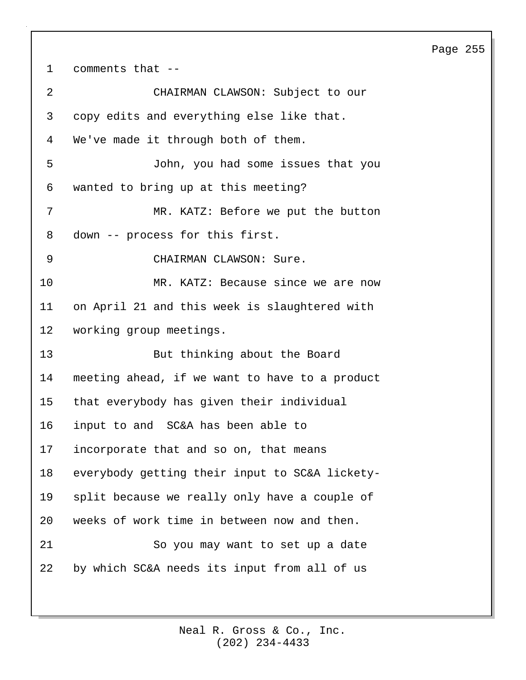1 comments that -- 2 CHAIRMAN CLAWSON: Subject to our 3 copy edits and everything else like that. 4 We've made it through both of them. 5 John, you had some issues that you 6 wanted to bring up at this meeting? 7 MR. KATZ: Before we put the button 8 down -- process for this first. 9 CHAIRMAN CLAWSON: Sure. 10 MR. KATZ: Because since we are now 11 on April 21 and this week is slaughtered with 12 working group meetings. 13 But thinking about the Board 14 meeting ahead, if we want to have to a product 15 that everybody has given their individual 16 input to and SC&A has been able to 17 incorporate that and so on, that means 18 everybody getting their input to SC&A lickety-19 split because we really only have a couple of 20 weeks of work time in between now and then. 21 So you may want to set up a date 22 by which SC&A needs its input from all of us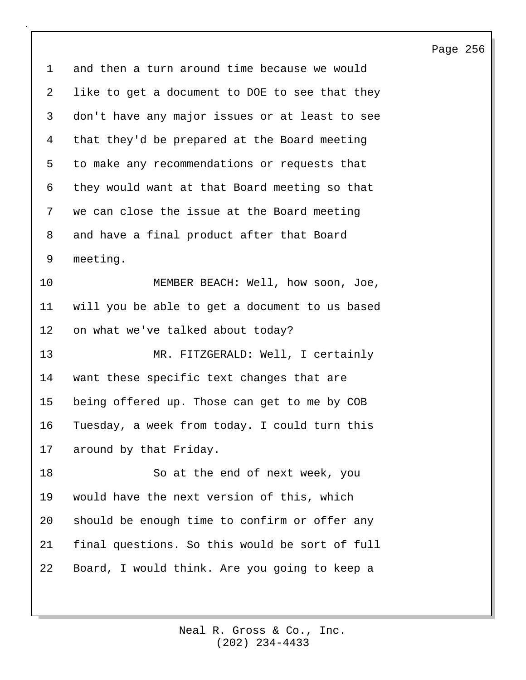1 and then a turn around time because we would 2 like to get a document to DOE to see that they 3 don't have any major issues or at least to see 4 that they'd be prepared at the Board meeting 5 to make any recommendations or requests that 6 they would want at that Board meeting so that 7 we can close the issue at the Board meeting 8 and have a final product after that Board 9 meeting. 10 MEMBER BEACH: Well, how soon, Joe, 11 will you be able to get a document to us based 12 on what we've talked about today? 13 MR. FITZGERALD: Well, I certainly 14 want these specific text changes that are 15 being offered up. Those can get to me by COB 16 Tuesday, a week from today. I could turn this 17 around by that Friday. 18 So at the end of next week, you 19 would have the next version of this, which 20 should be enough time to confirm or offer any 21 final questions. So this would be sort of full 22 Board, I would think. Are you going to keep a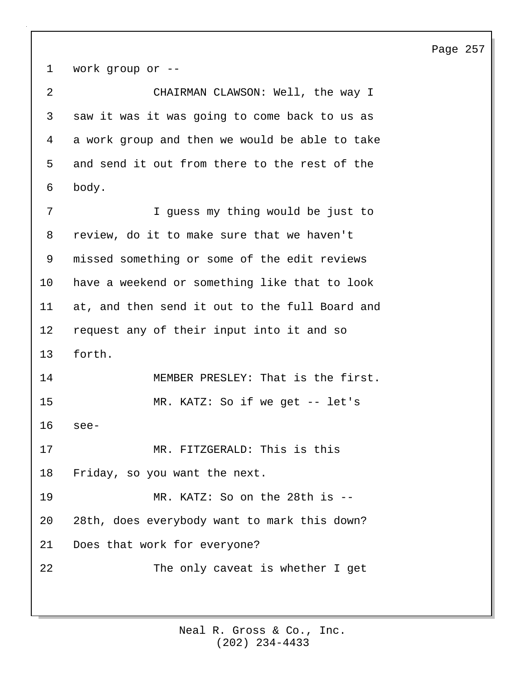1 work group or -- 2 CHAIRMAN CLAWSON: Well, the way I 3 saw it was it was going to come back to us as 4 a work group and then we would be able to take 5 and send it out from there to the rest of the 6 body. 7 I guess my thing would be just to 8 review, do it to make sure that we haven't 9 missed something or some of the edit reviews 10 have a weekend or something like that to look 11 at, and then send it out to the full Board and 12 request any of their input into it and so 13 forth. 14 MEMBER PRESLEY: That is the first. 15 MR. KATZ: So if we get -- let's 16 see-17 MR. FITZGERALD: This is this 18 Friday, so you want the next. 19 MR. KATZ: So on the 28th is -- 20 28th, does everybody want to mark this down? 21 Does that work for everyone? 22 The only caveat is whether I get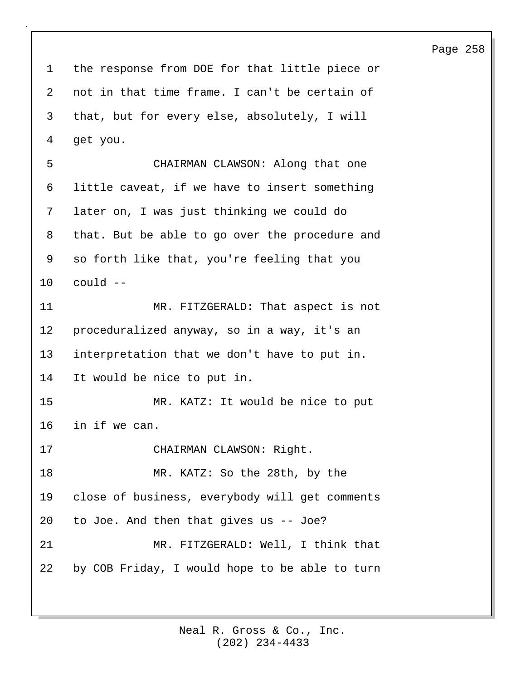1 the response from DOE for that little piece or 2 not in that time frame. I can't be certain of 3 that, but for every else, absolutely, I will 4 get you. 5 CHAIRMAN CLAWSON: Along that one 6 little caveat, if we have to insert something 7 later on, I was just thinking we could do 8 that. But be able to go over the procedure and 9 so forth like that, you're feeling that you 10 could -- 11 MR. FITZGERALD: That aspect is not 12 proceduralized anyway, so in a way, it's an 13 interpretation that we don't have to put in. 14 It would be nice to put in. 15 MR. KATZ: It would be nice to put 16 in if we can. 17 CHAIRMAN CLAWSON: Right. 18 MR. KATZ: So the 28th, by the 19 close of business, everybody will get comments 20 to Joe. And then that gives us -- Joe? 21 MR. FITZGERALD: Well, I think that 22 by COB Friday, I would hope to be able to turn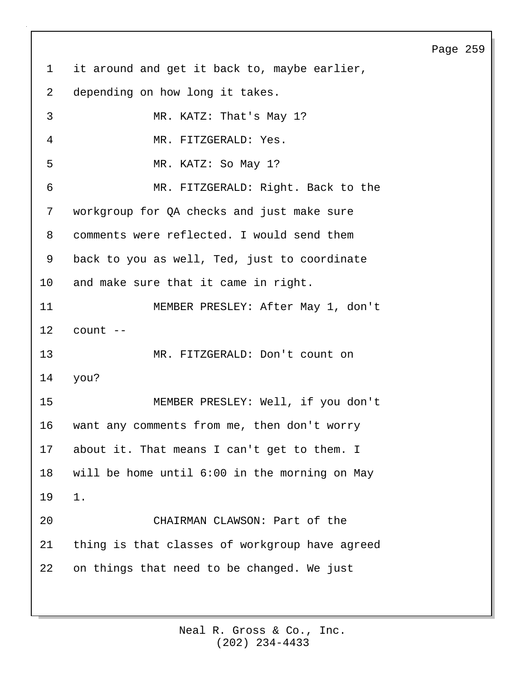1 it around and get it back to, maybe earlier, 2 depending on how long it takes. 3 MR. KATZ: That's May 1? 4 MR. FITZGERALD: Yes. 5 MR. KATZ: So May 1? 6 MR. FITZGERALD: Right. Back to the 7 workgroup for QA checks and just make sure 8 comments were reflected. I would send them 9 back to you as well, Ted, just to coordinate 10 and make sure that it came in right. 11 MEMBER PRESLEY: After May 1, don't 12 count -- 13 MR. FITZGERALD: Don't count on 14 you? 15 MEMBER PRESLEY: Well, if you don't 16 want any comments from me, then don't worry 17 about it. That means I can't get to them. I 18 will be home until 6:00 in the morning on May 19 1. 20 CHAIRMAN CLAWSON: Part of the 21 thing is that classes of workgroup have agreed 22 on things that need to be changed. We just

#### Page 259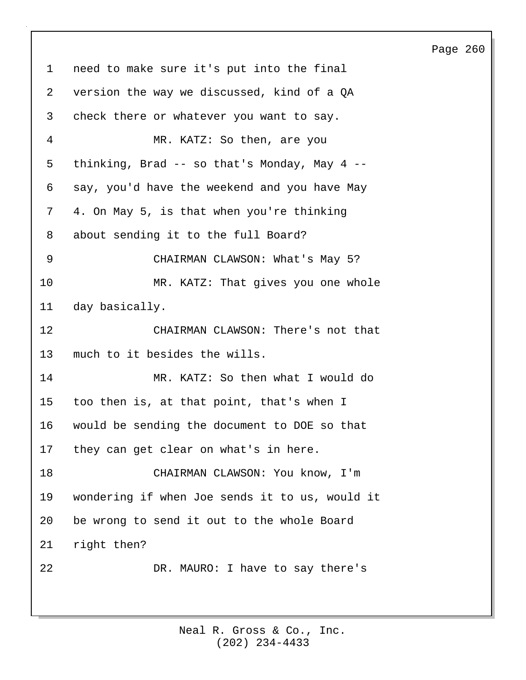1 need to make sure it's put into the final 2 version the way we discussed, kind of a QA 3 check there or whatever you want to say. 4 MR. KATZ: So then, are you 5 thinking, Brad -- so that's Monday, May 4 -- 6 say, you'd have the weekend and you have May 7 4. On May 5, is that when you're thinking 8 about sending it to the full Board? 9 CHAIRMAN CLAWSON: What's May 5? 10 MR. KATZ: That gives you one whole 11 day basically. 12 CHAIRMAN CLAWSON: There's not that 13 much to it besides the wills. 14 MR. KATZ: So then what I would do 15 too then is, at that point, that's when I 16 would be sending the document to DOE so that 17 they can get clear on what's in here. 18 CHAIRMAN CLAWSON: You know, I'm 19 wondering if when Joe sends it to us, would it 20 be wrong to send it out to the whole Board 21 right then? 22 DR. MAURO: I have to say there's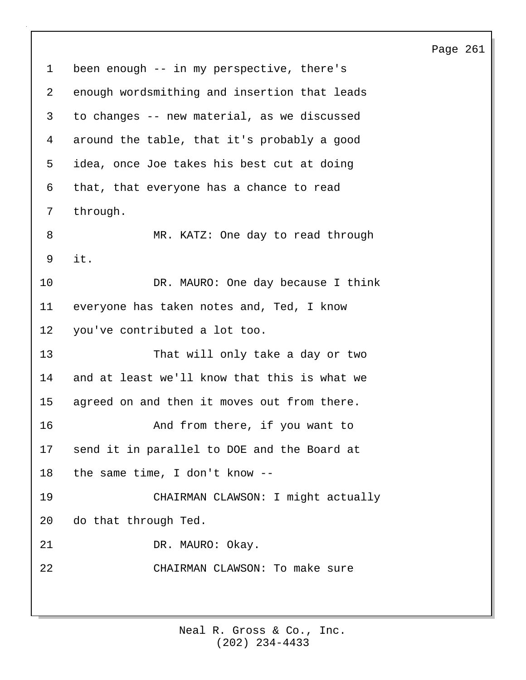1 been enough -- in my perspective, there's 2 enough wordsmithing and insertion that leads 3 to changes -- new material, as we discussed 4 around the table, that it's probably a good 5 idea, once Joe takes his best cut at doing 6 that, that everyone has a chance to read 7 through. 8 MR. KATZ: One day to read through 9 it. 10 DR. MAURO: One day because I think 11 everyone has taken notes and, Ted, I know 12 you've contributed a lot too. 13 That will only take a day or two 14 and at least we'll know that this is what we 15 agreed on and then it moves out from there. 16 And from there, if you want to 17 send it in parallel to DOE and the Board at 18 the same time, I don't know -- 19 CHAIRMAN CLAWSON: I might actually 20 do that through Ted. 21 DR. MAURO: Okay. 22 CHAIRMAN CLAWSON: To make sure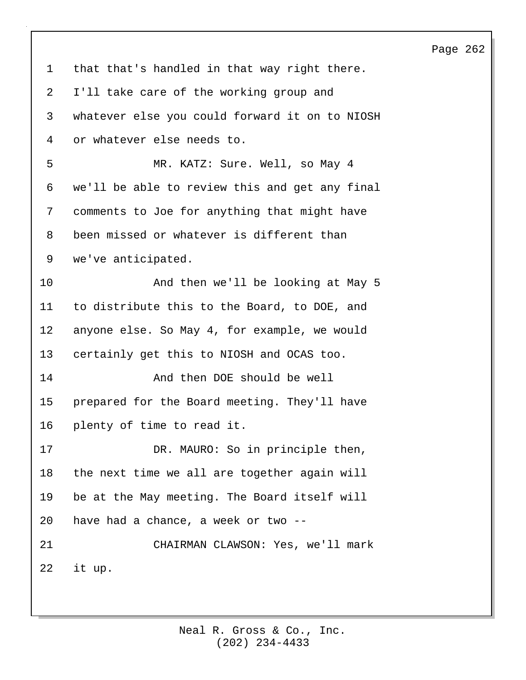1 that that's handled in that way right there. 2 I'll take care of the working group and 3 whatever else you could forward it on to NIOSH 4 or whatever else needs to. 5 MR. KATZ: Sure. Well, so May 4 6 we'll be able to review this and get any final 7 comments to Joe for anything that might have 8 been missed or whatever is different than 9 we've anticipated. 10 And then we'll be looking at May 5 11 to distribute this to the Board, to DOE, and 12 anyone else. So May 4, for example, we would 13 certainly get this to NIOSH and OCAS too. 14 And then DOE should be well 15 prepared for the Board meeting. They'll have 16 plenty of time to read it. 17 DR. MAURO: So in principle then, 18 the next time we all are together again will 19 be at the May meeting. The Board itself will 20 have had a chance, a week or two -- 21 CHAIRMAN CLAWSON: Yes, we'll mark 22 it up.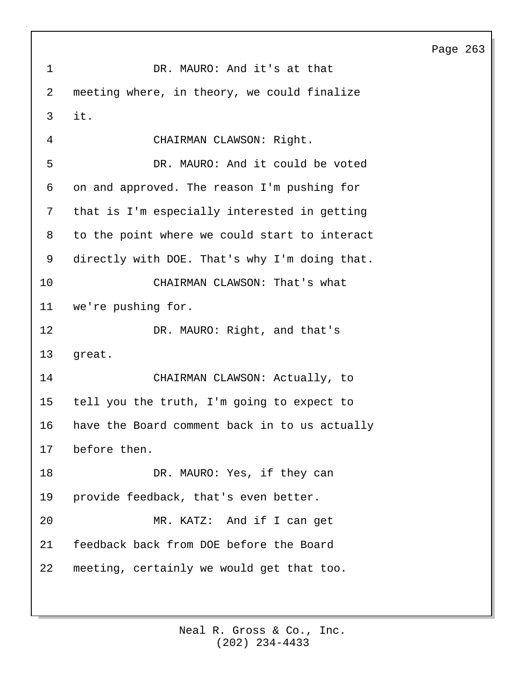1 DR. MAURO: And it's at that 2 meeting where, in theory, we could finalize 3 it. 4 CHAIRMAN CLAWSON: Right. 5 DR. MAURO: And it could be voted 6 on and approved. The reason I'm pushing for 7 that is I'm especially interested in getting 8 to the point where we could start to interact 9 directly with DOE. That's why I'm doing that. 10 CHAIRMAN CLAWSON: That's what 11 we're pushing for. 12 DR. MAURO: Right, and that's 13 great. 14 CHAIRMAN CLAWSON: Actually, to 15 tell you the truth, I'm going to expect to 16 have the Board comment back in to us actually 17 before then. 18 DR. MAURO: Yes, if they can 19 provide feedback, that's even better. 20 MR. KATZ: And if I can get 21 feedback back from DOE before the Board 22 meeting, certainly we would get that too.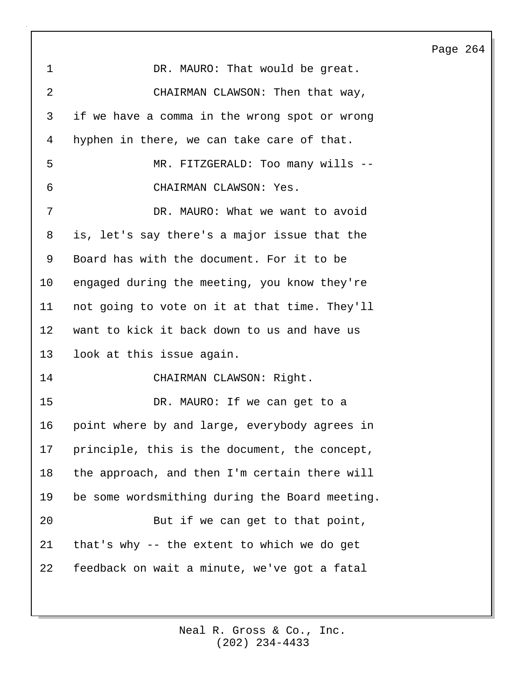| 1               | DR. MAURO: That would be great.                |
|-----------------|------------------------------------------------|
| $\overline{2}$  | CHAIRMAN CLAWSON: Then that way,               |
| 3               | if we have a comma in the wrong spot or wrong  |
| 4               | hyphen in there, we can take care of that.     |
| 5               | MR. FITZGERALD: Too many wills --              |
| 6               | CHAIRMAN CLAWSON: Yes.                         |
| 7               | DR. MAURO: What we want to avoid               |
| 8               | is, let's say there's a major issue that the   |
| 9               | Board has with the document. For it to be      |
| $10 \,$         | engaged during the meeting, you know they're   |
| 11              | not going to vote on it at that time. They'll  |
| 12 <sub>1</sub> | want to kick it back down to us and have us    |
| 13              | look at this issue again.                      |
| 14              | CHAIRMAN CLAWSON: Right.                       |
| 15              | DR. MAURO: If we can get to a                  |
| 16              | point where by and large, everybody agrees in  |
| 17              | principle, this is the document, the concept,  |
| 18              | the approach, and then I'm certain there will  |
| 19              | be some wordsmithing during the Board meeting. |
| 20              | But if we can get to that point,               |
| 21              | that's why -- the extent to which we do get    |
| 22              | feedback on wait a minute, we've got a fatal   |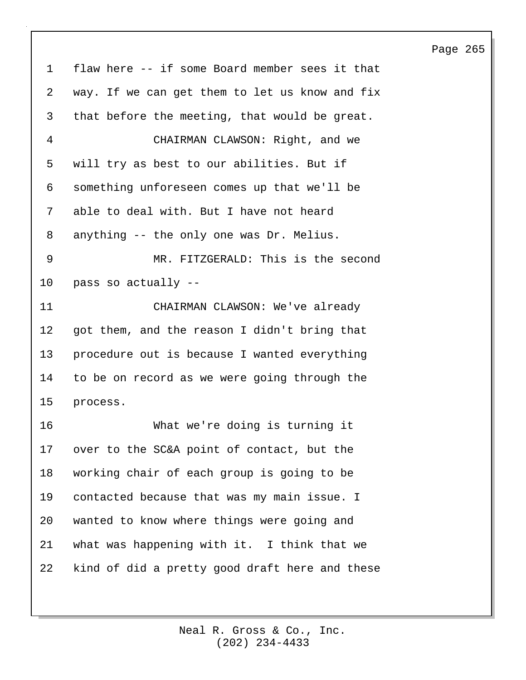1 flaw here -- if some Board member sees it that 2 way. If we can get them to let us know and fix 3 that before the meeting, that would be great. 4 CHAIRMAN CLAWSON: Right, and we 5 will try as best to our abilities. But if 6 something unforeseen comes up that we'll be 7 able to deal with. But I have not heard 8 anything -- the only one was Dr. Melius. 9 MR. FITZGERALD: This is the second 10 pass so actually -- 11 CHAIRMAN CLAWSON: We've already 12 got them, and the reason I didn't bring that 13 procedure out is because I wanted everything 14 to be on record as we were going through the 15 process. 16 What we're doing is turning it 17 over to the SC&A point of contact, but the 18 working chair of each group is going to be 19 contacted because that was my main issue. I 20 wanted to know where things were going and 21 what was happening with it. I think that we 22 kind of did a pretty good draft here and these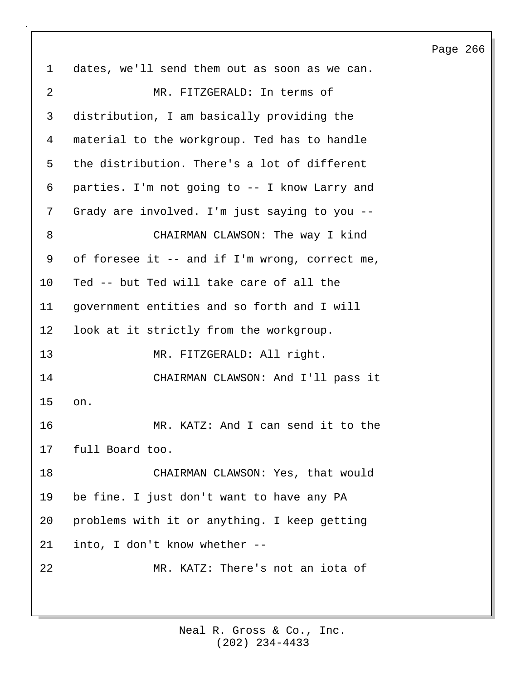1 dates, we'll send them out as soon as we can. 2 MR. FITZGERALD: In terms of 3 distribution, I am basically providing the 4 material to the workgroup. Ted has to handle 5 the distribution. There's a lot of different 6 parties. I'm not going to -- I know Larry and 7 Grady are involved. I'm just saying to you -- 8 CHAIRMAN CLAWSON: The way I kind 9 of foresee it -- and if I'm wrong, correct me, 10 Ted -- but Ted will take care of all the 11 government entities and so forth and I will 12 look at it strictly from the workgroup. 13 MR. FITZGERALD: All right. 14 CHAIRMAN CLAWSON: And I'll pass it 15 on. 16 MR. KATZ: And I can send it to the 17 full Board too. 18 CHAIRMAN CLAWSON: Yes, that would 19 be fine. I just don't want to have any PA 20 problems with it or anything. I keep getting 21 into, I don't know whether -- 22 MR. KATZ: There's not an iota of

> (202) 234-4433 Neal R. Gross & Co., Inc.

#### Page 266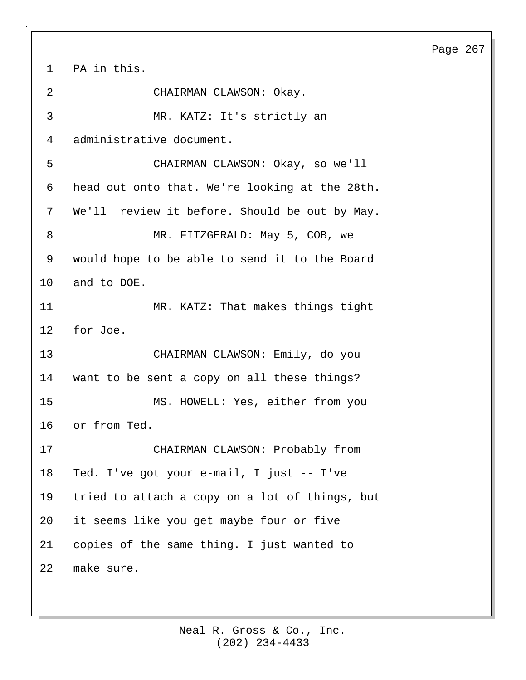1 PA in this. 2 CHAIRMAN CLAWSON: Okay. 3 MR. KATZ: It's strictly an 4 administrative document. 5 CHAIRMAN CLAWSON: Okay, so we'll 6 head out onto that. We're looking at the 28th. 7 We'll review it before. Should be out by May. 8 MR. FITZGERALD: May 5, COB, we 9 would hope to be able to send it to the Board 10 and to DOE. 11 MR. KATZ: That makes things tight 12 for Joe. 13 CHAIRMAN CLAWSON: Emily, do you 14 want to be sent a copy on all these things? 15 MS. HOWELL: Yes, either from you 16 or from Ted. 17 CHAIRMAN CLAWSON: Probably from 18 Ted. I've got your e-mail, I just -- I've 19 tried to attach a copy on a lot of things, but 20 it seems like you get maybe four or five 21 copies of the same thing. I just wanted to 22 make sure.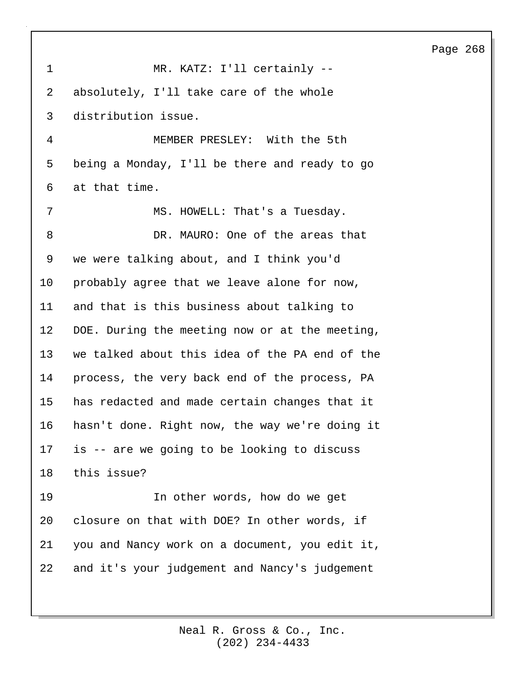| $\mathbf 1$ | MR. KATZ: I'll certainly --                    |
|-------------|------------------------------------------------|
| 2           | absolutely, I'll take care of the whole        |
| 3           | distribution issue.                            |
| 4           | MEMBER PRESLEY: With the 5th                   |
| 5           | being a Monday, I'll be there and ready to go  |
| 6           | at that time.                                  |
| 7           | MS. HOWELL: That's a Tuesday.                  |
| 8           | DR. MAURO: One of the areas that               |
| 9           | we were talking about, and I think you'd       |
| $10 \,$     | probably agree that we leave alone for now,    |
| 11          | and that is this business about talking to     |
| 12          | DOE. During the meeting now or at the meeting, |
| 13          | we talked about this idea of the PA end of the |
| 14          | process, the very back end of the process, PA  |
| 15          | has redacted and made certain changes that it  |
| 16          | hasn't done. Right now, the way we're doing it |
| 17          | is -- are we going to be looking to discuss    |
| 18          | this issue?                                    |
| 19          | In other words, how do we get                  |
| 20          | closure on that with DOE? In other words, if   |
| 21          | you and Nancy work on a document, you edit it, |
| 22          | and it's your judgement and Nancy's judgement  |
|             |                                                |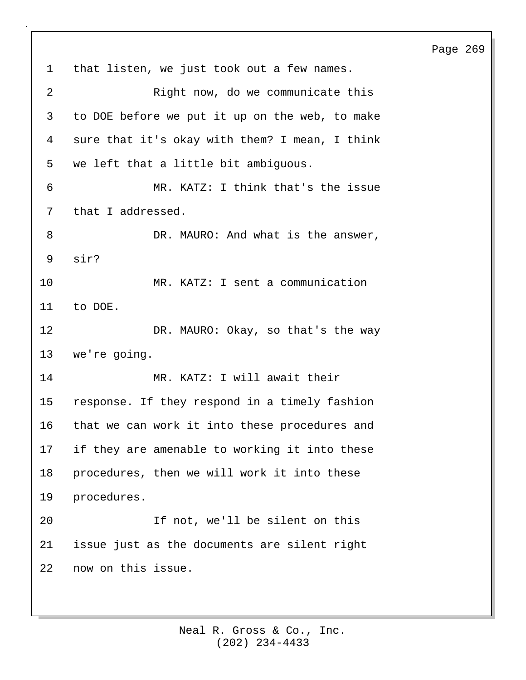1 that listen, we just took out a few names. 2 Right now, do we communicate this 3 to DOE before we put it up on the web, to make 4 sure that it's okay with them? I mean, I think 5 we left that a little bit ambiguous. 6 MR. KATZ: I think that's the issue 7 that I addressed. 8 DR. MAURO: And what is the answer, 9 sir? 10 MR. KATZ: I sent a communication 11 to DOE. 12 DR. MAURO: Okay, so that's the way 13 we're going. 14 MR. KATZ: I will await their 15 response. If they respond in a timely fashion 16 that we can work it into these procedures and 17 if they are amenable to working it into these 18 procedures, then we will work it into these 19 procedures. 20 If not, we'll be silent on this 21 issue just as the documents are silent right 22 now on this issue.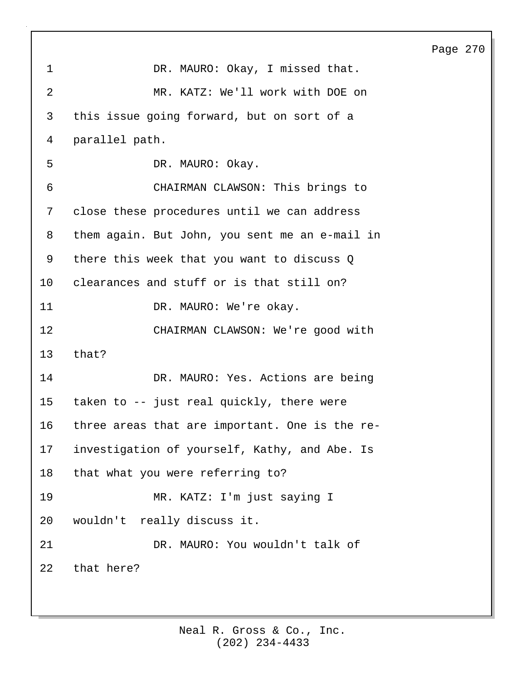| 1               | DR. MAURO: Okay, I missed that.                |
|-----------------|------------------------------------------------|
| 2               | MR. KATZ: We'll work with DOE on               |
| 3               | this issue going forward, but on sort of a     |
| 4               | parallel path.                                 |
| 5               | DR. MAURO: Okay.                               |
| 6               | CHAIRMAN CLAWSON: This brings to               |
| 7               | close these procedures until we can address    |
| 8               | them again. But John, you sent me an e-mail in |
| 9               | there this week that you want to discuss Q     |
| 10 <sub>1</sub> | clearances and stuff or is that still on?      |
| 11              | DR. MAURO: We're okay.                         |
| 12              | CHAIRMAN CLAWSON: We're good with              |
| 13              | that?                                          |
| 14              | DR. MAURO: Yes. Actions are being              |
| 15              | taken to -- just real quickly, there were      |
| 16              | three areas that are important. One is the re- |
| 17              | investigation of yourself, Kathy, and Abe. Is  |
| 18              | that what you were referring to?               |
| 19              | MR. KATZ: I'm just saying I                    |
| 20              | wouldn't really discuss it.                    |
| 21              | DR. MAURO: You wouldn't talk of                |
| 22              | that here?                                     |
|                 |                                                |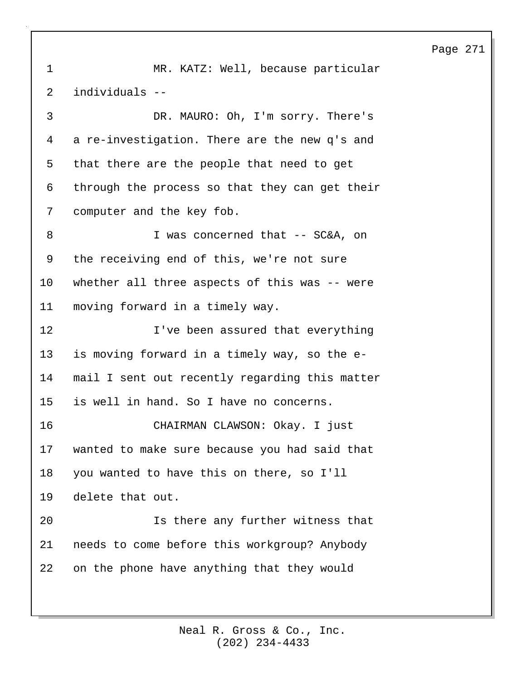1 MR. KATZ: Well, because particular 2 individuals -- 3 DR. MAURO: Oh, I'm sorry. There's 4 a re-investigation. There are the new q's and 5 that there are the people that need to get 6 through the process so that they can get their 7 computer and the key fob. 8 I was concerned that -- SC&A, on 9 the receiving end of this, we're not sure 10 whether all three aspects of this was -- were 11 moving forward in a timely way. 12 I've been assured that everything 13 is moving forward in a timely way, so the e-14 mail I sent out recently regarding this matter 15 is well in hand. So I have no concerns. 16 CHAIRMAN CLAWSON: Okay. I just 17 wanted to make sure because you had said that 18 you wanted to have this on there, so I'll 19 delete that out. 20 Is there any further witness that 21 needs to come before this workgroup? Anybody 22 on the phone have anything that they would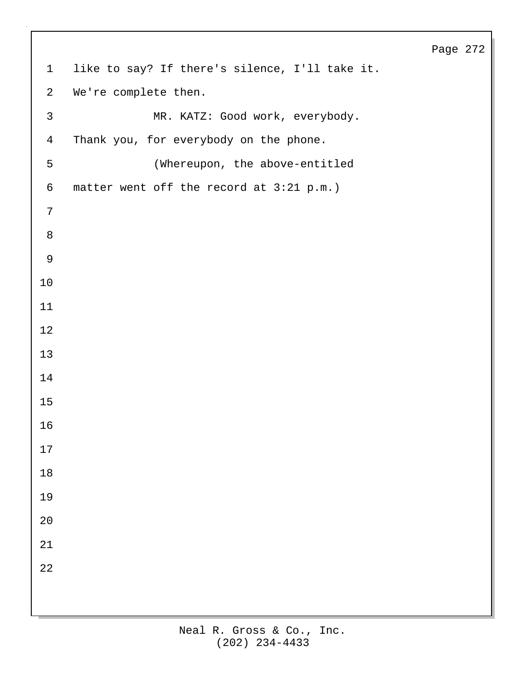| 1               | like to say? If there's silence, I'll take it. |
|-----------------|------------------------------------------------|
| $\overline{a}$  | We're complete then.                           |
| $\mathsf{3}$    | MR. KATZ: Good work, everybody.                |
| $\overline{4}$  | Thank you, for everybody on the phone.         |
| 5               | (Whereupon, the above-entitled                 |
| $\epsilon$      | matter went off the record at 3:21 p.m.)       |
| $7\phantom{.0}$ |                                                |
| $\,8\,$         |                                                |
| $\mathsf 9$     |                                                |
| $10$            |                                                |
| 11              |                                                |
| 12              |                                                |
| 13              |                                                |
| 14              |                                                |
| 15              |                                                |
| 16              |                                                |
| 17              |                                                |
| $18\,$          |                                                |
| 19              |                                                |
| $2\,0$          |                                                |
| $21\,$          |                                                |
| 22              |                                                |
|                 |                                                |
|                 |                                                |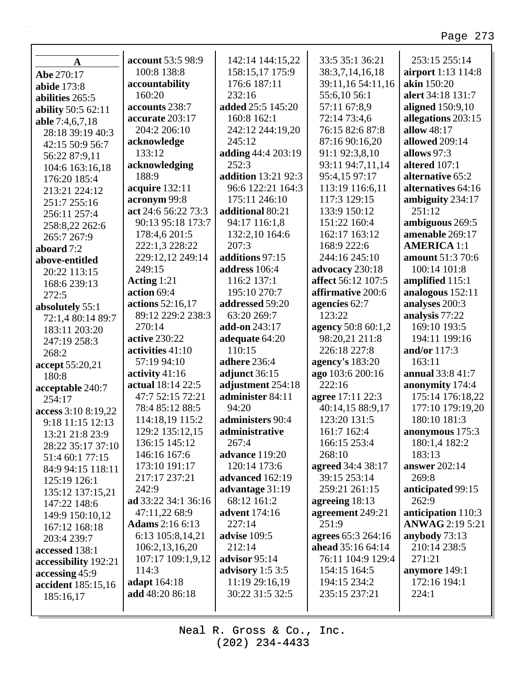| $\mathbf{A}$              | account 53:5 98:9      | 142:14 144:15,22           | 33:5 35:1 36:21          | 253:15 255:14          |
|---------------------------|------------------------|----------------------------|--------------------------|------------------------|
| Abe 270:17                | 100:8 138:8            | 158:15,17 175:9            | 38:3,7,14,16,18          | airport 1:13 114:8     |
| abide 173:8               | accountability         | 176:6 187:11               | 39:11,16 54:11,16        | akin 150:20            |
| abilities 265:5           | 160:20                 | 232:16                     | 55:6,10 56:1             | alert 34:18 131:7      |
| <b>ability</b> 50:5 62:11 | accounts 238:7         | added 25:5 145:20          | 57:11 67:8,9             | aligned 150:9,10       |
| able 7:4,6,7,18           | accurate 203:17        | 160:8 162:1                | 72:14 73:4,6             | allegations 203:15     |
| 28:18 39:19 40:3          | 204:2 206:10           | 242:12 244:19,20           | 76:15 82:6 87:8          | allow 48:17            |
| 42:15 50:9 56:7           | acknowledge            | 245:12                     | 87:16 90:16,20           | allowed 209:14         |
| 56:22 87:9,11             | 133:12                 | adding 44:4 203:19         | 91:1 92:3,8,10           | allows 97:3            |
| 104:6 163:16,18           | acknowledging          | 252:3                      | 93:11 94:7,11,14         | altered 107:1          |
| 176:20 185:4              | 188:9                  | <b>addition</b> 13:21 92:3 | 95:4,15 97:17            | alternative 65:2       |
| 213:21 224:12             | acquire 132:11         | 96:6 122:21 164:3          | 113:19 116:6,11          | alternatives 64:16     |
| 251:7 255:16              | acronym 99:8           | 175:11 246:10              | 117:3 129:15             | ambiguity 234:17       |
| 256:11 257:4              | act 24:6 56:22 73:3    | additional 80:21           | 133:9 150:12             | 251:12                 |
| 258:8,22 262:6            | 90:13 95:18 173:7      | 94:17 116:1,8              | 151:22 160:4             | ambiguous 269:5        |
| 265:7 267:9               | 178:4,6 201:5          | 132:2,10 164:6             | 162:17 163:12            | amenable 269:17        |
| aboard 7:2                | 222:1,3 228:22         | 207:3                      | 168:9 222:6              | <b>AMERICA 1:1</b>     |
| above-entitled            | 229:12,12 249:14       | additions 97:15            | 244:16 245:10            | amount 51:3 70:6       |
| 20:22 113:15              | 249:15                 | address 106:4              | advocacy 230:18          | 100:14 101:8           |
| 168:6 239:13              | Acting 1:21            | 116:2 137:1                | affect 56:12 107:5       | amplified 115:1        |
| 272:5                     | action 69:4            | 195:10 270:7               | affirmative 200:6        | analogous 152:11       |
| absolutely 55:1           | actions 52:16,17       | addressed 59:20            | agencies 62:7            | analyses 200:3         |
| 72:1,4 80:14 89:7         | 89:12 229:2 238:3      | 63:20 269:7                | 123:22                   | analysis 77:22         |
| 183:11 203:20             | 270:14                 | add-on 243:17              | agency 50:8 60:1,2       | 169:10 193:5           |
| 247:19 258:3              | active 230:22          | adequate 64:20             | 98:20,21 211:8           | 194:11 199:16          |
| 268:2                     | activities 41:10       | 110:15                     | 226:18 227:8             | and/or 117:3           |
| accept 55:20,21           | 57:19 94:10            | adhere 236:4               | <b>agency's</b> 183:20   | 163:11                 |
| 180:8                     | activity $41:16$       | adjunct 36:15              | ago 103:6 200:16         | annual 33:8 41:7       |
| acceptable 240:7          | actual 18:14 22:5      | adjustment 254:18          | 222:16                   | anonymity 174:4        |
| 254:17                    | 47:7 52:15 72:21       | administer 84:11           | agree 17:11 22:3         | 175:14 176:18,22       |
| access 3:10 8:19,22       | 78:4 85:12 88:5        | 94:20                      | 40:14,15 88:9,17         | 177:10 179:19,20       |
| 9:18 11:15 12:13          | 114:18,19 115:2        | administers 90:4           | 123:20 131:5             | 180:10 181:3           |
| 13:21 21:8 23:9           | 129:2 135:12,15        | administrative             | 161:7 162:4              | anonymous 175:3        |
| 28:22 35:17 37:10         | 136:15 145:12          | 267:4                      | 166:15 253:4             | 180:1,4 182:2          |
| 51:4 60:1 77:15           | 146:16 167:6           | advance 119:20             | 268:10                   | 183:13                 |
| 84:9 94:15 118:11         | 173:10 191:17          | 120:14 173:6               | agreed 34:4 38:17        | answer 202:14          |
| 125:19 126:1              | 217:17 237:21          | advanced 162:19            | 39:15 253:14             | 269:8                  |
| 135:12 137:15,21          | 242:9                  | advantage 31:19            | 259:21 261:15            | anticipated 99:15      |
| 147:22 148:6              | ad 33:22 34:1 36:16    | 68:12 161:2                | agreeing $18:13$         | 262:9                  |
| 149:9 150:10,12           | 47:11,22 68:9          | advent 174:16              | agreement 249:21         | anticipation 110:3     |
| 167:12 168:18             | <b>Adams</b> 2:16 6:13 | 227:14                     | 251:9                    | <b>ANWAG</b> 2:19 5:21 |
| 203:4 239:7               | 6:13 105:8,14,21       | advise 109:5               | agrees 65:3 264:16       | anybody 73:13          |
| accessed 138:1            | 106:2,13,16,20         | 212:14                     | <b>ahead</b> 35:16 64:14 | 210:14 238:5           |
| accessibility 192:21      | 107:17 109:1,9,12      | advisor 95:14              | 76:11 104:9 129:4        | 271:21                 |
| accessing 45:9            | 114:3                  | advisory $1:53:5$          | 154:15 164:5             | anymore 149:1          |
| accident 185:15,16        | adapt 164:18           | 11:19 29:16,19             | 194:15 234:2             | 172:16 194:1           |
| 185:16,17                 | add 48:20 86:18        | 30:22 31:5 32:5            | 235:15 237:21            | 224:1                  |
|                           |                        |                            |                          |                        |

Г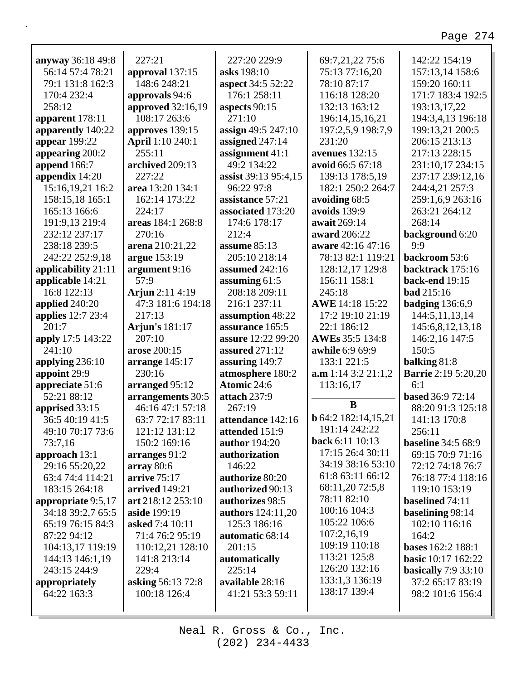| anyway 36:18 49:8   | 227:21                   | 227:20 229:9              | 69:7,21,22 75:6            | 142:22 154:19              |
|---------------------|--------------------------|---------------------------|----------------------------|----------------------------|
| 56:14 57:4 78:21    | approval 137:15          | asks 198:10               | 75:13 77:16,20             | 157:13,14 158:6            |
| 79:1 131:8 162:3    | 148:6 248:21             | <b>aspect</b> 34:5 52:22  | 78:10 87:17                | 159:20 160:11              |
| 170:4 232:4         | approvals 94:6           | 176:1 258:11              | 116:18 128:20              | 171:7 183:4 192:5          |
| 258:12              | <b>approved</b> 32:16,19 | aspects 90:15             | 132:13 163:12              | 193:13,17,22               |
| apparent 178:11     | 108:17 263:6             | 271:10                    | 196:14,15,16,21            | 194:3,4,13 196:18          |
| apparently 140:22   | approves 139:15          | assign 49:5 247:10        | 197:2,5,9 198:7,9          | 199:13,21 200:5            |
| appear 199:22       | April 1:10 240:1         | assigned 247:14           | 231:20                     | 206:15 213:13              |
| appearing 200:2     | 255:11                   | assignment 41:1           | avenues $132:15$           | 217:13 228:15              |
| append 166:7        | archived 209:13          | 49:2 134:22               | avoid 66:5 67:18           | 231:10,17 234:15           |
| appendix 14:20      | 227:22                   | assist 39:13 95:4,15      | 139:13 178:5,19            | 237:17 239:12,16           |
| 15:16,19,21 16:2    | area 13:20 134:1         | 96:22 97:8                | 182:1 250:2 264:7          | 244:4,21 257:3             |
| 158:15,18 165:1     | 162:14 173:22            | assistance 57:21          | avoiding 68:5              | 259:1,6,9 263:16           |
| 165:13 166:6        | 224:17                   | associated 173:20         | avoids 139:9               | 263:21 264:12              |
| 191:9,13 219:4      | areas 184:1 268:8        | 174:6 178:17              | await 269:14               | 268:14                     |
| 232:12 237:17       | 270:16                   | 212:4                     | award 206:22               | background 6:20            |
| 238:18 239:5        | arena 210:21,22          | assume $85:13$            | aware 42:16 47:16          | 9:9                        |
| 242:22 252:9,18     | argue 153:19             | 205:10 218:14             | 78:13 82:1 119:21          | backroom 53:6              |
| applicability 21:11 | argument 9:16            | assumed 242:16            | 128:12,17 129:8            | backtrack 175:16           |
| applicable 14:21    | 57:9                     | assuming $61:5$           | 156:11 158:1               | <b>back-end</b> 19:15      |
| 16:8 122:13         | Arjun 2:11 4:19          | 208:18 209:11             | 245:18                     | <b>bad</b> 215:16          |
| applied 240:20      | 47:3 181:6 194:18        | 216:1 237:11              | AWE 14:18 15:22            | badging $136:6,9$          |
| applies 12:7 23:4   | 217:13                   | assumption 48:22          | 17:2 19:10 21:19           | 144:5,11,13,14             |
| 201:7               | Arjun's 181:17           | assurance 165:5           | 22:1 186:12                | 145:6,8,12,13,18           |
| apply 17:5 143:22   | 207:10                   | <b>assure</b> 12:22 99:20 | AWEs 35:5 134:8            | 146:2,16 147:5             |
| 241:10              | arose 200:15             | assured 271:12            | awhile 6:9 69:9            | 150:5                      |
| applying $236:10$   | arrange $145:17$         | assuring 149:7            | 133:1 221:5                | balking 81:8               |
| appoint 29:9        | 230:16                   | atmosphere 180:2          | a.m 1:14 3:2 21:1,2        | <b>Barrie</b> 2:19 5:20,20 |
| appreciate 51:6     | arranged 95:12           | Atomic 24:6               | 113:16,17                  | 6:1                        |
| 52:21 88:12         | arrangements 30:5        | attach 237:9              |                            | <b>based</b> 36:9 72:14    |
| apprised 33:15      | 46:16 47:1 57:18         | 267:19                    | B                          | 88:20 91:3 125:18          |
| 36:5 40:19 41:5     | 63:7 72:17 83:11         | attendance 142:16         | <b>b</b> 64:2 182:14,15,21 | 141:13 170:8               |
| 49:10 70:17 73:6    | 121:12 131:12            | attended 151:9            | 191:14 242:22              | 256:11                     |
| 73:7,16             | 150:2 169:16             | <b>author</b> 194:20      | <b>back</b> 6:11 10:13     | <b>baseline</b> 34:5 68:9  |
| approach 13:1       | arranges 91:2            | authorization             | 17:15 26:4 30:11           | 69:15 70:9 71:16           |
| 29:16 55:20,22      | array 80:6               |                           |                            |                            |
|                     |                          |                           |                            |                            |
|                     |                          | 146:22                    | 34:19 38:16 53:10          | 72:12 74:18 76:7           |
| 63:4 74:4 114:21    | arrive 75:17             | authorize 80:20           | 61:8 63:11 66:12           | 76:18 77:4 118:16          |
| 183:15 264:18       | arrived 149:21           | authorized 90:13          | 68:11,20 72:5,8            | 119:10 153:19              |
| appropriate 9:5,17  | art 218:12 253:10        | authorizes 98:5           | 78:11 82:10                | baselined 74:11            |
| 34:18 39:2,7 65:5   | aside 199:19             | authors 124:11,20         | 100:16 104:3               | baselining 98:14           |
| 65:19 76:15 84:3    | asked 7:4 10:11          | 125:3 186:16              | 105:22 106:6               | 102:10 116:16              |
| 87:22 94:12         | 71:4 76:2 95:19          | automatic 68:14           | 107:2,16,19                | 164:2                      |
| 104:13,17 119:19    | 110:12,21 128:10         | 201:15                    | 109:19 110:18              | <b>bases</b> 162:2 188:1   |
| 144:13 146:1,19     | 141:8 213:14             | automatically             | 113:21 125:8               | <b>basic</b> 10:17 162:22  |
| 243:15 244:9        | 229:4                    | 225:14                    | 126:20 132:16              | basically $7:9$ 33:10      |
| appropriately       | <b>asking 56:13 72:8</b> | available 28:16           | 133:1,3 136:19             | 37:2 65:17 83:19           |
| 64:22 163:3         | 100:18 126:4             | 41:21 53:3 59:11          | 138:17 139:4               | 98:2 101:6 156:4           |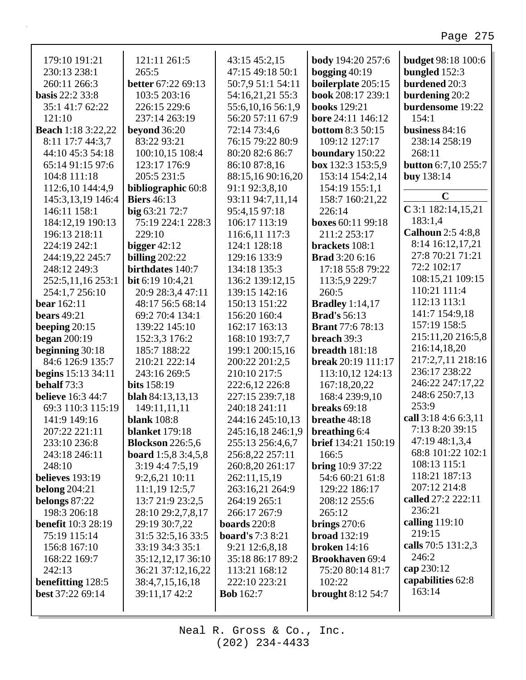#### 179:10 191:21 **body** 194:20 257:6 **budget 98:18 100:6** 121:11 261:5 43:15 45:2,15 230:13 238:1  $265:5$ 47:15 49:18 50:1 bogging  $40:19$ bungled  $152:3$ 260:11 266:3 **better**  $67:2269:13$ 50:7,9 51:1 54:11 boilerplate 205:15 **burdened** 20:3 book 208:17 239:1 **basis** 22:2 33:8 103:5 203:16 54:16,21,21 55:3 burdening 20:2 burdensome 19:22 35:1 41:7 62:22 226:15 229:6 55:6,10,16 56:1,9 **books** 129:21  $121:10$ 237:14 263:19 56:20 57:11 67:9 bore 24:11 146:12  $154:1$ **Beach** 1:18 3:22,22 72:14 73:4,6 **bottom** 8:3 50:15 business  $84:16$ beyond  $36:20$ 8:11 17:7 44:3,7 83:22 93:21 76:15 79:22 80:9 109:12 127:17 238:14 258:19 44:10 45:3 54:18 100:10,15 108:4 80:20 82:6 86:7 boundary 150:22 268:11 65:14 91:15 97:6 123:17 176:9 86:10 87:8,16 box 132:3 153:5,9 **button** 6:7,10 255:7 205:5 231:5 88:15,16 90:16,20 153:14 154:2.14 buy 138:14 104:8 111:18 112:6,10 144:4,9 bibliographic 60:8 91:1 92:3,8,10 154:19 155:1,1  $\mathbf C$ 145:3.13.19 146:4 **Biers** 46:13 93:11 94:7,11,14 158:7 160:21.22  $C$ 3:1 182:14,15,21 146:11 158:1  $big 63:21 72:7$ 95:4,15 97:18 226:14 183:1,4 184:12,19 190:13 75:19 224:1 228:3 106:17 113:19 boxes 60:11 99:18 **Calhoun** 2:5 4:8,8 229:10 211:2 253:17 196:13 218:11 116:6,11 117:3 8:14 16:12,17,21 224:19 242:1 bigger  $42:12$ 124:1 128:18 brackets 108:1 27:8 70:21 71:21 244:19,22 245:7 billing  $202:22$ 129:16 133:9 **Brad** 3:20 6:16 72:2 102:17 248:12 249:3 birthdates 140:7 134:18 135:3 17:18 55:8 79:22 108:15,21 109:15 252:5.11.16 253:1 136:2 139:12.15 113:5.9 229:7 **bit** 6:19 10:4.21 110:21 111:4 254:1,7 256:10 20:9 28:3,4 47:11 139:15 142:16 260:5 112:13 113:1  $150:13$   $151:22$ **Bradley** 1:14,17 bear  $162:11$ 48:17 56:5 68:14 141:7 154:9,18 bears  $49:21$ 69:2 70:4 134:1 156:20 160:4 **Brad's** 56:13 157:19 158:5 beeping  $20:15$ 139:22 145:10 162:17 163:13 **Brant** 77:6 78:13 215:11,20 216:5,8 began  $200:19$ 152:3,3 176:2 168:10 193:7,7 breach 39:3 216:14,18,20 beginning  $30:18$ 185:7 188:22 199:1 200:15,16 breadth 181:18 217:2.7.11 218:16 break 20:19 111:17 84:6 126:9 135:7 210:21 222:14 200:22 201:2,5 236:17 238:22 **begins**  $15:13 \, 34:11$ 243:16 269:5 210:10 217:5 113:10,12 124:13 246:22 247:17.22 behalf  $73:3$ bits  $158:19$ 222:6,12 226:8 167:18,20,22 248:6 250:7,13 **believe** 16:3 44:7 **blah** 84:13,13,13 227:15 239:7,18 168:4 239:9,10 253:9 69:3 110:3 115:19 149:11.11.11 240:18 241:11 breaks  $69:18$ call  $3:184:66:3,11$ 141:9 149:16 **blank** 108:8 244:16 245:10,13 breathe  $48:18$ 7:13 8:20 39:15 207:22 221:11 **blanket** 179:18 245:16,18 246:1,9 **breathing 6:4** 47:19 48:1,3,4 **brief** 134:21 150:19 233:10 236:8 **Blockson** 226:5,6 255:13 256:4,6,7 68:8 101:22 102:1 243:18 246:11 **board** 1:5,8 3:4,5,8 256:8,22 257:11 166:5 108:13 115:1 3:19 4:4 7:5,19 260:8,20 261:17 **bring**  $10:937:22$ 248:10 118:21 187:13 believes 193:19 9:2,6,21 10:11 262:11,15,19 54:6 60:21 61:8 207:12 214:8 belong  $204:21$  $11:1,19$  12:5,7 263:16,21 264:9 129:22 186:17 called 27:2 222:11 belongs 87:22 208:12 255:6 13:7 21:9 23:2,5 264:19 265:1 236:21 198:3 206:18 28:10 29:2,7,8,17 266:17 267:9  $265:12$ calling  $119:10$ **benefit** 10:3 28:19 29:19 30:7,22 boards  $220:8$ brings  $270:6$ 219:15 **broad** 132:19 31:5 32:5,16 33:5 board's 7:3 8:21 75:19 115:14 calls 70:5 131:2,3 156:8 167:10 33:19 34:3 35:1 9:21 12:6,8,18 **broken** 14:16 246:2 168:22 169:7 35:12,12,17 36:10 35:18 86:17 89:2 **Brookhaven 69:4** cap 230:12  $242:13$ 113:21 168:12 36:21 37:12,16,22 75:20 80:14 81:7 capabilities 62:8 benefitting 128:5 222:10 223:21 102:22 38:4.7.15.16.18

Neal R. Gross & Co., Inc.  $(202)$  234-4433

**Bob** 162:7

best 37:22 69:14

39:11,17 42:2

163:14

brought  $8:12\,54:7$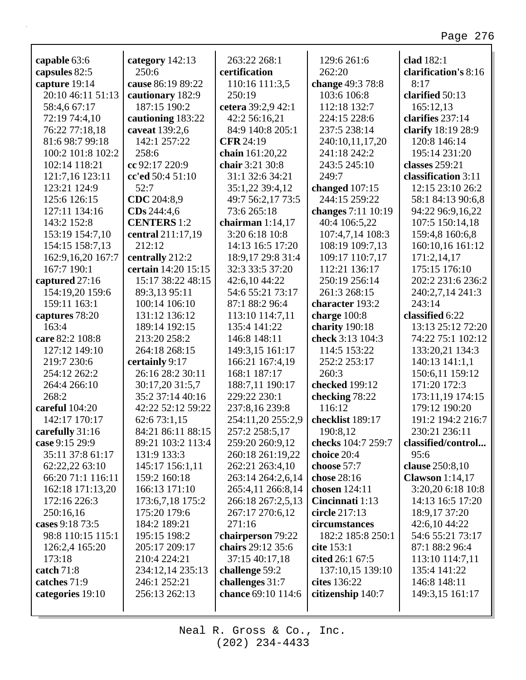| capable 63:6        | category 142:13     | 263:22 268:1       | 129:6 261:6        | clad 182:1             |
|---------------------|---------------------|--------------------|--------------------|------------------------|
| capsules 82:5       | 250:6               | certification      | 262:20             | clarification's 8:16   |
| capture 19:14       | cause 86:19 89:22   | 110:16 111:3,5     | change 49:3 78:8   | 8:17                   |
| 20:10 46:11 51:13   | cautionary 182:9    | 250:19             | 103:6 106:8        | clarified 50:13        |
| 58:4,6 67:17        | 187:15 190:2        | cetera 39:2,9 42:1 | 112:18 132:7       | 165:12,13              |
| 72:19 74:4,10       | cautioning 183:22   | 42:2 56:16,21      | 224:15 228:6       | clarifies 237:14       |
| 76:22 77:18,18      | caveat 139:2,6      | 84:9 140:8 205:1   | 237:5 238:14       | clarify 18:19 28:9     |
| 81:6 98:7 99:18     | 142:1 257:22        | <b>CFR 24:19</b>   | 240:10,11,17,20    | 120:8 146:14           |
| 100:2 101:8 102:2   | 258:6               | chain 161:20,22    | 241:18 242:2       | 195:14 231:20          |
| 102:14 118:21       | cc 92:17 220:9      | chair 3:21 30:8    | 243:5 245:10       | classes 259:21         |
| 121:7,16 123:11     | cc'ed 50:4 51:10    | 31:1 32:6 34:21    | 249:7              | classification 3:11    |
| 123:21 124:9        | 52:7                | 35:1,22 39:4,12    | changed $107:15$   | 12:15 23:10 26:2       |
| 125:6 126:15        | CDC 204:8,9         | 49:7 56:2,17 73:5  | 244:15 259:22      | 58:1 84:13 90:6,8      |
| 127:11 134:16       | CDs 244:4,6         | 73:6 265:18        | changes 7:11 10:19 | 94:22 96:9,16,22       |
| 143:2 152:8         | <b>CENTERS</b> 1:2  | chairman $1:14,17$ | 40:4 106:5,22      | 107:5 150:14,18        |
| 153:19 154:7,10     | central 211:17,19   | 3:20 6:18 10:8     | 107:4,7,14 108:3   | 159:4,8 160:6,8        |
| 154:15 158:7,13     | 212:12              | 14:13 16:5 17:20   | 108:19 109:7,13    | 160:10,16 161:12       |
| 162:9, 16, 20 167:7 | centrally 212:2     | 18:9,17 29:8 31:4  | 109:17 110:7,17    | 171:2,14,17            |
| 167:7 190:1         | certain 14:20 15:15 | 32:3 33:5 37:20    | 112:21 136:17      | 175:15 176:10          |
| captured 27:16      | 15:17 38:22 48:15   | 42:6,10 44:22      | 250:19 256:14      | 202:2 231:6 236:2      |
| 154:19,20 159:6     | 89:3,13 95:11       | 54:6 55:21 73:17   | 261:3 268:15       | 240:2,7,14 241:3       |
| 159:11 163:1        | 100:14 106:10       | 87:1 88:2 96:4     | character 193:2    | 243:14                 |
| captures 78:20      | 131:12 136:12       | 113:10 114:7,11    | charge 100:8       | classified 6:22        |
| 163:4               | 189:14 192:15       | 135:4 141:22       | charity 190:18     | 13:13 25:12 72:20      |
| care 82:2 108:8     | 213:20 258:2        | 146:8 148:11       | check 3:13 104:3   | 74:22 75:1 102:12      |
| 127:12 149:10       | 264:18 268:15       | 149:3,15 161:17    | 114:5 153:22       | 133:20,21 134:3        |
| 219:7 230:6         | certainly 9:17      | 166:21 167:4,19    | 252:2 253:17       | 140:13 141:1,1         |
| 254:12 262:2        | 26:16 28:2 30:11    | 168:1 187:17       | 260:3              | 150:6,11 159:12        |
| 264:4 266:10        | 30:17,20 31:5,7     | 188:7,11 190:17    | checked 199:12     | 171:20 172:3           |
| 268:2               | 35:2 37:14 40:16    | 229:22 230:1       | checking 78:22     | 173:11,19 174:15       |
| careful 104:20      | 42:22 52:12 59:22   | 237:8,16 239:8     | 116:12             | 179:12 190:20          |
| 142:17 170:17       | 62:6 73:1,15        | 254:11,20 255:2,9  | checklist 189:17   | 191:2 194:2 216:7      |
| carefully 31:16     | 84:21 86:11 88:15   | 257:2 258:5,17     | 190:8,12           | 230:21 236:11          |
| case 9:15 29:9      | 89:21 103:2 113:4   | 259:20 260:9,12    | checks 104:7 259:7 | classified/control     |
| 35:11 37:8 61:17    | 131:9 133:3         | 260:18 261:19,22   | choice 20:4        | 95:6                   |
| 62:22,22 63:10      | 145:17 156:1,11     | 262:21 263:4,10    | choose 57:7        | clause 250:8,10        |
| 66:20 71:1 116:11   | 159:2 160:18        | 263:14 264:2,6,14  | chose 28:16        | <b>Clawson</b> 1:14,17 |
| 162:18 171:13,20    | 166:13 171:10       | 265:4,11 266:8,14  | chosen 124:11      | 3:20,20 6:18 10:8      |
| 172:16 226:3        | 173:6,7,18 175:2    | 266:18 267:2,5,13  | Cincinnati 1:13    | 14:13 16:5 17:20       |
| 250:16,16           | 175:20 179:6        | 267:17 270:6,12    | circle 217:13      | 18:9,17 37:20          |
| cases 9:18 73:5     | 184:2 189:21        | 271:16             | circumstances      | 42:6,10 44:22          |
| 98:8 110:15 115:1   | 195:15 198:2        | chairperson 79:22  | 182:2 185:8 250:1  | 54:6 55:21 73:17       |
| 126:2,4 165:20      | 205:17 209:17       | chairs 29:12 35:6  | cite 153:1         | 87:1 88:2 96:4         |
| 173:18              | 210:4 224:21        | 37:15 40:17,18     | cited 26:1 67:5    | 113:10 114:7,11        |
| catch $71:8$        | 234:12,14 235:13    | challenge 59:2     | 137:10,15 139:10   | 135:4 141:22           |
| catches 71:9        | 246:1 252:21        | challenges 31:7    | cites 136:22       | 146:8 148:11           |
| categories 19:10    | 256:13 262:13       | chance 69:10 114:6 | citizenship 140:7  | 149:3,15 161:17        |
|                     |                     |                    |                    |                        |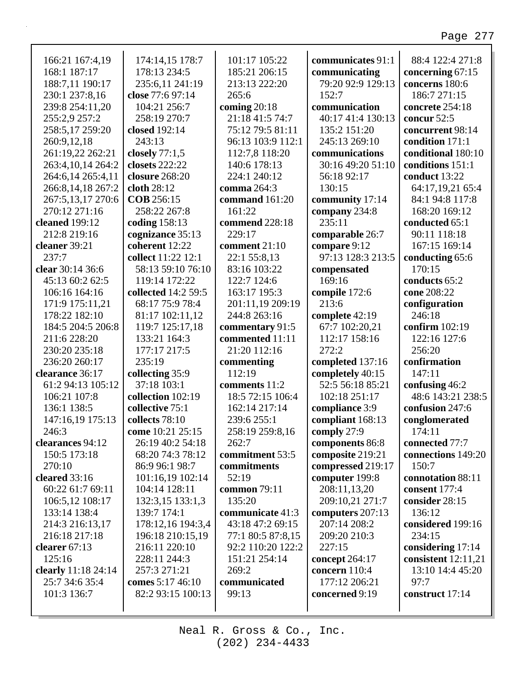| 166:21 167:4,19     | 174:14,15 178:7       | 101:17 105:22       | communicates 91:1 | 88:4 122:4 271:8      |
|---------------------|-----------------------|---------------------|-------------------|-----------------------|
| 168:1 187:17        | 178:13 234:5          | 185:21 206:15       | communicating     | concerning 67:15      |
| 188:7,11 190:17     | 235:6,11 241:19       | 213:13 222:20       | 79:20 92:9 129:13 | concerns 180:6        |
| 230:1 237:8,16      | close 77:6 97:14      | 265:6               | 152:7             | 186:7 271:15          |
| 239:8 254:11,20     | 104:21 256:7          | coming $20:18$      | communication     | concrete 254:18       |
| 255:2,9 257:2       | 258:19 270:7          | 21:18 41:5 74:7     | 40:17 41:4 130:13 | concur 52:5           |
| 258:5,17 259:20     | closed 192:14         | 75:12 79:5 81:11    | 135:2 151:20      | concurrent 98:14      |
| 260:9,12,18         | 243:13                | 96:13 103:9 112:1   | 245:13 269:10     | condition 171:1       |
| 261:19,22 262:21    | closely 77:1,5        | 112:7,8 118:20      | communications    | conditional 180:10    |
| 263:4,10,14 264:2   | <b>closets</b> 222:22 | 140:6 178:13        | 30:16 49:20 51:10 | conditions 151:1      |
| 264:6,14 265:4,11   | closure 268:20        | 224:1 240:12        | 56:18 92:17       | conduct 13:22         |
| 266:8,14,18 267:2   | cloth 28:12           | comma 264:3         | 130:15            | 64:17,19,21 65:4      |
| 267:5,13,17 270:6   | <b>COB</b> 256:15     | command 161:20      | community 17:14   | 84:1 94:8 117:8       |
| 270:12 271:16       | 258:22 267:8          | 161:22              | company 234:8     | 168:20 169:12         |
| cleaned 199:12      | coding 158:13         | commend 228:18      | 235:11            | conducted 65:1        |
| 212:8 219:16        | cognizance 35:13      | 229:17              | comparable 26:7   | 90:11 118:18          |
| cleaner 39:21       | coherent 12:22        | comment 21:10       | compare 9:12      | 167:15 169:14         |
| 237:7               | collect 11:22 12:1    | 22:1 55:8,13        | 97:13 128:3 213:5 | conducting 65:6       |
| clear 30:14 36:6    | 58:13 59:10 76:10     | 83:16 103:22        | compensated       | 170:15                |
| 45:13 60:2 62:5     | 119:14 172:22         | 122:7 124:6         | 169:16            | conducts 65:2         |
| 106:16 164:16       | collected 14:2 59:5   | 163:17 195:3        | compile 172:6     | cone 208:22           |
| 171:9 175:11,21     | 68:17 75:9 78:4       | 201:11,19 209:19    | 213:6             | configuration         |
| 178:22 182:10       | 81:17 102:11,12       | 244:8 263:16        | complete 42:19    | 246:18                |
| 184:5 204:5 206:8   | 119:7 125:17,18       |                     | 67:7 102:20,21    | confirm 102:19        |
|                     |                       | commentary 91:5     |                   |                       |
| 211:6 228:20        | 133:21 164:3          | commented 11:11     | 112:17 158:16     | 122:16 127:6          |
| 230:20 235:18       | 177:17 217:5          | 21:20 112:16        | 272:2             | 256:20                |
| 236:20 260:17       | 235:19                | commenting          | completed 137:16  | confirmation          |
| clearance 36:17     | collecting 35:9       | 112:19              | completely 40:15  | 147:11                |
| 61:2 94:13 105:12   | 37:18 103:1           | comments 11:2       | 52:5 56:18 85:21  | confusing 46:2        |
| 106:21 107:8        | collection 102:19     | 18:5 72:15 106:4    | 102:18 251:17     | 48:6 143:21 238:5     |
| 136:1 138:5         | collective 75:1       | 162:14 217:14       | compliance 3:9    | confusion 247:6       |
| 147:16,19 175:13    | collects 78:10        | 239:6 255:1         | compliant 168:13  | conglomerated         |
| 246:3               | come 10:21 25:15      | 258:19 259:8,16     | comply 27:9       | 174:11                |
| clearances 94:12    | 26:19 40:2 54:18      | 262:7               | components 86:8   | connected 77:7        |
| 150:5 173:18        | 68:20 74:3 78:12      | commitment 53:5     | composite 219:21  | connections 149:20    |
| 270:10              | 86:9 96:1 98:7        | commitments         | compressed 219:17 | 150:7                 |
| cleared 33:16       | 101:16,19 102:14      | 52:19               | computer 199:8    | connotation 88:11     |
| 60:22 61:7 69:11    | 104:14 128:11         | <b>common</b> 79:11 | 208:11,13,20      | consent 177:4         |
| 106:5,12 108:17     | 132:3,15 133:1,3      | 135:20              | 209:10,21 271:7   | consider 28:15        |
| 133:14 138:4        | 139:7 174:1           | communicate 41:3    | computers 207:13  | 136:12                |
| 214:3 216:13,17     | 178:12,16 194:3,4     | 43:18 47:2 69:15    | 207:14 208:2      | considered 199:16     |
| 216:18 217:18       | 196:18 210:15,19      | 77:1 80:5 87:8,15   | 209:20 210:3      | 234:15                |
| clearer 67:13       | 216:11 220:10         | 92:2 110:20 122:2   | 227:15            | considering 17:14     |
| 125:16              | 228:11 244:3          | 151:21 254:14       | concept $264:17$  | consistent $12:11,21$ |
| clearly 11:18 24:14 | 257:3 271:21          | 269:2               | concern $110:4$   | 13:10 14:4 45:20      |
| 25:7 34:6 35:4      | comes 5:17 46:10      | communicated        | 177:12 206:21     | 97:7                  |
| 101:3 136:7         | 82:2 93:15 100:13     | 99:13               | concerned 9:19    | construct 17:14       |
|                     |                       |                     |                   |                       |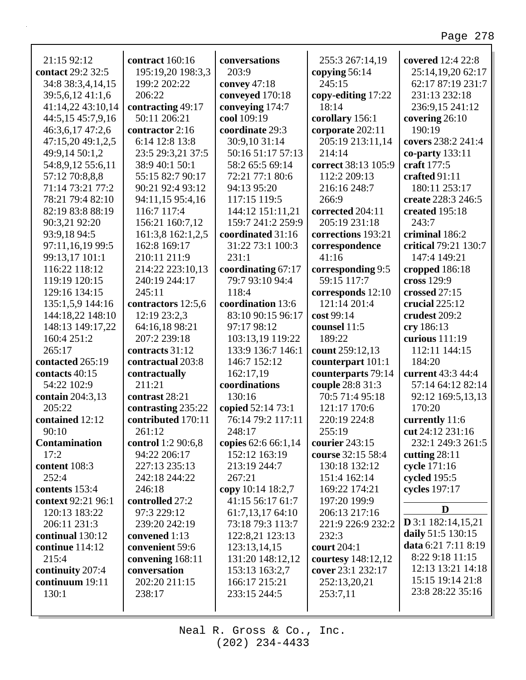٦

| 21:15 92:12        | contract 160:16    | conversations       | 255:3 267:14,19     | covered 12:4 22:8    |
|--------------------|--------------------|---------------------|---------------------|----------------------|
| contact 29:2 32:5  | 195:19,20 198:3,3  | 203:9               | copying 56:14       | 25:14,19,20 62:17    |
| 34:8 38:3,4,14,15  | 199:2 202:22       | convey $47:18$      | 245:15              | 62:17 87:19 231:7    |
| 39:5,6,12 41:1,6   | 206:22             | conveyed 170:18     | copy-editing 17:22  | 231:13 232:18        |
| 41:14,22 43:10,14  | contracting 49:17  | conveying 174:7     | 18:14               | 236:9,15 241:12      |
| 44:5,15 45:7,9,16  | 50:11 206:21       | cool 109:19         | corollary 156:1     | covering 26:10       |
| 46:3,6,17 47:2,6   | contractor 2:16    | coordinate 29:3     | corporate 202:11    | 190:19               |
| 47:15,20 49:1,2,5  | 6:14 12:8 13:8     | 30:9,10 31:14       | 205:19 213:11,14    | covers 238:2 241:4   |
| 49:9,14 50:1,2     | 23:5 29:3,21 37:5  | 50:16 51:17 57:13   | 214:14              | co-party 133:11      |
| 54:8,9,12 55:6,11  | 38:9 40:1 50:1     | 58:2 65:5 69:14     | correct 38:13 105:9 | craft 177:5          |
| 57:12 70:8,8,8     | 55:15 82:7 90:17   | 72:21 77:1 80:6     | 112:2 209:13        | crafted 91:11        |
| 71:14 73:21 77:2   | 90:21 92:4 93:12   | 94:13 95:20         | 216:16 248:7        | 180:11 253:17        |
| 78:21 79:4 82:10   | 94:11,15 95:4,16   | 117:15 119:5        | 266:9               | create 228:3 246:5   |
| 82:19 83:8 88:19   | 116:7 117:4        | 144:12 151:11,21    | corrected 204:11    | created 195:18       |
| 90:3,21 92:20      | 156:21 160:7,12    | 159:7 241:2 259:9   | 205:19 231:18       | 243:7                |
| 93:9,18 94:5       | 161:3,8 162:1,2,5  | coordinated 31:16   | corrections 193:21  | criminal 186:2       |
| 97:11,16,19 99:5   | 162:8 169:17       | 31:22 73:1 100:3    | correspondence      | critical 79:21 130:7 |
| 99:13,17 101:1     | 210:11 211:9       | 231:1               | 41:16               | 147:4 149:21         |
| 116:22 118:12      | 214:22 223:10,13   | coordinating 67:17  | corresponding 9:5   | cropped 186:18       |
| 119:19 120:15      | 240:19 244:17      | 79:7 93:10 94:4     | 59:15 117:7         | cross 129:9          |
| 129:16 134:15      | 245:11             | 118:4               | corresponds 12:10   | crossed 27:15        |
| 135:1,5,9 144:16   | contractors 12:5,6 | coordination 13:6   | 121:14 201:4        | crucial $225:12$     |
| 144:18,22 148:10   | 12:19 23:2,3       | 83:10 90:15 96:17   | cost 99:14          | crudest 209:2        |
| 148:13 149:17,22   | 64:16,18 98:21     | 97:17 98:12         | counsel 11:5        | cry 186:13           |
| 160:4 251:2        | 207:2 239:18       | 103:13,19 119:22    | 189:22              | curious 111:19       |
| 265:17             | contracts 31:12    | 133:9 136:7 146:1   | count 259:12,13     | 112:11 144:15        |
| contacted 265:19   | contractual 203:8  | 146:7 152:12        | counterpart 101:1   | 184:20               |
| contacts 40:15     | contractually      | 162:17,19           | counterparts 79:14  | current 43:3 44:4    |
| 54:22 102:9        | 211:21             | coordinations       | couple 28:8 31:3    | 57:14 64:12 82:14    |
| contain 204:3,13   | contrast 28:21     | 130:16              | 70:5 71:4 95:18     | 92:12 169:5,13,13    |
| 205:22             | contrasting 235:22 | copied 52:14 73:1   | 121:17 170:6        | 170:20               |
| contained 12:12    | contributed 170:11 | 76:14 79:2 117:11   | 220:19 224:8        | currently 11:6       |
| 90:10              | 261:12             | 248:17              | 255:19              | cut 24:12 231:16     |
| Contamination      | control 1:2 90:6,8 | copies 62:6 66:1,14 | courier 243:15      | 232:1 249:3 261:5    |
| 17:2               | 94:22 206:17       | 152:12 163:19       | course 32:15 58:4   | cutting $28:11$      |
| content 108:3      | 227:13 235:13      | 213:19 244:7        | 130:18 132:12       | cycle 171:16         |
| 252:4              | 242:18 244:22      | 267:21              | 151:4 162:14        | cycled 195:5         |
| contents 153:4     | 246:18             | copy 10:14 18:2,7   | 169:22 174:21       | cycles 197:17        |
| context 92:21 96:1 | controlled 27:2    | 41:15 56:17 61:7    | 197:20 199:9        |                      |
| 120:13 183:22      | 97:3 229:12        | 61:7,13,17 64:10    | 206:13 217:16       | D                    |
| 206:11 231:3       | 239:20 242:19      | 73:18 79:3 113:7    | 221:9 226:9 232:2   | $D$ 3:1 182:14,15,21 |
| continual 130:12   | convened 1:13      | 122:8,21 123:13     | 232:3               | daily 51:5 130:15    |
| continue 114:12    | convenient 59:6    | 123:13,14,15        | court 204:1         | data 6:21 7:11 8:19  |
| 215:4              | convening 168:11   | 131:20 148:12,12    | courtesy 148:12,12  | 8:22 9:18 11:15      |
| continuity 207:4   | conversation       | 153:13 163:2,7      | cover 23:1 232:17   | 12:13 13:21 14:18    |
| continuum 19:11    | 202:20 211:15      | 166:17 215:21       | 252:13,20,21        | 15:15 19:14 21:8     |
| 130:1              | 238:17             | 233:15 244:5        | 253:7,11            | 23:8 28:22 35:16     |
|                    |                    |                     |                     |                      |
|                    |                    |                     |                     |                      |

Г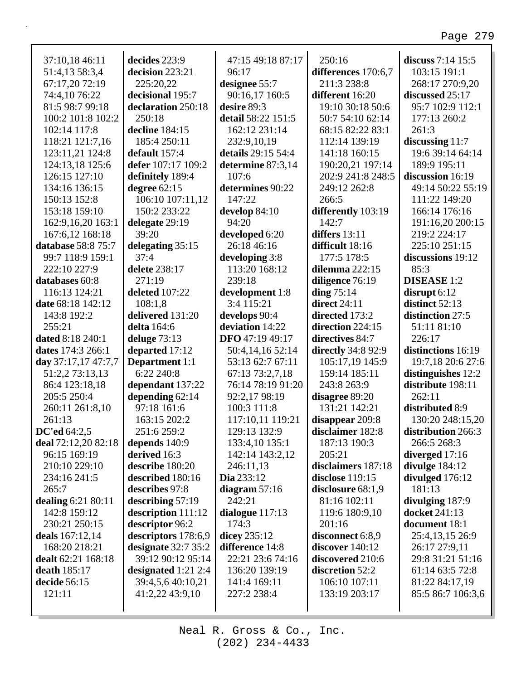| 37:10,18 46:11          | decides 223:9         | 47:15 49:18 87:17  | 250:16                 | discuss 7:14 15:5    |
|-------------------------|-----------------------|--------------------|------------------------|----------------------|
| 51:4,13 58:3,4          | decision 223:21       | 96:17              | differences 170:6,7    | 103:15 191:1         |
| 67:17,20 72:19          | 225:20,22             | designee 55:7      | 211:3 238:8            | 268:17 270:9,20      |
| 74:4,10 76:22           | decisional 195:7      | 90:16,17 160:5     | different 16:20        | discussed 25:17      |
| 81:5 98:7 99:18         | declaration 250:18    | desire 89:3        | 19:10 30:18 50:6       | 95:7 102:9 112:1     |
| 100:2 101:8 102:2       | 250:18                | detail 58:22 151:5 | 50:7 54:10 62:14       | 177:13 260:2         |
| 102:14 117:8            | decline 184:15        | 162:12 231:14      | 68:15 82:22 83:1       | 261:3                |
| 118:21 121:7,16         | 185:4 250:11          | 232:9,10,19        | 112:14 139:19          | discussing $11:7$    |
| 123:11,21 124:8         | default 157:4         | details 29:15 54:4 | 141:18 160:15          | 19:6 39:14 64:14     |
| 124:13,18 125:6         | defer 107:17 109:2    | determine 87:3,14  | 190:20,21 197:14       | 189:9 195:11         |
| 126:15 127:10           | definitely 189:4      | 107:6              | 202:9 241:8 248:5      | discussion 16:19     |
| 134:16 136:15           | degree $62:15$        | determines 90:22   | 249:12 262:8           | 49:14 50:22 55:19    |
| 150:13 152:8            | 106:10 107:11,12      | 147:22             | 266:5                  | 111:22 149:20        |
| 153:18 159:10           | 150:2 233:22          | develop $84:10$    | differently 103:19     | 166:14 176:16        |
| 162:9, 16, 20 163:1     | delegate 29:19        | 94:20              | 142:7                  | 191:16,20 200:15     |
| 167:6,12 168:18         | 39:20                 | developed 6:20     | differs $13:11$        | 219:2 224:17         |
| database 58:8 75:7      | delegating 35:15      | 26:18 46:16        | difficult 18:16        | 225:10 251:15        |
| 99:7 118:9 159:1        | 37:4                  | developing 3:8     | 177:5 178:5            | discussions 19:12    |
| 222:10 227:9            | delete 238:17         | 113:20 168:12      | dilemma 222:15         | 85:3                 |
| databases 60:8          | 271:19                | 239:18             | diligence 76:19        | <b>DISEASE</b> 1:2   |
| 116:13 124:21           | deleted 107:22        | development 1:8    | ding $75:14$           | disrupt $6:12$       |
| date 68:18 142:12       | 108:1,8               | 3:4 115:21         | <b>direct</b> 24:11    | distinct 52:13       |
| 143:8 192:2             | delivered 131:20      | develops 90:4      | directed 173:2         | distinction 27:5     |
| 255:21                  | delta 164:6           | deviation 14:22    | direction 224:15       | 51:11 81:10          |
| <b>dated 8:18 240:1</b> | deluge $73:13$        | DFO 47:19 49:17    | directives 84:7        | 226:17               |
| dates 174:3 266:1       | departed 17:12        | 50:4,14,16 52:14   | directly 34:8 92:9     | distinctions 16:19   |
| day 37:17,17 47:7,7     | <b>Department</b> 1:1 | 53:13 62:7 67:11   | 105:17,19 145:9        | 19:7,18 20:6 27:6    |
| 51:2,2 73:13,13         | 6:22 240:8            | 67:13 73:2,7,18    | 159:14 185:11          | distinguishes 12:2   |
| 86:4 123:18,18          | dependant 137:22      | 76:14 78:19 91:20  | 243:8 263:9            | distribute 198:11    |
| 205:5 250:4             | depending $62:14$     | 92:2,17 98:19      | disagree 89:20         | 262:11               |
| 260:11 261:8,10         | 97:18 161:6           | 100:3 111:8        | 131:21 142:21          | distributed 8:9      |
| 261:13                  | 163:15 202:2          | 117:10,11 119:21   | disappear 209:8        | 130:20 248:15,20     |
| DC'ed $64:2,5$          | 251:6 259:2           | 129:13 132:9       | disclaimer 182:8       | distribution 266:3   |
| deal 72:12,20 82:18     | depends $140:9$       | 133:4,10 135:1     | 187:13 190:3           | 266:5 268:3          |
| 96:15 169:19            | derived 16:3          | 142:14 143:2,12    | 205:21                 | diverged 17:16       |
| 210:10 229:10           | describe 180:20       | 246:11,13          | disclaimers 187:18     | divulge 184:12       |
| 234:16 241:5            | described 180:16      | Dia 233:12         | <b>disclose</b> 119:15 | divulged 176:12      |
| 265:7                   | describes 97:8        | diagram $57:16$    | disclosure 68:1,9      | 181:13               |
| dealing 6:21 80:11      | describing $57:19$    | 242:21             | 81:16 102:11           | divulging 187:9      |
| 142:8 159:12            | description 111:12    | dialogue $117:13$  | 119:6 180:9,10         | <b>docket</b> 241:13 |
| 230:21 250:15           | descriptor 96:2       | 174:3              | 201:16                 | document 18:1        |
| deals 167:12,14         | descriptors 178:6,9   | dicey 235:12       | disconnect 6:8,9       | 25:4,13,15 26:9      |
| 168:20 218:21           | designate 32:7 35:2   | difference 14:8    | discover 140:12        | 26:17 27:9,11        |
| dealt 62:21 168:18      | 39:12 90:12 95:14     | 22:21 23:6 74:16   | discovered 210:6       | 29:8 31:21 51:16     |
| <b>death</b> 185:17     | designated 1:21 2:4   | 136:20 139:19      | discretion 52:2        | 61:14 63:5 72:8      |
| decide 56:15            | 39:4,5,6 40:10,21     | 141:4 169:11       | 106:10 107:11          | 81:22 84:17,19       |
| 121:11                  | 41:2,22 43:9,10       | 227:2 238:4        | 133:19 203:17          | 85:5 86:7 106:3,6    |
|                         |                       |                    |                        |                      |
|                         |                       |                    |                        |                      |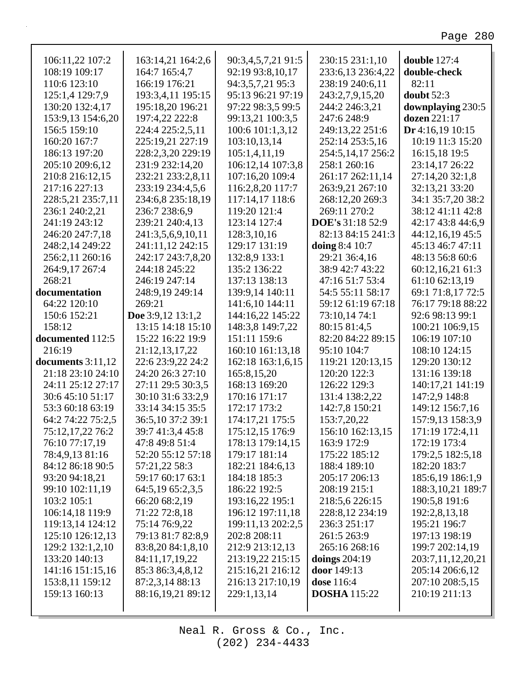| 106:11,22 107:2     | 163:14,21 164:2,6 | 90:3,4,5,7,21 91:5 | 230:15 231:1,10      | double 127:4        |
|---------------------|-------------------|--------------------|----------------------|---------------------|
| 108:19 109:17       | 164:7 165:4,7     | 92:19 93:8,10,17   | 233:6,13 236:4,22    | double-check        |
| 110:6 123:10        | 166:19 176:21     | 94:3,5,7,21 95:3   | 238:19 240:6,11      | 82:11               |
| 125:1,4 129:7,9     | 193:3,4,11 195:15 | 95:13 96:21 97:19  | 243:2,7,9,15,20      | doubt $52:3$        |
| 130:20 132:4,17     | 195:18,20 196:21  | 97:22 98:3,5 99:5  | 244:2 246:3,21       | downplaying 230:5   |
| 153:9,13 154:6,20   | 197:4,22 222:8    | 99:13,21 100:3,5   | 247:6 248:9          | dozen 221:17        |
| 156:5 159:10        | 224:4 225:2,5,11  | 100:6 101:1,3,12   | 249:13,22 251:6      | Dr 4:16,19 10:15    |
| 160:20 167:7        | 225:19,21 227:19  | 103:10,13,14       | 252:14 253:5,16      | 10:19 11:3 15:20    |
| 186:13 197:20       | 228:2,3,20 229:19 | 105:1,4,11,19      | 254:5,14,17 256:2    | 16:15,18 19:5       |
| 205:10 209:6,12     | 231:9 232:14,20   | 106:12,14 107:3,8  | 258:1 260:16         | 23:14,17 26:22      |
| 210:8 216:12,15     | 232:21 233:2,8,11 | 107:16,20 109:4    | 261:17 262:11,14     | 27:14,20 32:1,8     |
| 217:16 227:13       | 233:19 234:4,5,6  | 116:2,8,20 117:7   | 263:9,21 267:10      | 32:13,21 33:20      |
| 228:5,21 235:7,11   | 234:6,8 235:18,19 | 117:14,17 118:6    | 268:12,20 269:3      | 34:1 35:7,20 38:2   |
| 236:1 240:2,21      | 236:7 238:6,9     | 119:20 121:4       | 269:11 270:2         | 38:12 41:11 42:8    |
| 241:19 243:12       | 239:21 240:4,13   | 123:14 127:4       | DOE's 31:18 52:9     | 42:17 43:8 44:6,9   |
| 246:20 247:7,18     | 241:3,5,6,9,10,11 | 128:3,10,16        | 82:13 84:15 241:3    | 44:12,16,19 45:5    |
| 248:2,14 249:22     | 241:11,12 242:15  | 129:17 131:19      | doing 8:4 10:7       | 45:13 46:7 47:11    |
| 256:2,11 260:16     | 242:17 243:7,8,20 | 132:8,9 133:1      | 29:21 36:4,16        | 48:13 56:8 60:6     |
| 264:9,17 267:4      | 244:18 245:22     | 135:2 136:22       | 38:9 42:7 43:22      | 60:12,16,21 61:3    |
| 268:21              | 246:19 247:14     | 137:13 138:13      | 47:16 51:7 53:4      | 61:10 62:13,19      |
| documentation       | 248:9,19 249:14   | 139:9,14 140:11    | 54:5 55:11 58:17     | 69:1 71:8,17 72:5   |
| 64:22 120:10        | 269:21            | 141:6,10 144:11    | 59:12 61:19 67:18    | 76:17 79:18 88:22   |
| 150:6 152:21        | Doe 3:9,12 13:1,2 | 144:16,22 145:22   | 73:10,14 74:1        | 92:6 98:13 99:1     |
| 158:12              | 13:15 14:18 15:10 | 148:3,8 149:7,22   | 80:15 81:4,5         | 100:21 106:9,15     |
| documented 112:5    | 15:22 16:22 19:9  | 151:11 159:6       | 82:20 84:22 89:15    | 106:19 107:10       |
| 216:19              | 21:12,13,17,22    | 160:10 161:13,18   | 95:10 104:7          | 108:10 124:15       |
| documents $3:11,12$ | 22:6 23:9,22 24:2 | 162:18 163:1,6,15  | 119:21 120:13,15     | 129:20 130:12       |
| 21:18 23:10 24:10   | 24:20 26:3 27:10  | 165:8,15,20        | 120:20 122:3         | 131:16 139:18       |
| 24:11 25:12 27:17   | 27:11 29:5 30:3,5 | 168:13 169:20      | 126:22 129:3         | 140:17,21 141:19    |
| 30:6 45:10 51:17    | 30:10 31:6 33:2,9 | 170:16 171:17      | 131:4 138:2,22       | 147:2,9 148:8       |
| 53:3 60:18 63:19    | 33:14 34:15 35:5  | 172:17 173:2       | 142:7,8 150:21       | 149:12 156:7,16     |
| 64:2 74:22 75:2,5   | 36:5,10 37:2 39:1 | 174:17,21 175:5    | 153:7,20,22          | 157:9,13 158:3,9    |
| 75:12,17,22 76:2    | 39:7 41:3,4 45:8  | 175:12,15 176:9    | 156:10 162:13,15     | 171:19 172:4,11     |
| 76:10 77:17,19      | 47:8 49:8 51:4    | 178:13 179:14,15   | 163:9 172:9          | 172:19 173:4        |
| 78:4,9,13 81:16     | 52:20 55:12 57:18 | 179:17 181:14      | 175:22 185:12        | 179:2,5 182:5,18    |
| 84:12 86:18 90:5    | 57:21,22 58:3     | 182:21 184:6,13    | 188:4 189:10         | 182:20 183:7        |
| 93:20 94:18,21      | 59:17 60:17 63:1  | 184:18 185:3       | 205:17 206:13        | 185:6,19 186:1,9    |
| 99:10 102:11,19     | 64:5,19 65:2,3,5  | 186:22 192:5       | 208:19 215:1         | 188:3, 10, 21 189:7 |
| 103:2 105:1         | 66:20 68:2,19     | 193:16,22 195:1    | 218:5,6 226:15       | 190:5,8 191:6       |
| 106:14,18 119:9     | 71:22 72:8,18     | 196:12 197:11,18   | 228:8,12 234:19      | 192:2,8,13,18       |
| 119:13,14 124:12    | 75:14 76:9,22     | 199:11,13 202:2,5  | 236:3 251:17         | 195:21 196:7        |
| 125:10 126:12,13    | 79:13 81:7 82:8,9 | 202:8 208:11       | 261:5 263:9          | 197:13 198:19       |
| 129:2 132:1,2,10    | 83:8,20 84:1,8,10 | 212:9 213:12,13    | 265:16 268:16        | 199:7 202:14,19     |
| 133:20 140:13       | 84:11,17,19,22    | 213:19,22 215:15   | <b>doings</b> 204:19 | 203:7,11,12,20,21   |
| 141:16 151:15,16    | 85:3 86:3,4,8,12  | 215:16,21 216:12   | door 149:13          | 205:14 206:6,12     |
| 153:8,11 159:12     | 87:2,3,14 88:13   | 216:13 217:10,19   | <b>dose</b> 116:4    | 207:10 208:5,15     |
| 159:13 160:13       | 88:16,19,21 89:12 | 229:1,13,14        | <b>DOSHA</b> 115:22  | 210:19 211:13       |
|                     |                   |                    |                      |                     |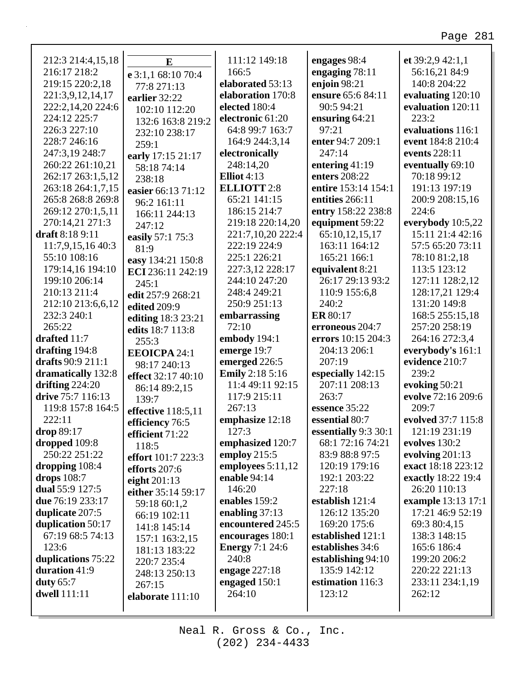| 212:3 214:4,15,18       | E                                  | 111:12 149:18          | engages 98:4         | et 39:2,9 42:1,1   |
|-------------------------|------------------------------------|------------------------|----------------------|--------------------|
| 216:17 218:2            | e 3:1,1 68:10 70:4                 | 166:5                  | engaging 78:11       | 56:16,21 84:9      |
| 219:15 220:2,18         | 77:8 271:13                        | elaborated 53:13       | enjoin $98:21$       | 140:8 204:22       |
| 221:3,9,12,14,17        | earlier 32:22                      | elaboration 170:8      | ensure 65:6 84:11    | evaluating 120:10  |
| 222:2,14,20 224:6       | 102:10 112:20                      | elected 180:4          | 90:5 94:21           | evaluation 120:11  |
| 224:12 225:7            | 132:6 163:8 219:2                  | electronic 61:20       | ensuring 64:21       | 223:2              |
| 226:3 227:10            | 232:10 238:17                      | 64:8 99:7 163:7        | 97:21                | evaluations 116:1  |
| 228:7 246:16            | 259:1                              | 164:9 244:3,14         | enter 94:7 209:1     | event 184:8 210:4  |
| 247:3,19 248:7          | early 17:15 21:17                  | electronically         | 247:14               | events 228:11      |
| 260:22 261:10,21        | 58:18 74:14                        | 248:14,20              | entering $41:19$     | eventually 69:10   |
| 262:17 263:1,5,12       | 238:18                             | Elliot $4:13$          | enters 208:22        | 70:18 99:12        |
| 263:18 264:1,7,15       | easier 66:13 71:12                 | <b>ELLIOTT 2:8</b>     | entire 153:14 154:1  | 191:13 197:19      |
| 265:8 268:8 269:8       | 96:2 161:11                        | 65:21 141:15           | entities 266:11      | 200:9 208:15,16    |
| 269:12 270:1,5,11       | 166:11 244:13                      | 186:15 214:7           | entry 158:22 238:8   | 224:6              |
| 270:14,21 271:3         | 247:12                             | 219:18 220:14,20       | equipment 59:22      | everybody 10:5,22  |
| draft 8:18 9:11         | easily 57:1 75:3                   | 221:7,10,20 222:4      | 65:10,12,15,17       | 15:11 21:4 42:16   |
| 11:7,9,15,16 40:3       | 81:9                               | 222:19 224:9           | 163:11 164:12        | 57:5 65:20 73:11   |
| 55:10 108:16            | easy 134:21 150:8                  | 225:1 226:21           | 165:21 166:1         | 78:10 81:2,18      |
| 179:14,16 194:10        | ECI 236:11 242:19                  | 227:3,12 228:17        | equivalent 8:21      | 113:5 123:12       |
| 199:10 206:14           | 245:1                              | 244:10 247:20          | 26:17 29:13 93:2     | 127:11 128:2,12    |
| 210:13 211:4            | edit 257:9 268:21                  | 248:4 249:21           | 110:9 155:6,8        | 128:17,21 129:4    |
| 212:10 213:6,6,12       | edited 209:9                       | 250:9 251:13           | 240:2                | 131:20 149:8       |
| 232:3 240:1             | editing 18:3 23:21                 | embarrassing           | <b>ER</b> 80:17      | 168:5 255:15,18    |
| 265:22                  | edits 18:7 113:8                   | 72:10                  | erroneous 204:7      | 257:20 258:19      |
| drafted 11:7            | 255:3                              | embody 194:1           | errors 10:15 204:3   | 264:16 272:3,4     |
| drafting $194:8$        | <b>EEOICPA 24:1</b>                | emerge 19:7            | 204:13 206:1         | everybody's 161:1  |
| drafts 90:9 211:1       | 98:17 240:13                       | emerged 226:5          | 207:19               | evidence 210:7     |
| dramatically 132:8      | effect 32:17 40:10                 | <b>Emily</b> 2:18 5:16 | especially 142:15    | 239:2              |
| drifting $224:20$       | 86:14 89:2,15                      | 11:4 49:11 92:15       | 207:11 208:13        | evoking 50:21      |
| drive 75:7 116:13       | 139:7                              | 117:9 215:11           | 263:7                | evolve 72:16 209:6 |
| 119:8 157:8 164:5       | effective 118:5,11                 | 267:13                 | essence 35:22        | 209:7              |
| 222:11                  |                                    | emphasize 12:18        | essential 80:7       | evolved 37:7 115:8 |
| drop 89:17              | efficiency 76:5<br>efficient 71:22 | 127:3                  | essentially 9:3 30:1 | 121:19 231:19      |
| dropped 109:8           | 118:5                              | emphasized 120:7       | 68:1 72:16 74:21     | evolves 130:2      |
| 250:22 251:22           | effort 101:7 223:3                 | employ $215:5$         | 83:9 88:8 97:5       | evolving $201:13$  |
| dropping 108:4          | efforts 207:6                      | employees $5:11,12$    | 120:19 179:16        | exact 18:18 223:12 |
| drops $108:7$           |                                    | enable 94:14           | 192:1 203:22         | exactly 18:22 19:4 |
| dual $55:9$ 127:5       | eight $201:13$                     | 146:20                 | 227:18               | 26:20 110:13       |
| <b>due</b> 76:19 233:17 | either 35:14 59:17                 | enables 159:2          | establish 121:4      | example 13:13 17:1 |
| duplicate 207:5         | 59:18 60:1,2                       | enabling $37:13$       | 126:12 135:20        | 17:21 46:9 52:19   |
| duplication 50:17       | 66:19 102:11                       | encountered 245:5      | 169:20 175:6         | 69:3 80:4,15       |
| 67:19 68:5 74:13        | 141:8 145:14                       | encourages 180:1       | established 121:1    | 138:3 148:15       |
| 123:6                   | 157:1 163:2,15                     | <b>Energy</b> 7:1 24:6 | establishes 34:6     | 165:6 186:4        |
| duplications 75:22      | 181:13 183:22                      | 240:8                  | establishing 94:10   | 199:20 206:2       |
| duration 41:9           | 220:7 235:4                        | engage 227:18          | 135:9 142:12         | 220:22 221:13      |
| duty $65:7$             | 248:13 250:13                      | engaged 150:1          | estimation 116:3     | 233:11 234:1,19    |
| <b>dwell</b> 111:11     | 267:15                             | 264:10                 | 123:12               | 262:12             |
|                         | elaborate 111:10                   |                        |                      |                    |
|                         |                                    |                        |                      |                    |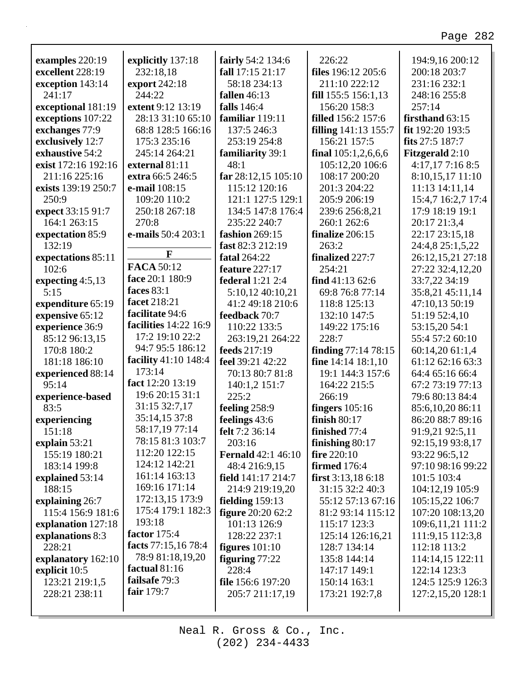| examples 220:19     | explicitly 137:18            | fairly 54:2 134:6         | 226:22                      | 194:9,16 200:12        |
|---------------------|------------------------------|---------------------------|-----------------------------|------------------------|
| excellent 228:19    | 232:18,18                    | fall 17:15 21:17          | files 196:12 205:6          | 200:18 203:7           |
| exception 143:14    | export 242:18                | 58:18 234:13              | 211:10 222:12               | 231:16 232:1           |
| 241:17              | 244:22                       | <b>fallen</b> 46:13       | fill 155:5 156:1,13         | 248:16 255:8           |
| exceptional 181:19  | extent 9:12 13:19            | falls 146:4               | 156:20 158:3                | 257:14                 |
| exceptions 107:22   | 28:13 31:10 65:10            | familiar 119:11           | <b>filled</b> 156:2 157:6   | firsthand 63:15        |
| exchanges 77:9      | 68:8 128:5 166:16            | 137:5 246:3               | <b>filling</b> 141:13 155:7 | fit 192:20 193:5       |
| exclusively 12:7    | 175:3 235:16                 | 253:19 254:8              | 156:21 157:5                | fits 27:5 187:7        |
| exhaustive 54:2     | 245:14 264:21                | familiarity 39:1          | final $105:1,2,6,6,6$       | <b>Fitzgerald</b> 2:10 |
| exist 172:16 192:16 | external 81:11               | 48:1                      | 105:12,20 106:6             | 4:17,177:168:5         |
| 211:16 225:16       | extra 66:5 246:5             | far 28:12,15 105:10       | 108:17 200:20               | 8:10,15,17 11:10       |
| exists 139:19 250:7 | e-mail 108:15                | 115:12 120:16             | 201:3 204:22                | 11:13 14:11,14         |
| 250:9               | 109:20 110:2                 | 121:1 127:5 129:1         | 205:9 206:19                | 15:4,7 16:2,7 17:4     |
| expect 33:15 91:7   | 250:18 267:18                | 134:5 147:8 176:4         | 239:6 256:8,21              | 17:9 18:19 19:1        |
| 164:1 263:15        | 270:8                        | 235:22 240:7              | 260:1 262:6                 | 20:17 21:3,4           |
| expectation 85:9    | e-mails 50:4 203:1           | fashion 269:15            | finalize 206:15             | 22:17 23:15,18         |
| 132:19              |                              | fast 82:3 212:19          | 263:2                       | 24:4,8 25:1,5,22       |
| expectations 85:11  | F                            | <b>fatal</b> 264:22       | finalized 227:7             | 26:12,15,21 27:18      |
| 102:6               | <b>FACA 50:12</b>            | <b>feature</b> 227:17     | 254:21                      | 27:22 32:4,12,20       |
| expecting $4:5,13$  | face 20:1 180:9              | <b>federal</b> 1:21 2:4   | find $41:13\,62:6$          | 33:7,22 34:19          |
| 5:15                | faces 83:1                   | 5:10,12 40:10,21          | 69:8 76:8 77:14             | 35:8,21 45:11,14       |
| expenditure 65:19   | facet 218:21                 | 41:2 49:18 210:6          | 118:8 125:13                | 47:10,13 50:19         |
| expensive 65:12     | facilitate 94:6              | feedback 70:7             | 132:10 147:5                | 51:19 52:4,10          |
| experience 36:9     | <b>facilities</b> 14:22 16:9 | 110:22 133:5              | 149:22 175:16               | 53:15,20 54:1          |
| 85:12 96:13,15      | 17:2 19:10 22:2              | 263:19,21 264:22          | 228:7                       | 55:4 57:2 60:10        |
| 170:8 180:2         | 94:7 95:5 186:12             | feeds 217:19              | <b>finding</b> 77:14 78:15  | 60:14,20 61:1,4        |
| 181:18 186:10       | facility 41:10 148:4         | feel 39:21 42:22          | fine $14:14$ $18:1,10$      | 61:12 62:16 63:3       |
| experienced 88:14   | 173:14                       | 70:13 80:7 81:8           | 19:1 144:3 157:6            | 64:4 65:16 66:4        |
| 95:14               | fact 12:20 13:19             | 140:1,2 151:7             | 164:22 215:5                | 67:2 73:19 77:13       |
| experience-based    | 19:6 20:15 31:1              | 225:2                     | 266:19                      | 79:6 80:13 84:4        |
| 83:5                | 31:15 32:7,17                | feeling 258:9             | fingers $105:16$            | 85:6,10,20 86:11       |
| experiencing        | 35:14,15 37:8                | feelings 43:6             | finish $80:17$              | 86:20 88:7 89:16       |
| 151:18              | 58:17,19 77:14               | felt 7:2 36:14            | finished $77:4$             | 91:9,21 92:5,11        |
| explain 53:21       | 78:15 81:3 103:7             | 203:16                    | finishing $80:17$           | 92:15,19 93:8,17       |
| 155:19 180:21       | 112:20 122:15                | <b>Fernald</b> 42:1 46:10 | <b>fire</b> $220:10$        | 93:22 96:5,12          |
| 183:14 199:8        | 124:12 142:21                | 48:4 216:9,15             | <b>firmed</b> 176:4         | 97:10 98:16 99:22      |
| explained 53:14     | 161:14 163:13                | field 141:17 214:7        | first $3:13,186:18$         | 101:5 103:4            |
| 188:15              | 169:16 171:14                | 214:9 219:19,20           | 31:15 32:2 40:3             | 104:12,19 105:9        |
| explaining 26:7     | 172:13,15 173:9              | fielding $159:13$         | 55:12 57:13 67:16           | 105:15,22 106:7        |
| 115:4 156:9 181:6   | 175:4 179:1 182:3            | <b>figure</b> 20:20 62:2  | 81:2 93:14 115:12           | 107:20 108:13,20       |
| explanation 127:18  | 193:18                       | 101:13 126:9              | 115:17 123:3                | 109:6,11,21 111:2      |
| explanations 8:3    | factor 175:4                 | 128:22 237:1              | 125:14 126:16,21            | 111:9,15 112:3,8       |
| 228:21              | facts 77:15,16 78:4          | figures $101:10$          | 128:7 134:14                | 112:18 113:2           |
| explanatory 162:10  | 78:9 81:18,19,20             | figuring $77:22$          | 135:8 144:14                | 114:14,15 122:11       |
| explicit 10:5       | factual $81:16$              | 228:4                     | 147:17 149:1                | 122:14 123:3           |
| 123:21 219:1,5      | failsafe 79:3                | file 156:6 197:20         | 150:14 163:1                | 124:5 125:9 126:3      |
| 228:21 238:11       | fair 179:7                   | 205:7 211:17,19           | 173:21 192:7,8              | 127:2,15,20 128:1      |
|                     |                              |                           |                             |                        |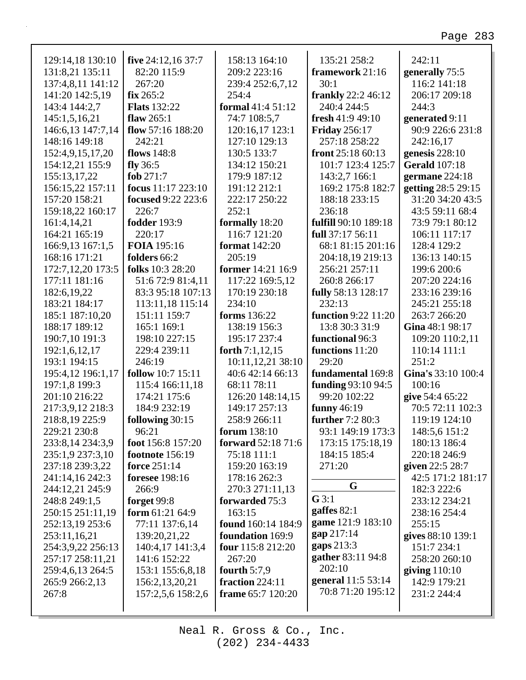٦

| 129:14,18 130:10<br>131:8,21 135:11  | five 24:12,16 37:7<br>82:20 115:9    | 158:13 164:10<br>209:2 223:16            | 135:21 258:2<br>framework 21:16          | 242:11<br>generally 75:5                 |
|--------------------------------------|--------------------------------------|------------------------------------------|------------------------------------------|------------------------------------------|
| 137:4,8,11 141:12                    | 267:20<br>fix 265:2                  | 239:4 252:6,7,12<br>254:4                | 30:1                                     | 116:2 141:18<br>206:17 209:18            |
| 141:20 142:5,19                      | <b>Flats</b> 132:22                  | formal 41:4 51:12                        | <b>frankly</b> 22:2 46:12<br>240:4 244:5 | 244:3                                    |
| 143:4 144:2,7                        | flaw $265:1$                         |                                          | fresh $41:949:10$                        |                                          |
| 145:1,5,16,21<br>146:6,13 147:7,14   | flow $57:16$ 188:20                  | 74:7 108:5,7<br>120:16,17 123:1          |                                          | generated 9:11<br>90:9 226:6 231:8       |
| 148:16 149:18                        | 242:21                               | 127:10 129:13                            | <b>Friday</b> 256:17<br>257:18 258:22    | 242:16,17                                |
|                                      | flows 148:8                          | 130:5 133:7                              | front $25:1860:13$                       |                                          |
| 152:4,9,15,17,20                     | fly $36:5$                           | 134:12 150:21                            | 101:7 123:4 125:7                        | genesis $228:10$<br><b>Gerald</b> 107:18 |
| 154:12,21 155:9<br>155:13,17,22      | fob 271:7                            | 179:9 187:12                             | 143:2,7 166:1                            | germane 224:18                           |
| 156:15,22 157:11                     | focus $11:17$ 223:10                 | 191:12 212:1                             | 169:2 175:8 182:7                        | getting 28:5 29:15                       |
|                                      |                                      |                                          |                                          | 31:20 34:20 43:5                         |
| 157:20 158:21                        | focused 9:22 223:6<br>226:7          | 222:17 250:22<br>252:1                   | 188:18 233:15                            |                                          |
| 159:18,22 160:17                     | <b>fodder</b> 193:9                  |                                          | 236:18<br>fulfill 90:10 189:18           | 43:5 59:11 68:4                          |
| 161:4,14,21                          |                                      | formally 18:20<br>116:7 121:20           |                                          | 73:9 79:1 80:12                          |
| 164:21 165:19                        | 220:17<br>FOIA 195:16                | <b>format</b> 142:20                     | full 37:17 56:11<br>68:1 81:15 201:16    | 106:11 117:17<br>128:4 129:2             |
| 166:9,13 167:1,5<br>168:16 171:21    | folders 66:2                         | 205:19                                   | 204:18,19 219:13                         | 136:13 140:15                            |
|                                      | folks 10:3 28:20                     | former 14:21 16:9                        | 256:21 257:11                            | 199:6 200:6                              |
| 172:7,12,20 173:5<br>177:11 181:16   | 51:6 72:9 81:4,11                    | 117:22 169:5,12                          | 260:8 266:17                             | 207:20 224:16                            |
| 182:6,19,22                          | 83:3 95:18 107:13                    | 170:19 230:18                            |                                          | 233:16 239:16                            |
| 183:21 184:17                        |                                      | 234:10                                   | fully 58:13 128:17<br>232:13             | 245:21 255:18                            |
|                                      | 113:11,18 115:14                     |                                          | <b>function</b> 9:22 11:20               |                                          |
| 185:1 187:10,20                      | 151:11 159:7                         | forms 136:22                             |                                          | 263:7 266:20                             |
| 188:17 189:12                        | 165:1 169:1                          | 138:19 156:3                             | 13:8 30:3 31:9                           | Gina 48:1 98:17                          |
| 190:7,10 191:3                       | 198:10 227:15                        | 195:17 237:4                             | functional 96:3                          | 109:20 110:2,11                          |
| 192:1,6,12,17                        | 229:4 239:11<br>246:19               | forth $7:1,12,15$                        | functions 11:20<br>29:20                 | 110:14 111:1<br>251:2                    |
| 193:1 194:15                         |                                      | 10:11,12,21 38:10<br>40:6 42:14 66:13    |                                          | Gina's 33:10 100:4                       |
| 195:4,12 196:1,17                    | <b>follow</b> 10:7 15:11             | 68:11 78:11                              | fundamental 169:8                        | 100:16                                   |
| 197:1,8 199:3                        | 115:4 166:11,18<br>174:21 175:6      |                                          | funding 93:10 94:5<br>99:20 102:22       |                                          |
| 201:10 216:22                        | 184:9 232:19                         | 126:20 148:14,15<br>149:17 257:13        | funny $46:19$                            | give 54:4 65:22                          |
| 217:3,9,12 218:3                     | following 30:15                      | 258:9 266:11                             |                                          | 70:5 72:11 102:3<br>119:19 124:10        |
| 218:8,19 225:9                       |                                      |                                          | further 7:2 80:3                         |                                          |
| 229:21 230:8                         | 96:21                                | forum 138:10                             | 93:1 149:19 173:3                        | 148:5,6 151:2                            |
| 233:8,14 234:3,9<br>235:1,9 237:3,10 | foot 156:8 157:20<br>footnote 156:19 | <b>forward</b> 52:18 71:6<br>75:18 111:1 | 173:15 175:18,19<br>184:15 185:4         | 180:13 186:4<br>220:18 246:9             |
|                                      | force 251:14                         |                                          | 271:20                                   |                                          |
| 237:18 239:3,22                      | <b>foresee</b> 198:16                | 159:20 163:19<br>178:16 262:3            |                                          | given 22:5 28:7<br>42:5 171:2 181:17     |
| 241:14,16 242:3                      | 266:9                                |                                          | G                                        |                                          |
| 244:12,21 245:9                      |                                      | 270:3 271:11,13                          | $G$ 3:1                                  | 182:3 222:6                              |
| 248:8 249:1,5                        | forget 99:8<br>form $61:2164:9$      | forwarded 75:3<br>163:15                 | gaffes $82:1$                            | 233:12 234:21<br>238:16 254:4            |
| 250:15 251:11,19                     |                                      | found 160:14 184:9                       | game 121:9 183:10                        | 255:15                                   |
| 252:13,19 253:6<br>253:11,16,21      | 77:11 137:6,14                       | foundation 169:9                         | gap 217:14                               |                                          |
|                                      | 139:20,21,22                         | four 115:8 212:20                        | gaps 213:3                               | gives 88:10 139:1<br>151:7 234:1         |
| 254:3,9,22 256:13                    | 140:4,17 141:3,4                     |                                          | gather 83:11 94:8                        |                                          |
| 257:17 258:11,21                     | 141:6 152:22                         | 267:20                                   | 202:10                                   | 258:20 260:10                            |
| 259:4,6,13 264:5                     | 153:1 155:6,8,18                     | fourth $5:7,9$<br>fraction 224:11        | general 11:5 53:14                       | giving $110:10$                          |
| 265:9 266:2,13                       | 156:2, 13, 20, 21                    |                                          | 70:8 71:20 195:12                        | 142:9 179:21                             |
| 267:8                                | 157:2,5,6 158:2,6                    | frame 65:7 120:20                        |                                          | 231:2 244:4                              |
|                                      |                                      |                                          |                                          |                                          |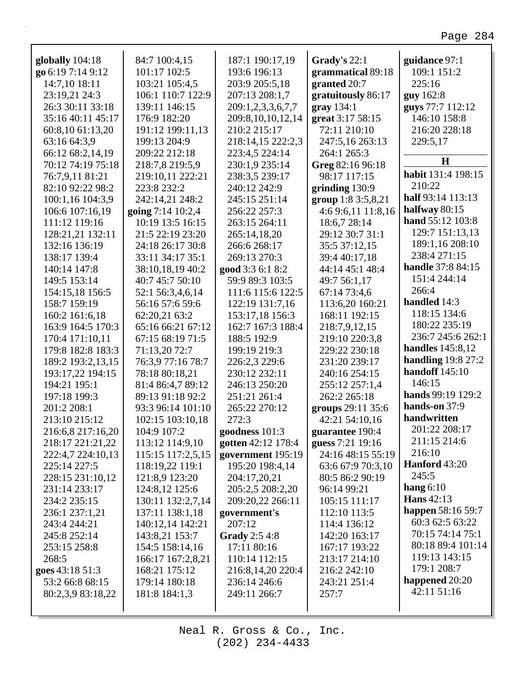| globally 104:18   | 84:7 100:4,15     | 187:1 190:17,19      | Grady's 22:1       | guidance 97:1            |
|-------------------|-------------------|----------------------|--------------------|--------------------------|
| go 6:19 7:14 9:12 | 101:17 102:5      | 193:6 196:13         | grammatical 89:18  | 109:1 151:2              |
| 14:7,10 18:11     | 103:21 105:4,5    | 203:9 205:5,18       | granted 20:7       | 225:16                   |
| 23:19,21 24:3     | 106:1 110:7 122:9 | 207:13 208:1,7       | gratuitously 86:17 | guy 162:8                |
| 26:3 30:11 33:18  | 139:11 146:15     | 209:1,2,3,3,6,7,7    | $grav$ 134:1       | guys 77:7 112:12         |
| 35:16 40:11 45:17 | 176:9 182:20      | 209:8,10,10,12,14    | great 3:17 58:15   | 146:10 158:8             |
| 60:8,10 61:13,20  | 191:12 199:11,13  | 210:2 215:17         | 72:11 210:10       | 216:20 228:18            |
| 63:16 64:3,9      | 199:13 204:9      | 218:14,15 222:2,3    | 247:5,16 263:13    | 229:5,17                 |
| 66:12 68:2,14,19  | 209:22 212:18     | 223:4,5 224:14       | 264:1 265:3        |                          |
| 70:12 74:19 75:18 | 218:7,8 219:5,9   | 230:1,9 235:14       | Greg 82:16 96:18   | $\mathbf H$              |
| 76:7,9,11 81:21   | 219:10,11 222:21  | 238:3,5 239:17       | 98:17 117:15       | habit 131:4 198:15       |
| 82:10 92:22 98:2  | 223:8 232:2       | 240:12 242:9         | grinding $130:9$   | 210:22                   |
| 100:1,16 104:3,9  | 242:14,21 248:2   | 245:15 251:14        | group 1:8 3:5,8,21 | half 93:14 113:13        |
| 106:6 107:16,19   | going 7:14 10:2,4 | 256:22 257:3         | 4:6 9:6,11 11:8,16 | halfway $80:15$          |
| 111:12 119:16     | 10:19 13:5 16:15  | 263:15 264:11        | 18:6,7 28:14       | hand 55:12 103:8         |
| 128:21,21 132:11  | 21:5 22:19 23:20  | 265:14,18,20         | 29:12 30:7 31:1    | 129:7 151:13,13          |
| 132:16 136:19     | 24:18 26:17 30:8  | 266:6 268:17         | 35:5 37:12,15      | 189:1,16 208:10          |
| 138:17 139:4      | 33:11 34:17 35:1  | 269:13 270:3         | 39:4 40:17,18      | 238:4 271:15             |
| 140:14 147:8      | 38:10,18,19 40:2  | good 3:3 6:1 8:2     | 44:14 45:1 48:4    | <b>handle</b> 37:8 84:15 |
| 149:5 153:14      | 40:7 45:7 50:10   | 59:9 89:3 103:5      | 49:7 56:1,17       | 151:4 244:14             |
| 154:15,18 156:5   | 52:1 56:3,4,6,14  | 111:6 115:6 122:5    | 67:14 73:4,6       | 266:4                    |
| 158:7 159:19      | 56:16 57:6 59:6   | 122:19 131:7,16      | 113:6,20 160:21    | handled 14:3             |
| 160:2 161:6,18    | 62:20,21 63:2     | 153:17,18 156:3      | 168:11 192:15      | 118:15 134:6             |
| 163:9 164:5 170:3 | 65:16 66:21 67:12 | 162:7 167:3 188:4    | 218:7,9,12,15      | 180:22 235:19            |
| 170:4 171:10,11   | 67:15 68:19 71:5  | 188:5 192:9          | 219:10 220:3,8     | 236:7 245:6 262:1        |
| 179:8 182:8 183:3 | 71:13,20 72:7     | 199:19 219:3         | 229:22 230:18      | <b>handles</b> 145:8,12  |
| 189:2 193:2,13,15 | 76:3,9 77:16 78:7 | 226:2,3 229:6        | 231:20 239:17      | handling $19:827:2$      |
| 193:17,22 194:15  | 78:18 80:18,21    | 230:12 232:11        | 240:16 254:15      | <b>handoff</b> 145:10    |
| 194:21 195:1      | 81:4 86:4,7 89:12 | 246:13 250:20        | 255:12 257:1,4     | 146:15                   |
| 197:18 199:3      | 89:13 91:18 92:2  | 251:21 261:4         | 262:2 265:18       | hands 99:19 129:2        |
| 201:2 208:1       | 93:3 96:14 101:10 | 265:22 270:12        | groups 29:11 35:6  | hands-on 37:9            |
| 213:10 215:12     | 102:15 103:10,18  | 272:3                | 42:21 54:10,16     | handwritten              |
| 216:6,8 217:16,20 | 104:9 107:2       | goodness 101:3       | guarantee 190:4    | 201:22 208:17            |
| 218:17 221:21,22  | 113:12 114:9,10   | gotten 42:12 178:4   | guess 7:21 19:16   | 211:15 214:6             |
| 222:4,7 224:10,13 | 115:15 117:2,5,15 | government 195:19    | 24:16 48:15 55:19  | 216:10                   |
| 225:14 227:5      | 118:19,22 119:1   | 195:20 198:4,14      | 63:6 67:9 70:3,10  | <b>Hanford</b> 43:20     |
| 228:15 231:10,12  | 121:8,9 123:20    | 204:17,20,21         | 80:5 86:2 90:19    | 245:5                    |
| 231:14 233:17     | 124:8,12 125:6    | 205:2,5 208:2,20     | 96:14 99:21        | hang $6:10$              |
| 234:2 235:15      | 130:11 132:2,7,14 | 209:20,22 266:11     | 105:15 111:17      | <b>Hans</b> 42:13        |
| 236:1 237:1,21    | 137:11 138:1,18   | government's         | 112:10 113:5       | happen 58:16 59:7        |
| 243:4 244:21      | 140:12,14 142:21  | 207:12               | 114:4 136:12       | 60:3 62:5 63:22          |
| 245:8 252:14      | 143:8,21 153:7    | <b>Grady</b> 2:5 4:8 | 142:20 163:17      | 70:15 74:14 75:1         |
| 253:15 258:8      | 154:5 158:14,16   | 17:11 80:16          | 167:17 193:22      | 80:18 89:4 101:14        |
| 268:5             | 166:17 167:2,8,21 | 110:14 112:15        | 213:17 214:10      | 119:13 143:15            |
| goes 43:18 51:3   | 168:21 175:12     | 216:8,14,20 220:4    | 216:2 242:10       | 179:1 208:7              |
| 53:2 66:8 68:15   | 179:14 180:18     | 236:14 246:6         | 243:21 251:4       | happened 20:20           |
| 80:2,3,9 83:18,22 | 181:8 184:1,3     | 249:11 266:7         | 257:7              | 42:11 51:16              |
|                   |                   |                      |                    |                          |
|                   |                   |                      |                    |                          |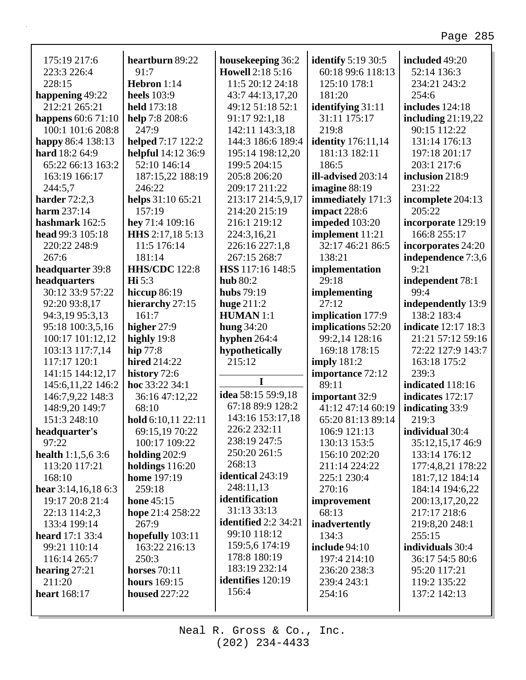| 175:19 217:6                | heartburn 89:22      | housekeeping 36:2        | <b>identify</b> 5:19 30:5 | included 49:20             |
|-----------------------------|----------------------|--------------------------|---------------------------|----------------------------|
| 223:3 226:4                 | 91:7                 | <b>Howell 2:18 5:16</b>  | 60:18 99:6 118:13         | 52:14 136:3                |
| 228:15                      | Hebron 1:14          | 11:5 20:12 24:18         | 125:10 178:1              | 234:21 243:2               |
| happening 49:22             | <b>heels</b> 103:9   | 43:7 44:13,17,20         | 181:20                    | 254:6                      |
| 212:21 265:21               | held 173:18          | 49:12 51:18 52:1         | <b>identifying</b> 31:11  | includes 124:18            |
| happens $60:671:10$         | help 7:8 208:6       | 91:17 92:1,18            | 31:11 175:17              | including $21:19,22$       |
| 100:1 101:6 208:8           | 247:9                | 142:11 143:3,18          | 219:8                     | 90:15 112:22               |
| happy 86:4 138:13           | helped 7:17 122:2    | 144:3 186:6 189:4        | <b>identity</b> 176:11,14 | 131:14 176:13              |
| hard 18:2 64:9              | helpful 14:12 36:9   | 195:14 198:12,20         | 181:13 182:11             | 197:18 201:17              |
| 65:22 66:13 163:2           | 52:10 146:14         | 199:5 204:15             | 186:5                     | 203:1 217:6                |
| 163:19 166:17               | 187:15,22 188:19     | 205:8 206:20             | ill-advised 203:14        | inclusion 218:9            |
| 244:5,7                     | 246:22               | 209:17 211:22            | imagine 88:19             | 231:22                     |
| harder $72:2,3$             | helps 31:10 65:21    | 213:17 214:5,9,17        | immediately 171:3         | incomplete 204:13          |
| <b>harm</b> 237:14          | 157:19               | 214:20 215:19            | impact 228:6              | 205:22                     |
| hashmark 162:5              | hey 71:4 109:16      | 216:1 219:12             | impeded 103:20            | incorporate 129:19         |
| head 99:3 105:18            | HHS 2:17,18 5:13     | 224:3,16,21              | implement 11:21           | 166:8 255:17               |
| 220:22 248:9                | 11:5 176:14          | 226:16 227:1,8           | 32:17 46:21 86:5          | incorporates 24:20         |
| 267:6                       | 181:14               | 267:15 268:7             | 138:21                    | independence 7:3,6         |
| headquarter 39:8            | <b>HHS/CDC</b> 122:8 | HSS 117:16 148:5         | implementation            | 9:21                       |
| headquarters                | $\mathbf{Hi} 5:3$    | <b>hub</b> 80:2          | 29:18                     | independent 78:1           |
| 30:12 33:9 57:22            | <b>hiccup 86:19</b>  | <b>hubs</b> 79:19        | implementing              | 99:4                       |
| 92:20 93:8,17               | hierarchy 27:15      | huge $211:2$             | 27:12                     | independently 13:9         |
| 94:3,19 95:3,13             | 161:7                | <b>HUMAN</b> 1:1         | implication 177:9         | 138:2 183:4                |
| 95:18 100:3,5,16            | higher 27:9          | <b>hung 34:20</b>        | implications 52:20        | <b>indicate</b> 12:17 18:3 |
| 100:17 101:12,12            | highly 19:8          | hyphen 264:4             | 99:2,14 128:16            | 21:21 57:12 59:16          |
|                             |                      |                          |                           |                            |
| 103:13 117:7,14             | hip $77:8$           | hypothetically           | 169:18 178:15             | 72:22 127:9 143:7          |
| 117:17 120:1                | hired 214:22         | 215:12                   | imply $181:2$             | 163:18 175:2               |
| 141:15 144:12,17            | history 72:6         | I                        | importance 72:12          | 239:3                      |
| 145:6,11,22 146:2           | hoc 33:22 34:1       | idea 58:15 59:9,18       | 89:11                     | indicated 118:16           |
| 146:7,9,22 148:3            | 36:16 47:12,22       | 67:18 89:9 128:2         | important 32:9            | indicates 172:17           |
| 148:9,20 149:7              | 68:10                | 143:16 153:17,18         | 41:12 47:14 60:19         | indicating 33:9            |
| 151:3 248:10                | hold 6:10,11 22:11   | 226:2 232:11             | 65:20 81:13 89:14         | 219:3                      |
| headquarter's               | 69:15,19 70:22       | 238:19 247:5             | 106:9 121:13              | individual 30:4            |
| 97:22                       | 100:17 109:22        | 250:20 261:5             | 130:13 153:5              | 35:12,15,17 46:9           |
| <b>health</b> $1:1,5,6,3:6$ | holding 202:9        | 268:13                   | 156:10 202:20             | 133:14 176:12              |
| 113:20 117:21               | holdings 116:20      | identical 243:19         | 211:14 224:22             | 177:4,8,21 178:22          |
| 168:10                      | home 197:19          |                          | 225:1 230:4               | 181:7,12 184:14            |
| hear $3:14,16,186:3$        | 259:18               | 248:11,13                | 270:16                    | 184:14 194:6,22            |
| 19:17 20:8 21:4             | hone $45:15$         | identification           | improvement               | 200:13,17,20,22            |
| 22:13 114:2,3               | hope 21:4 258:22     | 31:13 33:13              | 68:13                     | 217:17 218:6               |
| 133:4 199:14                | 267:9                | identified $2:2$ 34:21   | inadvertently             | 219:8,20 248:1             |
| <b>heard</b> 17:1 33:4      | hopefully 103:11     | 99:10 118:12             | 134:3                     | 255:15                     |
| 99:21 110:14                | 163:22 216:13        | 159:5,6 174:19           | include 94:10             | individuals 30:4           |
| 116:14 265:7                | 250:3                | 178:8 180:19             | 197:4 214:10              | 36:17 54:5 80:6            |
| hearing $27:21$             | horses $70:11$       | 183:19 232:14            | 236:20 238:3              | 95:20 117:21               |
| 211:20                      | <b>hours</b> 169:15  | <b>identifies</b> 120:19 | 239:4 243:1               | 119:2 135:22               |
| <b>heart</b> 168:17         | <b>housed</b> 227:22 | 156:4                    | 254:16                    | 137:2 142:13               |
|                             |                      |                          |                           |                            |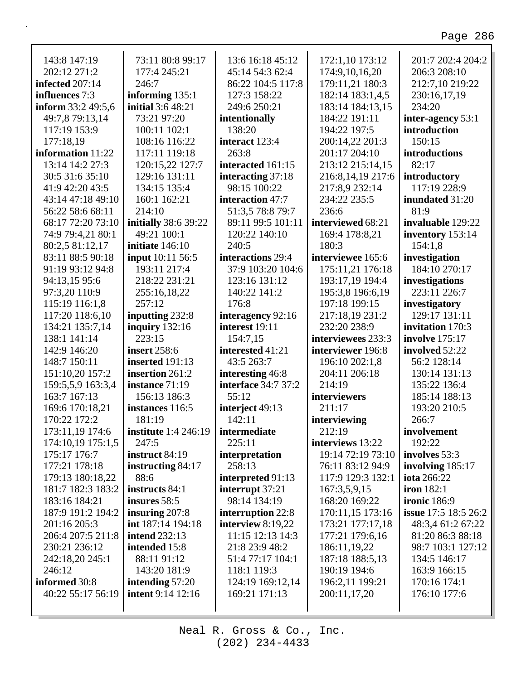٦

| 143:8 147:19       | 73:11 80:8 99:17            | 13:6 16:18 45:12           | 172:1,10 173:12    | 201:7 202:4 204:2           |
|--------------------|-----------------------------|----------------------------|--------------------|-----------------------------|
| 202:12 271:2       | 177:4 245:21                | 45:14 54:3 62:4            | 174:9,10,16,20     | 206:3 208:10                |
| infected 207:14    | 246:7                       | 86:22 104:5 117:8          | 179:11,21 180:3    | 212:7,10 219:22             |
| influences 7:3     | informing 135:1             | 127:3 158:22               | 182:14 183:1,4,5   | 230:16,17,19                |
| inform 33:2 49:5,6 | <b>initial</b> 3:6 48:21    | 249:6 250:21               | 183:14 184:13,15   | 234:20                      |
| 49:7,8 79:13,14    | 73:21 97:20                 | intentionally              | 184:22 191:11      | inter-agency 53:1           |
| 117:19 153:9       | 100:11 102:1                | 138:20                     | 194:22 197:5       | introduction                |
| 177:18,19          | 108:16 116:22               | interact 123:4             | 200:14,22 201:3    | 150:15                      |
| information 11:22  | 117:11 119:18               | 263:8                      | 201:17 204:10      | introductions               |
| 13:14 14:2 27:3    | 120:15,22 127:7             | interacted 161:15          | 213:12 215:14,15   | 82:17                       |
| 30:5 31:6 35:10    | 129:16 131:11               | interacting 37:18          | 216:8,14,19 217:6  | introductory                |
| 41:9 42:20 43:5    | 134:15 135:4                | 98:15 100:22               | 217:8,9 232:14     | 117:19 228:9                |
| 43:14 47:18 49:10  | 160:1 162:21                | interaction 47:7           | 234:22 235:5       | inundated 31:20             |
| 56:22 58:6 68:11   | 214:10                      | 51:3,5 78:8 79:7           | 236:6              | 81:9                        |
| 68:17 72:20 73:10  | initially 38:6 39:22        | 89:11 99:5 101:11          | interviewed 68:21  | invaluable 129:22           |
| 74:9 79:4,21 80:1  | 49:21 100:1                 | 120:22 140:10              | 169:4 178:8,21     | inventory 153:14            |
| 80:2,5 81:12,17    | initiate 146:10             | 240:5                      | 180:3              | 154:1,8                     |
| 83:11 88:5 90:18   | <b>input</b> 10:11 56:5     | interactions 29:4          | interviewee 165:6  | investigation               |
| 91:19 93:12 94:8   | 193:11 217:4                | 37:9 103:20 104:6          | 175:11,21 176:18   | 184:10 270:17               |
| 94:13,15 95:6      | 218:22 231:21               | 123:16 131:12              | 193:17,19 194:4    | investigations              |
| 97:3,20 110:9      | 255:16,18,22                | 140:22 141:2               | 195:3,8 196:6,19   | 223:11 226:7                |
| 115:19 116:1,8     | 257:12                      | 176:8                      | 197:18 199:15      | investigatory               |
| 117:20 118:6,10    | inputting 232:8             | interagency 92:16          | 217:18,19 231:2    | 129:17 131:11               |
| 134:21 135:7,14    | inquiry $132:16$            | interest 19:11             | 232:20 238:9       | invitation 170:3            |
| 138:1 141:14       | 223:15                      | 154:7,15                   | interviewees 233:3 | <b>involve</b> 175:17       |
| 142:9 146:20       | <b>insert</b> 258:6         | interested 41:21           | interviewer 196:8  | involved 52:22              |
| 148:7 150:11       | inserted 191:13             | 43:5 263:7                 | 196:10 202:1,8     | 56:2 128:14                 |
| 151:10,20 157:2    | insertion 261:2             | interesting 46:8           | 204:11 206:18      | 130:14 131:13               |
| 159:5,5,9 163:3,4  | instance 71:19              | <b>interface</b> 34:7 37:2 | 214:19             | 135:22 136:4                |
| 163:7 167:13       | 156:13 186:3                | 55:12                      | interviewers       | 185:14 188:13               |
| 169:6 170:18,21    | instances 116:5             | interject 49:13            | 211:17             | 193:20 210:5                |
| 170:22 172:2       | 181:19                      | 142:11                     | interviewing       | 266:7                       |
| 173:11,19 174:6    | <b>institute</b> 1:4 246:19 | intermediate               | 212:19             | involvement                 |
| 174:10,19 175:1,5  | 247:5                       | 225:11                     | interviews 13:22   | 192:22                      |
| 175:17 176:7       | instruct 84:19              | interpretation             | 19:14 72:19 73:10  | involves 53:3               |
| 177:21 178:18      | instructing 84:17           | 258:13                     | 76:11 83:12 94:9   | involving 185:17            |
| 179:13 180:18,22   | 88:6                        | interpreted 91:13          | 117:9 129:3 132:1  | <b>iota</b> 266:22          |
| 181:7 182:3 183:2  | instructs 84:1              | interrupt 37:21            | 167:3,5,9,15       | <b>iron</b> 182:1           |
| 183:16 184:21      | insures 58:5                | 98:14 134:19               | 168:20 169:22      | <b>ironic</b> 186:9         |
| 187:9 191:2 194:2  | insuring $207:8$            | interruption 22:8          | 170:11,15 173:16   | <b>issue</b> 17:5 18:5 26:2 |
| 201:16 205:3       | int 187:14 194:18           | interview 8:19,22          | 173:21 177:17,18   | 48:3,4 61:2 67:22           |
| 206:4 207:5 211:8  | <b>intend 232:13</b>        | 11:15 12:13 14:3           | 177:21 179:6,16    | 81:20 86:3 88:18            |
| 230:21 236:12      | intended 15:8               | 21:8 23:9 48:2             | 186:11,19,22       | 98:7 103:1 127:12           |
| 242:18,20 245:1    | 88:11 91:12                 | 51:4 77:17 104:1           | 187:18 188:5,13    | 134:5 146:17                |
| 246:12             | 143:20 181:9                | 118:1 119:3                | 190:19 194:6       | 163:9 166:15                |
| informed 30:8      | intending $57:20$           | 124:19 169:12,14           | 196:2,11 199:21    | 170:16 174:1                |
| 40:22 55:17 56:19  | <b>intent</b> 9:14 12:16    | 169:21 171:13              | 200:11,17,20       | 176:10 177:6                |
|                    |                             |                            |                    |                             |
|                    |                             |                            |                    |                             |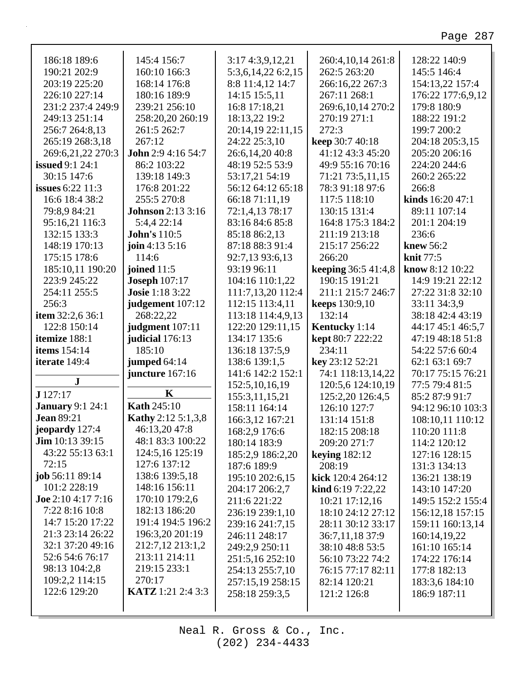| 186:18 189:6              | 145:4 156:7               | 3:17 4:3,9,12,21   | 260:4,10,14 261:8        | 128:22 140:9      |
|---------------------------|---------------------------|--------------------|--------------------------|-------------------|
| 190:21 202:9              | 160:10 166:3              | 5:3,6,14,22 6:2,15 | 262:5 263:20             | 145:5 146:4       |
| 203:19 225:20             | 168:14 176:8              | 8:8 11:4,12 14:7   | 266:16,22 267:3          | 154:13,22 157:4   |
| 226:10 227:14             | 180:16 189:9              | 14:15 15:5,11      | 267:11 268:1             | 176:22 177:6,9,12 |
| 231:2 237:4 249:9         | 239:21 256:10             | 16:8 17:18,21      | 269:6,10,14 270:2        | 179:8 180:9       |
| 249:13 251:14             | 258:20,20 260:19          | 18:13,22 19:2      | 270:19 271:1             | 188:22 191:2      |
| 256:7 264:8,13            | 261:5 262:7               | 20:14,19 22:11,15  | 272:3                    | 199:7 200:2       |
| 265:19 268:3,18           | 267:12                    | 24:22 25:3,10      | keep 30:7 40:18          | 204:18 205:3,15   |
| 269:6,21,22 270:3         | <b>John</b> 2:9 4:16 54:7 | 26:6,14,20 40:8    | 41:12 43:3 45:20         | 205:20 206:16     |
| <b>issued</b> 9:1 24:1    | 86:2 103:22               | 48:19 52:5 53:9    | 49:9 55:16 70:16         | 224:20 244:6      |
| 30:15 147:6               | 139:18 149:3              | 53:17,21 54:19     | 71:21 73:5,11,15         | 260:2 265:22      |
| <b>issues</b> 6:22 11:3   | 176:8 201:22              | 56:12 64:12 65:18  | 78:3 91:18 97:6          | 266:8             |
| 16:6 18:4 38:2            | 255:5 270:8               | 66:18 71:11,19     | 117:5 118:10             | kinds 16:20 47:1  |
| 79:8,9 84:21              | <b>Johnson</b> 2:13 3:16  | 72:1,4,13 78:17    | 130:15 131:4             | 89:11 107:14      |
| 95:16,21 116:3            | 5:4,4 22:14               | 83:16 84:6 85:8    | 164:8 175:3 184:2        | 201:1 204:19      |
| 132:15 133:3              | <b>John's 110:5</b>       | 85:18 86:2,13      | 211:19 213:18            | 236:6             |
| 148:19 170:13             | join 4:13 $5:16$          | 87:18 88:3 91:4    | 215:17 256:22            | knew $56:2$       |
| 175:15 178:6              | 114:6                     | 92:7,13 93:6,13    | 266:20                   | <b>knit</b> 77:5  |
| 185:10,11 190:20          | joined $11:5$             | 93:19 96:11        | keeping 36:5 41:4,8      | know 8:12 10:22   |
| 223:9 245:22              | <b>Joseph 107:17</b>      | 104:16 110:1,22    | 190:15 191:21            | 14:9 19:21 22:12  |
| 254:11 255:5              | <b>Josie</b> 1:18 3:22    | 111:7,13,20 112:4  | 211:1 215:7 246:7        | 27:22 31:8 32:10  |
| 256:3                     | judgement 107:12          | 112:15 113:4,11    | <b>keeps</b> 130:9,10    | 33:11 34:3,9      |
| item 32:2,6 36:1          | 268:22,22                 | 113:18 114:4,9,13  | 132:14                   | 38:18 42:4 43:19  |
| 122:8 150:14              | judgment 107:11           | 122:20 129:11,15   | Kentucky 1:14            | 44:17 45:1 46:5,7 |
| itemize 188:1             | judicial 176:13           | 134:17 135:6       | <b>kept</b> 80:7 222:22  | 47:19 48:18 51:8  |
| <b>items</b> 154:14       | 185:10                    | 136:18 137:5,9     | 234:11                   | 54:22 57:6 60:4   |
| iterate 149:4             | jumped 64:14              | 138:6 139:1,5      | key 23:12 52:21          | 62:1 63:1 69:7    |
| ${\bf J}$                 | juncture 167:16           | 141:6 142:2 152:1  | 74:1 118:13,14,22        | 70:17 75:15 76:21 |
|                           | K                         | 152:5, 10, 16, 19  | 120:5,6 124:10,19        | 77:5 79:4 81:5    |
| J 127:17                  |                           | 155:3,11,15,21     | 125:2,20 126:4,5         | 85:2 87:9 91:7    |
| <b>January 9:1 24:1</b>   | <b>Kath 245:10</b>        | 158:11 164:14      | 126:10 127:7             | 94:12 96:10 103:3 |
| <b>Jean 89:21</b>         | <b>Kathy</b> 2:12 5:1,3,8 | 166:3,12 167:21    | 131:14 151:8             | 108:10,11 110:12  |
| jeopardy 127:4            | 46:13,20 47:8             | 168:2,9 176:6      | 182:15 208:18            | 110:20 111:8      |
| Jim 10:13 39:15           | 48:1 83:3 100:22          | 180:14 183:9       | 209:20 271:7             | 114:2 120:12      |
| 43:22 55:13 63:1          | 124:5,16 125:19           | 185:2,9 186:2,20   | keying $182:12$          | 127:16 128:15     |
| 72:15                     | 127:6 137:12              | 187:6 189:9        | 208:19                   | 131:3 134:13      |
| job 56:11 89:14           | 138:6 139:5,18            | 195:10 202:6,15    | kick 120:4 264:12        | 136:21 138:19     |
| 101:2 228:19              | 148:16 156:11             | 204:17 206:2,7     | <b>kind</b> 6:19 7:22,22 | 143:10 147:20     |
| <b>Joe</b> 2:10 4:17 7:16 | 170:10 179:2,6            | 211:6 221:22       | 10:21 17:12,16           | 149:5 152:2 155:4 |
| 7:22 8:16 10:8            | 182:13 186:20             | 236:19 239:1,10    | 18:10 24:12 27:12        | 156:12,18 157:15  |
| 14:7 15:20 17:22          | 191:4 194:5 196:2         | 239:16 241:7,15    | 28:11 30:12 33:17        | 159:11 160:13,14  |
| 21:3 23:14 26:22          | 196:3,20 201:19           | 246:11 248:17      | 36:7,11,18 37:9          | 160:14,19,22      |
| 32:1 37:20 49:16          | 212:7,12 213:1,2          | 249:2,9 250:11     | 38:10 48:8 53:5          | 161:10 165:14     |
| 52:6 54:6 76:17           | 213:11 214:11             | 251:5,16 252:10    | 56:10 73:22 74:2         | 174:22 176:14     |
| 98:13 104:2,8             | 219:15 233:1              | 254:13 255:7,10    | 76:15 77:17 82:11        | 177:8 182:13      |
| 109:2,2 114:15            | 270:17                    | 257:15,19 258:15   | 82:14 120:21             | 183:3,6 184:10    |
| 122:6 129:20              | <b>KATZ</b> 1:21 2:4 3:3  | 258:18 259:3,5     | 121:2 126:8              | 186:9 187:11      |
|                           |                           |                    |                          |                   |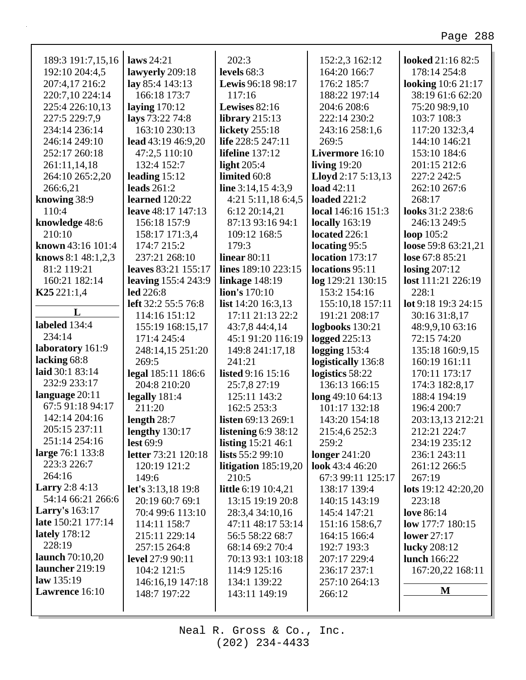| 189:3 191:7,15,16       | laws $24:21$               | 202:3                      | 152:2,3 162:12            | looked 21:16 82:5         |
|-------------------------|----------------------------|----------------------------|---------------------------|---------------------------|
| 192:10 204:4,5          | lawyerly 209:18            | levels $68:3$              | 164:20 166:7              | 178:14 254:8              |
| 207:4,17 216:2          | lay 85:4 143:13            | Lewis 96:18 98:17          | 176:2 185:7               | <b>looking</b> 10:6 21:17 |
| 220:7,10 224:14         | 166:18 173:7               | 117:16                     | 188:22 197:14             | 38:19 61:6 62:20          |
| 225:4 226:10.13         | laying $170:12$            | Lewises 82:16              | 204:6 208:6               | 75:20 98:9,10             |
| 227:5 229:7,9           | lays 73:22 74:8            | library $215:13$           | 222:14 230:2              | 103:7 108:3               |
| 234:14 236:14           | 163:10 230:13              | lickety 255:18             | 243:16 258:1,6            | 117:20 132:3,4            |
| 246:14 249:10           | lead $43:19\,46:9,20$      | life 228:5 247:11          | 269:5                     | 144:10 146:21             |
| 252:17 260:18           | 47:2,5 110:10              | lifeline 137:12            | Livermore 16:10           | 153:10 184:6              |
| 261:11,14,18            | 132:4 152:7                | light $205:4$              | living $19:20$            | 201:15 212:6              |
| 264:10 265:2,20         | leading $15:12$            | limited 60:8               | <b>Lloyd</b> 2:17 5:13,13 | 227:2 242:5               |
| 266:6,21                | leads $261:2$              | line $3:14,154:3,9$        | <b>load</b> 42:11         | 262:10 267:6              |
| knowing 38:9            | learned 120:22             | 4:21 5:11,18 6:4,5         | <b>loaded</b> 221:2       | 268:17                    |
| 110:4                   | leave 48:17 147:13         | 6:12 20:14,21              | local 146:16 151:3        | looks 31:2 238:6          |
| knowledge 48:6          | 156:18 157:9               | 87:13 93:16 94:1           | <b>locally</b> 163:19     | 246:13 249:5              |
| 210:10                  | 158:17 171:3,4             | 109:12 168:5               | located 226:1             | loop 105:2                |
| known 43:16 101:4       | 174:7 215:2                | 179:3                      | locating 95:5             | loose 59:8 63:21,21       |
| knows $8:1, 48:1, 2, 3$ | 237:21 268:10              | linear $80:11$             | location 173:17           | lose 67:8 85:21           |
| 81:2 119:21             | leaves 83:21 155:17        | lines 189:10 223:15        | locations 95:11           | losing $207:12$           |
| 160:21 182:14           | <b>leaving</b> 155:4 243:9 | linkage $148:19$           | log 129:21 130:15         | lost 111:21 226:19        |
| K25221:1,4              | <b>led</b> 226:8           | lion's 170:10              | 153:2 154:16              | 228:1                     |
|                         | left 32:2 55:5 76:8        | list $14:20$ $16:3,13$     | 155:10,18 157:11          | lot 9:18 19:3 24:15       |
| L                       | 114:16 151:12              | 17:11 21:13 22:2           | 191:21 208:17             | 30:16 31:8,17             |
| labeled 134:4           | 155:19 168:15,17           | 43:7,8 44:4,14             | logbooks 130:21           | 48:9,9,10 63:16           |
| 234:14                  | 171:4 245:4                | 45:1 91:20 116:19          | <b>logged</b> 225:13      | 72:15 74:20               |
| laboratory 161:9        | 248:14,15 251:20           | 149:8 241:17,18            | logging $153:4$           | 135:18 160:9,15           |
| lacking 68:8            | 269:5                      | 241:21                     | logistically 136:8        | 160:19 161:11             |
| laid 30:1 83:14         | legal 185:11 186:6         | listed 9:16 15:16          | logistics 58:22           | 170:11 173:17             |
| 232:9 233:17            | 204:8 210:20               | 25:7,8 27:19               | 136:13 166:15             | 174:3 182:8,17            |
| language $20:11$        | legally 181:4              | 125:11 143:2               | long 49:10 64:13          | 188:4 194:19              |
| 67:5 91:18 94:17        | 211:20                     | 162:5 253:3                | 101:17 132:18             | 196:4 200:7               |
| 142:14 204:16           | length $28:7$              | <b>listen</b> 69:13 269:1  | 143:20 154:18             | 203:13,13 212:21          |
| 205:15 237:11           | <b>lengthy</b> 130:17      | listening 6:9 38:12        | 215:4,6 252:3             | 212:21 224:7              |
| 251:14 254:16           | lest $69:9$                | listing $15:21\,46:1$      | 259:2                     | 234:19 235:12             |
| large 76:1 133:8        | <b>letter</b> 73:21 120:18 | lists $55:299:10$          | longer $241:20$           | 236:1 243:11              |
| 223:3 226:7             | 120:19 121:2               | litigation $185:19,20$     | look 43:4 46:20           | 261:12 266:5              |
| 264:16                  | 149:6                      | 210:5                      | 67:3 99:11 125:17         | 267:19                    |
| <b>Larry</b> 2:8 4:13   | <b>let's</b> 3:13,18 19:8  | <b>little</b> 6:19 10:4,21 | 138:17 139:4              | lots $19:12\,42:20,20$    |
| 54:14 66:21 266:6       | 20:19 60:7 69:1            | 13:15 19:19 20:8           | 140:15 143:19             | 223:18                    |
| <b>Larry's</b> 163:17   | 70:4 99:6 113:10           | 28:3,4 34:10,16            | 145:4 147:21              | <b>love</b> 86:14         |
| late 150:21 177:14      | 114:11 158:7               | 47:11 48:17 53:14          | 151:16 158:6,7            | low 177:7 180:15          |
| <b>lately</b> 178:12    | 215:11 229:14              | 56:5 58:22 68:7            | 164:15 166:4              | lower $27:17$             |
| 228:19                  | 257:15 264:8               | 68:14 69:2 70:4            | 192:7 193:3               | <b>lucky</b> 208:12       |
| launch $70:10,20$       | <b>level</b> 27:9 90:11    | 70:13 93:1 103:18          | 207:17 229:4              | lunch 166:22              |
| launcher 219:19         | 104:2 121:5                | 114:9 125:16               | 236:17 237:1              | 167:20,22 168:11          |
| law 135:19              | 146:16,19 147:18           | 134:1 139:22               | 257:10 264:13             |                           |
| Lawrence 16:10          | 148:7 197:22               | 143:11 149:19              | 266:12                    | M                         |
|                         |                            |                            |                           |                           |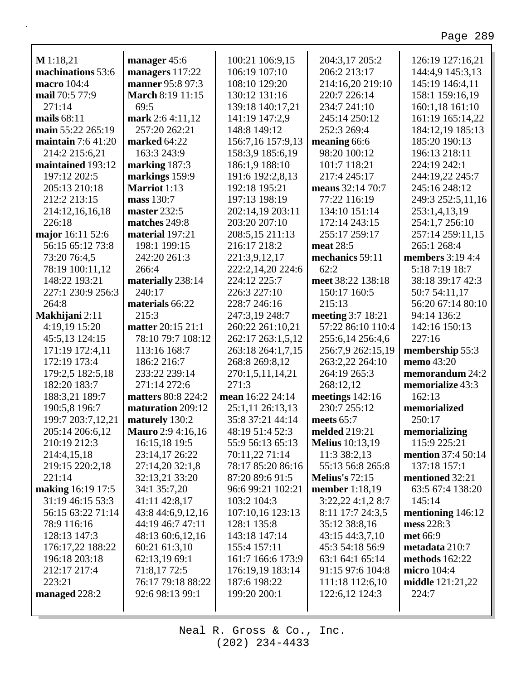| M 1:18,21                                | manager 45:6                        | 100:21 106:9,15                   | 204:3,17 205:2<br>206:2 213:17    | 126:19 127:16,21          |
|------------------------------------------|-------------------------------------|-----------------------------------|-----------------------------------|---------------------------|
| machinations 53:6                        | managers 117:22<br>manner 95:8 97:3 | 106:19 107:10                     |                                   | 144:4,9 145:3,13          |
| macro 104:4<br>mail 70:5 77:9            |                                     | 108:10 129:20                     | 214:16,20 219:10                  | 145:19 146:4,11           |
|                                          | <b>March 8:19 11:15</b>             | 130:12 131:16                     | 220:7 226:14                      | 158:1 159:16,19           |
| 271:14                                   | 69:5                                | 139:18 140:17,21                  | 234:7 241:10                      | 160:1,18 161:10           |
| mails 68:11                              | mark 2:6 4:11,12                    | 141:19 147:2,9                    | 245:14 250:12                     | 161:19 165:14,22          |
| main 55:22 265:19<br>maintain $7:641:20$ | 257:20 262:21                       | 148:8 149:12                      | 252:3 269:4                       | 184:12,19 185:13          |
|                                          | marked 64:22                        | 156:7,16 157:9,13                 | meaning 66:6                      | 185:20 190:13             |
| 214:2 215:6,21                           | 163:3 243:9                         | 158:3,9 185:6,19                  | 98:20 100:12                      | 196:13 218:11             |
| maintained 193:12                        | marking 187:3                       | 186:1,9 188:10                    | 101:7 118:21                      | 224:19 242:1              |
| 197:12 202:5                             | markings 159:9                      | 191:6 192:2,8,13                  | 217:4 245:17                      | 244:19,22 245:7           |
| 205:13 210:18                            | <b>Marriot</b> 1:13                 | 192:18 195:21                     | means 32:14 70:7                  | 245:16 248:12             |
| 212:2 213:15                             | mass 130:7                          | 197:13 198:19                     | 77:22 116:19                      | 249:3 252:5,11,16         |
| 214:12,16,16,18<br>226:18                | master 232:5                        | 202:14,19 203:11<br>203:20 207:10 | 134:10 151:14                     | 253:1,4,13,19             |
|                                          | matches 249:8                       |                                   | 172:14 243:15                     | 254:1,7 256:10            |
| major 16:11 52:6                         | material 197:21                     | 208:5,15 211:13                   | 255:17 259:17                     | 257:14 259:11,15          |
| 56:15 65:12 73:8                         | 198:1 199:15                        | 216:17 218:2                      | meat 28:5                         | 265:1 268:4               |
| 73:20 76:4,5                             | 242:20 261:3<br>266:4               | 221:3,9,12,17                     | mechanics 59:11                   | <b>members</b> 3:19 4:4   |
| 78:19 100:11,12                          |                                     | 222:2,14,20 224:6                 | 62:2<br>meet 38:22 138:18         | 5:18 7:19 18:7            |
| 148:22 193:21                            | materially 238:14                   | 224:12 225:7                      |                                   | 38:18 39:17 42:3          |
| 227:1 230:9 256:3                        | 240:17                              | 226:3 227:10                      | 150:17 160:5                      | 50:7 54:11,17             |
| 264:8                                    | materials 66:22                     | 228:7 246:16                      | 215:13                            | 56:20 67:14 80:10         |
| Makhijani 2:11                           | 215:3                               | 247:3,19 248:7                    | meeting 3:7 18:21                 | 94:14 136:2               |
| 4:19,19 15:20                            | matter 20:15 21:1                   | 260:22 261:10,21                  | 57:22 86:10 110:4                 | 142:16 150:13             |
| 45:5,13 124:15                           | 78:10 79:7 108:12                   | 262:17 263:1,5,12                 | 255:6,14 256:4,6                  | 227:16                    |
| 171:19 172:4,11                          | 113:16 168:7                        | 263:18 264:1,7,15                 | 256:7,9 262:15,19                 | membership 55:3           |
| 172:19 173:4                             | 186:2 216:7                         | 268:8 269:8,12                    | 263:2,22 264:10                   | memo 43:20                |
| 179:2,5 182:5,18                         | 233:22 239:14                       | 270:1,5,11,14,21                  | 264:19 265:3                      | memorandum 24:2           |
| 182:20 183:7                             | 271:14 272:6                        | 271:3<br>mean 16:22 24:14         | 268:12,12                         | memorialize 43:3          |
| 188:3,21 189:7                           | matters 80:8 224:2                  |                                   | meetings $142:16$<br>230:7 255:12 | 162:13                    |
| 190:5,8 196:7                            | maturation 209:12                   | 25:1,11 26:13,13                  |                                   | memorialized              |
| 199:7 203:7,12,21                        | maturely 130:2                      | 35:8 37:21 44:14                  | meets $65:7$                      | 250:17                    |
| 205:14 206:6,12                          | <b>Mauro</b> 2:9 4:16,16            | 48:19 51:4 52:3                   | melded 219:21                     | memorializing             |
| 210:19 212:3                             | 16:15,18 19:5                       | 55:9 56:13 65:13                  | <b>Melius</b> 10:13,19            | 115:9 225:21              |
| 214:4,15,18                              | 23:14,17 26:22                      | 70:11,22 71:14                    | 11:3 38:2,13                      | <b>mention</b> 37:4 50:14 |
| 219:15 220:2,18                          | 27:14,20 32:1,8                     | 78:17 85:20 86:16                 | 55:13 56:8 265:8                  | 137:18 157:1              |
| 221:14                                   | 32:13,21 33:20                      | 87:20 89:6 91:5                   | <b>Melius's</b> 72:15             | mentioned 32:21           |
| making 16:19 17:5                        | 34:1 35:7,20                        | 96:6 99:21 102:21                 | member 1:18,19                    | 63:5 67:4 138:20          |
| 31:19 46:15 53:3                         | 41:11 42:8,17                       | 103:2 104:3                       | 3:22,22 4:1,2 8:7                 | 145:14                    |
| 56:15 63:22 71:14                        | 43:8 44:6,9,12,16                   | 107:10,16 123:13                  | 8:11 17:7 24:3,5                  | mentioning 146:12         |
| 78:9 116:16                              | 44:19 46:7 47:11                    | 128:1 135:8                       | 35:12 38:8,16                     | mess 228:3                |
| 128:13 147:3                             | 48:13 60:6,12,16                    | 143:18 147:14                     | 43:15 44:3,7,10                   | met 66:9                  |
| 176:17,22 188:22                         | 60:21 61:3,10                       | 155:4 157:11                      | 45:3 54:18 56:9                   | metadata 210:7            |
| 196:18 203:18                            | 62:13,19 69:1                       | 161:7 166:6 173:9                 | 63:1 64:1 65:14                   | methods 162:22            |
| 212:17 217:4                             | 71:8,17 72:5                        | 176:19,19 183:14                  | 91:15 97:6 104:8                  | micro 104:4               |
| 223:21                                   | 76:17 79:18 88:22                   | 187:6 198:22                      | 111:18 112:6,10                   | middle 121:21,22          |
| managed 228:2                            | 92:6 98:13 99:1                     | 199:20 200:1                      | 122:6,12 124:3                    | 224:7                     |
|                                          |                                     |                                   |                                   |                           |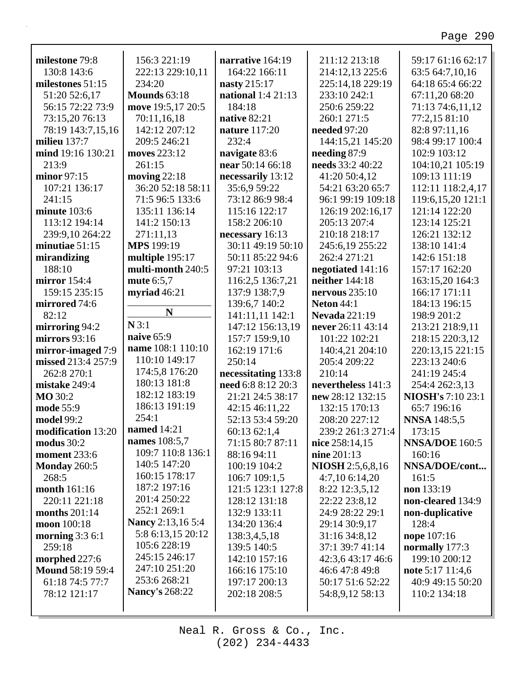| milestone 79:8          | 156:3 221:19             | narrative 164:19          | 211:12 213:18        | 59:17 61:16 62:17        |
|-------------------------|--------------------------|---------------------------|----------------------|--------------------------|
| 130:8 143:6             | 222:13 229:10,11         | 164:22 166:11             | 214:12,13 225:6      | 63:5 64:7,10,16          |
| milestones $51:15$      | 234:20                   | nasty 215:17              | 225:14,18 229:19     | 64:18 65:4 66:22         |
| 51:20 52:6,17           | <b>Mounds</b> 63:18      | <b>national</b> 1:4 21:13 | 233:10 242:1         | 67:11,20 68:20           |
| 56:15 72:22 73:9        | move 19:5,17 20:5        | 184:18                    | 250:6 259:22         | 71:13 74:6,11,12         |
| 73:15,20 76:13          | 70:11,16,18              | native 82:21              | 260:1 271:5          | 77:2,15 81:10            |
| 78:19 143:7,15,16       | 142:12 207:12            | <b>nature</b> 117:20      | needed 97:20         | 82:8 97:11,16            |
| milieu $137:7$          | 209:5 246:21             | 232:4                     | 144:15,21 145:20     | 98:4 99:17 100:4         |
| mind 19:16 130:21       | moves 223:12             | navigate 83:6             | needing 87:9         | 102:9 103:12             |
| 213:9                   | 261:15                   | near 50:14 66:18          | needs 33:2 40:22     | 104:10,21 105:19         |
| minor 97:15             | moving $22:18$           | necessarily 13:12         | 41:20 50:4,12        | 109:13 111:19            |
| 107:21 136:17           | 36:20 52:18 58:11        | 35:6,9 59:22              | 54:21 63:20 65:7     | 112:11 118:2,4,17        |
| 241:15                  | 71:5 96:5 133:6          | 73:12 86:9 98:4           | 96:1 99:19 109:18    | 119:6,15,20 121:1        |
| minute 103:6            | 135:11 136:14            | 115:16 122:17             | 126:19 202:16,17     | 121:14 122:20            |
| 113:12 194:14           | 141:2 150:13             | 158:2 206:10              | 205:13 207:4         | 123:14 125:21            |
| 239:9,10 264:22         | 271:11,13                | necessary 16:13           | 210:18 218:17        | 126:21 132:12            |
| minutiae 51:15          | <b>MPS</b> 199:19        | 30:11 49:19 50:10         | 245:6,19 255:22      | 138:10 141:4             |
| mirandizing             | multiple 195:17          | 50:11 85:22 94:6          | 262:4 271:21         | 142:6 151:18             |
| 188:10                  | multi-month 240:5        | 97:21 103:13              | negotiated 141:16    | 157:17 162:20            |
| mirror 154:4            | mute 6:5,7               | 116:2,5 136:7,21          | neither 144:18       | 163:15,20 164:3          |
| 159:15 235:15           | myriad $46:21$           | 137:9 138:7,9             | nervous $235:10$     | 166:17 171:11            |
| mirrored 74:6           |                          | 139:6,7 140:2             | <b>Neton 44:1</b>    | 184:13 196:15            |
| 82:12                   | N                        | 141:11,11 142:1           | <b>Nevada</b> 221:19 | 198:9 201:2              |
| mirroring 94:2          | N3:1                     | 147:12 156:13,19          | never 26:11 43:14    | 213:21 218:9,11          |
| mirrors 93:16           | naive 65:9               | 157:7 159:9,10            | 101:22 102:21        | 218:15 220:3,12          |
| mirror-imaged 7:9       | name 108:1 110:10        | 162:19 171:6              | 140:4,21 204:10      | 220:13,15 221:15         |
| missed 213:4 257:9      | 110:10 149:17            | 250:14                    | 205:4 209:22         | 223:13 240:6             |
| 262:8 270:1             | 174:5,8 176:20           | necessitating 133:8       | 210:14               | 241:19 245:4             |
| mistake 249:4           | 180:13 181:8             | need 6:8 8:12 20:3        | nevertheless 141:3   | 254:4 262:3,13           |
| <b>MO</b> 30:2          | 182:12 183:19            | 21:21 24:5 38:17          | new 28:12 132:15     | <b>NIOSH's 7:10 23:1</b> |
| mode 55:9               | 186:13 191:19            | 42:15 46:11,22            | 132:15 170:13        | 65:7 196:16              |
| model 99:2              | 254:1                    | 52:13 53:4 59:20          | 208:20 227:12        | <b>NNSA</b> 148:5,5      |
| modification 13:20      | <b>named</b> 14:21       | 60:13 62:1,4              | 239:2 261:3 271:4    | 173:15                   |
| modus 30:2              | names 108:5,7            | 71:15 80:7 87:11          | nice 258:14,15       | NNSA/DOE 160:5           |
| <b>moment</b> 233:6     | 109:7 110:8 136:1        | 88:16 94:11               | nine 201:13          | 160:16                   |
| <b>Monday 260:5</b>     | 140:5 147:20             | 100:19 104:2              | NIOSH 2:5,6,8,16     | NNSA/DOE/cont            |
| 268:5                   | 160:15 178:17            | 106:7 109:1,5             | 4:7,106:14,20        | 161:5                    |
| month 161:16            | 187:2 197:16             | 121:5 123:1 127:8         | 8:22 12:3,5,12       | non 133:19               |
| 220:11 221:18           | 201:4 250:22             | 128:12 131:18             | 22:22 23:8,12        | non-cleared 134:9        |
| months $201:14$         | 252:1 269:1              | 132:9 133:11              | 24:9 28:22 29:1      | non-duplicative          |
| moon 100:18             | <b>Nancy</b> 2:13,16 5:4 | 134:20 136:4              | 29:14 30:9,17        | 128:4                    |
| morning 3:3 6:1         | 5:8 6:13,15 20:12        | 138:3,4,5,18              | 31:16 34:8,12        | nope 107:16              |
| 259:18                  | 105:6 228:19             | 139:5 140:5               | 37:1 39:7 41:14      | normally 177:3           |
| morphed 227:6           | 245:15 246:17            | 142:10 157:16             | 42:3,6 43:17 46:6    | 199:10 200:12            |
| <b>Mound 58:19 59:4</b> | 247:10 251:20            | 166:16 175:10             | 46:6 47:8 49:8       | note 5:17 11:4,6         |
| 61:18 74:5 77:7         | 253:6 268:21             | 197:17 200:13             | 50:17 51:6 52:22     | 40:9 49:15 50:20         |
| 78:12 121:17            | <b>Nancy's 268:22</b>    | 202:18 208:5              | 54:8,9,12 58:13      | 110:2 134:18             |
|                         |                          |                           |                      |                          |
|                         |                          |                           |                      |                          |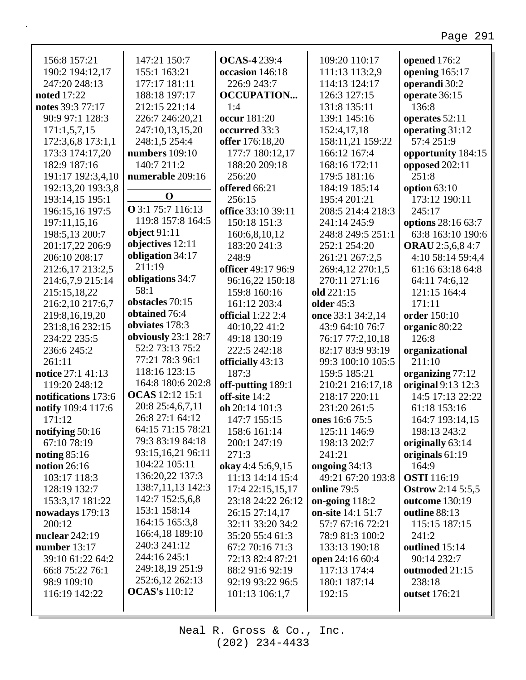| 156:8 157:21        | 147:21 150:7             | <b>OCAS-4239:4</b>  | 109:20 110:17     | opened 176:2             |
|---------------------|--------------------------|---------------------|-------------------|--------------------------|
| 190:2 194:12,17     | 155:1 163:21             | occasion 146:18     | 111:13 113:2,9    | opening 165:17           |
| 247:20 248:13       | 177:17 181:11            | 226:9 243:7         | 114:13 124:17     | operandi 30:2            |
| <b>noted</b> 17:22  | 188:18 197:17            | <b>OCCUPATION</b>   | 126:3 127:15      | operate 36:15            |
| notes 39:3 77:17    | 212:15 221:14            | 1:4                 | 131:8 135:11      | 136:8                    |
| 90:9 97:1 128:3     | 226:7 246:20,21          | occur 181:20        | 139:1 145:16      | operates 52:11           |
| 171:1,5,7,15        | 247:10,13,15,20          | occurred 33:3       | 152:4,17,18       | operating 31:12          |
| 172:3,6,8 173:1,1   | 248:1,5 254:4            | offer 176:18,20     | 158:11,21 159:22  | 57:4 251:9               |
| 173:3 174:17,20     | numbers $109:10$         | 177:7 180:12,17     | 166:12 167:4      | opportunity 184:15       |
| 182:9 187:16        | 140:7 211:2              | 188:20 209:18       | 168:16 172:11     | opposed 202:11           |
| 191:17 192:3,4,10   | numerable 209:16         | 256:20              | 179:5 181:16      | 251:8                    |
| 192:13,20 193:3,8   |                          | offered 66:21       | 184:19 185:14     | option $63:10$           |
| 193:14,15 195:1     | $\mathbf 0$              | 256:15              | 195:4 201:21      | 173:12 190:11            |
|                     | <b>O</b> 3:1 75:7 116:13 | office 33:10 39:11  |                   | 245:17                   |
| 196:15,16 197:5     | 119:8 157:8 164:5        |                     | 208:5 214:4 218:3 |                          |
| 197:11,15,16        | object $91:11$           | 150:18 151:3        | 241:14 245:9      | options 28:16 63:7       |
| 198:5,13 200:7      | objectives 12:11         | 160:6,8,10,12       | 248:8 249:5 251:1 | 63:8 163:10 190:6        |
| 201:17,22 206:9     |                          | 183:20 241:3        | 252:1 254:20      | <b>ORAU</b> 2:5,6,8 4:7  |
| 206:10 208:17       | obligation 34:17         | 248:9               | 261:21 267:2,5    | 4:10 58:14 59:4,4        |
| 212:6,17 213:2,5    | 211:19                   | officer 49:17 96:9  | 269:4,12 270:1,5  | 61:16 63:18 64:8         |
| 214:6,7,9 215:14    | obligations 34:7         | 96:16,22 150:18     | 270:11 271:16     | 64:11 74:6,12            |
| 215:15,18,22        | 58:1                     | 159:8 160:16        | old 221:15        | 121:15 164:4             |
| 216:2,10 217:6,7    | obstacles 70:15          | 161:12 203:4        | <b>older</b> 45:3 | 171:11                   |
| 219:8,16,19,20      | obtained 76:4            | official $1:22$ 2:4 | once 33:1 34:2,14 | order 150:10             |
| 231:8,16 232:15     | obviates 178:3           | 40:10,22 41:2       | 43:9 64:10 76:7   | organic 80:22            |
| 234:22 235:5        | obviously 23:1 28:7      | 49:18 130:19        | 76:17 77:2,10,18  | 126:8                    |
| 236:6 245:2         | 52:2 73:13 75:2          | 222:5 242:18        | 82:17 83:9 93:19  | organizational           |
| 261:11              | 77:21 78:3 96:1          | officially 43:13    | 99:3 100:10 105:5 | 211:10                   |
| notice 27:1 41:13   | 118:16 123:15            | 187:3               | 159:5 185:21      | organizing 77:12         |
| 119:20 248:12       | 164:8 180:6 202:8        | off-putting 189:1   | 210:21 216:17,18  | original 9:13 12:3       |
| notifications 173:6 | <b>OCAS</b> 12:12 15:1   | off-site 14:2       | 218:17 220:11     | 14:5 17:13 22:22         |
| notify 109:4 117:6  | 20:8 25:4,6,7,11         | oh 20:14 101:3      | 231:20 261:5      | 61:18 153:16             |
| 171:12              | 26:8 27:1 64:12          | 147:7 155:15        | ones 16:6 75:5    | 164:7 193:14,15          |
| notifying 50:16     | 64:15 71:15 78:21        | 158:6 161:14        | 125:11 146:9      | 198:13 243:2             |
| 67:10 78:19         | 79:3 83:19 84:18         | 200:1 247:19        | 198:13 202:7      | originally 63:14         |
| noting $85:16$      | 93:15,16,21 96:11        | 271:3               | 241:21            | originals 61:19          |
| notion $26:16$      | 104:22 105:11            | okay 4:4 5:6,9,15   | ongoing $34:13$   | 164:9                    |
| 103:17 118:3        | 136:20,22 137:3          | 11:13 14:14 15:4    | 49:21 67:20 193:8 | <b>OSTI</b> 116:19       |
| 128:19 132:7        | 138:7,11,13 142:3        | 17:4 22:15,15,17    | online 79:5       | <b>Ostrow</b> 2:14 5:5,5 |
| 153:3,17 181:22     | 142:7 152:5,6,8          | 23:18 24:22 26:12   | on-going $118:2$  | outcome 130:19           |
| nowadays $179:13$   | 153:1 158:14             | 26:15 27:14,17      | on-site 14:1 51:7 | outline 88:13            |
| 200:12              | 164:15 165:3,8           | 32:11 33:20 34:2    | 57:7 67:16 72:21  | 115:15 187:15            |
|                     | 166:4,18 189:10          | 35:20 55:4 61:3     |                   |                          |
| nuclear 242:19      | 240:3 241:12             |                     | 78:9 81:3 100:2   | 241:2                    |
| number $13:17$      | 244:16 245:1             | 67:2 70:16 71:3     | 133:13 190:18     | outlined 15:14           |
| 39:10 61:22 64:2    | 249:18,19 251:9          | 72:13 82:4 87:21    | open 24:16 60:4   | 90:14 232:7              |
| 66:8 75:22 76:1     |                          | 88:2 91:6 92:19     | 117:13 174:4      | outmoded 21:15           |
| 98:9 109:10         | 252:6,12 262:13          | 92:19 93:22 96:5    | 180:1 187:14      | 238:18                   |
| 116:19 142:22       | <b>OCAS's 110:12</b>     | 101:13 106:1,7      | 192:15            | <b>outset</b> 176:21     |
|                     |                          |                     |                   |                          |

Г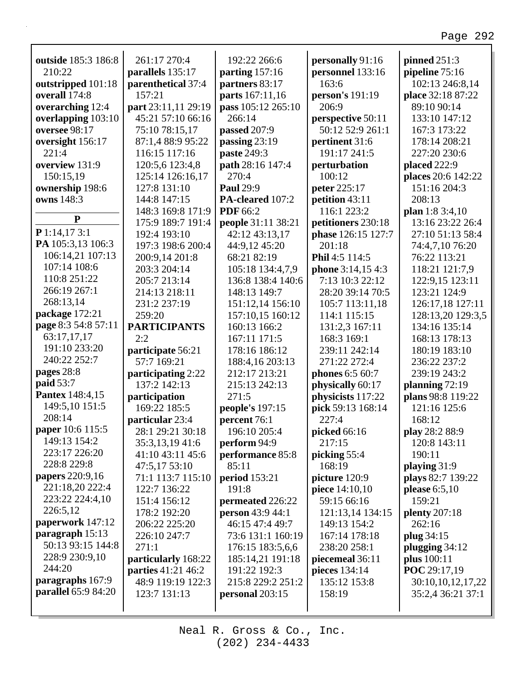| outside 185:3 186:8        | 261:17 270:4              | 192:22 266:6         | personally 91:16         | pinned $251:3$       |
|----------------------------|---------------------------|----------------------|--------------------------|----------------------|
| 210:22                     | parallels 135:17          | parting $157:16$     | personnel 133:16         | pipeline 75:16       |
| outstripped 101:18         | parenthetical 37:4        | partners 83:17       | 163:6                    | 102:13 246:8,14      |
| overall 174:8              | 157:21                    | parts 167:11,16      | person's 191:19          | place 32:18 87:22    |
| overarching 12:4           | part 23:11,11 29:19       | pass 105:12 265:10   | 206:9                    | 89:10 90:14          |
| overlapping 103:10         | 45:21 57:10 66:16         | 266:14               | perspective 50:11        | 133:10 147:12        |
| oversee 98:17              | 75:10 78:15,17            | passed 207:9         | 50:12 52:9 261:1         | 167:3 173:22         |
| oversight 156:17           | 87:1,4 88:9 95:22         | passing 23:19        | pertinent 31:6           | 178:14 208:21        |
| 221:4                      | 116:15 117:16             | paste 249:3          | 191:17 241:5             | 227:20 230:6         |
| overview 131:9             | 120:5,6 123:4,8           | path 28:16 147:4     | perturbation             | placed 222:9         |
| 150:15,19                  | 125:14 126:16,17          | 270:4                | 100:12                   | places 20:6 142:22   |
| ownership 198:6            | 127:8 131:10              | <b>Paul 29:9</b>     | peter 225:17             | 151:16 204:3         |
| owns 148:3                 | 144:8 147:15              | PA-cleared 107:2     | petition 43:11           | 208:13               |
| ${\bf P}$                  | 148:3 169:8 171:9         | <b>PDF</b> 66:2      | 116:1 223:2              | plan 1:8 $3:4,10$    |
|                            | 175:9 189:7 191:4         | people 31:11 38:21   | petitioners 230:18       | 13:16 23:22 26:4     |
| P 1:14,173:1               | 192:4 193:10              | 42:12 43:13,17       | phase 126:15 127:7       | 27:10 51:13 58:4     |
| PA 105:3,13 106:3          | 197:3 198:6 200:4         | 44:9,12 45:20        | 201:18                   | 74:4,7,10 76:20      |
| 106:14,21 107:13           | 200:9,14 201:8            | 68:21 82:19          | Phil 4:5 114:5           | 76:22 113:21         |
| 107:14 108:6               | 203:3 204:14              | 105:18 134:4,7,9     | <b>phone</b> 3:14,15 4:3 | 118:21 121:7,9       |
| 110:8 251:22               | 205:7 213:14              | 136:8 138:4 140:6    | 7:13 10:3 22:12          | 122:9,15 123:11      |
| 266:19 267:1               | 214:13 218:11             | 148:13 149:7         | 28:20 39:14 70:5         | 123:21 124:9         |
| 268:13,14                  | 231:2 237:19              | 151:12,14 156:10     | 105:7 113:11,18          | 126:17,18 127:11     |
| package 172:21             | 259:20                    | 157:10,15 160:12     | 114:1 115:15             | 128:13,20 129:3,5    |
| page 8:3 54:8 57:11        | <b>PARTICIPANTS</b>       | 160:13 166:2         | 131:2,3 167:11           | 134:16 135:14        |
| 63:17,17,17                | 2:2                       | 167:11 171:5         | 168:3 169:1              | 168:13 178:13        |
| 191:10 233:20              | participate 56:21         | 178:16 186:12        | 239:11 242:14            | 180:19 183:10        |
| 240:22 252:7               | 57:7 169:21               | 188:4,16 203:13      | 271:22 272:4             | 236:22 237:2         |
| pages 28:8                 | participating 2:22        | 212:17 213:21        | phones 6:5 60:7          | 239:19 243:2         |
| paid 53:7                  | 137:2 142:13              | 215:13 242:13        | physically 60:17         | planning 72:19       |
| <b>Pantex 148:4,15</b>     | participation             | 271:5                | physicists 117:22        | plans 98:8 119:22    |
| 149:5,10 151:5             | 169:22 185:5              | people's 197:15      | pick 59:13 168:14        | 121:16 125:6         |
| 208:14                     | particular 23:4           | percent 76:1         | 227:4                    | 168:12               |
| paper 10:6 115:5           | 28:1 29:21 30:18          | 196:10 205:4         | picked 66:16             | play 28:2 88:9       |
| 149:13 154:2               | 35:3,13,19 41:6           | perform 94:9         | 217:15                   | 120:8 143:11         |
| 223:17 226:20              | 41:10 43:11 45:6          | performance 85:8     | picking 55:4             | 190:11               |
| 228:8 229:8                | 47:5,17 53:10             | 85:11                | 168:19                   | playing 31:9         |
| papers 220:9,16            | 71:1 113:7 115:10         | <b>period</b> 153:21 | picture 120:9            | plays 82:7 139:22    |
| 221:18,20 222:4            | 122:7 136:22              | 191:8                | <b>piece</b> $14:10,10$  | please $6:5,10$      |
| 223:22 224:4,10            | 151:4 156:12              | permeated 226:22     | 59:15 66:16              | 159:21               |
| 226:5,12                   | 178:2 192:20              | person 43:9 44:1     | 121:13,14 134:15         | <b>plenty</b> 207:18 |
| paperwork 147:12           | 206:22 225:20             | 46:15 47:4 49:7      | 149:13 154:2             | 262:16               |
| paragraph 15:13            | 226:10 247:7              | 73:6 131:1 160:19    | 167:14 178:18            | plug 34:15           |
| 50:13 93:15 144:8          | 271:1                     | 176:15 183:5,6,6     | 238:20 258:1             | plugging $34:12$     |
| 228:9 230:9,10             | particularly 168:22       | 185:14,21 191:18     | piecemeal 36:11          | plus $100:11$        |
| 244:20                     | <b>parties</b> 41:21 46:2 | 191:22 192:3         | pieces 134:14            | POC 29:17,19         |
| paragraphs 167:9           | 48:9 119:19 122:3         | 215:8 229:2 251:2    | 135:12 153:8             | 30:10,10,12,17,22    |
| <b>parallel</b> 65:9 84:20 | 123:7 131:13              | personal 203:15      | 158:19                   | 35:2,4 36:21 37:1    |
|                            |                           |                      |                          |                      |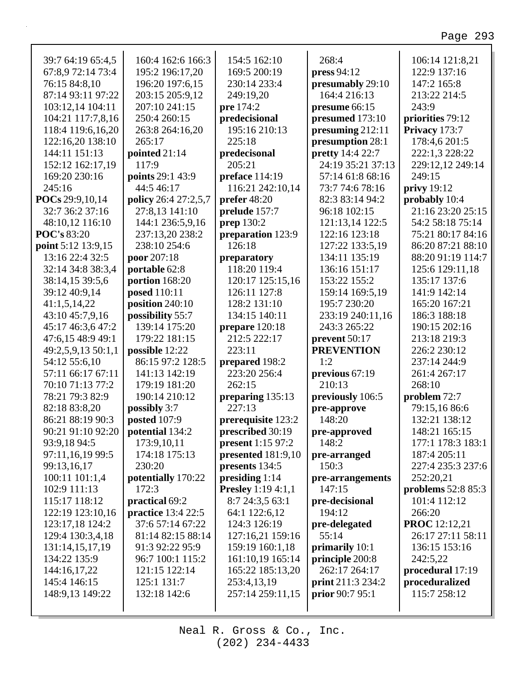| 39:7 64:19 65:4,5  | 160:4 162:6 166:3    | 154:5 162:10              | 268:4                      | 106:14 121:8,21      |
|--------------------|----------------------|---------------------------|----------------------------|----------------------|
| 67:8,9 72:14 73:4  | 195:2 196:17,20      | 169:5 200:19              | press 94:12                | 122:9 137:16         |
| 76:15 84:8,10      | 196:20 197:6,15      | 230:14 233:4              | presumably 29:10           | 147:2 165:8          |
| 87:14 93:11 97:22  | 203:15 205:9,12      | 249:19,20                 | 164:4 216:13               | 213:22 214:5         |
| 103:12,14 104:11   | 207:10 241:15        | pre 174:2                 | presume 66:15              | 243:9                |
| 104:21 117:7,8,16  | 250:4 260:15         | predecisional             | presumed 173:10            | priorities 79:12     |
| 118:4 119:6,16,20  | 263:8 264:16,20      | 195:16 210:13             | presuming 212:11           | Privacy 173:7        |
| 122:16,20 138:10   | 265:17               | 225:18                    | presumption 28:1           | 178:4,6 201:5        |
| 144:11 151:13      | pointed 21:14        | predecisonal              | <b>pretty</b> 14:4 22:7    | 222:1,3 228:22       |
| 152:12 162:17,19   | 117:9                | 205:21                    | 24:19 35:21 37:13          | 229:12,12 249:14     |
| 169:20 230:16      | points 29:1 43:9     | preface 114:19            | 57:14 61:8 68:16           | 249:15               |
| 245:16             | 44:5 46:17           | 116:21 242:10,14          | 73:7 74:6 78:16            | privy 19:12          |
| POCs 29:9,10,14    | policy 26:4 27:2,5,7 | prefer $48:20$            | 82:3 83:14 94:2            | probably 10:4        |
| 32:7 36:2 37:16    | 27:8,13 141:10       | prelude 157:7             | 96:18 102:15               | 21:16 23:20 25:15    |
| 48:10,12 116:10    | 144:1 236:5,9,16     | prep 130:2                | 121:13,14 122:5            | 54:2 58:18 75:14     |
| <b>POC's 83:20</b> | 237:13,20 238:2      | preparation 123:9         | 122:16 123:18              | 75:21 80:17 84:16    |
| point 5:12 13:9,15 | 238:10 254:6         | 126:18                    | 127:22 133:5,19            | 86:20 87:21 88:10    |
| 13:16 22:4 32:5    | poor 207:18          | preparatory               | 134:11 135:19              | 88:20 91:19 114:7    |
| 32:14 34:8 38:3,4  | portable 62:8        | 118:20 119:4              | 136:16 151:17              | 125:6 129:11,18      |
| 38:14,15 39:5,6    | portion 168:20       | 120:17 125:15,16          | 153:22 155:2               | 135:17 137:6         |
| 39:12 40:9,14      | <b>posed</b> 110:11  | 126:11 127:8              | 159:14 169:5,19            | 141:9 142:14         |
| 41:1,5,14,22       | position 240:10      | 128:2 131:10              | 195:7 230:20               | 165:20 167:21        |
| 43:10 45:7,9,16    | possibility 55:7     | 134:15 140:11             | 233:19 240:11,16           | 186:3 188:18         |
| 45:17 46:3,6 47:2  | 139:14 175:20        | prepare 120:18            | 243:3 265:22               | 190:15 202:16        |
| 47:6,15 48:9 49:1  | 179:22 181:15        | 212:5 222:17              | prevent 50:17              | 213:18 219:3         |
| 49:2,5,9,13 50:1,1 | possible 12:22       | 223:11                    | <b>PREVENTION</b>          | 226:2 230:12         |
| 54:12 55:6,10      | 86:15 97:2 128:5     | prepared 198:2            | 1:2                        | 237:14 244:9         |
| 57:11 66:17 67:11  | 141:13 142:19        | 223:20 256:4              | previous 67:19             | 261:4 267:17         |
| 70:10 71:13 77:2   | 179:19 181:20        | 262:15                    | 210:13                     | 268:10               |
| 78:21 79:3 82:9    | 190:14 210:12        | preparing 135:13          | previously 106:5           | problem 72:7         |
| 82:18 83:8,20      | possibly 3:7         | 227:13                    | pre-approve                | 79:15,16 86:6        |
| 86:21 88:19 90:3   | posted 107:9         | prerequisite 123:2        | 148:20                     | 132:21 138:12        |
| 90:21 91:10 92:20  | potential 134:2      | prescribed 30:19          |                            | 148:21 165:15        |
| 93:9,18 94:5       | 173:9,10,11          | <b>present</b> 1:15 97:2  | pre-approved<br>148:2      | 177:1 178:3 183:1    |
| 97:11,16,19 99:5   | 174:18 175:13        | presented 181:9,10        | pre-arranged               | 187:4 205:11         |
|                    | 230:20               | presents 134:5            | 150:3                      | 227:4 235:3 237:6    |
| 99:13,16,17        |                      |                           |                            |                      |
| 100:11 101:1,4     | potentially 170:22   | presiding $1:14$          | pre-arrangements<br>147:15 | 252:20,21            |
| 102:9 111:13       | 172:3                | <b>Presley</b> 1:19 4:1,1 |                            | problems 52:8 85:3   |
| 115:17 118:12      | practical 69:2       | 8:7 24:3,5 63:1           | pre-decisional             | 101:4 112:12         |
| 122:19 123:10,16   | practice 13:4 22:5   | 64:1 122:6,12             | 194:12                     | 266:20               |
| 123:17,18 124:2    | 37:6 57:14 67:22     | 124:3 126:19              | pre-delegated              | <b>PROC</b> 12:12,21 |
| 129:4 130:3,4,18   | 81:14 82:15 88:14    | 127:16,21 159:16          | 55:14                      | 26:17 27:11 58:11    |
| 131:14,15,17,19    | 91:3 92:22 95:9      | 159:19 160:1,18           | primarily 10:1             | 136:15 153:16        |
| 134:22 135:9       | 96:7 100:1 115:2     | 161:10,19 165:14          | principle 200:8            | 242:5,22             |
| 144:16,17,22       | 121:15 122:14        | 165:22 185:13,20          | 262:17 264:17              | procedural 17:19     |
| 145:4 146:15       | 125:1 131:7          | 253:4,13,19               | print 211:3 234:2          | proceduralized       |
| 148:9,13 149:22    | 132:18 142:6         | 257:14 259:11,15          | <b>prior</b> 90:7 95:1     | 115:7 258:12         |
|                    |                      |                           |                            |                      |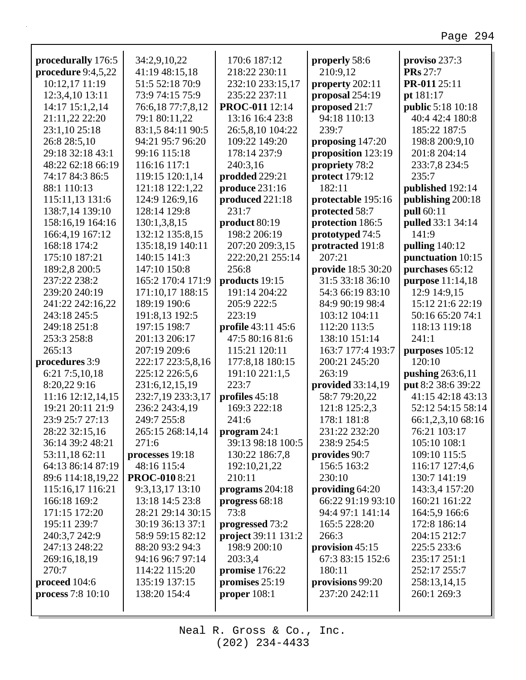| procedurally 176:5   | 34:2,9,10,22        | 170:6 187:12        | properly 58:6      | proviso 237:3            |
|----------------------|---------------------|---------------------|--------------------|--------------------------|
| procedure $9:4,5,22$ | 41:19 48:15,18      | 218:22 230:11       | 210:9,12           | <b>PRs</b> 27:7          |
| 10:12,17 11:19       | 51:5 52:18 70:9     | 232:10 233:15,17    | property 202:11    | PR-011 25:11             |
| 12:3,4,10 13:11      | 73:9 74:15 75:9     | 235:22 237:11       | proposal 254:19    | pt 181:17                |
| 14:17 15:1,2,14      | 76:6,18 77:7,8,12   | PROC-011 12:14      | proposed 21:7      | <b>public</b> 5:18 10:18 |
| 21:11,22 22:20       | 79:1 80:11,22       | 13:16 16:4 23:8     | 94:18 110:13       | 40:4 42:4 180:8          |
| 23:1,10 25:18        | 83:1,5 84:11 90:5   | 26:5,8,10 104:22    | 239:7              | 185:22 187:5             |
| 26:8 28:5,10         | 94:21 95:7 96:20    | 109:22 149:20       | proposing 147:20   | 198:8 200:9,10           |
| 29:18 32:18 43:1     | 99:16 115:18        | 178:14 237:9        | proposition 123:19 | 201:8 204:14             |
| 48:22 62:18 66:19    | 116:16 117:1        | 240:3,16            | propriety 78:2     | 233:7,8 234:5            |
| 74:17 84:3 86:5      | 119:15 120:1,14     | prodded 229:21      | protect 179:12     | 235:7                    |
| 88:1 110:13          | 121:18 122:1,22     | produce 231:16      | 182:11             | published 192:14         |
| 115:11,13 131:6      | 124:9 126:9,16      | produced 221:18     | protectable 195:16 | publishing 200:18        |
| 138:7,14 139:10      | 128:14 129:8        | 231:7               | protected 58:7     | pull 60:11               |
| 158:16,19 164:16     | 130:1,3,8,15        | product 80:19       | protection 186:5   | pulled 33:1 34:14        |
| 166:4,19 167:12      | 132:12 135:8,15     | 198:2 206:19        | prototyped 74:5    | 141:9                    |
| 168:18 174:2         | 135:18,19 140:11    | 207:20 209:3,15     | protracted 191:8   | pulling $140:12$         |
| 175:10 187:21        | 140:15 141:3        | 222:20,21 255:14    | 207:21             | punctuation 10:15        |
| 189:2,8 200:5        | 147:10 150:8        | 256:8               | provide 18:5 30:20 | purchases 65:12          |
| 237:22 238:2         | 165:2 170:4 171:9   | products 19:15      | 31:5 33:18 36:10   | purpose 11:14,18         |
| 239:20 240:19        | 171:10,17 188:15    | 191:14 204:22       | 54:3 66:19 83:10   | 12:9 14:9,15             |
| 241:22 242:16,22     | 189:19 190:6        | 205:9 222:5         | 84:9 90:19 98:4    | 15:12 21:6 22:19         |
| 243:18 245:5         | 191:8,13 192:5      | 223:19              | 103:12 104:11      | 50:16 65:20 74:1         |
| 249:18 251:8         | 197:15 198:7        | profile 43:11 45:6  | 112:20 113:5       | 118:13 119:18            |
| 253:3 258:8          | 201:13 206:17       | 47:5 80:16 81:6     | 138:10 151:14      | 241:1                    |
| 265:13               | 207:19 209:6        | 115:21 120:11       | 163:7 177:4 193:7  | purposes $105:12$        |
| procedures 3:9       | 222:17 223:5,8,16   | 177:8,18 180:15     | 200:21 245:20      | 120:10                   |
| 6:21 7:5,10,18       | 225:12 226:5,6      | 191:10 221:1,5      | 263:19             | pushing 263:6,11         |
| 8:20,229:16          | 231:6, 12, 15, 19   | 223:7               | provided 33:14,19  | put 8:2 38:6 39:22       |
| 11:16 12:12,14,15    | 232:7,19 233:3,17   | profiles 45:18      | 58:7 79:20,22      | 41:15 42:18 43:13        |
| 19:21 20:11 21:9     | 236:2 243:4,19      | 169:3 222:18        | 121:8 125:2,3      | 52:12 54:15 58:14        |
| 23:9 25:7 27:13      | 249:7 255:8         | 241:6               | 178:1 181:8        | 66:1,2,3,10 68:16        |
| 28:22 32:15,16       | 265:15 268:14,14    | program $24:1$      | 231:22 232:20      | 76:21 103:17             |
| 36:14 39:2 48:21     | 271:6               | 39:13 98:18 100:5   | 238:9 254:5        | 105:10 108:1             |
| 53:11,18 62:11       | processes 19:18     | 130:22 186:7,8      | provides 90:7      | 109:10 115:5             |
| 64:13 86:14 87:19    | 48:16 115:4         | 192:10,21,22        | 156:5 163:2        | 116:17 127:4,6           |
| 89:6 114:18,19,22    | <b>PROC-0108:21</b> | 210:11              | 230:10             | 130:7 141:19             |
| 115:16,17 116:21     | 9:3,13,17 13:10     | programs $204:18$   | providing 64:20    | 143:3,4 157:20           |
| 166:18 169:2         | 13:18 14:5 23:8     | progress $68:18$    | 66:22 91:19 93:10  | 160:21 161:22            |
| 171:15 172:20        | 28:21 29:14 30:15   | 73:8                | 94:4 97:1 141:14   | 164:5,9 166:6            |
| 195:11 239:7         | 30:19 36:13 37:1    | progressed 73:2     | 165:5 228:20       | 172:8 186:14             |
| 240:3,7 242:9        | 58:9 59:15 82:12    | project 39:11 131:2 | 266:3              | 204:15 212:7             |
| 247:13 248:22        | 88:20 93:2 94:3     | 198:9 200:10        | provision 45:15    | 225:5 233:6              |
| 269:16,18,19         | 94:16 96:7 97:14    | 203:3,4             | 67:3 83:15 152:6   | 235:17 251:1             |
| 270:7                | 114:22 115:20       | promise 176:22      | 180:11             | 252:17 255:7             |
| proceed 104:6        | 135:19 137:15       | promises 25:19      | provisions 99:20   | 258:13,14,15             |
| process 7:8 10:10    | 138:20 154:4        | proper $108:1$      | 237:20 242:11      | 260:1 269:3              |
|                      |                     |                     |                    |                          |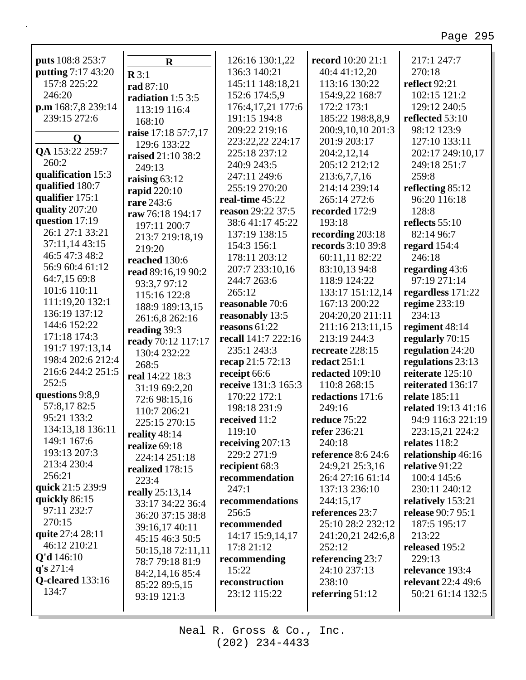| puts 108:8 253:7   | $\mathbf R$         | 126:16 130:1,22     | record 10:20 21:1         | 217:1 247:7              |
|--------------------|---------------------|---------------------|---------------------------|--------------------------|
| putting 7:17 43:20 | $\mathbf{R} 3:1$    | 136:3 140:21        | 40:4 41:12,20             | 270:18                   |
| 157:8 225:22       | rad 87:10           | 145:11 148:18,21    | 113:16 130:22             | <b>reflect</b> 92:21     |
| 246:20             | radiation $1:53:5$  | 152:6 174:5,9       | 154:9,22 168:7            | 102:15 121:2             |
| p.m 168:7,8 239:14 |                     | 176:4,17,21 177:6   | 172:2 173:1               | 129:12 240:5             |
| 239:15 272:6       | 113:19 116:4        | 191:15 194:8        | 185:22 198:8,8,9          | reflected 53:10          |
|                    | 168:10              | 209:22 219:16       | 200:9,10,10 201:3         | 98:12 123:9              |
| Q                  | raise 17:18 57:7,17 | 223:22,22 224:17    | 201:9 203:17              | 127:10 133:11            |
| QA 153:22 259:7    | 129:6 133:22        | 225:18 237:12       | 204:2,12,14               | 202:17 249:10,17         |
| 260:2              | raised 21:10 38:2   | 240:9 243:5         | 205:12 212:12             | 249:18 251:7             |
| qualification 15:3 | 249:13              | 247:11 249:6        | 213:6,7,7,16              | 259:8                    |
| qualified 180:7    | raising $63:12$     | 255:19 270:20       | 214:14 239:14             | reflecting 85:12         |
| qualifier 175:1    | rapid 220:10        | real-time 45:22     | 265:14 272:6              | 96:20 116:18             |
| quality 207:20     | rare 243:6          | reason 29:22 37:5   | recorded 172:9            | 128:8                    |
| question 17:19     | raw 76:18 194:17    | 38:6 41:17 45:22    | 193:18                    | reflects 55:10           |
| 26:1 27:1 33:21    | 197:11 200:7        | 137:19 138:15       | recording 203:18          | 82:14 96:7               |
| 37:11,14 43:15     | 213:7 219:18,19     | 154:3 156:1         | <b>records</b> 3:10 39:8  |                          |
| 46:5 47:3 48:2     | 219:20              |                     |                           | regard $154:4$<br>246:18 |
| 56:9 60:4 61:12    | reached 130:6       | 178:11 203:12       | 60:11,11 82:22            |                          |
| 64:7,15 69:8       | read 89:16,19 90:2  | 207:7 233:10,16     | 83:10,13 94:8             | regarding 43:6           |
| 101:6 110:11       | 93:3,7 97:12        | 244:7 263:6         | 118:9 124:22              | 97:19 271:14             |
| 111:19,20 132:1    | 115:16 122:8        | 265:12              | 133:17 151:12,14          | regardless 171:22        |
| 136:19 137:12      | 188:9 189:13,15     | reasonable 70:6     | 167:13 200:22             | regime 233:19            |
| 144:6 152:22       | 261:6,8 262:16      | reasonably 13:5     | 204:20,20 211:11          | 234:13                   |
| 171:18 174:3       | reading 39:3        | reasons $61:22$     | 211:16 213:11,15          | regiment 48:14           |
|                    | ready 70:12 117:17  | recall 141:7 222:16 | 213:19 244:3              | regularly 70:15          |
| 191:7 197:13,14    | 130:4 232:22        | 235:1 243:3         | recreate 228:15           | regulation 24:20         |
| 198:4 202:6 212:4  | 268:5               | recap 21:5 72:13    | <b>redact</b> 251:1       | regulations 23:13        |
| 216:6 244:2 251:5  | real 14:22 18:3     | receipt 66:6        | redacted 109:10           | reiterate 125:10         |
| 252:5              | 31:19 69:2,20       | receive 131:3 165:3 | 110:8 268:15              | reiterated 136:17        |
| questions 9:8,9    | 72:6 98:15,16       | 170:22 172:1        | redactions 171:6          | relate 185:11            |
| 57:8,1782:5        | 110:7 206:21        | 198:18 231:9        | 249:16                    | related 19:13 41:16      |
| 95:21 133:2        | 225:15 270:15       | received 11:2       | reduce 75:22              | 94:9 116:3 221:19        |
| 134:13,18 136:11   | reality 48:14       | 119:10              | refer 236:21              | 223:15,21 224:2          |
| 149:1 167:6        | realize 69:18       | receiving $207:13$  | 240:18                    | relates 118:2            |
| 193:13 207:3       | 224:14 251:18       | 229:2 271:9         | <b>reference</b> 8:6 24:6 | relationship 46:16       |
| 213:4 230:4        | realized 178:15     | recipient 68:3      | 24:9,21 25:3,16           | relative 91:22           |
| 256:21             | 223:4               | recommendation      | 26:4 27:16 61:14          | 100:4 145:6              |
| quick 21:5 239:9   | really 25:13,14     | 247:1               | 137:13 236:10             | 230:11 240:12            |
| quickly 86:15      | 33:17 34:22 36:4    | recommendations     | 244:15,17                 | relatively 153:21        |
| 97:11 232:7        | 36:20 37:15 38:8    | 256:5               | references 23:7           | release 90:7 95:1        |
| 270:15             | 39:16,17 40:11      | recommended         | 25:10 28:2 232:12         | 187:5 195:17             |
| quite 27:4 28:11   | 45:15 46:3 50:5     | 14:17 15:9,14,17    | 241:20,21 242:6,8         | 213:22                   |
| 46:12 210:21       | 50:15,18 72:11,11   | 17:8 21:12          | 252:12                    | released 195:2           |
| Q'd 146:10         | 78:7 79:18 81:9     | recommending        | referencing 23:7          | 229:13                   |
| q's 271:4          | 84:2,14,16 85:4     | 15:22               | 24:10 237:13              | relevance 193:4          |
| Q-cleared 133:16   | 85:22 89:5,15       | reconstruction      | 238:10                    | relevant 22:4 49:6       |
| 134:7              | 93:19 121:3         | 23:12 115:22        | referring $51:12$         | 50:21 61:14 132:5        |
|                    |                     |                     |                           |                          |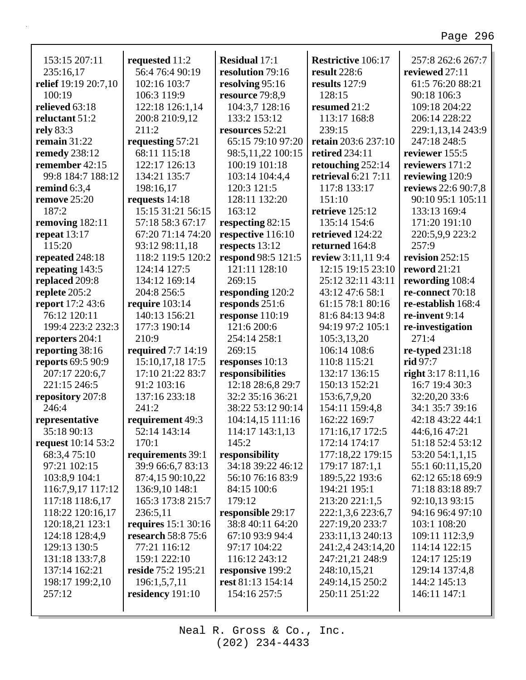٦

| 153:15 207:11             | requested 11:2            | <b>Residual 17:1</b> | <b>Restrictive 106:17</b> | 257:8 262:6 267:7   |
|---------------------------|---------------------------|----------------------|---------------------------|---------------------|
| 235:16,17                 | 56:4 76:4 90:19           | resolution 79:16     | <b>result</b> 228:6       | reviewed 27:11      |
| relief 19:19 20:7,10      | 102:16 103:7              | resolving 95:16      | results 127:9             | 61:5 76:20 88:21    |
| 100:19                    | 106:3 119:9               | resource 79:8,9      | 128:15                    | 90:18 106:3         |
| relieved 63:18            | 122:18 126:1,14           | 104:3,7 128:16       | resumed 21:2              | 109:18 204:22       |
| reluctant 51:2            | 200:8 210:9,12            | 133:2 153:12         | 113:17 168:8              | 206:14 228:22       |
| rely 83:3                 | 211:2                     | resources 52:21      | 239:15                    | 229:1,13,14 243:9   |
| remain $31:22$            | requesting 57:21          | 65:15 79:10 97:20    | retain 203:6 237:10       | 247:18 248:5        |
| remedy 238:12             | 68:11 115:18              | 98:5,11,22 100:15    | <b>retired</b> 234:11     | reviewer 155:5      |
| remember 42:15            | 122:17 126:13             | 100:19 101:18        | retouching 252:14         | reviewers 171:2     |
|                           |                           |                      |                           |                     |
| 99:8 184:7 188:12         | 134:21 135:7              | 103:14 104:4,4       | retrieval 6:21 7:11       | reviewing 120:9     |
| remind $6:3,4$            | 198:16,17                 | 120:3 121:5          | 117:8 133:17              | reviews 22:6 90:7,8 |
| remove 25:20              | requests 14:18            | 128:11 132:20        | 151:10                    | 90:10 95:1 105:11   |
| 187:2                     | 15:15 31:21 56:15         | 163:12               | retrieve 125:12           | 133:13 169:4        |
| removing 182:11           | 57:18 58:3 67:17          | respecting 82:15     | 135:14 154:6              | 171:20 191:10       |
| repeat 13:17              | 67:20 71:14 74:20         | respective 116:10    | retrieved 124:22          | 220:5,9,9 223:2     |
| 115:20                    | 93:12 98:11,18            | respects 13:12       | returned 164:8            | 257:9               |
| repeated 248:18           | 118:2 119:5 120:2         | respond 98:5 121:5   | review 3:11,11 9:4        | revision 252:15     |
| repeating 143:5           | 124:14 127:5              | 121:11 128:10        | 12:15 19:15 23:10         | reword 21:21        |
| replaced 209:8            | 134:12 169:14             | 269:15               | 25:12 32:11 43:11         | rewording 108:4     |
| replete 205:2             | 204:8 256:5               | responding 120:2     | 43:12 47:6 58:1           | re-connect 70:18    |
| report 17:2 43:6          | require $103:14$          | responds 251:6       | 61:15 78:1 80:16          | re-establish 168:4  |
| 76:12 120:11              | 140:13 156:21             | response 110:19      | 81:6 84:13 94:8           | re-invent 9:14      |
| 199:4 223:2 232:3         | 177:3 190:14              | 121:6 200:6          | 94:19 97:2 105:1          | re-investigation    |
| reporters 204:1           | 210:9                     | 254:14 258:1         | 105:3,13,20               | 271:4               |
| reporting 38:16           | <b>required</b> 7:7 14:19 | 269:15               | 106:14 108:6              | re-typed $231:18$   |
| <b>reports 69:5 90:9</b>  | 15:10,17,18 17:5          | responses 10:13      | 110:8 115:21              | rid 97:7            |
| 207:17 220:6,7            | 17:10 21:22 83:7          | responsibilities     | 132:17 136:15             | right 3:17 8:11,16  |
| 221:15 246:5              |                           | 12:18 28:6,8 29:7    | 150:13 152:21             | 16:7 19:4 30:3      |
|                           | 91:2 103:16               |                      |                           |                     |
| repository 207:8          | 137:16 233:18             | 32:2 35:16 36:21     | 153:6,7,9,20              | 32:20,20 33:6       |
| 246:4                     | 241:2                     | 38:22 53:12 90:14    | 154:11 159:4,8            | 34:1 35:7 39:16     |
| representative            | requirement 49:3          | 104:14,15 111:16     | 162:22 169:7              | 42:18 43:22 44:1    |
| 35:18 90:13               | 52:14 143:14              | 114:17 143:1,13      | 171:16,17 172:5           | 44:6,16 47:21       |
| <b>request</b> 10:14 53:2 | 170:1                     | 145:2                | 172:14 174:17             | 51:18 52:4 53:12    |
| 68:3,4 75:10              | requirements 39:1         | responsibility       | 177:18,22 179:15          | 53:20 54:1,1,15     |
| 97:21 102:15              | 39:9 66:6,7 83:13         | 34:18 39:22 46:12    | 179:17 187:1,1            | 55:1 60:11,15,20    |
| 103:8,9 104:1             | 87:4,15 90:10,22          | 56:10 76:16 83:9     | 189:5,22 193:6            | 62:12 65:18 69:9    |
| 116:7,9,17 117:12         | 136:9,10 148:1            | 84:15 100:6          | 194:21 195:1              | 71:18 83:18 89:7    |
| 117:18 118:6,17           | 165:3 173:8 215:7         | 179:12               | 213:20 221:1,5            | 92:10,13 93:15      |
| 118:22 120:16,17          | 236:5,11                  | responsible 29:17    | 222:1,3,6 223:6,7         | 94:16 96:4 97:10    |
| 120:18,21 123:1           | requires 15:1 30:16       | 38:8 40:11 64:20     | 227:19,20 233:7           | 103:1 108:20        |
| 124:18 128:4,9            | research 58:8 75:6        | 67:10 93:9 94:4      | 233:11,13 240:13          | 109:11 112:3,9      |
| 129:13 130:5              | 77:21 116:12              | 97:17 104:22         | 241:2,4 243:14,20         | 114:14 122:15       |
| 131:18 133:7,8            | 159:1 222:10              | 116:12 243:12        | 247:21,21 248:9           | 124:17 125:19       |
| 137:14 162:21             | reside 75:2 195:21        | responsive 199:2     | 248:10,15,21              | 129:14 137:4,8      |
| 198:17 199:2,10           | 196:1,5,7,11              | rest 81:13 154:14    | 249:14,15 250:2           | 144:2 145:13        |
|                           |                           |                      |                           |                     |
| 257:12                    | residency 191:10          | 154:16 257:5         | 250:11 251:22             | 146:11 147:1        |
|                           |                           |                      |                           |                     |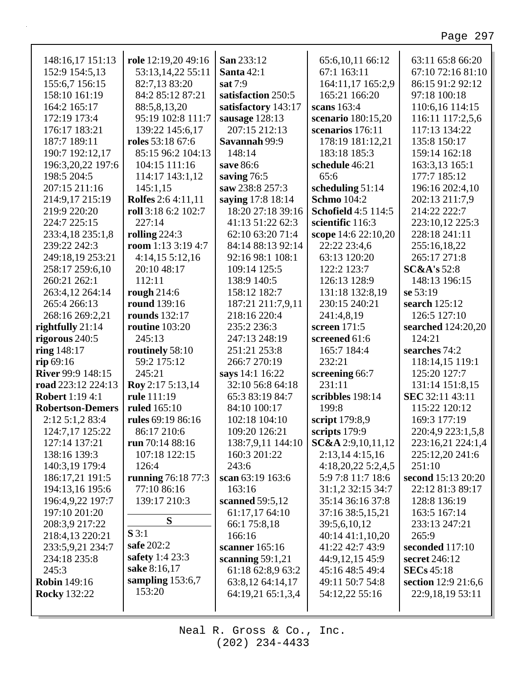| 148:16,17 151:13         | role 12:19,20 49:16       | San 233:12          | 65:6,10,11 66:12           | 63:11 65:8 66:20       |
|--------------------------|---------------------------|---------------------|----------------------------|------------------------|
| 152:9 154:5,13           | 53:13,14,22 55:11         | Santa $42:1$        | 67:1 163:11                | 67:10 72:16 81:10      |
| 155:6,7 156:15           | 82:7,13 83:20             | sat 7:9             | 164:11,17 165:2,9          | 86:15 91:2 92:12       |
| 158:10 161:19            | 84:2 85:12 87:21          | satisfaction 250:5  | 165:21 166:20              | 97:18 100:18           |
| 164:2 165:17             | 88:5,8,13,20              | satisfactory 143:17 | scans $163:4$              | 110:6,16 114:15        |
| 172:19 173:4             | 95:19 102:8 111:7         | sausage 128:13      | scenario 180:15,20         | 116:11 117:2,5,6       |
| 176:17 183:21            | 139:22 145:6,17           | 207:15 212:13       | scenarios 176:11           | 117:13 134:22          |
| 187:7 189:11             | roles 53:18 67:6          | Savannah 99:9       | 178:19 181:12,21           | 135:8 150:17           |
| 190:7 192:12,17          | 85:15 96:2 104:13         | 148:14              | 183:18 185:3               | 159:14 162:18          |
| 196:3,20,22 197:6        | 104:15 111:16             | save 86:6           | schedule 46:21             | 163:3,13 165:1         |
| 198:5 204:5              | 114:17 143:1,12           | saving 76:5         | 65:6                       | 177:7 185:12           |
| 207:15 211:16            | 145:1,15                  | saw 238:8 257:3     | scheduling 51:14           | 196:16 202:4,10        |
| 214:9,17 215:19          | <b>Rolfes</b> 2:6 4:11,11 | saying 17:8 18:14   | <b>Schmo</b> 104:2         | 202:13 211:7,9         |
| 219:9 220:20             | roll 3:18 6:2 102:7       | 18:20 27:18 39:16   | <b>Schofield 4:5 114:5</b> | 214:22 222:7           |
| 224:7 225:15             | 227:14                    | 41:13 51:22 62:3    | scientific 116:3           | 223:10,12 225:3        |
| 233:4,18 235:1,8         | rolling $224:3$           | 62:10 63:20 71:4    | scope 14:6 22:10,20        | 228:18 241:11          |
| 239:22 242:3             | room 1:13 3:19 4:7        | 84:14 88:13 92:14   | 22:22 23:4,6               | 255:16,18,22           |
| 249:18,19 253:21         | $4:14,15\ 5:12,16$        | 92:16 98:1 108:1    | 63:13 120:20               | 265:17 271:8           |
| 258:17 259:6,10          | 20:10 48:17               | 109:14 125:5        | 122:2 123:7                | <b>SC&amp;A's</b> 52:8 |
| 260:21 262:1             | 112:11                    | 138:9 140:5         | 126:13 128:9               | 148:13 196:15          |
| 263:4,12 264:14          | rough $214:6$             | 158:12 182:7        | 131:18 132:8,19            | se 53:19               |
| 265:4 266:13             | <b>round</b> 139:16       | 187:21 211:7,9,11   | 230:15 240:21              | search $125:12$        |
| 268:16 269:2,21          | <b>rounds</b> 132:17      | 218:16 220:4        | 241:4,8,19                 | 126:5 127:10           |
| rightfully $21:14$       | routine $103:20$          | 235:2 236:3         | screen $171:5$             | searched 124:20,20     |
| rigorous 240:5           | 245:13                    | 247:13 248:19       | screened 61:6              | 124:21                 |
| ring 148:17              | routinely 58:10           | 251:21 253:8        | 165:7 184:4                | searches 74:2          |
| rip 69:16                | 59:2 175:12               | 266:7 270:19        | 232:21                     | 118:14,15 119:1        |
| <b>River 99:9 148:15</b> | 245:21                    | says 14:1 16:22     | screening 66:7             | 125:20 127:7           |
| road 223:12 224:13       | Roy 2:17 5:13,14          | 32:10 56:8 64:18    | 231:11                     | 131:14 151:8,15        |
| <b>Robert</b> 1:19 4:1   | rule 111:19               | 65:3 83:19 84:7     | scribbles 198:14           | SEC 32:11 43:11        |
| <b>Robertson-Demers</b>  | <b>ruled</b> 165:10       | 84:10 100:17        | 199:8                      | 115:22 120:12          |
| 2:125:1,283:4            | rules 69:19 86:16         | 102:18 104:10       | script 179:8,9             | 169:3 177:19           |
| 124:7,17 125:22          | 86:17 210:6               | 109:20 126:21       | scripts $179:9$            | 220:4,9 223:1,5,8      |
| 127:14 137:21            | run 70:14 88:16           | 138:7,9,11 144:10   | $SC&A$ 2:9,10,11,12        | 223:16,21 224:1,4      |
| 138:16 139:3             | 107:18 122:15             | 160:3 201:22        | 2:13,144:15,16             | 225:12,20 241:6        |
| 140:3,19 179:4           | 126:4                     | 243:6               | 4:18,20,225:2,4,5          | 251:10                 |
| 186:17,21 191:5          | running 76:18 77:3        | scan 63:19 163:6    | 5:9 7:8 11:7 18:6          | second 15:13 20:20     |
| 194:13,16 195:6          | 77:10 86:16               | 163:16              | 31:1,2 32:15 34:7          | 22:12 81:3 89:17       |
| 196:4,9,22 197:7         | 139:17 210:3              | scanned 59:5,12     | 35:14 36:16 37:8           | 128:8 136:19           |
| 197:10 201:20            |                           | 61:17,17 64:10      | 37:16 38:5,15,21           | 163:5 167:14           |
| 208:3,9 217:22           | S                         | 66:1 75:8,18        | 39:5,6,10,12               | 233:13 247:21          |
| 218:4,13 220:21          | S3:1                      | 166:16              | 40:14 41:1,10,20           | 265:9                  |
| 233:5,9,21 234:7         | safe 202:2                | scanner $165:16$    | 41:22 42:7 43:9            | seconded 117:10        |
| 234:18 235:8             | safety 1:4 23:3           | scanning $59:1,21$  | 44:9,12,15 45:9            | secret 246:12          |
| 245:3                    | sake 8:16,17              | 61:18 62:8,9 63:2   | 45:16 48:5 49:4            | <b>SECs</b> 45:18      |
| <b>Robin</b> 149:16      | sampling $153:6,7$        | 63:8,12 64:14,17    | 49:11 50:7 54:8            | section 12:9 21:6,6    |
| <b>Rocky</b> 132:22      | 153:20                    | 64:19,21 65:1,3,4   | 54:12,22 55:16             | 22:9,18,19 53:11       |
|                          |                           |                     |                            |                        |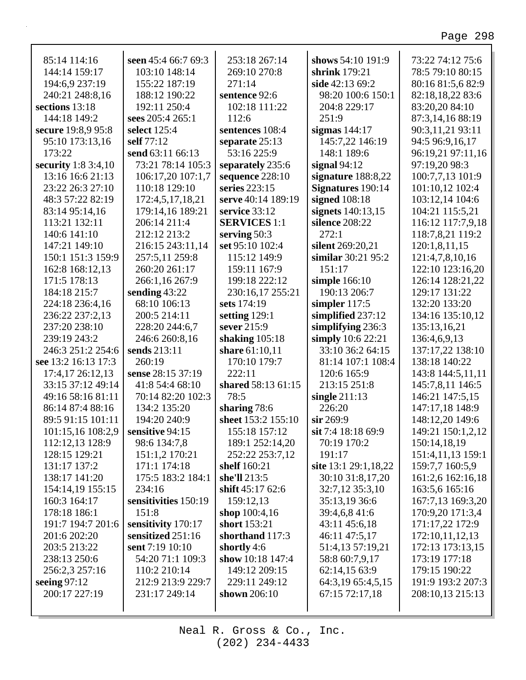٦

| 85:14 114:16        | seen 45:4 66:7 69:3  | 253:18 267:14       | shows 54:10 191:9    | 73:22 74:12 75:6  |
|---------------------|----------------------|---------------------|----------------------|-------------------|
| 144:14 159:17       | 103:10 148:14        | 269:10 270:8        | shrink $179:21$      | 78:5 79:10 80:15  |
| 194:6,9 237:19      | 155:22 187:19        | 271:14              | side 42:13 69:2      | 80:16 81:5,6 82:9 |
| 240:21 248:8,16     | 188:12 190:22        | sentence 92:6       | 98:20 100:6 150:1    | 82:18,18,22 83:6  |
| sections 13:18      | 192:11 250:4         | 102:18 111:22       | 204:8 229:17         | 83:20,20 84:10    |
| 144:18 149:2        | sees 205:4 265:1     | 112:6               | 251:9                | 87:3,14,16 88:19  |
| secure 19:8,9 95:8  | select 125:4         | sentences 108:4     | sigmas $144:17$      | 90:3,11,21 93:11  |
| 95:10 173:13,16     | self 77:12           | separate 25:13      | 145:7,22 146:19      | 94:5 96:9,16,17   |
| 173:22              | send 63:11 66:13     | 53:16 225:9         | 148:1 189:6          | 96:19,21 97:11,16 |
| security 1:8 3:4,10 | 73:21 78:14 105:3    | separately 235:6    | signal $94:12$       | 97:19,20 98:3     |
| 13:16 16:6 21:13    | 106:17,20 107:1,7    | sequence 228:10     | signature 188:8,22   | 100:7,7,13 101:9  |
| 23:22 26:3 27:10    | 110:18 129:10        | series 223:15       | Signatures 190:14    | 101:10,12 102:4   |
| 48:3 57:22 82:19    | 172:4,5,17,18,21     | serve 40:14 189:19  | signed $108:18$      | 103:12,14 104:6   |
| 83:14 95:14,16      | 179:14,16 189:21     | service 33:12       | signets 140:13,15    | 104:21 115:5,21   |
| 113:21 132:11       | 206:14 211:4         | <b>SERVICES 1:1</b> | silence 208:22       | 116:12 117:7,9,18 |
| 140:6 141:10        | 212:12 213:2         | serving 50:3        | 272:1                | 118:7,8,21 119:2  |
| 147:21 149:10       | 216:15 243:11,14     | set 95:10 102:4     | silent 269:20,21     | 120:1,8,11,15     |
| 150:1 151:3 159:9   | 257:5,11 259:8       | 115:12 149:9        | similar 30:21 95:2   | 121:4,7,8,10,16   |
| 162:8 168:12,13     | 260:20 261:17        | 159:11 167:9        | 151:17               | 122:10 123:16,20  |
| 171:5 178:13        | 266:1,16 267:9       | 199:18 222:12       | simple 166:10        | 126:14 128:21,22  |
| 184:18 215:7        | sending 43:22        | 230:16,17 255:21    | 190:13 206:7         | 129:17 131:22     |
| 224:18 236:4,16     | 68:10 106:13         | sets 174:19         | simpler $117:5$      | 132:20 133:20     |
| 236:22 237:2,13     | 200:5 214:11         | setting 129:1       | simplified 237:12    | 134:16 135:10,12  |
| 237:20 238:10       | 228:20 244:6,7       | sever 215:9         | simplifying 236:3    | 135:13,16,21      |
| 239:19 243:2        | 246:6 260:8,16       | shaking $105:18$    | simply 10:6 22:21    | 136:4,6,9,13      |
| 246:3 251:2 254:6   | sends 213:11         | share 61:10,11      | 33:10 36:2 64:15     | 137:17,22 138:10  |
| see 13:2 16:13 17:3 | 260:19               | 170:10 179:7        | 81:14 107:1 108:4    | 138:18 140:22     |
| 17:4,17 26:12,13    | sense 28:15 37:19    | 222:11              | 120:6 165:9          | 143:8 144:5,11,11 |
| 33:15 37:12 49:14   | 41:8 54:4 68:10      | shared 58:13 61:15  | 213:15 251:8         | 145:7,8,11 146:5  |
| 49:16 58:16 81:11   | 70:14 82:20 102:3    | 78:5                | single $211:13$      | 146:21 147:5,15   |
| 86:14 87:4 88:16    | 134:2 135:20         | sharing 78:6        | 226:20               | 147:17,18 148:9   |
| 89:5 91:15 101:11   | 194:20 240:9         | sheet 153:2 155:10  | $\sin 269:9$         | 148:12,20 149:6   |
| 101:15,16 108:2,9   | sensitive 94:15      | 155:18 157:12       | sit 7:4 18:18 69:9   | 149:21 150:1,2,12 |
| 112:12,13 128:9     | 98:6 134:7,8         | 189:1 252:14,20     | 70:19 170:2          | 150:14,18,19      |
| 128:15 129:21       | 151:1,2 170:21       | 252:22 253:7,12     | 191:17               | 151:4,11,13 159:1 |
| 131:17 137:2        | 171:1 174:18         | shelf 160:21        | site 13:1 29:1,18,22 | 159:7,7 160:5,9   |
| 138:17 141:20       | 175:5 183:2 184:1    | she'll 213:5        | 30:10 31:8,17,20     | 161:2,6 162:16,18 |
| 154:14,19 155:15    | 234:16               | shift 45:17 62:6    | 32:7,12 35:3,10      | 163:5,6 165:16    |
| 160:3 164:17        | sensitivities 150:19 | 159:12,13           | 35:13,19 36:6        | 167:7,13 169:3,20 |
| 178:18 186:1        | 151:8                | shop $100:4,16$     | 39:4,6,8 41:6        | 170:9,20 171:3,4  |
| 191:7 194:7 201:6   | sensitivity 170:17   | short 153:21        | 43:11 45:6,18        | 171:17,22 172:9   |
| 201:6 202:20        | sensitized 251:16    | shorthand 117:3     | 46:11 47:5,17        | 172:10,11,12,13   |
| 203:5 213:22        | sent 7:19 10:10      | shortly $4:6$       | 51:4,13 57:19,21     | 172:13 173:13,15  |
| 238:13 250:6        | 54:20 71:1 109:3     | show 10:18 147:4    | 58:8 60:7,9,17       | 173:19 177:18     |
| 256:2,3 257:16      | 110:2 210:14         | 149:12 209:15       | 62:14,15 63:9        | 179:15 190:22     |
| seeing $97:12$      | 212:9 213:9 229:7    | 229:11 249:12       | 64:3,19 65:4,5,15    | 191:9 193:2 207:3 |
| 200:17 227:19       | 231:17 249:14        | shown $206:10$      | 67:15 72:17,18       | 208:10,13 215:13  |
|                     |                      |                     |                      |                   |
|                     |                      |                     |                      |                   |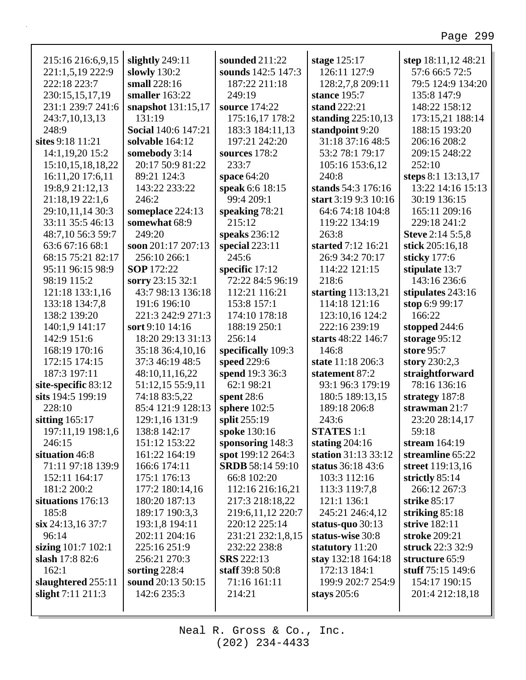٦

| 215:16 216:6,9,15     | slightly 249:11            | sounded 211:22          | stage 125:17         | step 18:11,12 48:21     |
|-----------------------|----------------------------|-------------------------|----------------------|-------------------------|
| 221:1,5,19 222:9      | slowly $130:2$             | sounds 142:5 147:3      | 126:11 127:9         | 57:6 66:5 72:5          |
| 222:18 223:7          | small 228:16               | 187:22 211:18           | 128:2,7,8 209:11     | 79:5 124:9 134:20       |
| 230:15,15,17,19       | smaller 163:22             | 249:19                  | stance 195:7         | 135:8 147:9             |
| 231:1 239:7 241:6     | snapshot 131:15,17         | source 174:22           | stand 222:21         | 148:22 158:12           |
| 243:7,10,13,13        | 131:19                     | 175:16,17 178:2         | standing $225:10,13$ | 173:15,21 188:14        |
| 248:9                 | <b>Social 140:6 147:21</b> | 183:3 184:11,13         | standpoint 9:20      | 188:15 193:20           |
| sites 9:18 11:21      | solvable 164:12            | 197:21 242:20           | 31:18 37:16 48:5     | 206:16 208:2            |
| 14:1,19,20 15:2       | somebody 3:14              | sources 178:2           | 53:2 78:1 79:17      | 209:15 248:22           |
| 15:10, 15, 18, 18, 22 | 20:17 50:9 81:22           | 233:7                   | 105:16 153:6,12      | 252:10                  |
| 16:11,20 17:6,11      | 89:21 124:3                | space $64:20$           | 240:8                | steps 8:1 13:13,17      |
| 19:8,9 21:12,13       | 143:22 233:22              | speak 6:6 18:15         | stands 54:3 176:16   | 13:22 14:16 15:13       |
| 21:18,19 22:1,6       | 246:2                      | 99:4 209:1              | start 3:19 9:3 10:16 | 30:19 136:15            |
| 29:10,11,14 30:3      | someplace 224:13           | speaking 78:21          | 64:6 74:18 104:8     | 165:11 209:16           |
| 33:11 35:5 46:13      | somewhat 68:9              | 215:12                  | 119:22 134:19        | 229:18 241:2            |
| 48:7,10 56:3 59:7     | 249:20                     | speaks 236:12           | 263:8                | <b>Steve 2:14 5:5,8</b> |
| 63:6 67:16 68:1       | soon 201:17 207:13         | special $223:11$        | started 7:12 16:21   | stick 205:16,18         |
| 68:15 75:21 82:17     | 256:10 266:1               | 245:6                   | 26:9 34:2 70:17      | sticky 177:6            |
| 95:11 96:15 98:9      | <b>SOP</b> 172:22          | specific 17:12          | 114:22 121:15        | stipulate 13:7          |
| 98:19 115:2           | sorry 23:15 32:1           | 72:22 84:5 96:19        | 218:6                | 143:16 236:6            |
| 121:18 133:1,16       | 43:7 98:13 136:18          | 112:21 116:21           | starting $113:13,21$ | stipulates 243:16       |
| 133:18 134:7,8        | 191:6 196:10               | 153:8 157:1             | 114:18 121:16        | stop 6:9 99:17          |
| 138:2 139:20          | 221:3 242:9 271:3          | 174:10 178:18           | 123:10,16 124:2      | 166:22                  |
| 140:1,9 141:17        | sort 9:10 14:16            | 188:19 250:1            | 222:16 239:19        | stopped $244:6$         |
| 142:9 151:6           | 18:20 29:13 31:13          | 256:14                  | starts 48:22 146:7   | storage $95:12$         |
| 168:19 170:16         | 35:18 36:4,10,16           | specifically 109:3      | 146:8                | store 95:7              |
| 172:15 174:15         | 37:3 46:19 48:5            | speed 229:6             | state 11:18 206:3    | story 230:2,3           |
| 187:3 197:11          | 48:10,11,16,22             | spend 19:3 36:3         | statement 87:2       | straightforward         |
| site-specific 83:12   | 51:12,15 55:9,11           | 62:1 98:21              | 93:1 96:3 179:19     | 78:16 136:16            |
| sits 194:5 199:19     | 74:18 83:5,22              | spent $28:6$            | 180:5 189:13,15      | strategy 187:8          |
| 228:10                | 85:4 121:9 128:13          | sphere $102:5$          | 189:18 206:8         | strawman 21:7           |
| sitting $165:17$      | 129:1,16 131:9             | split 255:19            | 243:6                | 23:20 28:14,17          |
| 197:11,19 198:1,6     | 138:8 142:17               | spoke 130:16            | <b>STATES</b> 1:1    | 59:18                   |
| 246:15                | 151:12 153:22              | sponsoring $148:3$      | stating $204:16$     | stream $164:19$         |
| situation 46:8        | 161:22 164:19              | spot 199:12 264:3       | station 31:13 33:12  | streamline 65:22        |
| 71:11 97:18 139:9     | 166:6 174:11               | <b>SRDB</b> 58:14 59:10 | status 36:18 43:6    | street 119:13,16        |
| 152:11 164:17         | 175:1 176:13               | 66:8 102:20             | 103:3 112:16         | strictly $85:14$        |
| 181:2 200:2           | 177:2 180:14,16            | 112:16 216:16,21        | 113:3 119:7,8        | 266:12 267:3            |
| situations 176:13     | 180:20 187:13              | 217:3 218:18,22         | 121:1 136:1          | strike 85:17            |
| 185:8                 | 189:17 190:3,3             | 219:6, 11, 12 220: 7    | 245:21 246:4,12      | striking $85:18$        |
| $\sin 24:13,1637:7$   | 193:1,8 194:11             | 220:12 225:14           | status-quo $30:13$   | strive 182:11           |
| 96:14                 | 202:11 204:16              | 231:21 232:1,8,15       | status-wise 30:8     | stroke 209:21           |
| sizing 101:7 102:1    | 225:16 251:9               | 232:22 238:8            | statutory 11:20      | struck 22:3 32:9        |
| slash 17:8 82:6       | 256:21 270:3               | <b>SRS</b> 222:13       | stay 132:18 164:18   | structure 65:9          |
| 162:1                 | sorting 228:4              | staff 39:8 50:8         | 172:13 184:1         | stuff 75:15 149:6       |
| slaughtered 255:11    | sound 20:13 50:15          | 71:16 161:11            | 199:9 202:7 254:9    | 154:17 190:15           |
| slight $7:11\,211:3$  | 142:6 235:3                | 214:21                  | stays $205:6$        | 201:4 212:18,18         |
|                       |                            |                         |                      |                         |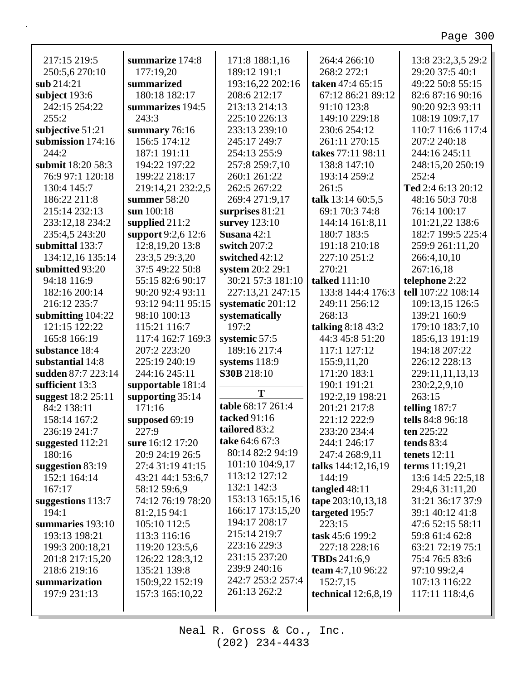| 217:15 219:5       | summarize 174:8    | 171:8 188:1,16    | 264:4 266:10          | 13:8 23:2,3,5 29:2 |
|--------------------|--------------------|-------------------|-----------------------|--------------------|
| 250:5,6 270:10     | 177:19,20          | 189:12 191:1      | 268:2 272:1           | 29:20 37:5 40:1    |
| sub 214:21         | summarized         | 193:16,22 202:16  | taken 47:4 65:15      | 49:22 50:8 55:15   |
| subject 193:6      | 180:18 182:17      | 208:6 212:17      | 67:12 86:21 89:12     | 82:6 87:16 90:16   |
| 242:15 254:22      | summarizes 194:5   | 213:13 214:13     | 91:10 123:8           | 90:20 92:3 93:11   |
| 255:2              | 243:3              | 225:10 226:13     | 149:10 229:18         | 108:19 109:7,17    |
| subjective 51:21   | summary 76:16      | 233:13 239:10     | 230:6 254:12          | 110:7 116:6 117:4  |
| submission 174:16  | 156:5 174:12       | 245:17 249:7      | 261:11 270:15         | 207:2 240:18       |
| 244:2              | 187:1 191:11       | 254:13 255:9      | takes 77:11 98:11     | 244:16 245:11      |
| submit 18:20 58:3  | 194:22 197:22      | 257:8 259:7,10    | 138:8 147:10          | 248:15,20 250:19   |
| 76:9 97:1 120:18   | 199:22 218:17      | 260:1 261:22      | 193:14 259:2          | 252:4              |
| 130:4 145:7        | 219:14,21 232:2,5  | 262:5 267:22      | 261:5                 | Ted 2:4 6:13 20:12 |
| 186:22 211:8       | summer $58:20$     | 269:4 271:9,17    | talk 13:14 60:5,5     | 48:16 50:3 70:8    |
| 215:14 232:13      | sun 100:18         | surprises 81:21   | 69:1 70:3 74:8        | 76:14 100:17       |
| 233:12,18 234:2    | supplied $211:2$   | survey 123:10     | 144:14 161:8,11       | 101:21,22 138:6    |
| 235:4,5 243:20     | support 9:2,6 12:6 | Susana 42:1       | 180:7 183:5           | 182:7 199:5 225:4  |
| submittal 133:7    | 12:8, 19, 20 13:8  | switch 207:2      | 191:18 210:18         | 259:9 261:11,20    |
| 134:12,16 135:14   | 23:3,5 29:3,20     | switched 42:12    | 227:10 251:2          | 266:4,10,10        |
| submitted 93:20    | 37:5 49:22 50:8    | system 20:2 29:1  | 270:21                | 267:16,18          |
| 94:18 116:9        | 55:15 82:6 90:17   | 30:21 57:3 181:10 | talked 111:10         | telephone 2:22     |
| 182:16 200:14      | 90:20 92:4 93:11   | 227:13,21 247:15  | 133:8 144:4 176:3     | tell 107:22 108:14 |
| 216:12 235:7       | 93:12 94:11 95:15  | systematic 201:12 | 249:11 256:12         | 109:13,15 126:5    |
| submitting 104:22  | 98:10 100:13       | systematically    | 268:13                | 139:21 160:9       |
| 121:15 122:22      | 115:21 116:7       | 197:2             | talking 8:18 43:2     | 179:10 183:7,10    |
| 165:8 166:19       | 117:4 162:7 169:3  | systemic 57:5     | 44:3 45:8 51:20       | 185:6,13 191:19    |
| substance 18:4     | 207:2 223:20       | 189:16 217:4      | 117:1 127:12          | 194:18 207:22      |
| substantial 14:8   | 225:19 240:19      | systems 118:9     | 155:9,11,20           | 226:12 228:13      |
| sudden 87:7 223:14 | 244:16 245:11      | S30B 218:10       | 171:20 183:1          | 229:11,11,13,13    |
| sufficient 13:3    | supportable 181:4  | T                 | 190:1 191:21          | 230:2,2,9,10       |
| suggest 18:2 25:11 | supporting $35:14$ |                   | 192:2,19 198:21       | 263:15             |
| 84:2 138:11        | 171:16             | table 68:17 261:4 | 201:21 217:8          | telling 187:7      |
| 158:14 167:2       | supposed 69:19     | tacked 91:16      | 221:12 222:9          | tells 84:8 96:18   |
| 236:19 241:7       | 227:9              | tailored 83:2     | 233:20 234:4          | ten 225:22         |
| suggested 112:21   | sure 16:12 17:20   | take 64:6 67:3    | 244:1 246:17          | tends $83:4$       |
| 180:16             | 20:9 24:19 26:5    | 80:14 82:2 94:19  | 247:4 268:9,11        | tenets $12:11$     |
| suggestion 83:19   | 27:4 31:19 41:15   | 101:10 104:9,17   | talks 144:12,16,19    | terms 11:19,21     |
| 152:1 164:14       | 43:21 44:1 53:6,7  | 113:12 127:12     | 144:19                | 13:6 14:5 22:5,18  |
| 167:17             | 58:12 59:6,9       | 132:1 142:3       | tangled $48:11$       | 29:4,6 31:11,20    |
| suggestions 113:7  | 74:12 76:19 78:20  | 153:13 165:15,16  | tape 203:10,13,18     | 31:21 36:17 37:9   |
| 194:1              | 81:2,15 94:1       | 166:17 173:15,20  | targeted 195:7        | 39:1 40:12 41:8    |
| summaries 193:10   | 105:10 112:5       | 194:17 208:17     | 223:15                | 47:6 52:15 58:11   |
| 193:13 198:21      | 113:3 116:16       | 215:14 219:7      | task 45:6 199:2       | 59:8 61:4 62:8     |
| 199:3 200:18,21    | 119:20 123:5,6     | 223:16 229:3      | 227:18 228:16         | 63:21 72:19 75:1   |
| 201:8 217:15,20    | 126:22 128:3,12    | 231:15 237:20     | <b>TBDs</b> 241:6,9   | 75:4 76:5 83:6     |
| 218:6 219:16       | 135:21 139:8       | 239:9 240:16      | team 4:7,10 96:22     | 97:10 99:2,4       |
| summarization      | 150:9,22 152:19    | 242:7 253:2 257:4 | 152:7,15              | 107:13 116:22      |
| 197:9 231:13       | 157:3 165:10,22    | 261:13 262:2      | technical $12:6,8,19$ | 117:11 118:4,6     |
|                    |                    |                   |                       |                    |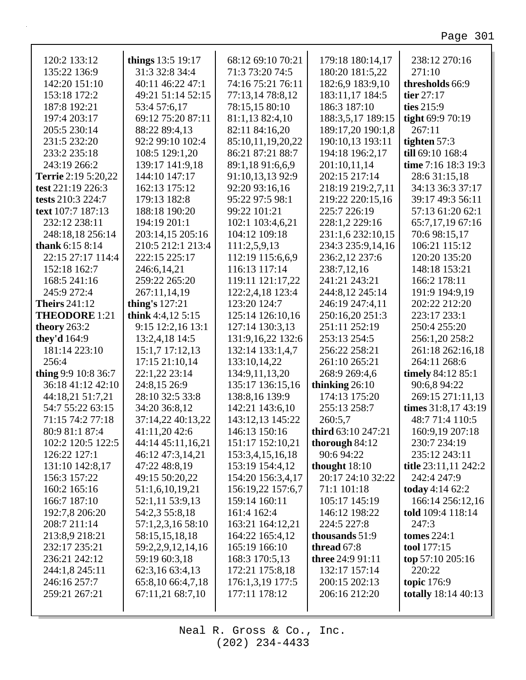| 120:2 133:12               | things 13:5 19:17 | 68:12 69:10 70:21 | 179:18 180:14,17   | 238:12 270:16              |
|----------------------------|-------------------|-------------------|--------------------|----------------------------|
| 135:22 136:9               | 31:3 32:8 34:4    | 71:3 73:20 74:5   | 180:20 181:5,22    | 271:10                     |
| 142:20 151:10              | 40:11 46:22 47:1  | 74:16 75:21 76:11 | 182:6,9 183:9,10   | thresholds 66:9            |
| 153:18 172:2               | 49:21 51:14 52:15 | 77:13,14 78:8,12  | 183:11,17 184:5    | tier $27:17$               |
| 187:8 192:21               | 53:4 57:6,17      | 78:15,15 80:10    | 186:3 187:10       | ties 215:9                 |
| 197:4 203:17               | 69:12 75:20 87:11 | 81:1,13 82:4,10   | 188:3,5,17 189:15  | tight 69:9 70:19           |
| 205:5 230:14               | 88:22 89:4,13     | 82:11 84:16,20    | 189:17,20 190:1,8  | 267:11                     |
| 231:5 232:20               | 92:2 99:10 102:4  | 85:10,11,19,20,22 | 190:10,13 193:11   | tighten 57:3               |
| 233:2 235:18               | 108:5 129:1,20    | 86:21 87:21 88:7  | 194:18 196:2,17    | till 69:10 168:4           |
| 243:19 266:2               | 139:17 141:9,18   | 89:1,18 91:6,6,9  | 201:10,11,14       | time 7:16 18:3 19:3        |
| <b>Terrie</b> 2:19 5:20,22 | 144:10 147:17     | 91:10,13,13 92:9  | 202:15 217:14      | 28:6 31:15,18              |
| test 221:19 226:3          | 162:13 175:12     | 92:20 93:16,16    | 218:19 219:2,7,11  | 34:13 36:3 37:17           |
| tests 210:3 224:7          | 179:13 182:8      | 95:22 97:5 98:1   | 219:22 220:15,16   | 39:17 49:3 56:11           |
| text 107:7 187:13          | 188:18 190:20     | 99:22 101:21      | 225:7 226:19       | 57:13 61:20 62:1           |
| 232:12 238:11              | 194:19 201:1      | 102:1 103:4,6,21  | 228:1,2 229:16     | 65:7,17,19 67:16           |
| 248:18,18 256:14           | 203:14,15 205:16  | 104:12 109:18     | 231:1,6 232:10,15  | 70:6 98:15,17              |
| <b>thank</b> $6:158:14$    | 210:5 212:1 213:4 | 111:2,5,9,13      | 234:3 235:9,14,16  | 106:21 115:12              |
| 22:15 27:17 114:4          | 222:15 225:17     | 112:19 115:6,6,9  | 236:2,12 237:6     | 120:20 135:20              |
| 152:18 162:7               | 246:6,14,21       | 116:13 117:14     | 238:7,12,16        | 148:18 153:21              |
| 168:5 241:16               | 259:22 265:20     | 119:11 121:17,22  | 241:21 243:21      | 166:2 178:11               |
| 245:9 272:4                | 267:11,14,19      | 122:2,4,18 123:4  | 244:8,12 245:14    | 191:9 194:9,19             |
| <b>Theirs</b> 241:12       | thing's 127:21    | 123:20 124:7      | 246:19 247:4,11    | 202:22 212:20              |
| <b>THEODORE 1:21</b>       | think 4:4,12 5:15 | 125:14 126:10,16  | 250:16,20 251:3    | 223:17 233:1               |
| theory $263:2$             | 9:15 12:2,16 13:1 | 127:14 130:3,13   | 251:11 252:19      | 250:4 255:20               |
| they'd 164:9               | 13:2,4,18 14:5    | 131:9,16,22 132:6 | 253:13 254:5       | 256:1,20 258:2             |
| 181:14 223:10              | 15:1,7 17:12,13   | 132:14 133:1,4,7  | 256:22 258:21      | 261:18 262:16,18           |
| 256:4                      | 17:15 21:10,14    | 133:10,14,22      | 261:10 265:21      | 264:11 268:6               |
| thing 9:9 10:8 36:7        | 22:1,22 23:14     | 134:9,11,13,20    | 268:9 269:4,6      | timely 84:12 85:1          |
| 36:18 41:12 42:10          | 24:8,15 26:9      | 135:17 136:15,16  | thinking $26:10$   | 90:6,8 94:22               |
| 44:18,21 51:7,21           | 28:10 32:5 33:8   | 138:8,16 139:9    | 174:13 175:20      | 269:15 271:11,13           |
| 54:7 55:22 63:15           | 34:20 36:8,12     | 142:21 143:6,10   | 255:13 258:7       | times 31:8,17 43:19        |
| 71:15 74:2 77:18           | 37:14,22 40:13,22 | 143:12,13 145:22  | 260:5,7            | 48:7 71:4 110:5            |
| 80:9 81:1 87:4             | 41:11,20 42:6     | 146:13 150:16     | third 63:10 247:21 | 160:9,19 207:18            |
| 102:2 120:5 122:5          | 44:14 45:11,16,21 | 151:17 152:10,21  | thorough $84:12$   | 230:7 234:19               |
| 126:22 127:1               | 46:12 47:3,14,21  | 153:3,4,15,16,18  | 90:6 94:22         | 235:12 243:11              |
| 131:10 142:8,17            | 47:22 48:8,19     | 153:19 154:4,12   | thought $18:10$    | title 23:11,11 242:2       |
| 156:3 157:22               | 49:15 50:20,22    | 154:20 156:3,4,17 | 20:17 24:10 32:22  | 242:4 247:9                |
| 160:2 165:16               | 51:1,6,10,19,21   | 156:19,22 157:6,7 | 71:1 101:18        | today 4:14 62:2            |
| 166:7 187:10               | 52:1,11 53:9,13   | 159:14 160:11     | 105:17 145:19      | 166:14 256:12,16           |
| 192:7,8 206:20             | 54:2,3 55:8,18    | 161:4 162:4       | 146:12 198:22      | told 109:4 118:14          |
| 208:7 211:14               | 57:1,2,3,16 58:10 | 163:21 164:12,21  | 224:5 227:8        | 247:3                      |
| 213:8,9 218:21             | 58:15,15,18,18    | 164:22 165:4,12   | thousands 51:9     | tomes $224:1$              |
| 232:17 235:21              | 59:2,2,9,12,14,16 | 165:19 166:10     | thread 67:8        | tool 177:15                |
| 236:21 242:12              | 59:19 60:3,18     | 168:3 170:5,13    | three 24:9 91:11   | top $57:10\,205:16$        |
| 244:1,8 245:11             | 62:3,16 63:4,13   | 172:21 175:8,18   | 132:17 157:14      | 220:22                     |
| 246:16 257:7               | 65:8,10 66:4,7,18 | 176:1,3,19 177:5  | 200:15 202:13      | <b>topic</b> 176:9         |
| 259:21 267:21              |                   |                   |                    |                            |
|                            | 67:11,21 68:7,10  | 177:11 178:12     | 206:16 212:20      | <b>totally</b> 18:14 40:13 |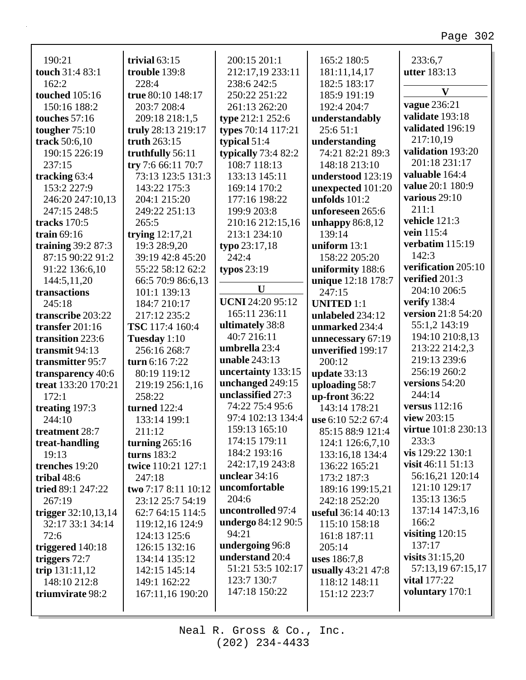| 190:21                | trivial $63:15$     | 200:15 201:1            | 165:2 180:5        | 233:6,7                    |
|-----------------------|---------------------|-------------------------|--------------------|----------------------------|
| touch 31:4 83:1       | trouble 139:8       | 212:17,19 233:11        | 181:11,14,17       | <b>utter</b> 183:13        |
| 162:2                 | 228:4               | 238:6 242:5             | 182:5 183:17       | $\mathbf{V}$               |
| <b>touched</b> 105:16 | true 80:10 148:17   | 250:22 251:22           | 185:9 191:19       |                            |
| 150:16 188:2          | 203:7 208:4         | 261:13 262:20           | 192:4 204:7        | <b>vague</b> 236:21        |
| touches 57:16         | 209:18 218:1,5      | type 212:1 252:6        | understandably     | validate 193:18            |
| tougher $75:10$       | truly 28:13 219:17  | types 70:14 117:21      | 25:651:1           | validated 196:19           |
| track 50:6,10         | truth 263:15        | typical $51:4$          | understanding      | 217:10,19                  |
| 190:15 226:19         | truthfully 56:11    | typically $73:482:2$    | 74:21 82:21 89:3   | validation 193:20          |
| 237:15                | try 7:6 66:11 70:7  | 108:7 118:13            | 148:18 213:10      | 201:18 231:17              |
| tracking 63:4         | 73:13 123:5 131:3   | 133:13 145:11           | understood 123:19  | valuable 164:4             |
| 153:2 227:9           | 143:22 175:3        | 169:14 170:2            | unexpected 101:20  | value 20:1 180:9           |
| 246:20 247:10,13      | 204:1 215:20        | 177:16 198:22           | unfolds $101:2$    | various 29:10              |
| 247:15 248:5          | 249:22 251:13       | 199:9 203:8             | unforeseen 265:6   | 211:1                      |
| tracks 170:5          | 265:5               | 210:16 212:15,16        | unhappy $86:8,12$  | vehicle 121:3              |
| train $69:16$         | trying $12:17,21$   | 213:1 234:10            | 139:14             | vein 115:4                 |
| training $39:287:3$   | 19:3 28:9,20        | typo 23:17,18           | uniform $13:1$     | verbatim 115:19            |
| 87:15 90:22 91:2      | 39:19 42:8 45:20    | 242:4                   | 158:22 205:20      | 142:3                      |
| 91:22 136:6,10        | 55:22 58:12 62:2    | typos $23:19$           | uniformity 188:6   | verification 205:10        |
| 144:5,11,20           | 66:5 70:9 86:6,13   |                         | unique 12:18 178:7 | verified 201:3             |
| transactions          | 101:1 139:13        | U                       | 247:15             | 204:10 206:5               |
| 245:18                | 184:7 210:17        | <b>UCNI 24:20 95:12</b> | <b>UNITED 1:1</b>  | verify 138:4               |
| transcribe 203:22     | 217:12 235:2        | 165:11 236:11           | unlabeled 234:12   | version 21:8 54:20         |
| transfer 201:16       | TSC 117:4 160:4     | ultimately 38:8         | unmarked 234:4     | 55:1,2 143:19              |
| transition 223:6      | Tuesday 1:10        | 40:7 216:11             | unnecessary 67:19  | 194:10 210:8,13            |
| transmit 94:13        | 256:16 268:7        | umbrella 23:4           | unverified 199:17  | 213:22 214:2,3             |
| transmitter 95:7      | turn 6:16 7:22      | unable 243:13           | 200:12             | 219:13 239:6               |
| transparency 40:6     | 80:19 119:12        | uncertainty 133:15      | update 33:13       | 256:19 260:2               |
| treat 133:20 170:21   | 219:19 256:1,16     | unchanged 249:15        | uploading 58:7     | versions 54:20             |
| 172:1                 | 258:22              | unclassified 27:3       | up-front 36:22     | 244:14                     |
| treating 197:3        | <b>turned</b> 122:4 | 74:22 75:4 95:6         | 143:14 178:21      | versus $112:16$            |
| 244:10                | 133:14 199:1        | 97:4 102:13 134:4       | use 6:10 52:2 67:4 | view 203:15                |
| treatment 28:7        | 211:12              | 159:13 165:10           | 85:15 88:9 121:4   | <b>virtue</b> 101:8 230:13 |
| treat-handling        | turning $265:16$    | 174:15 179:11           | 124:1 126:6,7,10   | 233:3                      |
| 19:13                 | turns $183:2$       | 184:2 193:16            | 133:16,18 134:4    | vis 129:22 130:1           |
| trenches 19:20        | twice 110:21 127:1  | 242:17,19 243:8         | 136:22 165:21      | visit $46:11\ 51:13$       |
| tribal $48:6$         | 247:18              | unclear $34:16$         | 173:2 187:3        | 56:16,21 120:14            |
| tried 89:1 247:22     | two 7:17 8:11 10:12 | uncomfortable           | 189:16 199:15,21   | 121:10 129:17              |
| 267:19                | 23:12 25:7 54:19    | 204:6                   | 242:18 252:20      | 135:13 136:5               |
| trigger $32:10,13,14$ | 62:7 64:15 114:5    | uncontrolled 97:4       | useful 36:14 40:13 | 137:14 147:3,16            |
| 32:17 33:1 34:14      | 119:12,16 124:9     | undergo 84:12 90:5      | 115:10 158:18      | 166:2                      |
| 72:6                  | 124:13 125:6        | 94:21                   | 161:8 187:11       | visiting $120:15$          |
| triggered 140:18      | 126:15 132:16       | undergoing 96:8         | 205:14             | 137:17                     |
| triggers $72:7$       | 134:14 135:12       | understand 20:4         | uses 186:7,8       | visits $31:15,20$          |
| trip $131:11,12$      | 142:15 145:14       | 51:21 53:5 102:17       | usually 43:21 47:8 | 57:13,19 67:15,17          |
| 148:10 212:8          | 149:1 162:22        | 123:7 130:7             | 118:12 148:11      | <b>vital</b> 177:22        |
| triumvirate 98:2      | 167:11,16 190:20    | 147:18 150:22           | 151:12 223:7       | voluntary 170:1            |
|                       |                     |                         |                    |                            |
|                       |                     |                         |                    |                            |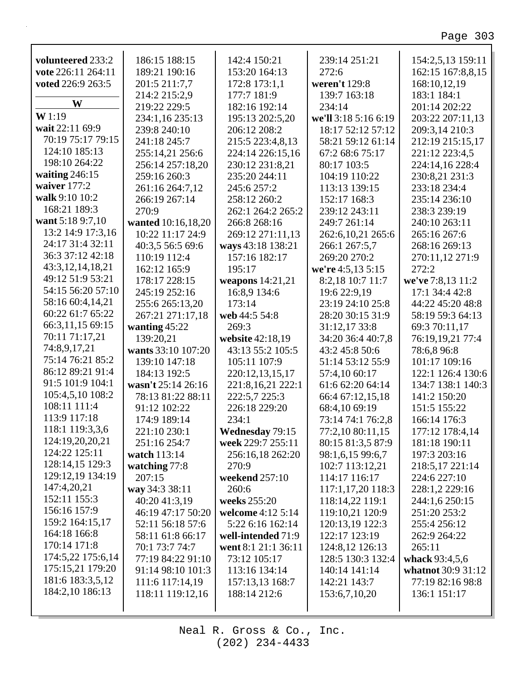| volunteered 233:2    | 186:15 188:15      | 142:4 150:21           | 239:14 251:21        | 154:2,5,13 159:11  |
|----------------------|--------------------|------------------------|----------------------|--------------------|
| vote 226:11 264:11   | 189:21 190:16      | 153:20 164:13          | 272:6                | 162:15 167:8,8,15  |
| voted 226:9 263:5    | 201:5 211:7,7      | 172:8 173:1,1          | weren't 129:8        | 168:10,12,19       |
| W                    | 214:2 215:2,9      | 177:7 181:9            | 139:7 163:18         | 183:1 184:1        |
|                      | 219:22 229:5       | 182:16 192:14          | 234:14               | 201:14 202:22      |
| W1:19                | 234:1,16 235:13    | 195:13 202:5,20        | we'll 3:18 5:16 6:19 | 203:22 207:11,13   |
| wait 22:11 69:9      | 239:8 240:10       | 206:12 208:2           | 18:17 52:12 57:12    | 209:3,14 210:3     |
| 70:19 75:17 79:15    | 241:18 245:7       | 215:5 223:4,8,13       | 58:21 59:12 61:14    | 212:19 215:15,17   |
| 124:10 185:13        | 255:14,21 256:6    | 224:14 226:15,16       | 67:2 68:6 75:17      | 221:12 223:4,5     |
| 198:10 264:22        | 256:14 257:18,20   | 230:12 231:8,21        | 80:17 103:5          | 224:14,16 228:4    |
| waiting $246:15$     | 259:16 260:3       | 235:20 244:11          | 104:19 110:22        | 230:8,21 231:3     |
| waiver 177:2         | 261:16 264:7,12    | 245:6 257:2            | 113:13 139:15        | 233:18 234:4       |
| walk 9:10 10:2       | 266:19 267:14      | 258:12 260:2           | 152:17 168:3         | 235:14 236:10      |
| 168:21 189:3         | 270:9              | 262:1 264:2 265:2      | 239:12 243:11        | 238:3 239:19       |
| want 5:18 9:7,10     | wanted 10:16,18,20 | 266:8 268:16           | 249:7 261:14         | 240:10 263:11      |
| 13:2 14:9 17:3,16    | 10:22 11:17 24:9   | 269:12 271:11,13       | 262:6, 10, 21 265:6  | 265:16 267:6       |
| 24:17 31:4 32:11     | 40:3,5 56:5 69:6   | ways 43:18 138:21      | 266:1 267:5,7        | 268:16 269:13      |
| 36:3 37:12 42:18     | 110:19 112:4       | 157:16 182:17          | 269:20 270:2         | 270:11,12 271:9    |
| 43:3, 12, 14, 18, 21 | 162:12 165:9       | 195:17                 | we're 4:5,13 5:15    | 272:2              |
| 49:12 51:9 53:21     | 178:17 228:15      | weapons 14:21,21       | 8:2,18 10:7 11:7     | we've 7:8,13 11:2  |
| 54:15 56:20 57:10    | 245:19 252:16      | 16:8,9 134:6           | 19:6 22:9,19         | 17:1 34:4 42:8     |
| 58:16 60:4,14,21     | 255:6 265:13,20    | 173:14                 | 23:19 24:10 25:8     | 44:22 45:20 48:8   |
| 60:22 61:7 65:22     | 267:21 271:17,18   | web 44:5 54:8          | 28:20 30:15 31:9     | 58:19 59:3 64:13   |
| 66:3,11,15 69:15     | wanting $45:22$    | 269:3                  | 31:12,17 33:8        | 69:3 70:11,17      |
| 70:11 71:17,21       | 139:20,21          | website 42:18,19       | 34:20 36:4 40:7,8    | 76:19,19,21 77:4   |
| 74:8,9,17,21         | wants 33:10 107:20 | 43:13 55:2 105:5       | 43:2 45:8 50:6       | 78:6,8 96:8        |
| 75:14 76:21 85:2     | 139:10 147:18      | 105:11 107:9           | 51:14 53:12 55:9     | 101:17 109:16      |
| 86:12 89:21 91:4     | 184:13 192:5       | 220:12,13,15,17        | 57:4,10 60:17        | 122:1 126:4 130:6  |
| 91:5 101:9 104:1     | wasn't 25:14 26:16 | 221:8,16,21 222:1      | 61:6 62:20 64:14     | 134:7 138:1 140:3  |
| 105:4,5,10 108:2     | 78:13 81:22 88:11  | 222:5,7 225:3          | 66:4 67:12,15,18     | 141:2 150:20       |
| 108:11 111:4         | 91:12 102:22       | 226:18 229:20          | 68:4,10 69:19        | 151:5 155:22       |
| 113:9 117:18         | 174:9 189:14       | 234:1                  | 73:14 74:1 76:2,8    | 166:14 176:3       |
| 118:1 119:3,3,6      | 221:10 230:1       | <b>Wednesday 79:15</b> | 77:2,10 80:11,15     | 177:12 178:4,14    |
| 124:19,20,20,21      | 251:16 254:7       | week 229:7 255:11      | 80:15 81:3,5 87:9    | 181:18 190:11      |
| 124:22 125:11        | watch 113:14       | 256:16,18 262:20       | 98:1,6,15 99:6,7     | 197:3 203:16       |
| 128:14,15 129:3      | watching 77:8      | 270:9                  | 102:7 113:12,21      | 218:5,17 221:14    |
| 129:12,19 134:19     | 207:15             | weekend 257:10         | 114:17 116:17        | 224:6 227:10       |
| 147:4,20,21          | way 34:3 38:11     | 260:6                  | 117:1,17,20 118:3    | 228:1,2 229:16     |
| 152:11 155:3         | 40:20 41:3,19      | weeks 255:20           | 118:14,22 119:1      | 244:1,6 250:15     |
| 156:16 157:9         | 46:19 47:17 50:20  | welcome 4:12 5:14      | 119:10,21 120:9      | 251:20 253:2       |
| 159:2 164:15,17      | 52:11 56:18 57:6   | 5:22 6:16 162:14       | 120:13,19 122:3      | 255:4 256:12       |
| 164:18 166:8         | 58:11 61:8 66:17   | well-intended 71:9     | 122:17 123:19        | 262:9 264:22       |
| 170:14 171:8         | 70:1 73:7 74:7     | went 8:1 21:1 36:11    | 124:8,12 126:13      | 265:11             |
| 174:5,22 175:6,14    | 77:19 84:22 91:10  | 73:12 105:17           | 128:5 130:3 132:4    | whack 93:4,5,6     |
| 175:15,21 179:20     | 91:14 98:10 101:3  | 113:16 134:14          | 140:14 141:14        | whatnot 30:9 31:12 |
| 181:6 183:3,5,12     | 111:6 117:14,19    | 157:13,13 168:7        | 142:21 143:7         | 77:19 82:16 98:8   |
| 184:2,10 186:13      | 118:11 119:12,16   | 188:14 212:6           | 153:6,7,10,20        | 136:1 151:17       |
|                      |                    |                        |                      |                    |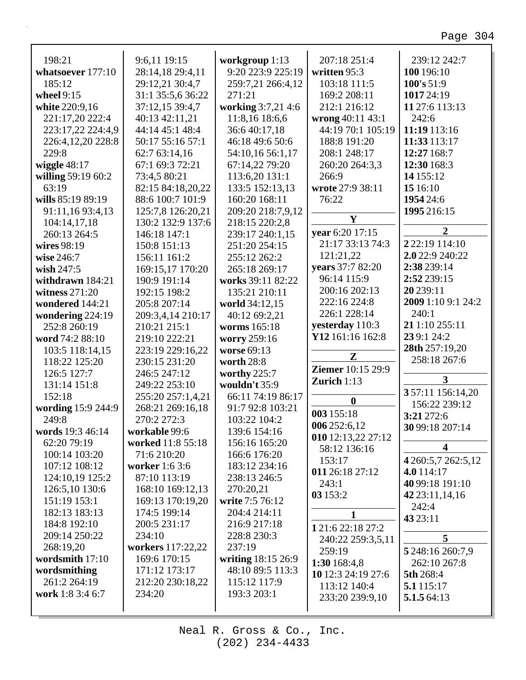| 198:21             | 9:6,11 19:15          | workgroup 1:13     | 207:18 251:4             | 239:12 242:7          |
|--------------------|-----------------------|--------------------|--------------------------|-----------------------|
| whatsoever 177:10  | 28:14,18 29:4,11      | 9:20 223:9 225:19  | written 95:3             | 100 196:10            |
| 185:12             | 29:12,21 30:4,7       | 259:7,21 266:4,12  | 103:18 111:5             | 100's 51:9            |
| wheel 9:15         | 31:1 35:5,6 36:22     | 271:21             | 169:2 208:11             | 1017 24:19            |
| white 220:9,16     | 37:12,15 39:4,7       | working 3:7,21 4:6 | 212:1 216:12             | 11 27:6 113:13        |
| 221:17,20 222:4    | 40:13 42:11,21        | 11:8,16 18:6,6     | wrong 40:11 43:1         | 242:6                 |
| 223:17,22 224:4,9  | 44:14 45:1 48:4       | 36:6 40:17,18      | 44:19 70:1 105:19        | 11:19 113:16          |
| 226:4,12,20 228:8  | 50:17 55:16 57:1      | 46:18 49:6 50:6    | 188:8 191:20             | 11:33 113:17          |
| 229:8              | 62:7 63:14,16         | 54:10,16 56:1,17   | 208:1 248:17             | 12:27 168:7           |
| wiggle $48:17$     | 67:1 69:3 72:21       | 67:14,22 79:20     | 260:20 264:3,3           | 12:30 168:3           |
| willing 59:19 60:2 | 73:4,5 80:21          | 113:6,20 131:1     | 266:9                    | 14 155:12             |
| 63:19              | 82:15 84:18,20,22     | 133:5 152:13,13    | wrote 27:9 38:11         | 15 16:10              |
| wills 85:19 89:19  | 88:6 100:7 101:9      | 160:20 168:11      | 76:22                    | 1954 24:6             |
| 91:11,16 93:4,13   | 125:7,8 126:20,21     | 209:20 218:7,9,12  |                          | 1995 216:15           |
| 104:14,17,18       | 130:2 132:9 137:6     | 218:15 220:2,8     | $\mathbf{Y}$             |                       |
| 260:13 264:5       | 146:18 147:1          | 239:17 240:1,15    | year 6:20 17:15          | $\overline{2}$        |
| wires 98:19        | 150:8 151:13          | 251:20 254:15      | 21:17 33:13 74:3         | 2 2 2 : 19 1 1 4 : 10 |
| wise 246:7         | 156:11 161:2          | 255:12 262:2       | 121:21,22                | 2.0 22:9 240:22       |
| wish $247:5$       | 169:15,17 170:20      | 265:18 269:17      | vears 37:7 82:20         | 2:38 239:14           |
| withdrawn 184:21   | 190:9 191:14          | works 39:11 82:22  | 96:14 115:9              | 2:52 239:15           |
| witness $271:20$   | 192:15 198:2          | 135:21 210:11      | 200:16 202:13            | 20 239:11             |
| wondered 144:21    | 205:8 207:14          | world 34:12,15     | 222:16 224:8             | 2009 1:10 9:1 24:2    |
| wondering 224:19   | 209:3,4,14 210:17     | 40:12 69:2,21      | 226:1 228:14             | 240:1                 |
| 252:8 260:19       | 210:21 215:1          | worms 165:18       | yesterday 110:3          | 21 1:10 255:11        |
| word 74:2 88:10    | 219:10 222:21         | worry 259:16       | Y12 161:16 162:8         | 239:1 24:2            |
| 103:5 118:14,15    | 223:19 229:16,22      | worse 69:13        | Z                        | 28th 257:19,20        |
| 118:22 125:20      | 230:15 231:20         | worth 28:8         |                          | 258:18 267:6          |
| 126:5 127:7        | 246:5 247:12          | worthy 225:7       | <b>Ziemer</b> 10:15 29:9 |                       |
| 131:14 151:8       | 249:22 253:10         | wouldn't 35:9      | Zurich $1:13$            | 3                     |
| 152:18             | 255:20 257:1,4,21     | 66:11 74:19 86:17  | $\boldsymbol{0}$         | 357:11 156:14,20      |
| wording 15:9 244:9 | 268:21 269:16,18      | 91:7 92:8 103:21   | 003 155:18               | 156:22 239:12         |
| 249:8              | 270:2 272:3           | 103:22 104:2       | 006 252:6,12             | 3:21 272:6            |
| words 19:3 46:14   | workable 99:6         | 139:6 154:16       | 010 12:13,22 27:12       | 30 99:18 207:14       |
| 62:20 79:19        | worked 11:8 55:18     | 156:16 165:20      | 58:12 136:16             | 4                     |
| 100:14 103:20      | 71:6 210:20           | 166:6 176:20       | 153:17                   | 4 260:5,7 262:5,12    |
| 107:12 108:12      | <b>worker</b> 1:6 3:6 | 183:12 234:16      | 011 26:18 27:12          | 4.0 114:17            |
| 124:10,19 125:2    | 87:10 113:19          | 238:13 246:5       |                          | 40 99:18 191:10       |
| 126:5,10 130:6     | 168:10 169:12,13      | 270:20,21          | 243:1                    |                       |
| 151:19 153:1       | 169:13 170:19,20      | write 7:5 76:12    | 03 153:2                 | 42 23:11, 14, 16      |
| 182:13 183:13      | 174:5 199:14          | 204:4 214:11       | $\mathbf{1}$             | 242:4                 |
| 184:8 192:10       | 200:5 231:17          | 216:9 217:18       | 121:6 22:18 27:2         | 43 23:11              |
| 209:14 250:22      | 234:10                | 228:8 230:3        | 240:22 259:3,5,11        | 5                     |
| 268:19,20          | workers 117:22,22     | 237:19             | 259:19                   | 5 248:16 260:7,9      |
| wordsmith 17:10    | 169:6 170:15          | writing 18:15 26:9 | 1:30 168:4,8             | 262:10 267:8          |
| wordsmithing       | 171:12 173:17         | 48:10 89:5 113:3   | 10 12:3 24:19 27:6       | 5th 268:4             |
| 261:2 264:19       | 212:20 230:18,22      | 115:12 117:9       | 113:12 140:4             | 5.1 115:17            |
| work 1:8 3:4 6:7   | 234:20                | 193:3 203:1        | 233:20 239:9,10          | 5.1.564:13            |
|                    |                       |                    |                          |                       |